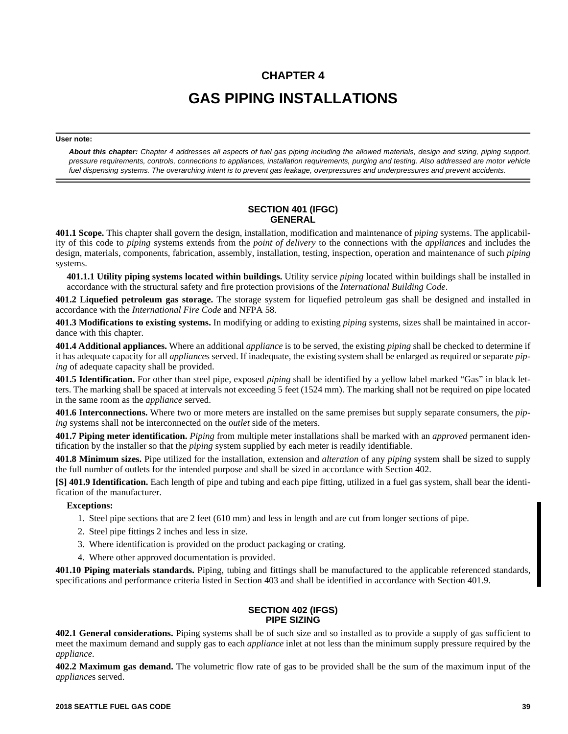# **CHAPTER 4 GAS PIPING INSTALLATIONS**

#### **User note:**

*About this chapter: Chapter 4 addresses all aspects of fuel gas piping including the allowed materials, design and sizing, piping support, pressure requirements, controls, connections to appliances, installation requirements, purging and testing. Also addressed are motor vehicle fuel dispensing systems. The overarching intent is to prevent gas leakage, overpressures and underpressures and prevent accidents.*

### **SECTION 401 (IFGC) GENERAL**

**401.1 Scope.** This chapter shall govern the design, installation, modification and maintenance of *piping* systems. The applicability of this code to *piping* systems extends from the *point of delivery* to the connections with the *appliance*s and includes the design, materials, components, fabrication, assembly, installation, testing, inspection, operation and maintenance of such *piping* systems.

**401.1.1 Utility piping systems located within buildings.** Utility service *piping* located within buildings shall be installed in accordance with the structural safety and fire protection provisions of the *International Building Code*.

**401.2 Liquefied petroleum gas storage.** The storage system for liquefied petroleum gas shall be designed and installed in accordance with the *International Fire Code* and NFPA 58.

**401.3 Modifications to existing systems.** In modifying or adding to existing *piping* systems, sizes shall be maintained in accordance with this chapter.

**401.4 Additional appliances.** Where an additional *appliance* is to be served, the existing *piping* shall be checked to determine if it has adequate capacity for all *appliance*s served. If inadequate, the existing system shall be enlarged as required or separate *piping* of adequate capacity shall be provided.

**401.5 Identification.** For other than steel pipe, exposed *piping* shall be identified by a yellow label marked "Gas" in black letters. The marking shall be spaced at intervals not exceeding 5 feet (1524 mm). The marking shall not be required on pipe located in the same room as the *appliance* served.

**401.6 Interconnections.** Where two or more meters are installed on the same premises but supply separate consumers, the *piping* systems shall not be interconnected on the *outlet* side of the meters.

**401.7 Piping meter identification.** *Piping* from multiple meter installations shall be marked with an *approved* permanent identification by the installer so that the *piping* system supplied by each meter is readily identifiable.

**401.8 Minimum sizes.** Pipe utilized for the installation, extension and *alteration* of any *piping* system shall be sized to supply the full number of outlets for the intended purpose and shall be sized in accordance with Section 402.

**[S] 401.9 Identification.** Each length of pipe and tubing and each pipe fitting, utilized in a fuel gas system, shall bear the identification of the manufacturer.

#### **Exceptions:**

- 1. Steel pipe sections that are 2 feet (610 mm) and less in length and are cut from longer sections of pipe.
- 2. Steel pipe fittings 2 inches and less in size.
- 3. Where identification is provided on the product packaging or crating.
- 4. Where other approved documentation is provided.

**401.10 Piping materials standards.** Piping, tubing and fittings shall be manufactured to the applicable referenced standards, specifications and performance criteria listed in Section 403 and shall be identified in accordance with Section 401.9.

### **SECTION 402 (IFGS) PIPE SIZING**

**402.1 General considerations.** Piping systems shall be of such size and so installed as to provide a supply of gas sufficient to meet the maximum demand and supply gas to each *appliance* inlet at not less than the minimum supply pressure required by the *appliance*.

**402.2 Maximum gas demand.** The volumetric flow rate of gas to be provided shall be the sum of the maximum input of the *appliance*s served.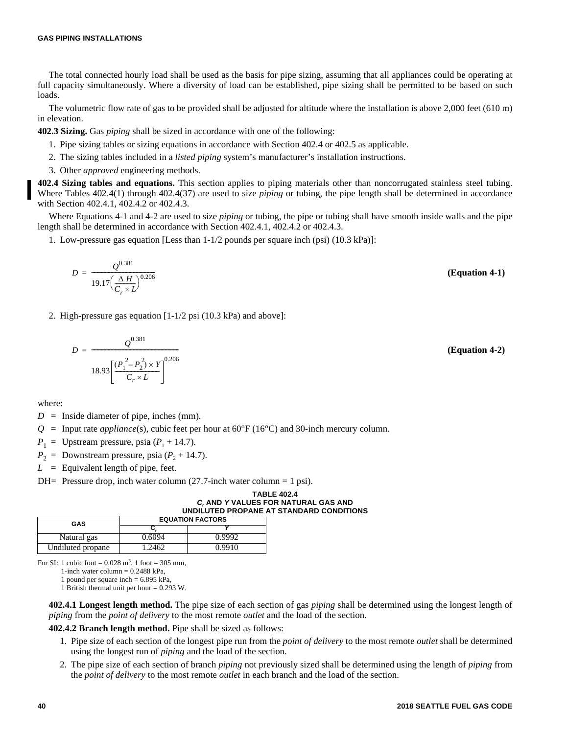The total connected hourly load shall be used as the basis for pipe sizing, assuming that all appliances could be operating at full capacity simultaneously. Where a diversity of load can be established, pipe sizing shall be permitted to be based on such loads.

The volumetric flow rate of gas to be provided shall be adjusted for altitude where the installation is above 2,000 feet (610 m) in elevation.

**402.3 Sizing.** Gas *piping* shall be sized in accordance with one of the following:

- 1. Pipe sizing tables or sizing equations in accordance with Section 402.4 or 402.5 as applicable.
- 2. The sizing tables included in a *listed piping* system's manufacturer's installation instructions.
- 3. Other *approved* engineering methods.

**402.4 Sizing tables and equations.** This section applies to piping materials other than noncorrugated stainless steel tubing. Where Tables 402.4(1) through 402.4(37) are used to size *piping* or tubing, the pipe length shall be determined in accordance with Section 402.4.1, 402.4.2 or 402.4.3.

Where Equations 4-1 and 4-2 are used to size *piping* or tubing, the pipe or tubing shall have smooth inside walls and the pipe length shall be determined in accordance with Section 402.4.1, 402.4.2 or 402.4.3.

1. Low-pressure gas equation [Less than 1-1/2 pounds per square inch (psi) (10.3 kPa)]:

$$
D = \frac{Q^{0.381}}{19.17 \left(\frac{\Delta H}{C_r \times L}\right)^{0.206}}
$$
 (Equation 4-1)

2. High-pressure gas equation [1-1/2 psi (10.3 kPa) and above]:

$$
D = \frac{Q^{0.381}}{18.93 \left[ \frac{(P_1^2 - P_2^2) \times Y}{C_r \times L} \right]^{0.206}}
$$
 (Equation 4-2)

where:

- $D =$  Inside diameter of pipe, inches (mm).
- $Q =$  Input rate *appliance*(s), cubic feet per hour at  $60^{\circ}F(16^{\circ}C)$  and 30-inch mercury column.

 $P_1$  = Upstream pressure, psia ( $P_1$  + 14.7).

 $P_2$  = Downstream pressure, psia ( $P_2$  + 14.7).

 $L =$  Equivalent length of pipe, feet.

DH= Pressure drop, inch water column  $(27.7$ -inch water column = 1 psi).

**TABLE 402.4** *Cr*  **AND** *Y* **VALUES FOR NATURAL GAS AND UNDILUTED PROPANE AT STANDARD CONDITIONS** 

| GAS               | <b>EQUATION FACTORS</b> |        |  |  |  |  |  |
|-------------------|-------------------------|--------|--|--|--|--|--|
|                   |                         |        |  |  |  |  |  |
| Natural gas       | 0.6094                  | 0.9992 |  |  |  |  |  |
| Undiluted propane | .2462                   | 0.9910 |  |  |  |  |  |

For SI: 1 cubic foot  $= 0.028$  m<sup>3</sup>, 1 foot  $= 305$  mm,

1-inch water column  $= 0.2488$  kPa.

1 pound per square inch =  $6.895$  kPa,

1 British thermal unit per hour = 0.293 W.

**402.4.1 Longest length method.** The pipe size of each section of gas *piping* shall be determined using the longest length of *piping* from the *point of delivery* to the most remote *outlet* and the load of the section.

**402.4.2 Branch length method.** Pipe shall be sized as follows:

- 1. Pipe size of each section of the longest pipe run from the *point of delivery* to the most remote *outlet* shall be determined using the longest run of *piping* and the load of the section.
- 2. The pipe size of each section of branch *piping* not previously sized shall be determined using the length of *piping* from the *point of delivery* to the most remote *outlet* in each branch and the load of the section.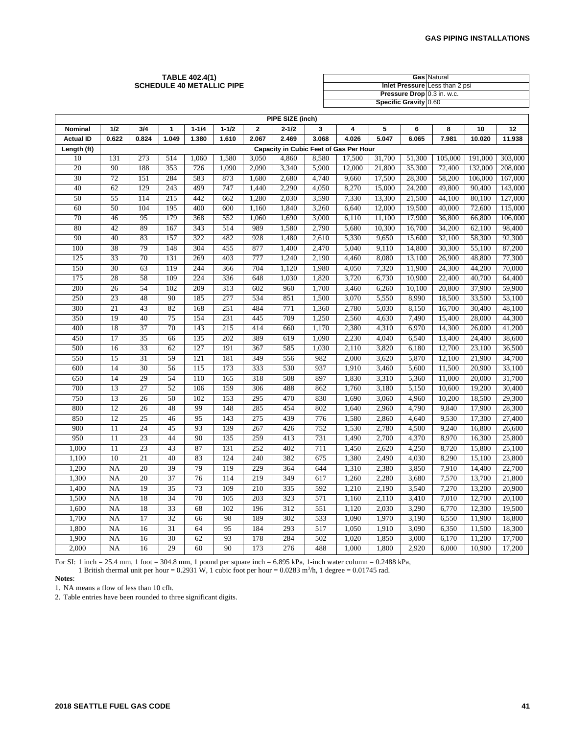#### **TABLE 402.4(1) SCHEDULE 40 METALLIC PIPE**

|                            | <b>Gas Natural</b>             |
|----------------------------|--------------------------------|
|                            | Inlet Pressure Less than 2 psi |
| Pressure Drop 0.3 in. w.c. |                                |
| Specific Gravity 0.60      |                                |

|                  | PIPE SIZE (inch) |       |              |           |           |              |                                        |       |        |        |        |         |         |         |
|------------------|------------------|-------|--------------|-----------|-----------|--------------|----------------------------------------|-------|--------|--------|--------|---------|---------|---------|
| Nominal          | 1/2              | 3/4   | $\mathbf{1}$ | $1 - 1/4$ | $1 - 1/2$ | $\mathbf{2}$ | $2 - 1/2$                              | 3     | 4      | 5      | 6      | 8       | 10      | 12      |
| <b>Actual ID</b> | 0.622            | 0.824 | 1.049        | 1.380     | 1.610     | 2.067        | 2.469                                  | 3.068 | 4.026  | 5.047  | 6.065  | 7.981   | 10.020  | 11.938  |
| Length (ft)      |                  |       |              |           |           |              | Capacity in Cubic Feet of Gas Per Hour |       |        |        |        |         |         |         |
| 10               | 131              | 273   | 514          | 1,060     | 1,580     | 3,050        | 4,860                                  | 8,580 | 17,500 | 31,700 | 51,300 | 105,000 | 191,000 | 303,000 |
| 20               | 90               | 188   | 353          | 726       | 1,090     | 2,090        | 3,340                                  | 5,900 | 12,000 | 21,800 | 35,300 | 72,400  | 132,000 | 208,000 |
| 30               | 72               | 151   | 284          | 583       | 873       | 1,680        | 2,680                                  | 4,740 | 9,660  | 17,500 | 28,300 | 58,200  | 106,000 | 167,000 |
| 40               | 62               | 129   | 243          | 499       | 747       | 1,440        | 2,290                                  | 4,050 | 8,270  | 15,000 | 24,200 | 49,800  | 90,400  | 143,000 |
| 50               | 55               | 114   | 215          | 442       | 662       | 1,280        | 2,030                                  | 3,590 | 7,330  | 13,300 | 21,500 | 44,100  | 80,100  | 127,000 |
| 60               | 50               | 104   | 195          | 400       | 600       | 1,160        | 1,840                                  | 3,260 | 6,640  | 12,000 | 19,500 | 40,000  | 72,600  | 115,000 |
| 70               | 46               | 95    | 179          | 368       | 552       | 1,060        | 1,690                                  | 3,000 | 6,110  | 11,100 | 17,900 | 36,800  | 66,800  | 106,000 |
| 80               | 42               | 89    | 167          | 343       | 514       | 989          | 1,580                                  | 2,790 | 5,680  | 10,300 | 16,700 | 34,200  | 62,100  | 98,400  |
| 90               | 40               | 83    | 157          | 322       | 482       | 928          | 1,480                                  | 2,610 | 5,330  | 9,650  | 15,600 | 32,100  | 58,300  | 92,300  |
| 100              | 38               | 79    | 148          | 304       | 455       | 877          | 1,400                                  | 2,470 | 5,040  | 9,110  | 14,800 | 30,300  | 55,100  | 87,200  |
| 125              | 33               | 70    | 131          | 269       | 403       | 777          | 1,240                                  | 2,190 | 4,460  | 8,080  | 13,100 | 26,900  | 48,800  | 77,300  |
| 150              | 30               | 63    | 119          | 244       | 366       | 704          | 1,120                                  | 1,980 | 4,050  | 7,320  | 11,900 | 24,300  | 44,200  | 70,000  |
| 175              | 28               | 58    | 109          | 224       | 336       | 648          | 1,030                                  | 1,820 | 3,720  | 6,730  | 10,900 | 22,400  | 40,700  | 64,400  |
| 200              | 26               | 54    | 102          | 209       | 313       | 602          | 960                                    | 1,700 | 3,460  | 6,260  | 10,100 | 20,800  | 37,900  | 59,900  |
| 250              | 23               | 48    | 90           | 185       | 277       | 534          | 851                                    | 1,500 | 3,070  | 5,550  | 8,990  | 18,500  | 33,500  | 53,100  |
| 300              | 21               | 43    | 82           | 168       | 251       | 484          | 771                                    | 1,360 | 2,780  | 5,030  | 8,150  | 16,700  | 30,400  | 48,100  |
| 350              | 19               | 40    | 75           | 154       | 231       | 445          | 709                                    | 1,250 | 2,560  | 4,630  | 7,490  | 15,400  | 28,000  | 44,300  |
| 400              | 18               | 37    | 70           | 143       | 215       | 414          | 660                                    | 1,170 | 2,380  | 4,310  | 6,970  | 14,300  | 26,000  | 41,200  |
| 450              | 17               | 35    | 66           | 135       | 202       | 389          | 619                                    | 1,090 | 2,230  | 4,040  | 6,540  | 13,400  | 24,400  | 38,600  |
| 500              | 16               | 33    | 62           | 127       | 191       | 367          | 585                                    | 1,030 | 2,110  | 3,820  | 6,180  | 12,700  | 23,100  | 36,500  |
| 550              | 15               | 31    | 59           | 121       | 181       | 349          | 556                                    | 982   | 2,000  | 3,620  | 5,870  | 12,100  | 21,900  | 34,700  |
| 600              | 14               | 30    | 56           | 115       | 173       | 333          | 530                                    | 937   | 1,910  | 3,460  | 5,600  | 11,500  | 20,900  | 33,100  |
| 650              | 14               | 29    | 54           | 110       | 165       | 318          | 508                                    | 897   | 1,830  | 3,310  | 5,360  | 11,000  | 20,000  | 31,700  |
| 700              | 13               | 27    | 52           | 106       | 159       | 306          | 488                                    | 862   | 1,760  | 3,180  | 5,150  | 10,600  | 19,200  | 30,400  |
| 750              | 13               | 26    | 50           | 102       | 153       | 295          | 470                                    | 830   | 1,690  | 3,060  | 4,960  | 10,200  | 18,500  | 29,300  |
| 800              | 12               | 26    | 48           | 99        | 148       | 285          | 454                                    | 802   | 1,640  | 2,960  | 4,790  | 9,840   | 17,900  | 28,300  |
| 850              | 12               | 25    | 46           | 95        | 143       | 275          | 439                                    | 776   | 1,580  | 2,860  | 4,640  | 9,530   | 17,300  | 27,400  |
| 900              | $\overline{11}$  | 24    | 45           | 93        | 139       | 267          | 426                                    | 752   | 1,530  | 2,780  | 4,500  | 9,240   | 16,800  | 26,600  |
| 950              | $\overline{11}$  | 23    | 44           | 90        | 135       | 259          | 413                                    | 731   | 1,490  | 2,700  | 4,370  | 8,970   | 16,300  | 25,800  |
| 1,000            | $\overline{11}$  | 23    | 43           | 87        | 131       | 252          | 402                                    | 711   | 1,450  | 2,620  | 4,250  | 8,720   | 15,800  | 25,100  |
| 1,100            | 10               | 21    | 40           | 83        | 124       | 240          | 382                                    | 675   | 1,380  | 2,490  | 4,030  | 8,290   | 15,100  | 23,800  |
| 1,200            | <b>NA</b>        | 20    | 39           | 79        | 119       | 229          | 364                                    | 644   | 1,310  | 2,380  | 3,850  | 7,910   | 14,400  | 22,700  |
| 1,300            | <b>NA</b>        | 20    | 37           | 76        | 114       | 219          | 349                                    | 617   | 1,260  | 2,280  | 3,680  | 7,570   | 13,700  | 21,800  |
| 1,400            | NA               | 19    | 35           | 73        | 109       | 210          | 335                                    | 592   | 1,210  | 2,190  | 3,540  | 7,270   | 13,200  | 20,900  |
| 1,500            | <b>NA</b>        | 18    | 34           | 70        | 105       | 203          | 323                                    | 571   | 1,160  | 2,110  | 3,410  | 7,010   | 12,700  | 20,100  |
| 1,600            | <b>NA</b>        | 18    | 33           | 68        | 102       | 196          | 312                                    | 551   | 1,120  | 2,030  | 3,290  | 6,770   | 12,300  | 19,500  |
| 1,700            | <b>NA</b>        | 17    | 32           | 66        | 98        | 189          | 302                                    | 533   | 1,090  | 1,970  | 3,190  | 6,550   | 11,900  | 18,800  |
| 1,800            | NA               | 16    | 31           | 64        | 95        | 184          | 293                                    | 517   | 1,050  | 1,910  | 3,090  | 6,350   | 11,500  | 18,300  |
| 1,900            | NA               | 16    | 30           | 62        | 93        | 178          | 284                                    | 502   | 1,020  | 1,850  | 3,000  | 6,170   | 11,200  | 17,700  |
| 2,000            | <b>NA</b>        | 16    | 29           | 60        | 90        | 173          | 276                                    | 488   | 1,000  | 1,800  | 2,920  | 6,000   | 10,900  | 17,200  |

For SI: 1 inch = 25.4 mm, 1 foot = 304.8 mm, 1 pound per square inch =  $6.895$  kPa, 1-inch water column =  $0.2488$  kPa, 1 British thermal unit per hour =  $0.2931$  W, 1 cubic foot per hour =  $0.0283$  m<sup>3</sup>/h, 1 degree =  $0.01745$  rad.

# **Notes**:

1. NA means a flow of less than 10 cfh.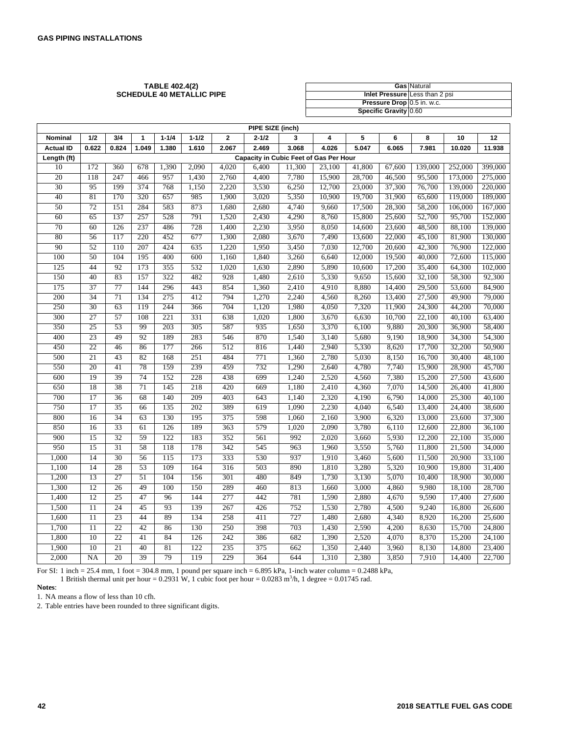#### **TABLE 402.4(2) SCHEDULE 40 METALLIC PIPE**

|                            | <b>Gas Natural</b>             |
|----------------------------|--------------------------------|
|                            | Inlet Pressure Less than 2 psi |
| Pressure Drop 0.5 in. w.c. |                                |
| Specific Gravity 0.60      |                                |

|                  | PIPE SIZE (inch) |       |       |           |           |                |           |                                        |        |        |        |         |         |         |
|------------------|------------------|-------|-------|-----------|-----------|----------------|-----------|----------------------------------------|--------|--------|--------|---------|---------|---------|
| Nominal          | 1/2              | 3/4   | 1     | $1 - 1/4$ | $1 - 1/2$ | $\overline{2}$ | $2 - 1/2$ | 3                                      | 4      | 5      | 6      | 8       | 10      | 12      |
| <b>Actual ID</b> | 0.622            | 0.824 | 1.049 | 1.380     | 1.610     | 2.067          | 2.469     | 3.068                                  | 4.026  | 5.047  | 6.065  | 7.981   | 10.020  | 11.938  |
| Length (ft)      |                  |       |       |           |           |                |           | Capacity in Cubic Feet of Gas Per Hour |        |        |        |         |         |         |
| 10               | 172              | 360   | 678   | 1,390     | 2,090     | 4,020          | 6,400     | 11,300                                 | 23,100 | 41,800 | 67,600 | 139,000 | 252,000 | 399,000 |
| 20               | 118              | 247   | 466   | 957       | 1,430     | 2,760          | 4,400     | 7,780                                  | 15,900 | 28,700 | 46,500 | 95,500  | 173,000 | 275,000 |
| 30               | 95               | 199   | 374   | 768       | 1,150     | 2,220          | 3,530     | 6,250                                  | 12,700 | 23,000 | 37,300 | 76,700  | 139,000 | 220,000 |
| 40               | 81               | 170   | 320   | 657       | 985       | 1,900          | 3,020     | 5,350                                  | 10,900 | 19,700 | 31,900 | 65,600  | 119,000 | 189,000 |
| 50               | 72               | 151   | 284   | 583       | 873       | 1,680          | 2,680     | 4,740                                  | 9,660  | 17,500 | 28,300 | 58,200  | 106,000 | 167,000 |
| 60               | 65               | 137   | 257   | 528       | 791       | 1,520          | 2,430     | 4,290                                  | 8,760  | 15,800 | 25,600 | 52,700  | 95,700  | 152,000 |
| 70               | 60               | 126   | 237   | 486       | 728       | 1,400          | 2,230     | 3,950                                  | 8,050  | 14,600 | 23,600 | 48,500  | 88,100  | 139,000 |
| 80               | 56               | 117   | 220   | 452       | 677       | 1,300          | 2,080     | 3,670                                  | 7,490  | 13,600 | 22,000 | 45,100  | 81,900  | 130,000 |
| 90               | 52               | 110   | 207   | 424       | 635       | 1,220          | 1,950     | 3,450                                  | 7,030  | 12,700 | 20,600 | 42,300  | 76,900  | 122,000 |
| 100              | 50               | 104   | 195   | 400       | 600       | 1,160          | 1,840     | 3,260                                  | 6,640  | 12,000 | 19,500 | 40,000  | 72,600  | 115,000 |
| 125              | 44               | 92    | 173   | 355       | 532       | 1,020          | 1,630     | 2,890                                  | 5,890  | 10,600 | 17,200 | 35,400  | 64,300  | 102,000 |
| 150              | 40               | 83    | 157   | 322       | 482       | 928            | 1,480     | 2,610                                  | 5,330  | 9,650  | 15,600 | 32,100  | 58,300  | 92,300  |
| 175              | 37               | 77    | 144   | 296       | 443       | 854            | 1,360     | 2,410                                  | 4,910  | 8,880  | 14,400 | 29,500  | 53,600  | 84,900  |
| 200              | 34               | 71    | 134   | 275       | 412       | 794            | 1,270     | 2,240                                  | 4,560  | 8,260  | 13,400 | 27,500  | 49,900  | 79,000  |
| 250              | 30               | 63    | 119   | 244       | 366       | 704            | 1,120     | 1,980                                  | 4,050  | 7,320  | 11,900 | 24,300  | 44,200  | 70,000  |
| 300              | 27               | 57    | 108   | 221       | 331       | 638            | 1,020     | 1,800                                  | 3,670  | 6,630  | 10,700 | 22,100  | 40,100  | 63,400  |
| 350              | 25               | 53    | 99    | 203       | 305       | 587            | 935       | 1,650                                  | 3,370  | 6,100  | 9,880  | 20,300  | 36,900  | 58,400  |
| 400              | 23               | 49    | 92    | 189       | 283       | 546            | 870       | 1,540                                  | 3,140  | 5,680  | 9,190  | 18,900  | 34,300  | 54,300  |
| 450              | 22               | 46    | 86    | 177       | 266       | 512            | 816       | 1,440                                  | 2,940  | 5,330  | 8,620  | 17,700  | 32,200  | 50,900  |
| 500              | 21               | 43    | 82    | 168       | 251       | 484            | 771       | 1,360                                  | 2,780  | 5,030  | 8,150  | 16,700  | 30,400  | 48,100  |
| 550              | 20               | 41    | 78    | 159       | 239       | 459            | 732       | 1,290                                  | 2,640  | 4,780  | 7,740  | 15,900  | 28,900  | 45,700  |
| 600              | 19               | 39    | 74    | 152       | 228       | 438            | 699       | 1,240                                  | 2,520  | 4,560  | 7,380  | 15,200  | 27,500  | 43,600  |
| 650              | 18               | 38    | 71    | 145       | 218       | 420            | 669       | 1,180                                  | 2,410  | 4,360  | 7,070  | 14,500  | 26,400  | 41,800  |
| 700              | 17               | 36    | 68    | 140       | 209       | 403            | 643       | 1,140                                  | 2,320  | 4,190  | 6,790  | 14,000  | 25,300  | 40,100  |
| 750              | 17               | 35    | 66    | 135       | 202       | 389            | 619       | 1,090                                  | 2,230  | 4,040  | 6,540  | 13,400  | 24,400  | 38,600  |
| 800              | 16               | 34    | 63    | 130       | 195       | 375            | 598       | 1,060                                  | 2,160  | 3,900  | 6,320  | 13,000  | 23,600  | 37,300  |
| 850              | 16               | 33    | 61    | 126       | 189       | 363            | 579       | 1,020                                  | 2,090  | 3,780  | 6,110  | 12,600  | 22,800  | 36,100  |
| 900              | 15               | 32    | 59    | 122       | 183       | 352            | 561       | 992                                    | 2,020  | 3,660  | 5,930  | 12,200  | 22,100  | 35,000  |
| 950              | 15               | 31    | 58    | 118       | 178       | 342            | 545       | 963                                    | 1,960  | 3,550  | 5,760  | 11,800  | 21,500  | 34,000  |
| 1,000            | 14               | 30    | 56    | 115       | 173       | 333            | 530       | 937                                    | 1,910  | 3,460  | 5,600  | 11,500  | 20,900  | 33,100  |
| 1,100            | 14               | 28    | 53    | 109       | 164       | 316            | 503       | 890                                    | 1,810  | 3,280  | 5,320  | 10,900  | 19,800  | 31,400  |
| 1,200            | 13               | 27    | 51    | 104       | 156       | 301            | 480       | 849                                    | 1,730  | 3,130  | 5,070  | 10,400  | 18,900  | 30,000  |
| 1,300            | 12               | 26    | 49    | 100       | 150       | 289            | 460       | 813                                    | 1,660  | 3,000  | 4,860  | 9,980   | 18,100  | 28,700  |
| 1,400            | 12               | 25    | 47    | 96        | 144       | 277            | 442       | 781                                    | 1,590  | 2,880  | 4,670  | 9,590   | 17,400  | 27,600  |
| 1,500            | $\overline{11}$  | 24    | 45    | 93        | 139       | 267            | 426       | 752                                    | 1,530  | 2,780  | 4,500  | 9,240   | 16,800  | 26,600  |
| 1,600            | $\overline{11}$  | 23    | 44    | 89        | 134       | 258            | 411       | 727                                    | 1,480  | 2,680  | 4,340  | 8,920   | 16,200  | 25,600  |
| 1,700            | 11               | 22    | 42    | 86        | 130       | 250            | 398       | 703                                    | 1,430  | 2,590  | 4,200  | 8,630   | 15,700  | 24,800  |
| 1,800            | 10               | 22    | 41    | 84        | 126       | 242            | 386       | 682                                    | 1,390  | 2,520  | 4,070  | 8,370   | 15,200  | 24,100  |
| 1,900            | 10               | 21    | 40    | 81        | 122       | 235            | 375       | 662                                    | 1,350  | 2,440  | 3,960  | 8,130   | 14,800  | 23,400  |
| 2,000            | <b>NA</b>        | 20    | 39    | 79        | 119       | 229            | 364       | 644                                    | 1,310  | 2,380  | 3,850  | 7,910   | 14,400  | 22,700  |

For SI: 1 inch = 25.4 mm, 1 foot = 304.8 mm, 1 pound per square inch =  $6.895$  kPa, 1-inch water column =  $0.2488$  kPa, 1 British thermal unit per hour = 0.2931 W, 1 cubic foot per hour =  $0.0283 \text{ m}^3/\text{h}$ , 1 degree =  $0.01745 \text{ rad}$ .

**Notes**:

1. NA means a flow of less than 10 cfh.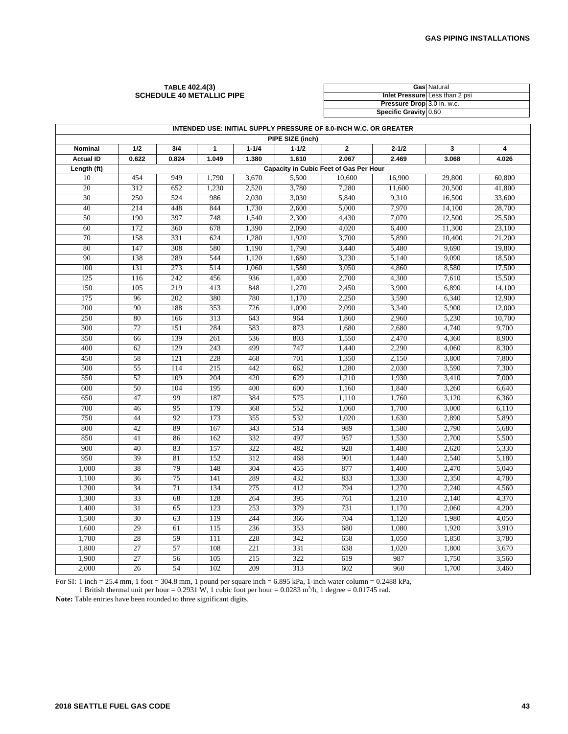#### **TABLE 402.4(3) SCHEDULE 40 METALLIC PIPE**

|                            | <b>Gas Natural</b>             |
|----------------------------|--------------------------------|
|                            | Inlet Pressure Less than 2 psi |
| Pressure Drop 3.0 in. w.c. |                                |
| Specific Gravity 0.60      |                                |

|                  | INTENDED USE: INITIAL SUPPLY PRESSURE OF 8.0-INCH W.C. OR GREATER |                  |              |           |                  |                                        |           |        |        |
|------------------|-------------------------------------------------------------------|------------------|--------------|-----------|------------------|----------------------------------------|-----------|--------|--------|
|                  |                                                                   |                  |              |           | PIPE SIZE (inch) |                                        |           |        |        |
| Nominal          | 1/2                                                               | 3/4              | $\mathbf{1}$ | $1 - 1/4$ | $1 - 1/2$        | $\mathbf{2}$                           | $2 - 1/2$ | 3      | 4      |
| <b>Actual ID</b> | 0.622                                                             | 0.824            | 1.049        | 1.380     | 1.610            | 2.067                                  | 2.469     | 3.068  | 4.026  |
| Length (ft)      |                                                                   |                  |              |           |                  | Capacity in Cubic Feet of Gas Per Hour |           |        |        |
| 10               | 454                                                               | 949              | 1,790        | 3,670     | 5,500            | 10.600                                 | 16,900    | 29,800 | 60.800 |
| 20               | 312                                                               | 652              | 1,230        | 2,520     | 3,780            | 7,280                                  | 11,600    | 20,500 | 41,800 |
| 30               | 250                                                               | 524              | 986          | 2,030     | 3,030            | 5,840                                  | 9,310     | 16,500 | 33,600 |
| 40               | 214                                                               | 448              | 844          | 1,730     | 2,600            | 5,000                                  | 7,970     | 14,100 | 28,700 |
| 50               | 190                                                               | 397              | 748          | 1,540     | 2,300            | 4,430                                  | 7,070     | 12,500 | 25,500 |
| 60               | 172                                                               | 360              | 678          | 1,390     | 2,090            | 4,020                                  | 6,400     | 11,300 | 23,100 |
| 70               | 158                                                               | 331              | 624          | 1,280     | 1,920            | 3,700                                  | 5,890     | 10,400 | 21,200 |
| 80               | 147                                                               | 308              | 580          | 1,190     | 1,790            | 3,440                                  | 5,480     | 9,690  | 19,800 |
| 90               | 138                                                               | 289              | 544          | 1,120     | 1,680            | 3,230                                  | 5,140     | 9,090  | 18,500 |
| 100              | 131                                                               | $\overline{273}$ | 514          | 1.060     | 1,580            | 3,050                                  | 4,860     | 8,580  | 17,500 |
| 125              | 116                                                               | 242              | 456          | 936       | 1,400            | 2,700                                  | 4,300     | 7,610  | 15,500 |
| 150              | 105                                                               | 219              | 413          | 848       | 1,270            | 2,450                                  | 3,900     | 6,890  | 14,100 |
| 175              | 96                                                                | 202              | 380          | 780       | 1,170            | 2,250                                  | 3,590     | 6,340  | 12,900 |
| 200              | 90                                                                | 188              | 353          | 726       | 1,090            | 2,090                                  | 3,340     | 5,900  | 12,000 |
| 250              | 80                                                                | 166              | 313          | 643       | 964              | 1,860                                  | 2,960     | 5,230  | 10,700 |
| $\overline{300}$ | 72                                                                | 151              | 284          | 583       | 873              | 1,680                                  | 2,680     | 4,740  | 9,700  |
| 350              | 66                                                                | 139              | 261          | 536       | 803              | 1,550                                  | 2,470     | 4,360  | 8,900  |
| 400              | 62                                                                | 129              | 243          | 499       | 747              | 1,440                                  | 2,290     | 4,060  | 8,300  |
| 450              | 58                                                                | 121              | 228          | 468       | 701              | 1,350                                  | 2,150     | 3,800  | 7,800  |
| 500              | 55                                                                | 114              | 215          | 442       | 662              | 1,280                                  | 2,030     | 3,590  | 7,300  |
| 550              | $\overline{52}$                                                   | 109              | 204          | 420       | 629              | 1,210                                  | 1,930     | 3,410  | 7,000  |
| 600              | 50                                                                | 104              | 195          | 400       | 600              | 1,160                                  | 1,840     | 3,260  | 6,640  |
| 650              | 47                                                                | 99               | 187          | 384       | 575              | 1,110                                  | 1,760     | 3,120  | 6,360  |
| 700              | 46                                                                | 95               | 179          | 368       | 552              | 1,060                                  | 1,700     | 3,000  | 6,110  |
| 750              | 44                                                                | 92               | 173          | 355       | 532              | 1,020                                  | 1,630     | 2,890  | 5,890  |
| 800              | 42                                                                | 89               | 167          | 343       | 514              | 989                                    | 1,580     | 2,790  | 5,680  |
| 850              | 41                                                                | 86               | 162          | 332       | 497              | 957                                    | 1,530     | 2,700  | 5,500  |
| 900              | 40                                                                | 83               | 157          | 322       | 482              | 928                                    | 1,480     | 2.620  | 5,330  |
| 950              | 39                                                                | 81               | 152          | 312       | 468              | 901                                    | 1,440     | 2,540  | 5,180  |
| 1,000            | 38                                                                | 79               | 148          | 304       | 455              | 877                                    | 1,400     | 2,470  | 5,040  |
| 1,100            | 36                                                                | 75               | 141          | 289       | 432              | 833                                    | 1,330     | 2,350  | 4,780  |
| 1,200            | 34                                                                | 71               | 134          | 275       | 412              | 794                                    | 1,270     | 2,240  | 4,560  |
| 1,300            | 33                                                                | 68               | 128          | 264       | 395              | 761                                    | 1,210     | 2,140  | 4,370  |
| 1,400            | 31                                                                | 65               | 123          | 253       | 379              | 731                                    | 1,170     | 2,060  | 4,200  |
| 1,500            | 30                                                                | 63               | 119          | 244       | 366              | 704                                    | 1,120     | 1,980  | 4,050  |
| 1,600            | 29                                                                | 61               | 115          | 236       | 353              | 680                                    | 1,080     | 1,920  | 3,910  |
| 1,700            | 28                                                                | 59               | 111          | 228       | 342              | 658                                    | 1,050     | 1,850  | 3,780  |
| 1,800            | $\overline{27}$                                                   | 57               | 108          | 221       | 331              | 638                                    | 1,020     | 1,800  | 3,670  |
| 1,900            | $\overline{27}$                                                   | 56               | 105          | 215       | 322              | 619                                    | 987       | 1,750  | 3,560  |
| 2,000            | 26                                                                | 54               | 102          | 209       | 313              | 602                                    | 960       | 1,700  | 3,460  |

For SI: 1 inch = 25.4 mm, 1 foot = 304.8 mm, 1 pound per square inch = 6.895 kPa, 1-inch water column = 0.2488 kPa, 1 British thermal unit per hour = 0.2931 W, 1 cubic foot per hour = 0.0283 m<sup>3</sup>/h, 1 degree = 0.01745 rad.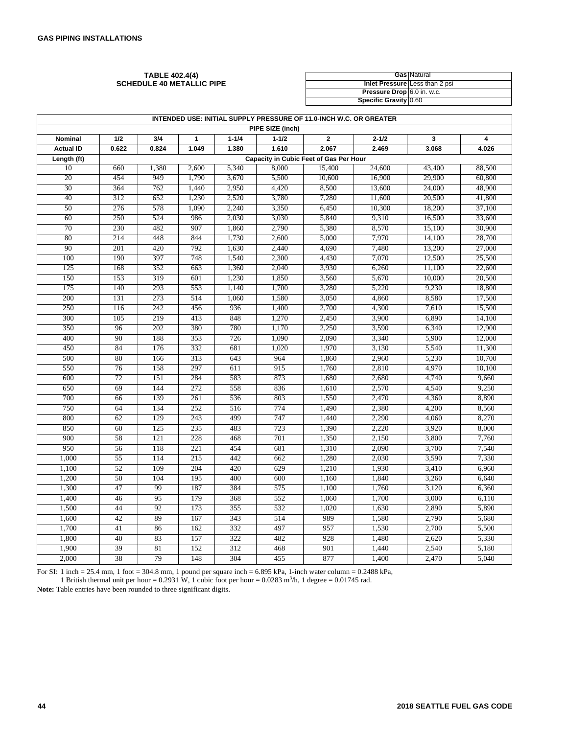#### **TABLE 402.4(4) SCHEDULE 40 METALLIC PIPE**

|                            | <b>Gas Natural</b>             |
|----------------------------|--------------------------------|
|                            | Inlet Pressure Less than 2 psi |
| Pressure Drop 6.0 in. w.c. |                                |
| Specific Gravity 0.60      |                                |

|                  | INTENDED USE: INITIAL SUPPLY PRESSURE OF 11.0-INCH W.C. OR GREATER |                                        |              |           |                  |              |           |        |        |
|------------------|--------------------------------------------------------------------|----------------------------------------|--------------|-----------|------------------|--------------|-----------|--------|--------|
|                  |                                                                    |                                        |              |           | PIPE SIZE (inch) |              |           |        |        |
| Nominal          | 1/2                                                                | 3/4                                    | $\mathbf{1}$ | $1 - 1/4$ | $1 - 1/2$        | $\mathbf{2}$ | $2 - 1/2$ | 3      | 4      |
| <b>Actual ID</b> | 0.622                                                              | 0.824                                  | 1.049        | 1.380     | 1.610            | 2.067        | 2.469     | 3.068  | 4.026  |
| Length (ft)      |                                                                    | Capacity in Cubic Feet of Gas Per Hour |              |           |                  |              |           |        |        |
| 10               | 660                                                                | 1,380                                  | 2,600        | 5,340     | 8,000            | 15,400       | 24,600    | 43,400 | 88,500 |
| 20               | 454                                                                | 949                                    | 1,790        | 3,670     | 5,500            | 10,600       | 16,900    | 29,900 | 60,800 |
| $\overline{30}$  | 364                                                                | 762                                    | 1,440        | 2,950     | 4,420            | 8,500        | 13,600    | 24,000 | 48,900 |
| 40               | 312                                                                | 652                                    | 1,230        | 2,520     | 3,780            | 7,280        | 11,600    | 20,500 | 41,800 |
| 50               | 276                                                                | 578                                    | 1.090        | 2.240     | 3,350            | 6,450        | 10,300    | 18,200 | 37,100 |
| 60               | 250                                                                | 524                                    | 986          | 2,030     | 3,030            | 5,840        | 9,310     | 16,500 | 33,600 |
| 70               | 230                                                                | 482                                    | 907          | 1,860     | 2,790            | 5,380        | 8,570     | 15,100 | 30,900 |
| 80               | 214                                                                | 448                                    | 844          | 1,730     | 2,600            | 5,000        | 7,970     | 14,100 | 28,700 |
| 90               | 201                                                                | 420                                    | 792          | 1,630     | 2,440            | 4,690        | 7,480     | 13,200 | 27,000 |
| 100              | 190                                                                | 397                                    | 748          | 1,540     | 2,300            | 4,430        | 7,070     | 12,500 | 25,500 |
| 125              | 168                                                                | 352                                    | 663          | 1,360     | 2,040            | 3,930        | 6,260     | 11,100 | 22,600 |
| 150              | 153                                                                | 319                                    | 601          | 1,230     | 1,850            | 3,560        | 5,670     | 10,000 | 20,500 |
| 175              | 140                                                                | 293                                    | 553          | 1,140     | 1,700            | 3,280        | 5,220     | 9,230  | 18,800 |
| 200              | 131                                                                | 273                                    | 514          | 1,060     | 1,580            | 3,050        | 4,860     | 8,580  | 17,500 |
| 250              | 116                                                                | 242                                    | 456          | 936       | 1,400            | 2,700        | 4,300     | 7,610  | 15,500 |
| 300              | 105                                                                | 219                                    | 413          | 848       | 1,270            | 2,450        | 3,900     | 6,890  | 14,100 |
| 350              | 96                                                                 | 202                                    | 380          | 780       | 1,170            | 2,250        | 3,590     | 6,340  | 12,900 |
| 400              | 90                                                                 | 188                                    | 353          | 726       | 1,090            | 2,090        | 3,340     | 5,900  | 12,000 |
| 450              | 84                                                                 | 176                                    | 332          | 681       | 1,020            | 1,970        | 3,130     | 5,540  | 11,300 |
| 500              | 80                                                                 | 166                                    | 313          | 643       | 964              | 1,860        | 2,960     | 5,230  | 10,700 |
| 550              | 76                                                                 | 158                                    | 297          | 611       | 915              | 1,760        | 2,810     | 4,970  | 10,100 |
| 600              | $\overline{72}$                                                    | 151                                    | 284          | 583       | 873              | 1,680        | 2,680     | 4,740  | 9,660  |
| 650              | 69                                                                 | 144                                    | 272          | 558       | 836              | 1,610        | 2,570     | 4,540  | 9,250  |
| 700              | 66                                                                 | 139                                    | 261          | 536       | 803              | 1,550        | 2,470     | 4,360  | 8,890  |
| 750              | 64                                                                 | 134                                    | 252          | 516       | 774              | 1,490        | 2,380     | 4,200  | 8,560  |
| 800              | 62                                                                 | 129                                    | 243          | 499       | 747              | 1,440        | 2,290     | 4,060  | 8,270  |
| 850              | 60                                                                 | 125                                    | 235          | 483       | 723              | 1,390        | 2,220     | 3,920  | 8,000  |
| 900              | 58                                                                 | 121                                    | 228          | 468       | 701              | 1,350        | 2,150     | 3,800  | 7,760  |
| 950              | 56                                                                 | 118                                    | 221          | 454       | 681              | 1,310        | 2,090     | 3,700  | 7,540  |
| 1,000            | 55                                                                 | 114                                    | 215          | 442       | 662              | 1,280        | 2,030     | 3,590  | 7,330  |
| 1,100            | 52                                                                 | 109                                    | 204          | 420       | 629              | 1.210        | 1,930     | 3,410  | 6.960  |
| 1,200            | $\overline{50}$                                                    | 104                                    | 195          | 400       | 600              | 1,160        | 1,840     | 3,260  | 6,640  |
| 1,300            | 47                                                                 | 99                                     | 187          | 384       | 575              | 1,100        | 1,760     | 3,120  | 6,360  |
| 1,400            | 46                                                                 | 95                                     | 179          | 368       | 552              | 1,060        | 1,700     | 3,000  | 6,110  |
| 1,500            | 44                                                                 | 92                                     | 173          | 355       | 532              | 1,020        | 1,630     | 2,890  | 5,890  |
| 1,600            | 42                                                                 | 89                                     | 167          | 343       | 514              | 989          | 1,580     | 2,790  | 5,680  |
| 1,700            | 41                                                                 | 86                                     | 162          | 332       | 497              | 957          | 1,530     | 2,700  | 5,500  |
| 1,800            | 40                                                                 | 83                                     | 157          | 322       | 482              | 928          | 1,480     | 2,620  | 5,330  |
| 1,900            | 39                                                                 | 81                                     | 152          | 312       | 468              | 901          | 1,440     | 2,540  | 5,180  |
| 2,000            | 38                                                                 | 79                                     | 148          | 304       | 455              | 877          | 1,400     | 2,470  | 5,040  |

For SI: 1 inch = 25.4 mm, 1 foot = 304.8 mm, 1 pound per square inch = 6.895 kPa, 1-inch water column = 0.2488 kPa, 1 British thermal unit per hour = 0.2931 W, 1 cubic foot per hour = 0.0283 m<sup>3</sup>/h, 1 degree = 0.01745 rad.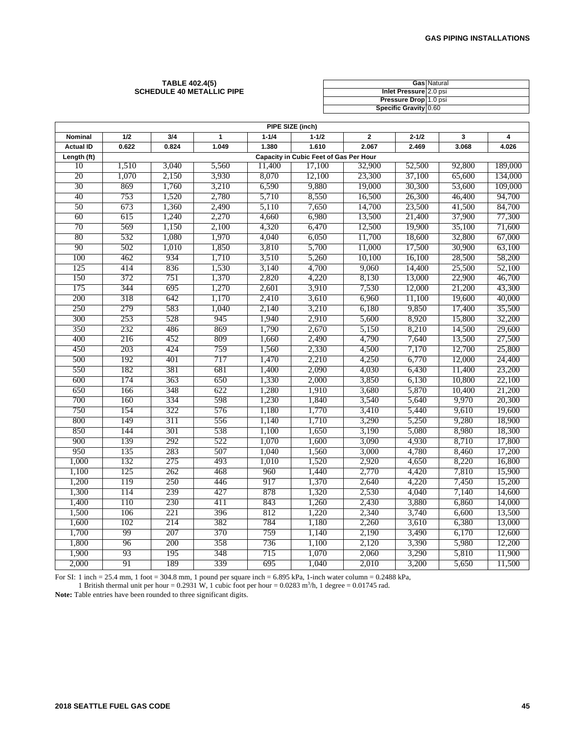#### **TABLE 402.4(5) SCHEDULE 40 METALLIC PIPE**

|                        | Gas Natural |
|------------------------|-------------|
| Inlet Pressure 2.0 psi |             |
| Pressure Drop 1.0 psi  |             |
| Specific Gravity 0.60  |             |

|                  | PIPE SIZE (inch) |       |       |           |                                        |                |           |        |         |  |
|------------------|------------------|-------|-------|-----------|----------------------------------------|----------------|-----------|--------|---------|--|
| Nominal          | 1/2              | 3/4   | 1     | $1 - 1/4$ | $1 - 1/2$                              | $\overline{2}$ | $2 - 1/2$ | 3      | 4       |  |
| <b>Actual ID</b> | 0.622            | 0.824 | 1.049 | 1.380     | 1.610                                  | 2.067          | 2.469     | 3.068  | 4.026   |  |
| Length (ft)      |                  |       |       |           | Capacity in Cubic Feet of Gas Per Hour |                |           |        |         |  |
| 10               | 1,510            | 3,040 | 5,560 | 11,400    | 17,100                                 | 32,900         | 52,500    | 92,800 | 189,000 |  |
| 20               | 1,070            | 2,150 | 3,930 | 8,070     | 12,100                                 | 23,300         | 37,100    | 65,600 | 134,000 |  |
| 30               | 869              | 1,760 | 3,210 | 6,590     | 9,880                                  | 19,000         | 30,300    | 53,600 | 109,000 |  |
| 40               | 753              | 1,520 | 2,780 | 5,710     | 8,550                                  | 16,500         | 26,300    | 46,400 | 94,700  |  |
| 50               | 673              | 1,360 | 2,490 | 5,110     | 7,650                                  | 14,700         | 23,500    | 41,500 | 84,700  |  |
| 60               | 615              | 1,240 | 2,270 | 4,660     | 6,980                                  | 13,500         | 21,400    | 37,900 | 77,300  |  |
| 70               | 569              | 1,150 | 2,100 | 4,320     | 6,470                                  | 12,500         | 19,900    | 35,100 | 71,600  |  |
| 80               | 532              | 1,080 | 1,970 | 4,040     | 6,050                                  | 11,700         | 18,600    | 32,800 | 67,000  |  |
| 90               | 502              | 1,010 | 1,850 | 3,810     | 5,700                                  | 11,000         | 17,500    | 30,900 | 63,100  |  |
| 100              | 462              | 934   | 1,710 | 3,510     | 5,260                                  | 10,100         | 16,100    | 28,500 | 58,200  |  |
| 125              | 414              | 836   | 1,530 | 3,140     | 4,700                                  | 9,060          | 14,400    | 25,500 | 52,100  |  |
| 150              | 372              | 751   | 1,370 | 2,820     | 4,220                                  | 8,130          | 13,000    | 22,900 | 46,700  |  |
| 175              | 344              | 695   | 1,270 | 2,601     | 3,910                                  | 7,530          | 12,000    | 21,200 | 43,300  |  |
| 200              | 318              | 642   | 1,170 | 2,410     | 3,610                                  | 6,960          | 11,100    | 19,600 | 40,000  |  |
| 250              | 279              | 583   | 1,040 | 2,140     | 3,210                                  | 6,180          | 9,850     | 17,400 | 35,500  |  |
| 300              | 253              | 528   | 945   | 1,940     | 2,910                                  | 5,600          | 8,920     | 15,800 | 32,200  |  |
| 350              | 232              | 486   | 869   | 1,790     | 2,670                                  | 5,150          | 8,210     | 14,500 | 29,600  |  |
| 400              | 216              | 452   | 809   | 1,660     | 2,490                                  | 4,790          | 7,640     | 13,500 | 27,500  |  |
| 450              | 203              | 424   | 759   | 1,560     | 2,330                                  | 4,500          | 7,170     | 12,700 | 25,800  |  |
| 500              | 192              | 401   | 717   | 1,470     | 2,210                                  | 4,250          | 6,770     | 12,000 | 24,400  |  |
| 550              | 182              | 381   | 681   | 1,400     | 2,090                                  | 4,030          | 6,430     | 11,400 | 23,200  |  |
| 600              | 174              | 363   | 650   | 1,330     | 2,000                                  | 3,850          | 6,130     | 10,800 | 22,100  |  |
| 650              | 166              | 348   | 622   | 1,280     | 1,910                                  | 3,680          | 5,870     | 10,400 | 21,200  |  |
| 700              | 160              | 334   | 598   | 1,230     | 1,840                                  | 3,540          | 5,640     | 9,970  | 20,300  |  |
| 750              | 154              | 322   | 576   | 1,180     | 1,770                                  | 3,410          | 5,440     | 9,610  | 19,600  |  |
| 800              | 149              | 311   | 556   | 1,140     | 1,710                                  | 3,290          | 5,250     | 9,280  | 18,900  |  |
| 850              | 144              | 301   | 538   | 1,100     | 1,650                                  | 3,190          | 5,080     | 8,980  | 18,300  |  |
| 900              | 139              | 292   | 522   | 1,070     | 1,600                                  | 3,090          | 4,930     | 8,710  | 17,800  |  |
| 950              | 135              | 283   | 507   | 1,040     | 1,560                                  | 3,000          | 4,780     | 8,460  | 17,200  |  |
| 1,000            | 132              | 275   | 493   | 1,010     | 1,520                                  | 2,920          | 4,650     | 8,220  | 16,800  |  |
| 1,100            | 125              | 262   | 468   | 960       | 1,440                                  | 2,770          | 4,420     | 7,810  | 15,900  |  |
| 1,200            | 119              | 250   | 446   | 917       | 1,370                                  | 2,640          | 4,220     | 7,450  | 15,200  |  |
| 1,300            | 114              | 239   | 427   | 878       | 1,320                                  | 2,530          | 4,040     | 7,140  | 14,600  |  |
| 1,400            | 110              | 230   | 411   | 843       | 1,260                                  | 2,430          | 3,880     | 6,860  | 14,000  |  |
| 1,500            | 106              | 221   | 396   | 812       | 1,220                                  | 2,340          | 3,740     | 6,600  | 13,500  |  |
| 1,600            | 102              | 214   | 382   | 784       | 1,180                                  | 2,260          | 3,610     | 6,380  | 13,000  |  |
| 1,700            | 99               | 207   | 370   | 759       | 1,140                                  | 2,190          | 3,490     | 6,170  | 12,600  |  |
| 1,800            | 96               | 200   | 358   | 736       | 1,100                                  | 2,120          | 3,390     | 5,980  | 12,200  |  |
| 1,900            | 93               | 195   | 348   | 715       | 1,070                                  | 2,060          | 3,290     | 5,810  | 11,900  |  |
| 2,000            | 91               | 189   | 339   | 695       | 1,040                                  | 2,010          | 3,200     | 5,650  | 11,500  |  |

For SI: 1 inch = 25.4 mm, 1 foot = 304.8 mm, 1 pound per square inch =  $6.895$  kPa, 1-inch water column =  $0.2488$  kPa,

1 British thermal unit per hour =  $0.2931$  W, 1 cubic foot per hour =  $0.0283$  m<sup>3</sup>/h, 1 degree =  $0.01745$  rad. **Note:** Table entries have been rounded to three significant digits.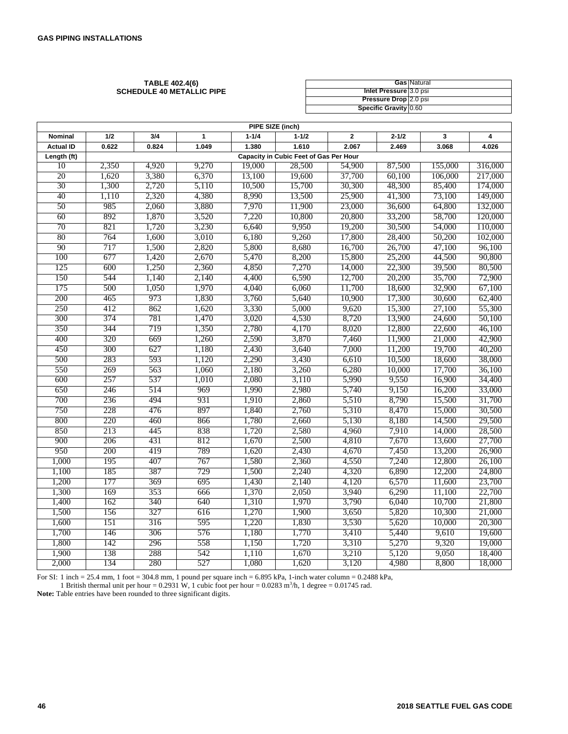#### **TABLE 402.4(6) SCHEDULE 40 METALLIC PIPE**

|                        | <b>Gas Natural</b> |
|------------------------|--------------------|
| Inlet Pressure 3.0 psi |                    |
| Pressure Drop 2.0 psi  |                    |
| Specific Gravity 0.60  |                    |

| PIPE SIZE (inch) |       |       |       |           |                                        |                |           |         |         |
|------------------|-------|-------|-------|-----------|----------------------------------------|----------------|-----------|---------|---------|
| Nominal          | 1/2   | 3/4   | 1     | $1 - 1/4$ | $1 - 1/2$                              | $\overline{2}$ | $2 - 1/2$ | 3       | 4       |
| <b>Actual ID</b> | 0.622 | 0.824 | 1.049 | 1.380     | 1.610                                  | 2.067          | 2.469     | 3.068   | 4.026   |
| Length (ft)      |       |       |       |           | Capacity in Cubic Feet of Gas Per Hour |                |           |         |         |
| 10               | 2,350 | 4,920 | 9,270 | 19,000    | 28,500                                 | 54,900         | 87,500    | 155,000 | 316,000 |
| 20               | 1,620 | 3,380 | 6,370 | 13,100    | 19,600                                 | 37,700         | 60,100    | 106,000 | 217,000 |
| 30               | 1,300 | 2,720 | 5,110 | 10,500    | 15,700                                 | 30,300         | 48,300    | 85,400  | 174,000 |
| 40               | 1,110 | 2,320 | 4,380 | 8,990     | 13,500                                 | 25,900         | 41,300    | 73,100  | 149,000 |
| 50               | 985   | 2,060 | 3,880 | 7,970     | 11,900                                 | 23,000         | 36,600    | 64,800  | 132,000 |
| 60               | 892   | 1,870 | 3,520 | 7,220     | 10,800                                 | 20,800         | 33,200    | 58,700  | 120,000 |
| 70               | 821   | 1,720 | 3,230 | 6,640     | 9,950                                  | 19,200         | 30,500    | 54,000  | 110,000 |
| 80               | 764   | 1,600 | 3,010 | 6,180     | 9,260                                  | 17,800         | 28,400    | 50,200  | 102,000 |
| 90               | 717   | 1,500 | 2,820 | 5,800     | 8,680                                  | 16,700         | 26,700    | 47,100  | 96,100  |
| 100              | 677   | 1,420 | 2,670 | 5,470     | 8,200                                  | 15,800         | 25,200    | 44,500  | 90,800  |
| 125              | 600   | 1,250 | 2,360 | 4,850     | 7,270                                  | 14,000         | 22,300    | 39,500  | 80,500  |
| 150              | 544   | 1,140 | 2,140 | 4,400     | 6,590                                  | 12,700         | 20,200    | 35,700  | 72,900  |
| 175              | 500   | 1,050 | 1,970 | 4,040     | 6,060                                  | 11,700         | 18,600    | 32,900  | 67,100  |
| 200              | 465   | 973   | 1,830 | 3,760     | 5,640                                  | 10,900         | 17,300    | 30,600  | 62,400  |
| 250              | 412   | 862   | 1,620 | 3,330     | 5,000                                  | 9,620          | 15,300    | 27,100  | 55,300  |
| 300              | 374   | 781   | 1,470 | 3,020     | 4,530                                  | 8,720          | 13,900    | 24,600  | 50,100  |
| 350              | 344   | 719   | 1,350 | 2,780     | 4,170                                  | 8,020          | 12,800    | 22,600  | 46,100  |
| 400              | 320   | 669   | 1,260 | 2,590     | 3,870                                  | 7,460          | 11,900    | 21,000  | 42,900  |
| 450              | 300   | 627   | 1,180 | 2,430     | 3,640                                  | 7,000          | 11,200    | 19,700  | 40,200  |
| 500              | 283   | 593   | 1,120 | 2,290     | 3,430                                  | 6,610          | 10,500    | 18,600  | 38,000  |
| 550              | 269   | 563   | 1,060 | 2,180     | 3,260                                  | 6,280          | 10,000    | 17,700  | 36,100  |
| 600              | 257   | 537   | 1,010 | 2,080     | 3,110                                  | 5,990          | 9,550     | 16,900  | 34,400  |
| 650              | 246   | 514   | 969   | 1,990     | 2,980                                  | 5,740          | 9,150     | 16,200  | 33,000  |
| 700              | 236   | 494   | 931   | 1,910     | 2,860                                  | 5,510          | 8,790     | 15,500  | 31,700  |
| 750              | 228   | 476   | 897   | 1,840     | 2,760                                  | 5,310          | 8,470     | 15,000  | 30,500  |
| 800              | 220   | 460   | 866   | 1,780     | 2,660                                  | 5,130          | 8,180     | 14,500  | 29,500  |
| 850              | 213   | 445   | 838   | 1,720     | 2,580                                  | 4,960          | 7,910     | 14,000  | 28,500  |
| 900              | 206   | 431   | 812   | 1,670     | 2,500                                  | 4,810          | 7,670     | 13,600  | 27,700  |
| 950              | 200   | 419   | 789   | 1,620     | 2,430                                  | 4,670          | 7,450     | 13,200  | 26,900  |
| 1,000            | 195   | 407   | 767   | 1,580     | 2,360                                  | 4,550          | 7,240     | 12,800  | 26,100  |
| 1,100            | 185   | 387   | 729   | 1,500     | 2,240                                  | 4,320          | 6,890     | 12,200  | 24,800  |
| 1,200            | 177   | 369   | 695   | 1,430     | 2,140                                  | 4,120          | 6,570     | 11,600  | 23,700  |
| 1,300            | 169   | 353   | 666   | 1,370     | 2,050                                  | 3,940          | 6,290     | 11,100  | 22,700  |
| 1,400            | 162   | 340   | 640   | 1,310     | 1,970                                  | 3,790          | 6,040     | 10,700  | 21,800  |
| 1,500            | 156   | 327   | 616   | 1,270     | 1,900                                  | 3,650          | 5,820     | 10,300  | 21,000  |
| 1,600            | 151   | 316   | 595   | 1,220     | 1,830                                  | 3,530          | 5,620     | 10,000  | 20,300  |
| 1,700            | 146   | 306   | 576   | 1,180     | 1,770                                  | 3,410          | 5,440     | 9,610   | 19,600  |
| 1,800            | 142   | 296   | 558   | 1,150     | 1,720                                  | 3,310          | 5,270     | 9,320   | 19,000  |
| 1,900            | 138   | 288   | 542   | 1,110     | 1,670                                  | 3,210          | 5,120     | 9,050   | 18,400  |
| 2,000            | 134   | 280   | 527   | 1,080     | 1,620                                  | 3,120          | 4,980     | 8,800   | 18,000  |

For SI: 1 inch = 25.4 mm, 1 foot = 304.8 mm, 1 pound per square inch = 6.895 kPa, 1-inch water column = 0.2488 kPa,

1 British thermal unit per hour = 0.2931 W, 1 cubic foot per hour =  $0.0283$  m<sup>3</sup>/h, 1 degree = 0.01745 rad.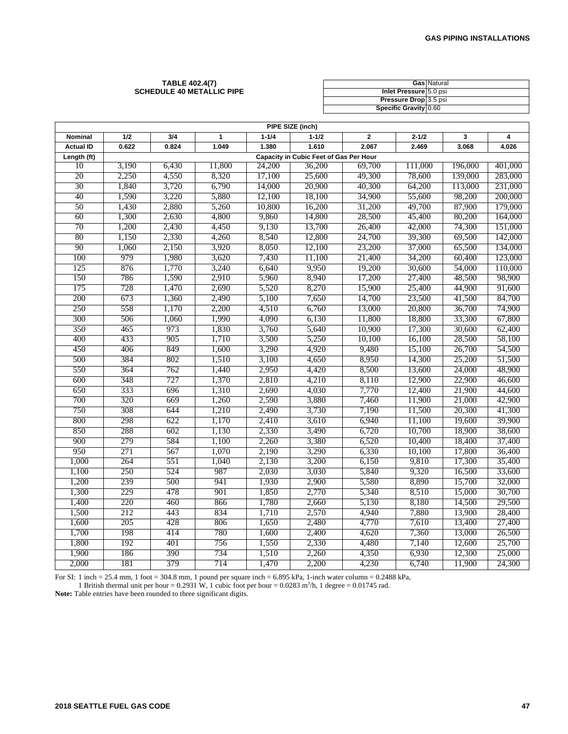#### **TABLE 402.4(7) SCHEDULE 40 METALLIC PIPE**

|                        | <b>Gas Natural</b> |
|------------------------|--------------------|
| Inlet Pressure 5.0 psi |                    |
| Pressure Drop 3.5 psi  |                    |
| Specific Gravity 0.60  |                    |

| PIPE SIZE (inch) |       |                                        |              |           |           |                |           |         |                         |  |  |
|------------------|-------|----------------------------------------|--------------|-----------|-----------|----------------|-----------|---------|-------------------------|--|--|
| <b>Nominal</b>   | 1/2   | 3/4                                    | $\mathbf{1}$ | $1 - 1/4$ | $1 - 1/2$ | $\overline{2}$ | $2 - 1/2$ | 3       | $\overline{\mathbf{4}}$ |  |  |
| <b>Actual ID</b> | 0.622 | 0.824                                  | 1.049        | 1.380     | 1.610     | 2.067          | 2.469     | 3.068   | 4.026                   |  |  |
| Length (ft)      |       | Capacity in Cubic Feet of Gas Per Hour |              |           |           |                |           |         |                         |  |  |
| 10               | 3,190 | 6,430                                  | 11,800       | 24,200    | 36,200    | 69,700         | 111,000   | 196,000 | 401,000                 |  |  |
| 20               | 2,250 | 4,550                                  | 8,320        | 17,100    | 25,600    | 49,300         | 78,600    | 139,000 | 283,000                 |  |  |
| 30               | 1,840 | 3,720                                  | 6,790        | 14,000    | 20,900    | 40,300         | 64,200    | 113,000 | 231,000                 |  |  |
| 40               | 1,590 | 3,220                                  | 5,880        | 12,100    | 18,100    | 34,900         | 55,600    | 98,200  | 200,000                 |  |  |
| 50               | 1,430 | 2,880                                  | 5,260        | 10,800    | 16,200    | 31,200         | 49,700    | 87,900  | 179,000                 |  |  |
| 60               | 1,300 | 2,630                                  | 4,800        | 9,860     | 14,800    | 28,500         | 45,400    | 80,200  | 164,000                 |  |  |
| 70               | 1,200 | 2,430                                  | 4,450        | 9,130     | 13,700    | 26,400         | 42,000    | 74,300  | 151,000                 |  |  |
| 80               | 1,150 | 2,330                                  | 4,260        | 8,540     | 12,800    | 24,700         | 39,300    | 69,500  | 142,000                 |  |  |
| 90               | 1,060 | 2,150                                  | 3,920        | 8,050     | 12,100    | 23,200         | 37,000    | 65,500  | 134,000                 |  |  |
| 100              | 979   | 1,980                                  | 3,620        | 7,430     | 11,100    | 21,400         | 34,200    | 60,400  | 123,000                 |  |  |
| 125              | 876   | 1,770                                  | 3,240        | 6,640     | 9,950     | 19,200         | 30,600    | 54,000  | 110,000                 |  |  |
| 150              | 786   | 1,590                                  | 2,910        | 5,960     | 8,940     | 17,200         | 27,400    | 48,500  | 98,900                  |  |  |
| 175              | 728   | 1,470                                  | 2,690        | 5,520     | 8,270     | 15,900         | 25,400    | 44,900  | 91,600                  |  |  |
| 200              | 673   | 1,360                                  | 2,490        | 5,100     | 7,650     | 14,700         | 23,500    | 41,500  | 84,700                  |  |  |
| 250              | 558   | 1,170                                  | 2,200        | 4,510     | 6,760     | 13,000         | 20,800    | 36,700  | 74,900                  |  |  |
| 300              | 506   | 1,060                                  | 1,990        | 4,090     | 6,130     | 11,800         | 18,800    | 33,300  | 67,800                  |  |  |
| 350              | 465   | 973                                    | 1,830        | 3,760     | 5,640     | 10,900         | 17,300    | 30,600  | 62,400                  |  |  |
| 400              | 433   | 905                                    | 1,710        | 3,500     | 5,250     | 10,100         | 16,100    | 28,500  | 58,100                  |  |  |
| 450              | 406   | 849                                    | 1,600        | 3,290     | 4,920     | 9,480          | 15,100    | 26,700  | 54,500                  |  |  |
| 500              | 384   | 802                                    | 1,510        | 3,100     | 4,650     | 8,950          | 14,300    | 25,200  | 51,500                  |  |  |
| 550              | 364   | 762                                    | 1,440        | 2,950     | 4,420     | 8,500          | 13,600    | 24,000  | 48,900                  |  |  |
| 600              | 348   | 727                                    | 1,370        | 2,810     | 4,210     | 8,110          | 12,900    | 22,900  | 46,600                  |  |  |
| 650              | 333   | 696                                    | 1,310        | 2,690     | 4,030     | 7,770          | 12,400    | 21,900  | 44,600                  |  |  |
| 700              | 320   | 669                                    | 1,260        | 2,590     | 3,880     | 7,460          | 11,900    | 21,000  | 42,900                  |  |  |
| 750              | 308   | 644                                    | 1,210        | 2,490     | 3,730     | 7,190          | 11,500    | 20,300  | 41,300                  |  |  |
| 800              | 298   | 622                                    | 1,170        | 2,410     | 3,610     | 6,940          | 11,100    | 19,600  | 39,900                  |  |  |
| 850              | 288   | 602                                    | 1,130        | 2,330     | 3,490     | 6,720          | 10,700    | 18,900  | 38,600                  |  |  |
| 900              | 279   | 584                                    | 1,100        | 2,260     | 3,380     | 6,520          | 10,400    | 18,400  | 37,400                  |  |  |
| 950              | 271   | 567                                    | 1,070        | 2,190     | 3,290     | 6,330          | 10,100    | 17,800  | 36,400                  |  |  |
| 1,000            | 264   | 551                                    | 1,040        | 2,130     | 3,200     | 6,150          | 9,810     | 17,300  | 35,400                  |  |  |
| 1,100            | 250   | 524                                    | 987          | 2,030     | 3,030     | 5,840          | 9,320     | 16,500  | 33,600                  |  |  |
| 1,200            | 239   | 500                                    | 941          | 1,930     | 2,900     | 5,580          | 8,890     | 15,700  | 32,000                  |  |  |
| 1,300            | 229   | 478                                    | 901          | 1,850     | 2,770     | 5,340          | 8,510     | 15,000  | 30,700                  |  |  |
| 1,400            | 220   | 460                                    | 866          | 1,780     | 2,660     | 5,130          | 8,180     | 14,500  | 29,500                  |  |  |
| 1,500            | 212   | 443                                    | 834          | 1,710     | 2,570     | 4,940          | 7,880     | 13,900  | 28,400                  |  |  |
| 1,600            | 205   | 428                                    | 806          | 1,650     | 2,480     | 4,770          | 7,610     | 13,400  | 27,400                  |  |  |
| 1,700            | 198   | 414                                    | 780          | 1,600     | 2,400     | 4,620          | 7,360     | 13,000  | 26,500                  |  |  |
| 1,800            | 192   | 401                                    | 756          | 1,550     | 2,330     | 4,480          | 7,140     | 12,600  | 25,700                  |  |  |
| 1,900            | 186   | 390                                    | 734          | 1,510     | 2,260     | 4,350          | 6,930     | 12,300  | 25,000                  |  |  |
| 2,000            | 181   | 379                                    | 714          | 1,470     | 2,200     | 4,230          | 6,740     | 11,900  | 24,300                  |  |  |

For SI: 1 inch = 25.4 mm, 1 foot = 304.8 mm, 1 pound per square inch =  $6.895$  kPa, 1-inch water column =  $0.2488$  kPa, 1 British thermal unit per hour =  $0.2931$  W, 1 cubic foot per hour =  $0.0283$  m<sup>3</sup>/h, 1 degree =  $0.01745$  rad.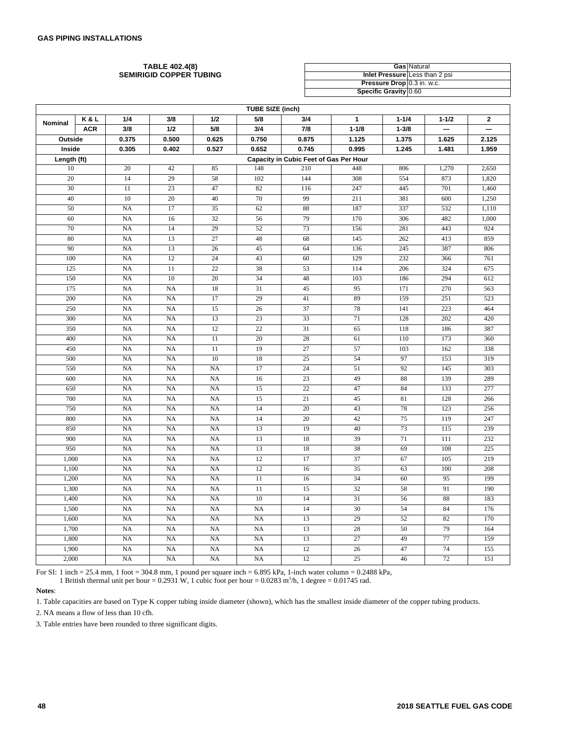#### **TABLE 402.4(8) SEMIRIGID COPPER TUBING**

|                                | <b>Gas Natural</b> |
|--------------------------------|--------------------|
| Inlet Pressure Less than 2 psi |                    |
| Pressure Drop 0.3 in. w.c.     |                    |
| Specific Gravity 0.60          |                    |

| <b>TUBE SIZE (inch)</b> |            |             |             |                 |           |                                        |              |           |           |                |
|-------------------------|------------|-------------|-------------|-----------------|-----------|----------------------------------------|--------------|-----------|-----------|----------------|
| Nominal                 | K&L        | 1/4         | 3/8         | 1/2             | 5/8       | 3/4                                    | $\mathbf{1}$ | $1 - 1/4$ | $1 - 1/2$ | $\overline{2}$ |
|                         | <b>ACR</b> | 3/8         | 1/2         | 5/8             | 3/4       | 7/8                                    | $1 - 1/8$    | $1 - 3/8$ |           |                |
| Outside                 |            | 0.375       | 0.500       | 0.625           | 0.750     | 0.875                                  | 1.125        | 1.375     | 1.625     | 2.125          |
| Inside                  |            | 0.305       | 0.402       | 0.527           | 0.652     | 0.745                                  | 0.995        | 1.245     | 1.481     | 1.959          |
| Length (ft)             |            |             |             |                 |           | Capacity in Cubic Feet of Gas Per Hour |              |           |           |                |
| 10                      |            | 20          | 42          | 85              | 148       | 210                                    | 448          | 806       | 1,270     | 2,650          |
| 20                      |            | 14          | 29          | 58              | 102       | 144                                    | 308          | 554       | 873       | 1,820          |
| 30                      |            | 11          | 23          | 47              | 82        | 116                                    | 247          | 445       | 701       | 1,460          |
| 40                      |            | 10          | 20          | 40              | 70        | 99                                     | 211          | 381       | 600       | 1,250          |
| 50                      |            | <b>NA</b>   | 17          | $\overline{35}$ | 62        | 88                                     | 187          | 337       | 532       | 1,110          |
| 60                      |            | NA          | 16          | 32              | 56        | 79                                     | 170          | 306       | 482       | 1,000          |
| 70                      |            | NA          | 14          | 29              | 52        | 73                                     | 156          | 281       | 443       | 924            |
| 80                      |            | NA          | 13          | 27              | 48        | 68                                     | 145          | 262       | 413       | 859            |
| 90                      |            | NA          | 13          | 26              | 45        | 64                                     | 136          | 245       | 387       | 806            |
| 100                     |            | <b>NA</b>   | 12          | 24              | 43        | $60$                                   | 129          | 232       | 366       | 761            |
| 125                     |            | <b>NA</b>   | 11          | $\overline{22}$ | 38        | 53                                     | 114          | 206       | 324       | 675            |
| 150                     |            | NA          | 10          | 20              | 34        | 48                                     | 103          | 186       | 294       | 612            |
| 175                     |            | NA          | NA          | 18              | 31        | 45                                     | 95           | 171       | 270       | 563            |
| 200                     |            | NA          | NA          | 17              | 29        | 41                                     | 89           | 159       | 251       | 523            |
| 250                     |            | NA          | $_{\rm NA}$ | 15              | 26        | 37                                     | 78           | 141       | 223       | 464            |
| 300                     |            | NA          | NA          | 13              | 23        | 33                                     | 71           | 128       | 202       | 420            |
| 350                     |            | NA          | NA          | 12              | 22        | 31                                     | 65           | 118       | 186       | 387            |
| 400                     |            | NA          | NA          | 11              | 20        | 28                                     | 61           | 110       | 173       | 360            |
| 450                     |            | <b>NA</b>   | <b>NA</b>   | 11              | 19        | 27                                     | 57           | 103       | 162       | 338            |
| 500                     |            | NA          | <b>NA</b>   | 10              | 18        | 25                                     | 54           | 97        | 153       | 319            |
| 550                     |            | NA          | NA          | <b>NA</b>       | 17        | 24                                     | 51           | 92        | 145       | 303            |
| 600                     |            | <b>NA</b>   | NA          | <b>NA</b>       | 16        | 23                                     | 49           | 88        | 139       | 289            |
| 650                     |            | NA          | NA          | <b>NA</b>       | 15        | $22\,$                                 | 47           | 84        | 133       | 277            |
| 700                     |            | NA          | NA          | <b>NA</b>       | 15        | 21                                     | 45           | 81        | 128       | 266            |
| 750                     |            | NA          | NA          | <b>NA</b>       | 14        | 20                                     | 43           | 78        | 123       | 256            |
| 800                     |            | <b>NA</b>   | NA          | <b>NA</b>       | 14        | 20                                     | 42           | 75        | 119       | 247            |
| 850                     |            | <b>NA</b>   | NA          | <b>NA</b>       | 13        | 19                                     | 40           | 73        | 115       | 239            |
| 900                     |            | NA          | NA          | NA              | 13        | 18                                     | 39           | 71        | 111       | 232            |
| 950                     |            | $_{\rm NA}$ | NA          | <b>NA</b>       | 13        | 18                                     | 38           | 69        | 108       | 225            |
| 1,000                   |            | <b>NA</b>   | <b>NA</b>   | <b>NA</b>       | 12        | 17                                     | 37           | 67        | 105       | 219            |
| 1,100                   |            | NA          | NA          | <b>NA</b>       | 12        | 16                                     | 35           | 63        | 100       | 208            |
| 1,200                   |            | NA          | NA          | <b>NA</b>       | 11        | 16                                     | 34           | 60        | 95        | 199            |
| 1,300                   |            | NA          | NA          | NA              | 11        | 15                                     | 32           | 58        | 91        | 190            |
| 1,400                   |            | <b>NA</b>   | <b>NA</b>   | <b>NA</b>       | 10        | 14                                     | 31           | 56        | 88        | 183            |
| 1,500                   |            | <b>NA</b>   | <b>NA</b>   | <b>NA</b>       | <b>NA</b> | 14                                     | 30           | 54        | 84        | 176            |
| 1,600                   |            | NA          | <b>NA</b>   | <b>NA</b>       | <b>NA</b> | 13                                     | 29           | 52        | 82        | 170            |
| 1,700                   |            | NA          | $_{\rm NA}$ | <b>NA</b>       | NA        | 13                                     | 28           | 50        | 79        | 164            |
| 1,800                   |            | NA          | <b>NA</b>   | <b>NA</b>       | <b>NA</b> | 13                                     | 27           | 49        | 77        | 159            |
| 1,900                   |            | NA          | NA          | <b>NA</b>       | <b>NA</b> | 12                                     | 26           | 47        | 74        | 155            |
| 2,000                   |            | NA          | NA          | <b>NA</b>       | <b>NA</b> | 12                                     | 25           | 46        | 72        | 151            |

For SI: 1 inch = 25.4 mm, 1 foot = 304.8 mm, 1 pound per square inch = 6.895 kPa, 1-inch water column = 0.2488 kPa,

1 British thermal unit per hour =  $0.2931$  W, 1 cubic foot per hour =  $0.0283$  m<sup>3</sup>/h, 1 degree =  $0.01745$  rad.

# **Notes**:

1. Table capacities are based on Type K copper tubing inside diameter (shown), which has the smallest inside diameter of the copper tubing products.

2. NA means a flow of less than 10 cfh.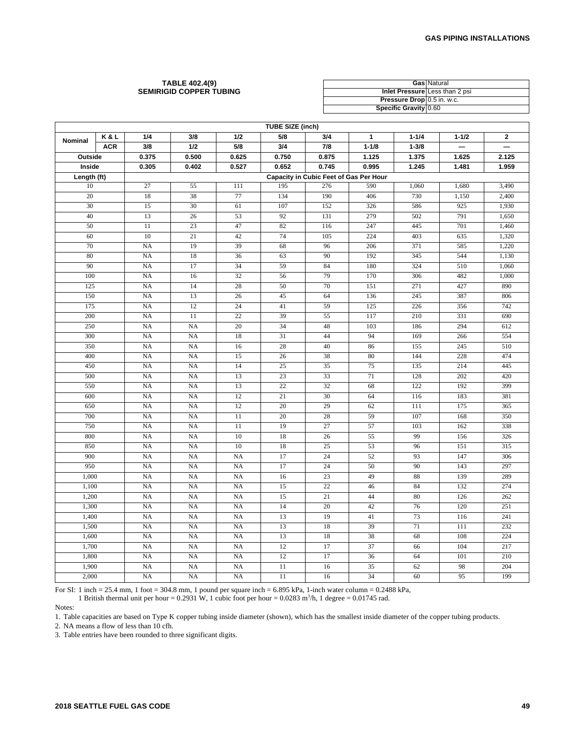#### **TABLE 402.4(9) SEMIRIGID COPPER TUBING**

|                            | <b>Gas Natural</b>             |
|----------------------------|--------------------------------|
|                            | Inlet Pressure Less than 2 psi |
| Pressure Drop 0.5 in. w.c. |                                |
| Specific Gravity 0.60      |                                |

| <b>TUBE SIZE (inch)</b> |            |                 |                 |           |                 |                                        |           |           |           |                          |
|-------------------------|------------|-----------------|-----------------|-----------|-----------------|----------------------------------------|-----------|-----------|-----------|--------------------------|
| Nominal                 | K&L        | 1/4             | 3/8             | 1/2       | 5/8             | 3/4                                    | 1         | $1 - 1/4$ | $1 - 1/2$ | $\mathbf 2$              |
|                         | <b>ACR</b> | 3/8             | 1/2             | 5/8       | 3/4             | 7/8                                    | $1 - 1/8$ | $1 - 3/8$ |           | $\overline{\phantom{0}}$ |
| Outside                 |            | 0.375           | 0.500           | 0.625     | 0.750           | 0.875                                  | 1.125     | 1.375     | 1.625     | 2.125                    |
| Inside                  |            | 0.305           | 0.402           | 0.527     | 0.652           | 0.745                                  | 0.995     | 1.245     | 1.481     | 1.959                    |
| Length (ft)             |            |                 |                 |           |                 | Capacity in Cubic Feet of Gas Per Hour |           |           |           |                          |
| 10                      |            | 27              | 55              | 111       | 195             | 276                                    | 590       | 1,060     | 1,680     | 3,490                    |
| 20                      |            | 18              | 38              | 77        | 134             | 190                                    | 406       | 730       | 1,150     | 2,400                    |
| 30                      |            | $\overline{15}$ | 30              | 61        | 107             | 152                                    | 326       | 586       | 925       | 1,930                    |
| 40                      |            | 13              | 26              | 53        | 92              | 131                                    | 279       | 502       | 791       | 1,650                    |
| 50                      |            | 11              | 23              | 47        | 82              | 116                                    | 247       | 445       | 701       | 1,460                    |
| 60                      |            | 10              | $\overline{21}$ | 42        | 74              | 105                                    | 224       | 403       | 635       | 1,320                    |
| 70                      |            | <b>NA</b>       | 19              | 39        | 68              | 96                                     | 206       | 371       | 585       | 1,220                    |
| 80                      |            | <b>NA</b>       | 18              | 36        | 63              | 90                                     | 192       | 345       | 544       | 1,130                    |
| 90                      |            | <b>NA</b>       | 17              | 34        | 59              | 84                                     | 180       | 324       | 510       | 1,060                    |
| 100                     |            | NA              | 16              | 32        | 56              | 79                                     | 170       | 306       | 482       | 1,000                    |
| 125                     |            | <b>NA</b>       | 14              | 28        | 50              | 70                                     | 151       | 271       | 427       | 890                      |
| 150                     |            | NA              | 13              | 26        | 45              | 64                                     | 136       | 245       | 387       | 806                      |
| 175                     |            | NA              | 12              | 24        | 41              | 59                                     | 125       | 226       | 356       | 742                      |
| 200                     |            | <b>NA</b>       | 11              | 22        | 39              | 55                                     | 117       | 210       | 331       | 690                      |
| 250                     |            | <b>NA</b>       | <b>NA</b>       | 20        | 34              | 48                                     | 103       | 186       | 294       | 612                      |
| 300                     |            | NA              | NA              | 18        | 31              | 44                                     | 94        | 169       | 266       | 554                      |
| 350                     |            | <b>NA</b>       | NA              | 16        | 28              | 40                                     | 86        | 155       | 245       | 510                      |
| 400                     |            | <b>NA</b>       | <b>NA</b>       | 15        | 26              | 38                                     | 80        | 144       | 228       | 474                      |
| 450                     |            | <b>NA</b>       | <b>NA</b>       | 14        | $\overline{25}$ | 35                                     | 75        | 135       | 214       | 445                      |
| 500                     |            | NA              | NA              | 13        | 23              | 33                                     | 71        | 128       | 202       | 420                      |
| 550                     |            | <b>NA</b>       | NA              | 13        | 22              | 32                                     | 68        | 122       | 192       | 399                      |
| 600                     |            | <b>NA</b>       | NA              | 12        | 21              | 30                                     | 64        | 116       | 183       | 381                      |
| 650                     |            | <b>NA</b>       | <b>NA</b>       | 12        | 20              | 29                                     | 62        | 111       | 175       | 365                      |
| 700                     |            | NA              | <b>NA</b>       | 11        | 20              | 28                                     | 59        | 107       | 168       | 350                      |
| 750                     |            | <b>NA</b>       | NA              | 11        | 19              | 27                                     | 57        | 103       | 162       | 338                      |
| 800                     |            | <b>NA</b>       | <b>NA</b>       | 10        | 18              | 26                                     | 55        | 99        | 156       | 326                      |
| 850                     |            | NA              | <b>NA</b>       | 10        | 18              | $\overline{25}$                        | 53        | 96        | 151       | 315                      |
| 900                     |            | NA              | NA              | NA        | 17              | 24                                     | 52        | 93        | 147       | 306                      |
| 950                     |            | <b>NA</b>       | NA              | <b>NA</b> | 17              | 24                                     | 50        | 90        | 143       | 297                      |
| 1,000                   |            | <b>NA</b>       | NA              | <b>NA</b> | 16              | 23                                     | 49        | 88        | 139       | 289                      |
| 1,100                   |            | <b>NA</b>       | NA              | <b>NA</b> | 15              | 22                                     | 46        | 84        | 132       | 274                      |
| 1,200                   |            | NA              | NA              | NA        | 15              | $\overline{21}$                        | 44        | 80        | 126       | 262                      |
| 1,300                   |            | <b>NA</b>       | <b>NA</b>       | <b>NA</b> | 14              | 20                                     | 42        | 76        | 120       | 251                      |
| 1,400                   |            | <b>NA</b>       | <b>NA</b>       | <b>NA</b> | 13              | 19                                     | 41        | 73        | 116       | 241                      |
| 1,500                   |            | <b>NA</b>       | <b>NA</b>       | <b>NA</b> | 13              | 18                                     | 39        | 71        | 111       | 232                      |
| 1,600                   |            | NA              | NA              | <b>NA</b> | 13              | 18                                     | 38        | 68        | 108       | 224                      |
| 1,700                   |            | NA              | NA              | NA        | 12              | 17                                     | 37        | 66        | 104       | 217                      |
| 1,800                   |            | <b>NA</b>       | NA              | <b>NA</b> | 12              | 17                                     | 36        | 64        | 101       | 210                      |
| 1,900                   |            | <b>NA</b>       | <b>NA</b>       | <b>NA</b> | 11              | 16                                     | 35        | 62        | 98        | 204                      |
| 2,000                   |            | NA              | NA              | NA        | 11              | 16                                     | 34        | 60        | 95        | 199                      |

For SI: 1 inch = 25.4 mm, 1 foot = 304.8 mm, 1 pound per square inch =  $6.895$  kPa, 1-inch water column =  $0.2488$  kPa,

1 British thermal unit per hour = 0.2931 W, 1 cubic foot per hour = 0.0283 m<sup>3</sup>/h, 1 degree = 0.01745 rad.

Notes:

1. Table capacities are based on Type K copper tubing inside diameter (shown), which has the smallest inside diameter of the copper tubing products.

2. NA means a flow of less than 10 cfh.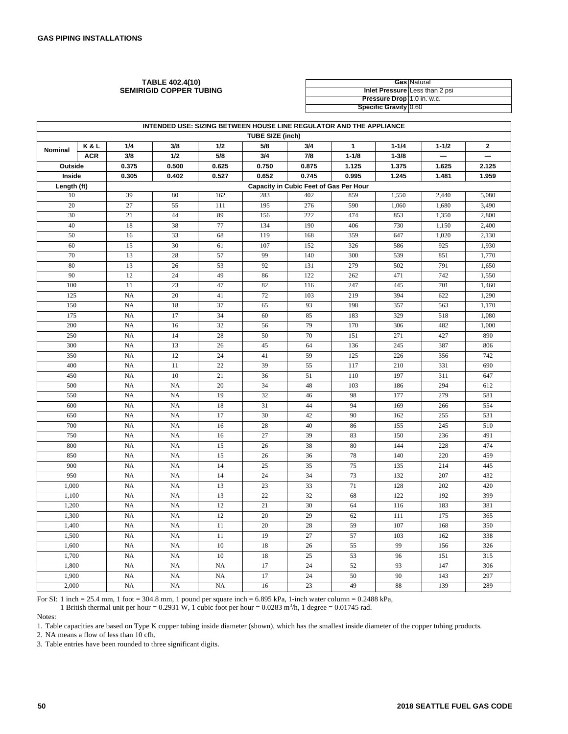**TABLE 402.4(10) SEMIRIGID COPPER TUBING**

|                                   | <b>Gas Natural</b>                    |
|-----------------------------------|---------------------------------------|
|                                   | <b>Inlet Pressure Less than 2 psi</b> |
| <b>Pressure Drop</b> 1.0 in. w.c. |                                       |
| Specific Gravity 0.60             |                                       |

| INTENDED USE: SIZING BETWEEN HOUSE LINE REGULATOR AND THE APPLIANCE |                                                                                                                                                  |                 |                 |           |                         |                 |           |            |            |                |
|---------------------------------------------------------------------|--------------------------------------------------------------------------------------------------------------------------------------------------|-----------------|-----------------|-----------|-------------------------|-----------------|-----------|------------|------------|----------------|
|                                                                     |                                                                                                                                                  |                 |                 |           | <b>TUBE SIZE (inch)</b> |                 |           |            |            |                |
| Nominal                                                             | K&L                                                                                                                                              | 1/4             | 3/8             | 1/2       | 5/8                     | 3/4             | 1         | $1 - 1/4$  | $1 - 1/2$  | $\overline{2}$ |
|                                                                     | <b>ACR</b>                                                                                                                                       | 3/8             | 1/2             | 5/8       | 3/4                     | 7/8             | $1 - 1/8$ | $1 - 3/8$  |            |                |
| Outside                                                             |                                                                                                                                                  | 0.375           | 0.500           | 0.625     | 0.750                   | 0.875           | 1.125     | 1.375      | 1.625      | 2.125          |
|                                                                     | Inside<br>0.305<br>0.402<br>0.527<br>0.652<br>0.745<br>0.995<br>1.245<br>1.481<br>1.959<br>Length (ft)<br>Capacity in Cubic Feet of Gas Per Hour |                 |                 |           |                         |                 |           |            |            |                |
| 10                                                                  |                                                                                                                                                  | 39              | 80              | 162       | 283                     | 402             | 859       | 1,550      | 2,440      | 5,080          |
| 20                                                                  |                                                                                                                                                  | $\overline{27}$ | 55              | 111       | 195                     | 276             | 590       | 1,060      | 1,680      | 3,490          |
| 30                                                                  |                                                                                                                                                  | 21              | 44              | 89        | 156                     | 222             | 474       | 853        | 1,350      | 2,800          |
| 40                                                                  |                                                                                                                                                  | 18              | 38              | 77        | 134                     | 190             | 406       | 730        | 1,150      | 2,400          |
| 50                                                                  |                                                                                                                                                  | 16              | 33              | 68        | 119                     | 168             | 359       | 647        | 1,020      | 2,130          |
| 60                                                                  |                                                                                                                                                  | 15              | 30              | 61        | 107                     | 152             | 326       | 586        | 925        | 1,930          |
| 70                                                                  |                                                                                                                                                  | 13              | 28              | 57        | 99                      | 140             | 300       | 539        | 851        | 1,770          |
| 80                                                                  |                                                                                                                                                  | 13              | 26              | 53        | 92                      | 131             | 279       | 502        | 791        | 1,650          |
| 90                                                                  |                                                                                                                                                  | 12              | 24              | 49        | 86                      | 122             | 262       | 471        | 742        | 1,550          |
| 100                                                                 |                                                                                                                                                  | 11              | 23              | 47        | 82                      | 116             | 247       | 445        | 701        | 1,460          |
| 125                                                                 |                                                                                                                                                  | NA              | 20              | 41        | $\overline{72}$         | 103             | 219       | 394        | 622        | 1,290          |
| 150                                                                 |                                                                                                                                                  | NA              | 18              | 37        | 65                      | 93              | 198       | 357        | 563        | 1,170          |
| 175                                                                 |                                                                                                                                                  | <b>NA</b>       | 17              | 34        | 60                      | 85              | 183       | 329        | 518        | 1,080          |
| 200                                                                 |                                                                                                                                                  | NA              | 16              | 32        | 56                      | 79              | 170       | 306        | 482        | 1,000          |
| 250                                                                 |                                                                                                                                                  | NA              | 14              | 28        | 50                      | 70              | 151       | 271        | 427        | 890            |
| 300                                                                 |                                                                                                                                                  | NA              | 13              | 26        | $\overline{45}$         | 64              | 136       | 245        | 387        | 806            |
| 350                                                                 |                                                                                                                                                  | NA              | 12              | 24        | 41                      | 59              | 125       | 226        | 356        | 742            |
| 400                                                                 |                                                                                                                                                  | <b>NA</b>       | $\overline{11}$ | 22        | 39                      | 55              | 117       | 210        | 331        | 690            |
| 450                                                                 |                                                                                                                                                  | NA              | 10              | 21        | 36                      | 51              | 110       | 197        | 311        | 647            |
| 500                                                                 |                                                                                                                                                  | NA              | NA              | 20        | 34                      | 48              | 103       | 186        | 294        | 612            |
| 550                                                                 |                                                                                                                                                  | NA              | NA              | 19        | 32                      | 46              | 98        | 177        | 279        | 581            |
| 600                                                                 |                                                                                                                                                  | NA              | <b>NA</b>       | 18        | 31                      | 44              | 94        | 169        | 266        | 554            |
| 650                                                                 |                                                                                                                                                  | <b>NA</b>       | <b>NA</b>       | 17        | 30                      | 42              | 90        | 162        | 255        | 531            |
| 700                                                                 |                                                                                                                                                  | NA              | NA              | 16        | 28                      | 40              | 86        | 155        | 245        | 510            |
| 750                                                                 |                                                                                                                                                  | NA              | NA              | 16        | 27                      | 39              | 83        | 150        | 236        | 491            |
| 800                                                                 |                                                                                                                                                  | NA              | NA              | 15        | 26                      | 38              | 80        | 144        | 228        | 474            |
| 850                                                                 |                                                                                                                                                  | NA              | <b>NA</b>       | 15        | $\overline{26}$         | 36              | 78        | 140        | 220        | 459            |
| 900                                                                 |                                                                                                                                                  | <b>NA</b>       | <b>NA</b>       | 14        | $\overline{25}$         | 35              | 75        | 135        | 214        | 445            |
| 950                                                                 |                                                                                                                                                  | NA              | NA              | 14        | 24                      | 34              | 73        | 132        | 207        | 432            |
| 1,000                                                               |                                                                                                                                                  | NA              | NA              | 13        | 23                      | 33              | $71\,$    | 128        | 202        | 420            |
| 1,100                                                               |                                                                                                                                                  | NA              | NA              | 13        | $\overline{22}$         | 32              | 68        | 122        | 192        | 399            |
| 1,200                                                               |                                                                                                                                                  | NA              | <b>NA</b>       | 12        | 21<br>$\overline{20}$   | 30              | 64        | 116        | 183<br>175 | 381            |
| 1,300                                                               |                                                                                                                                                  | <b>NA</b>       | <b>NA</b>       | 12        | 20                      | 29              | 62<br>59  | 111        |            | 365            |
| 1,400                                                               |                                                                                                                                                  | NA<br>NA        | NA<br>NA        | 11<br>11  | 19                      | 28<br>27        | 57        | 107<br>103 | 168<br>162 | 350            |
| 1,500                                                               |                                                                                                                                                  | NA              | NA              | 10        | 18                      | 26              | 55        | 99         |            | 338            |
| 1,600<br>1,700                                                      |                                                                                                                                                  | <b>NA</b>       | <b>NA</b>       | 10        | 18                      | $\overline{25}$ | 53        | 96         | 156<br>151 | 326<br>315     |
| 1,800                                                               |                                                                                                                                                  | <b>NA</b>       | <b>NA</b>       | <b>NA</b> | 17                      | $\overline{24}$ | 52        | 93         | 147        | 306            |
| 1,900                                                               |                                                                                                                                                  | NA              | NA              | <b>NA</b> | 17                      | 24              | 50        | 90         | 143        | 297            |
| 2,000                                                               |                                                                                                                                                  | NA              | NA              | NA        | 16                      | 23              | 49        | 88         | 139        | 289            |
|                                                                     |                                                                                                                                                  |                 |                 |           |                         |                 |           |            |            |                |

For SI: 1 inch = 25.4 mm, 1 foot = 304.8 mm, 1 pound per square inch =  $6.895$  kPa, 1-inch water column =  $0.2488$  kPa,

1 British thermal unit per hour =  $0.2931$  W, 1 cubic foot per hour =  $0.0283$  m<sup>3</sup>/h, 1 degree =  $0.01745$  rad.

Notes:

1. Table capacities are based on Type K copper tubing inside diameter (shown), which has the smallest inside diameter of the copper tubing products.

2. NA means a flow of less than 10 cfh.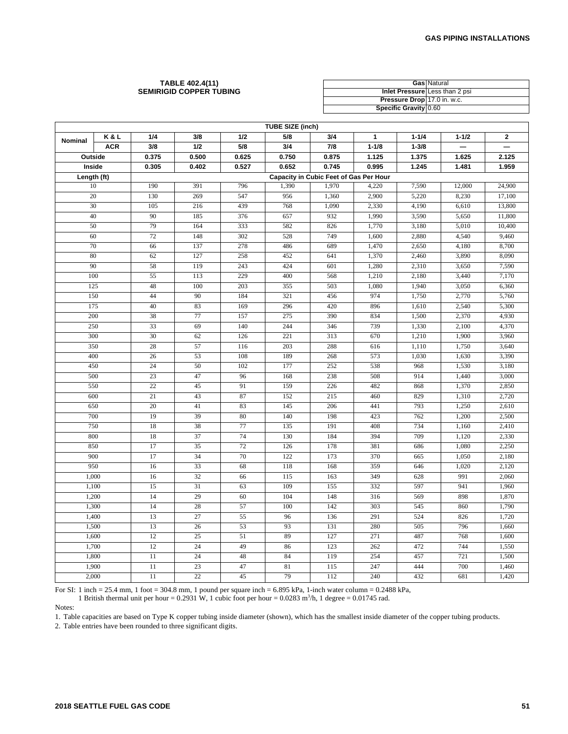#### **TABLE 402.4(11) SEMIRIGID COPPER TUBING**

|                             | <b>Gas Natural</b>             |
|-----------------------------|--------------------------------|
|                             | Inlet Pressure Less than 2 psi |
| Pressure Drop 17.0 in. w.c. |                                |
| Specific Gravity 0.60       |                                |

| <b>TUBE SIZE (inch)</b> |            |                                        |       |       |       |       |              |           |                          |                          |  |
|-------------------------|------------|----------------------------------------|-------|-------|-------|-------|--------------|-----------|--------------------------|--------------------------|--|
| Nominal                 | K&L        | 1/4                                    | 3/8   | 1/2   | 5/8   | 3/4   | $\mathbf{1}$ | $1 - 1/4$ | $1 - 1/2$                | $\mathbf 2$              |  |
|                         | <b>ACR</b> | 3/8                                    | 1/2   | 5/8   | 3/4   | 7/8   | $1 - 1/8$    | $1 - 3/8$ | $\overline{\phantom{0}}$ | $\overline{\phantom{0}}$ |  |
| Outside                 |            | 0.375                                  | 0.500 | 0.625 | 0.750 | 0.875 | 1.125        | 1.375     | 1.625                    | 2.125                    |  |
| Inside                  |            | 0.305                                  | 0.402 | 0.527 | 0.652 | 0.745 | 0.995        | 1.245     | 1.481                    | 1.959                    |  |
| Length (ft)             |            | Capacity in Cubic Feet of Gas Per Hour |       |       |       |       |              |           |                          |                          |  |
| 10                      |            | 190                                    | 391   | 796   | 1,390 | 1,970 | 4,220        | 7,590     | 12,000                   | 24,900                   |  |
| 20                      |            | 130                                    | 269   | 547   | 956   | 1,360 | 2,900        | 5,220     | 8,230                    | 17,100                   |  |
| 30                      |            | 105                                    | 216   | 439   | 768   | 1,090 | 2,330        | 4,190     | 6,610                    | 13,800                   |  |
| 40                      |            | 90                                     | 185   | 376   | 657   | 932   | 1,990        | 3,590     | 5,650                    | 11,800                   |  |
| 50                      |            | 79                                     | 164   | 333   | 582   | 826   | 1,770        | 3,180     | 5,010                    | 10,400                   |  |
| 60                      |            | 72                                     | 148   | 302   | 528   | 749   | 1,600        | 2,880     | 4,540                    | 9,460                    |  |
| 70                      |            | 66                                     | 137   | 278   | 486   | 689   | 1,470        | 2,650     | 4,180                    | 8,700                    |  |
| 80                      |            | 62                                     | 127   | 258   | 452   | 641   | 1,370        | 2,460     | 3,890                    | 8,090                    |  |
| 90                      |            | 58                                     | 119   | 243   | 424   | 601   | 1,280        | 2,310     | 3,650                    | 7,590                    |  |
| 100                     |            | 55                                     | 113   | 229   | 400   | 568   | 1,210        | 2,180     | 3,440                    | 7,170                    |  |
| 125                     |            | 48                                     | 100   | 203   | 355   | 503   | 1,080        | 1,940     | 3,050                    | 6,360                    |  |
| 150                     |            | 44                                     | 90    | 184   | 321   | 456   | 974          | 1,750     | 2,770                    | 5,760                    |  |
| 175                     |            | 40                                     | 83    | 169   | 296   | 420   | 896          | 1,610     | 2,540                    | 5,300                    |  |
| 200                     |            | 38                                     | 77    | 157   | 275   | 390   | 834          | 1,500     | 2,370                    | 4,930                    |  |
| 250                     |            | 33                                     | 69    | 140   | 244   | 346   | 739          | 1,330     | 2,100                    | 4,370                    |  |
| 300                     |            | 30                                     | 62    | 126   | 221   | 313   | 670          | 1,210     | 1,900                    | 3,960                    |  |
| 350                     |            | 28                                     | 57    | 116   | 203   | 288   | 616          | 1,110     | 1,750                    | 3,640                    |  |
| 400                     |            | 26                                     | 53    | 108   | 189   | 268   | 573          | 1,030     | 1,630                    | 3,390                    |  |
| 450                     |            | 24                                     | 50    | 102   | 177   | 252   | 538          | 968       | 1,530                    | 3,180                    |  |
| 500                     |            | 23                                     | 47    | 96    | 168   | 238   | 508          | 914       | 1,440                    | 3,000                    |  |
| 550                     |            | $\overline{22}$                        | 45    | 91    | 159   | 226   | 482          | 868       | 1,370                    | 2,850                    |  |
| 600                     |            | 21                                     | 43    | 87    | 152   | 215   | 460          | 829       | 1,310                    | 2,720                    |  |
| 650                     |            | 20                                     | 41    | 83    | 145   | 206   | 441          | 793       | 1,250                    | 2,610                    |  |
| 700                     |            | 19                                     | 39    | 80    | 140   | 198   | 423          | 762       | 1,200                    | 2,500                    |  |
| 750                     |            | 18                                     | 38    | 77    | 135   | 191   | 408          | 734       | 1,160                    | 2,410                    |  |
| 800                     |            | 18                                     | 37    | 74    | 130   | 184   | 394          | 709       | 1,120                    | 2,330                    |  |
| 850                     |            | 17                                     | 35    | 72    | 126   | 178   | 381          | 686       | 1,080                    | 2,250                    |  |
| 900                     |            | 17                                     | 34    | 70    | 122   | 173   | 370          | 665       | 1,050                    | 2,180                    |  |
| 950                     |            | 16                                     | 33    | 68    | 118   | 168   | 359          | 646       | 1,020                    | 2,120                    |  |
| 1,000                   |            | 16                                     | 32    | 66    | 115   | 163   | 349          | 628       | 991                      | 2,060                    |  |
| 1,100                   |            | 15                                     | 31    | 63    | 109   | 155   | 332          | 597       | 941                      | 1,960                    |  |
| 1,200                   |            | 14                                     | 29    | 60    | 104   | 148   | 316          | 569       | 898                      | 1,870                    |  |
| 1,300                   |            | 14                                     | 28    | 57    | 100   | 142   | 303          | 545       | 860                      | 1,790                    |  |
| 1,400                   |            | 13                                     | 27    | 55    | 96    | 136   | 291          | 524       | 826                      | 1,720                    |  |
| 1,500                   |            | 13                                     | 26    | 53    | 93    | 131   | 280          | 505       | 796                      | 1,660                    |  |
| 1,600                   |            | 12                                     | 25    | 51    | 89    | 127   | 271          | 487       | 768                      | 1,600                    |  |
| 1,700                   |            | 12                                     | 24    | 49    | 86    | 123   | 262          | 472       | 744                      | 1,550                    |  |
| 1,800                   |            | 11                                     | 24    | 48    | 84    | 119   | 254          | 457       | 721                      | 1,500                    |  |
| 1,900                   |            | 11                                     | 23    | 47    | 81    | 115   | 247          | 444       | 700                      | 1,460                    |  |
| 2,000                   |            | 11                                     | 22    | 45    | 79    | 112   | 240          | 432       | 681                      | 1,420                    |  |

For SI: 1 inch = 25.4 mm, 1 foot = 304.8 mm, 1 pound per square inch =  $6.895$  kPa, 1-inch water column =  $0.2488$  kPa,

1 British thermal unit per hour = 0.2931 W, 1 cubic foot per hour = 0.0283 m<sup>3</sup>/h, 1 degree = 0.01745 rad.

Notes:

1. Table capacities are based on Type K copper tubing inside diameter (shown), which has the smallest inside diameter of the copper tubing products.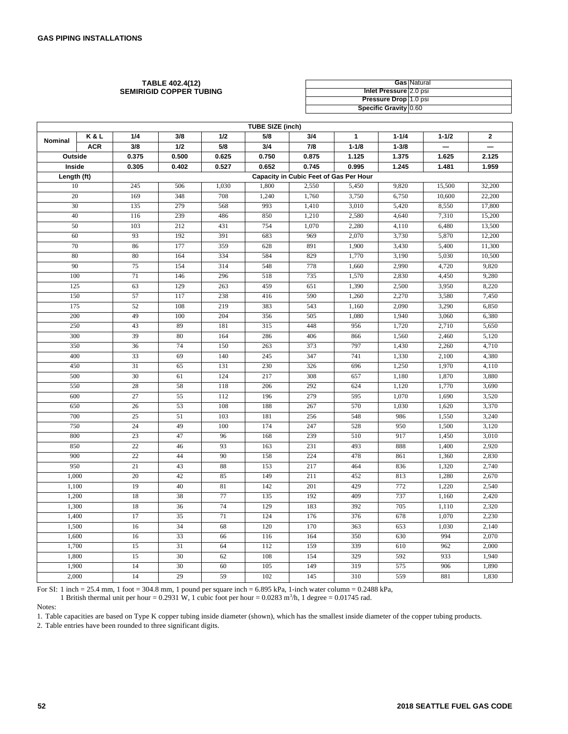| <b>TABLE 402.4(12)</b>  |                               | <b>Gas Natural</b> |
|-------------------------|-------------------------------|--------------------|
| SEMIRIGID COPPER TUBING | <b>Inlet Pressure 2.0 psi</b> |                    |
|                         | <b>Pressure Drop</b> 1.0 psi  |                    |
|                         | Specific Gravity 0.60         |                    |

|             |            |       |       |       | <b>TUBE SIZE (inch)</b> |                                        |              |           |           |                          |
|-------------|------------|-------|-------|-------|-------------------------|----------------------------------------|--------------|-----------|-----------|--------------------------|
| Nominal     | K&L        | 1/4   | 3/8   | 1/2   | 5/8                     | 3/4                                    | $\mathbf{1}$ | $1 - 1/4$ | $1 - 1/2$ | $\mathbf 2$              |
|             | <b>ACR</b> | 3/8   | 1/2   | 5/8   | 3/4                     | 7/8                                    | $1 - 1/8$    | $1 - 3/8$ |           | $\overline{\phantom{0}}$ |
| Outside     |            | 0.375 | 0.500 | 0.625 | 0.750                   | 0.875                                  | 1.125        | 1.375     | 1.625     | 2.125                    |
| Inside      |            | 0.305 | 0.402 | 0.527 | 0.652                   | 0.745                                  | 0.995        | 1.245     | 1.481     | 1.959                    |
| Length (ft) |            |       |       |       |                         | Capacity in Cubic Feet of Gas Per Hour |              |           |           |                          |
| 10          |            | 245   | 506   | 1,030 | 1,800                   | 2,550                                  | 5,450        | 9,820     | 15,500    | 32,200                   |
| 20          |            | 169   | 348   | 708   | 1,240                   | 1,760                                  | 3,750        | 6,750     | 10,600    | 22,200                   |
| 30          |            | 135   | 279   | 568   | 993                     | 1,410                                  | 3,010        | 5,420     | 8,550     | 17,800                   |
| 40          |            | 116   | 239   | 486   | 850                     | 1,210                                  | 2,580        | 4,640     | 7,310     | 15,200                   |
| 50          |            | 103   | 212   | 431   | 754                     | 1,070                                  | 2,280        | 4,110     | 6,480     | 13,500                   |
| 60          |            | 93    | 192   | 391   | 683                     | 969                                    | 2,070        | 3,730     | 5,870     | 12,200                   |
| 70          |            | 86    | 177   | 359   | 628                     | 891                                    | 1,900        | 3,430     | 5,400     | 11,300                   |
| 80          |            | 80    | 164   | 334   | 584                     | 829                                    | 1,770        | 3,190     | 5,030     | 10,500                   |
| 90          |            | 75    | 154   | 314   | 548                     | 778                                    | 1,660        | 2,990     | 4,720     | 9,820                    |
| 100         |            | 71    | 146   | 296   | 518                     | 735                                    | 1,570        | 2,830     | 4,450     | 9,280                    |
| 125         |            | 63    | 129   | 263   | 459                     | 651                                    | 1,390        | 2,500     | 3,950     | 8,220                    |
| 150         |            | 57    | 117   | 238   | 416                     | 590                                    | 1,260        | 2,270     | 3,580     | 7,450                    |
| 175         |            | 52    | 108   | 219   | 383                     | 543                                    | 1,160        | 2,090     | 3,290     | 6,850                    |
| 200         |            | 49    | 100   | 204   | 356                     | 505                                    | 1,080        | 1,940     | 3,060     | 6,380                    |
| 250         |            | 43    | 89    | 181   | 315                     | 448                                    | 956          | 1,720     | 2,710     | 5,650                    |
| 300         |            | 39    | 80    | 164   | 286                     | 406                                    | 866          | 1,560     | 2,460     | 5,120                    |
| 350         |            | 36    | 74    | 150   | 263                     | 373                                    | 797          | 1,430     | 2,260     | 4,710                    |
| 400         |            | 33    | 69    | 140   | 245                     | 347                                    | 741          | 1,330     | 2,100     | 4,380                    |
| 450         |            | 31    | 65    | 131   | 230                     | 326                                    | 696          | 1,250     | 1,970     | 4,110                    |
| 500         |            | 30    | 61    | 124   | 217                     | 308                                    | 657          | 1,180     | 1,870     | 3,880                    |
| 550         |            | 28    | 58    | 118   | 206                     | 292                                    | 624          | 1,120     | 1,770     | 3,690                    |
| 600         |            | 27    | 55    | 112   | 196                     | 279                                    | 595          | 1,070     | 1,690     | 3,520                    |
| 650         |            | 26    | 53    | 108   | 188                     | 267                                    | 570          | 1.030     | 1,620     | 3,370                    |
| 700         |            | 25    | 51    | 103   | 181                     | 256                                    | 548          | 986       | 1,550     | 3,240                    |
| 750         |            | 24    | 49    | 100   | 174                     | 247                                    | 528          | 950       | 1,500     | 3,120                    |
| 800         |            | 23    | 47    | 96    | 168                     | 239                                    | 510          | 917       | 1,450     | 3,010                    |
| 850         |            | 22    | 46    | 93    | 163                     | 231                                    | 493          | 888       | 1,400     | 2,920                    |
| 900         |            | 22    | 44    | 90    | 158                     | 224                                    | 478          | 861       | 1,360     | 2,830                    |
| 950         |            | 21    | 43    | 88    | 153                     | 217                                    | 464          | 836       | 1,320     | 2,740                    |
| 1,000       |            | 20    | 42    | 85    | 149                     | 211                                    | 452          | 813       | 1,280     | 2,670                    |
| 1,100       |            | 19    | 40    | 81    | 142                     | 201                                    | 429          | 772       | 1,220     | 2,540                    |
| 1,200       |            | 18    | 38    | 77    | 135                     | 192                                    | 409          | 737       | 1,160     | 2,420                    |
| 1,300       |            | 18    | 36    | 74    | 129                     | 183                                    | 392          | 705       | 1,110     | 2,320                    |
| 1,400       |            | 17    | 35    | 71    | 124                     | 176                                    | 376          | 678       | 1,070     | 2,230                    |
| 1,500       |            | 16    | 34    | 68    | 120                     | 170                                    | 363          | 653       | 1,030     | 2,140                    |
| 1,600       |            | 16    | 33    | 66    | 116                     | 164                                    | 350          | 630       | 994       | 2,070                    |
| 1,700       |            | 15    | 31    | 64    | 112                     | 159                                    | 339          | 610       | 962       | 2,000                    |
| 1,800       |            | 15    | 30    | 62    | 108                     | 154                                    | 329          | 592       | 933       | 1,940                    |
| 1,900       |            | 14    | 30    | 60    | 105                     | 149                                    | 319          | 575       | 906       | 1,890                    |
| 2,000       |            | 14    | 29    | 59    | 102                     | 145                                    | 310          | 559       | 881       | 1,830                    |

For SI: 1 inch = 25.4 mm, 1 foot = 304.8 mm, 1 pound per square inch = 6.895 kPa, 1-inch water column = 0.2488 kPa,

1 British thermal unit per hour = 0.2931 W, 1 cubic foot per hour = 0.0283 m<sup>3</sup>/h, 1 degree = 0.01745 rad.

Notes:

1. Table capacities are based on Type K copper tubing inside diameter (shown), which has the smallest inside diameter of the copper tubing products.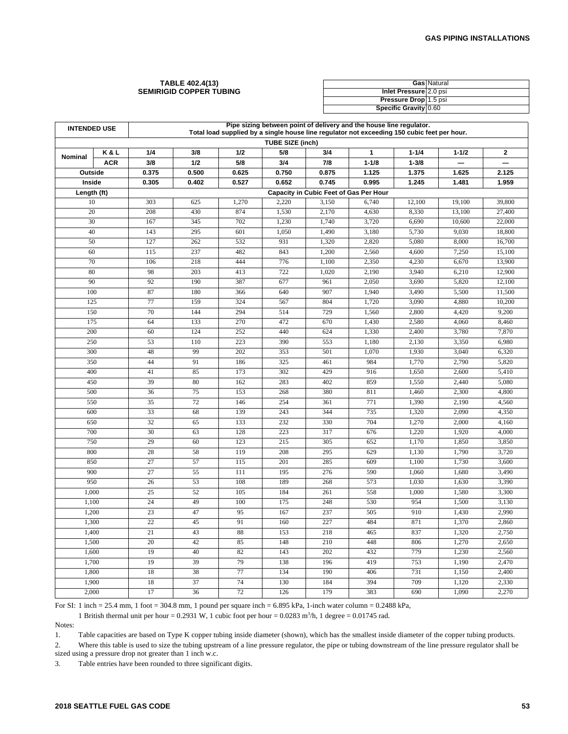#### **TABLE 402.4(13) SEMIRIGID COPPER TUBING**

|                              | <b>Gas Natural</b> |
|------------------------------|--------------------|
| Inlet Pressure 2.0 psi       |                    |
| <b>Pressure Drop</b> 1.5 psi |                    |
| Specific Gravity 0.60        |                    |

| <b>INTENDED USE</b> |            |           |            |                 |                         |                                        | Pipe sizing between point of delivery and the house line regulator.<br>Total load supplied by a single house line regulator not exceeding 150 cubic feet per hour. |                |                |                  |
|---------------------|------------|-----------|------------|-----------------|-------------------------|----------------------------------------|--------------------------------------------------------------------------------------------------------------------------------------------------------------------|----------------|----------------|------------------|
|                     |            |           |            |                 | <b>TUBE SIZE (inch)</b> |                                        |                                                                                                                                                                    |                |                |                  |
| Nominal             | K&L        | 1/4       | 3/8        | 1/2             | 5/8                     | 3/4                                    | 1                                                                                                                                                                  | $1 - 1/4$      | $1 - 1/2$      | $\mathbf{2}$     |
|                     | <b>ACR</b> | 3/8       | 1/2        | 5/8             | 3/4                     | 7/8                                    | $1 - 1/8$                                                                                                                                                          | $1 - 3/8$      |                |                  |
| Outside             |            | 0.375     | 0.500      | 0.625           | 0.750                   | 0.875                                  | 1.125                                                                                                                                                              | 1.375          | 1.625          | 2.125            |
| Inside              |            | 0.305     | 0.402      | 0.527           | 0.652                   | 0.745                                  | 0.995                                                                                                                                                              | 1.245          | 1.481          | 1.959            |
| Length (ft)         |            |           |            |                 |                         | Capacity in Cubic Feet of Gas Per Hour |                                                                                                                                                                    |                |                |                  |
| 10                  |            | 303       | 625        | 1,270           | 2,220                   | 3,150                                  | 6,740                                                                                                                                                              | 12,100         | 19,100         | 39,800           |
| 20                  |            | 208       | 430        | 874             | 1,530                   | 2,170                                  | 4,630                                                                                                                                                              | 8,330          | 13,100         | 27,400           |
| 30                  |            | 167       | 345        | 702             | 1,230                   | 1,740                                  | 3,720                                                                                                                                                              | 6,690          | 10,600         | 22,000           |
| 40                  |            | 143       | 295        | 601             | 1,050                   | 1,490                                  | 3,180                                                                                                                                                              | 5,730          | 9.030          | 18,800           |
| 50                  |            | 127       | 262        | 532             | 931                     | 1,320                                  | 2,820                                                                                                                                                              | 5,080          | 8,000          | 16,700           |
| 60<br>70            |            | 115       | 237<br>218 | 482<br>444      | 843<br>776              | 1,200                                  | 2,560<br>2,350                                                                                                                                                     | 4,600<br>4,230 | 7,250          | 15,100<br>13,900 |
| 80                  |            | 106<br>98 | 203        | 413             | 722                     | 1,100<br>1,020                         | 2,190                                                                                                                                                              | 3,940          | 6,670<br>6,210 |                  |
| 90                  |            | 92        | 190        | 387             | 677                     | 961                                    | 2,050                                                                                                                                                              | 3,690          | 5,820          | 12,900<br>12,100 |
| 100                 |            | 87        | 180        | 366             | 640                     | 907                                    | 1,940                                                                                                                                                              | 3,490          | 5,500          | 11,500           |
| 125                 |            | 77        | 159        | 324             | 567                     | 804                                    | 1,720                                                                                                                                                              | 3,090          | 4,880          | 10,200           |
| 150                 |            | 70        | 144        | 294             | 514                     | 729                                    | 1,560                                                                                                                                                              | 2,800          | 4,420          | 9,200            |
| 175                 |            | 64        | 133        | 270             | 472                     | 670                                    | 1,430                                                                                                                                                              | 2,580          | 4,060          | 8,460            |
| 200                 |            | 60        | 124        | 252             | 440                     | 624                                    | 1,330                                                                                                                                                              | 2,400          | 3,780          | 7,870            |
| 250                 |            | 53        | 110        | 223             | 390                     | 553                                    | 1,180                                                                                                                                                              | 2,130          | 3,350          | 6,980            |
| 300                 |            | 48        | 99         | 202             | 353                     | 501                                    | 1,070                                                                                                                                                              | 1,930          | 3,040          | 6,320            |
| 350                 |            | 44        | 91         | 186             | 325                     | 461                                    | 984                                                                                                                                                                | 1,770          | 2,790          | 5,820            |
| 400                 |            | 41        | 85         | 173             | 302                     | 429                                    | 916                                                                                                                                                                | 1,650          | 2,600          | 5,410            |
| 450                 |            | 39        | 80         | 162             | 283                     | 402                                    | 859                                                                                                                                                                | 1,550          | 2,440          | 5,080            |
| 500                 |            | 36        | 75         | 153             | 268                     | 380                                    | 811                                                                                                                                                                | 1,460          | 2,300          | 4,800            |
| 550                 |            | 35        | 72         | 146             | 254                     | 361                                    | 771                                                                                                                                                                | 1,390          | 2,190          | 4,560            |
| 600                 |            | 33        | 68         | 139             | 243                     | 344                                    | 735                                                                                                                                                                | 1,320          | 2.090          | 4,350            |
| 650                 |            | 32        | 65         | 133             | 232                     | 330                                    | 704                                                                                                                                                                | 1,270          | 2,000          | 4,160            |
| 700                 |            | 30        | 63         | 128             | 223                     | 317                                    | 676                                                                                                                                                                | 1,220          | 1,920          | 4,000            |
| 750                 |            | 29        | 60         | 123             | 215                     | 305                                    | 652                                                                                                                                                                | 1,170          | 1,850          | 3,850            |
| 800                 |            | 28        | 58         | 119             | 208                     | 295                                    | 629                                                                                                                                                                | 1,130          | 1,790          | 3,720            |
| 850                 |            | 27        | 57         | 115             | 201                     | 285                                    | 609                                                                                                                                                                | 1,100          | 1,730          | 3,600            |
| 900                 |            | 27        | 55         | 111             | 195                     | 276                                    | 590                                                                                                                                                                | 1,060          | 1,680          | 3,490            |
| 950                 |            | 26        | 53         | 108             | 189                     | 268                                    | 573                                                                                                                                                                | 1,030          | 1,630          | 3,390            |
| 1,000               |            | 25        | 52         | 105             | 184                     | 261                                    | 558                                                                                                                                                                | 1,000          | 1,580          | 3,300            |
| 1,100               |            | 24        | 49         | 100             | 175                     | 248                                    | 530                                                                                                                                                                | 954            | 1,500          | 3,130            |
| 1,200               |            | 23        | 47         | 95              | 167                     | 237                                    | 505                                                                                                                                                                | 910            | 1,430          | 2,990            |
| 1,300               |            | 22        | 45         | 91              | 160                     | 227                                    | 484                                                                                                                                                                | 871            | 1,370          | 2,860            |
| 1,400               |            | 21        | 43         | 88              | 153                     | 218                                    | 465                                                                                                                                                                | 837            | 1,320          | 2,750            |
| 1,500               |            | 20        | 42         | 85              | 148                     | 210                                    | 448                                                                                                                                                                | 806            | 1,270          | 2,650            |
| 1,600               |            | 19        | 40         | 82              | 143                     | 202                                    | 432                                                                                                                                                                | 779            | 1,230          | 2,560            |
| 1,700               |            | 19        | 39         | 79              | 138                     | 196                                    | 419                                                                                                                                                                | 753            | 1,190          | 2,470            |
| 1,800               |            | 18        | 38         | $\overline{77}$ | 134                     | 190                                    | 406                                                                                                                                                                | 731            | 1,150          | 2,400            |
| 1,900               |            | 18        | 37         | 74              | 130                     | 184                                    | 394                                                                                                                                                                | 709            | 1,120          | 2,330            |
| 2,000               |            | 17        | 36         | 72              | 126                     | 179                                    | 383                                                                                                                                                                | 690            | 1,090          | 2,270            |

For SI: 1 inch = 25.4 mm, 1 foot = 304.8 mm, 1 pound per square inch = 6.895 kPa, 1-inch water column = 0.2488 kPa,

1 British thermal unit per hour = 0.2931 W, 1 cubic foot per hour = 0.0283 m<sup>3</sup>/h, 1 degree = 0.01745 rad.

Notes:

1. Table capacities are based on Type K copper tubing inside diameter (shown), which has the smallest inside diameter of the copper tubing products.

2. Where this table is used to size the tubing upstream of a line pressure regulator, the pipe or tubing downstream of the line pressure regulator shall be sized using a pressure drop not greater than 1 inch w.c.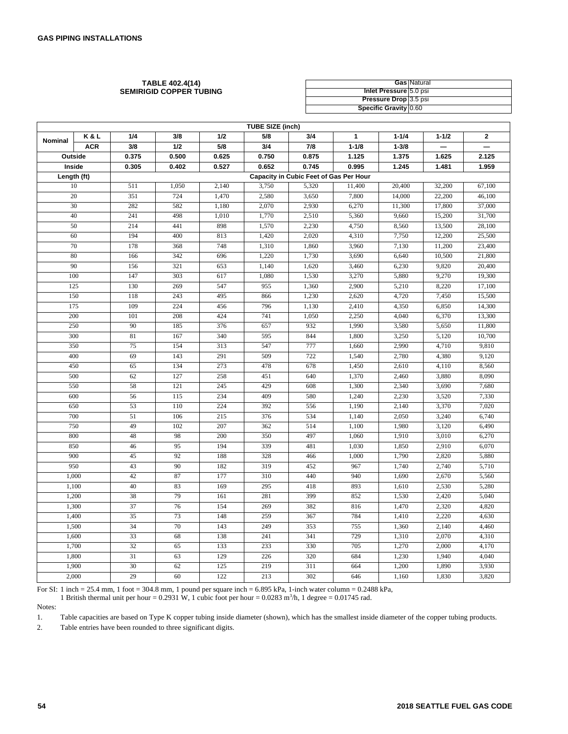| <b>TABLE 402.4(14)</b>         |                              | <b>Gas Natural</b> |
|--------------------------------|------------------------------|--------------------|
| <b>SEMIRIGID COPPER TUBING</b> | Inlet Pressure 5.0 psi       |                    |
|                                | <b>Pressure Drop</b> 3.5 psi |                    |
|                                | <b>Specific Gravity 0.60</b> |                    |

|                |                    |                 |       |       | <b>TUBE SIZE (inch)</b> |                                        |              |           |           |              |
|----------------|--------------------|-----------------|-------|-------|-------------------------|----------------------------------------|--------------|-----------|-----------|--------------|
| <b>Nominal</b> | K&L                | 1/4             | 3/8   | 1/2   | 5/8                     | 3/4                                    | $\mathbf{1}$ | $1 - 1/4$ | $1 - 1/2$ | $\mathbf{2}$ |
|                | <b>ACR</b>         | 3/8             | 1/2   | 5/8   | 3/4                     | 7/8                                    | $1 - 1/8$    | $1 - 3/8$ |           |              |
|                | Outside            | 0.375           | 0.500 | 0.625 | 0.750                   | 0.875                                  | 1.125        | 1.375     | 1.625     | 2.125        |
|                | Inside             | 0.305           | 0.402 | 0.527 | 0.652                   | 0.745                                  | 0.995        | 1.245     | 1.481     | 1.959        |
|                | Length (ft)        |                 |       |       |                         | Capacity in Cubic Feet of Gas Per Hour |              |           |           |              |
|                | 10                 | 511             | 1,050 | 2,140 | 3,750                   | 5,320                                  | 11,400       | 20,400    | 32,200    | 67,100       |
|                | 20                 | 351             | 724   | 1,470 | 2,580                   | 3,650                                  | 7,800        | 14,000    | 22,200    | 46,100       |
|                | 30                 | 282             | 582   | 1,180 | 2,070                   | 2,930                                  | 6,270        | 11,300    | 17,800    | 37,000       |
|                | 40                 | 241             | 498   | 1,010 | 1,770                   | 2,510                                  | 5,360        | 9,660     | 15,200    | 31,700       |
|                | 50                 | 214             | 441   | 898   | 1,570                   | 2,230                                  | 4,750        | 8,560     | 13,500    | 28,100       |
|                | 60                 | 194             | 400   | 813   | 1,420                   | 2,020                                  | 4,310        | 7,750     | 12,200    | 25,500       |
|                | 70                 | 178             | 368   | 748   | 1,310                   | 1,860                                  | 3,960        | 7,130     | 11,200    | 23,400       |
|                | 80                 | 166             | 342   | 696   | 1,220                   | 1,730                                  | 3,690        | 6,640     | 10,500    | 21,800       |
|                | 90                 | 156             | 321   | 653   | 1,140                   | 1,620                                  | 3,460        | 6,230     | 9,820     | 20,400       |
|                | 100                | 147             | 303   | 617   | 1,080                   | 1,530                                  | 3,270        | 5,880     | 9,270     | 19,300       |
|                | 125                | 130             | 269   | 547   | 955                     | 1,360                                  | 2,900        | 5,210     | 8,220     | 17,100       |
|                | 150                | 118             | 243   | 495   | 866                     | 1,230                                  | 2,620        | 4,720     | 7,450     | 15,500       |
|                | 175                | 109             | 224   | 456   | 796                     | 1,130                                  | 2,410        | 4,350     | 6,850     | 14,300       |
|                | 200                | 101             | 208   | 424   | 741                     | 1,050                                  | 2,250        | 4,040     | 6,370     | 13,300       |
|                | 250                | 90              | 185   | 376   | 657                     | 932                                    | 1,990        | 3,580     | 5,650     | 11,800       |
|                | 300                | 81              | 167   | 340   | 595                     | 844                                    | 1,800        | 3,250     | 5,120     | 10,700       |
|                | 350                | 75              | 154   | 313   | 547                     | 777                                    | 1,660        | 2,990     | 4,710     | 9,810        |
|                | 400                | 69              | 143   | 291   | 509                     | 722                                    | 1,540        | 2,780     | 4,380     | 9,120        |
|                | 450                | 65              | 134   | 273   | 478                     | 678                                    | 1,450        | 2,610     | 4,110     | 8,560        |
|                | 500                | 62              | 127   | 258   | 451                     | 640                                    | 1,370        | 2,460     | 3,880     | 8,090        |
|                | 550                | 58              | 121   | 245   | 429                     | 608                                    | 1,300        | 2,340     | 3,690     | 7,680        |
|                | 600                | 56              | 115   | 234   | 409                     | 580                                    | 1,240        | 2,230     | 3,520     | 7,330        |
|                | 650                | 53              | 110   | 224   | 392                     | 556                                    | 1,190        | 2,140     | 3,370     | 7,020        |
|                | 700                | 51              | 106   | 215   | 376                     | 534                                    | 1,140        | 2,050     | 3,240     | 6,740        |
|                | 750                | 49              | 102   | 207   | 362                     | 514                                    | 1,100        | 1,980     | 3,120     | 6,490        |
|                | 800                | 48              | 98    | 200   | 350                     | 497                                    | 1,060        | 1,910     | 3,010     | 6,270        |
|                | 850                | 46              | 95    | 194   | 339                     | 481                                    | 1,030        | 1,850     | 2,910     | 6,070        |
|                | 900                | 45              | 92    | 188   | 328                     | 466                                    | 1,000        | 1,790     | 2,820     | 5,880        |
|                | 950                | 43              | 90    | 182   | 319                     | 452                                    | 967          | 1,740     | 2,740     | 5,710        |
|                | 1,000              | 42              | 87    | 177   | 310                     | 440                                    | 940          | 1,690     | 2,670     | 5,560        |
|                | 1,100              | 40              | 83    | 169   | 295                     | 418                                    | 893          | 1,610     | 2,530     | 5,280        |
|                | $\overline{1,200}$ | 38              | 79    | 161   | 281                     | 399                                    | 852          | 1,530     | 2,420     | 5,040        |
|                | 1,300              | 37              | 76    | 154   | 269                     | 382                                    | 816          | 1,470     | 2,320     | 4,820        |
|                | 1,400              | 35              | 73    | 148   | 259                     | 367                                    | 784          | 1,410     | 2,220     | 4,630        |
|                | 1,500              | 34              | 70    | 143   | 249                     | 353                                    | 755          | 1,360     | 2,140     | 4,460        |
|                | 1,600              | 33              | 68    | 138   | 241                     | 341                                    | 729          | 1,310     | 2,070     | 4,310        |
|                | 1,700              | 32              | 65    | 133   | 233                     | 330                                    | 705          | 1,270     | 2,000     | 4,170        |
|                | 1,800              | $\overline{31}$ | 63    | 129   | 226                     | 320                                    | 684          | 1,230     | 1,940     | 4,040        |
|                | 1,900              | 30              | 62    | 125   | 219                     | 311                                    | 664          | 1,200     | 1,890     | 3,930        |
|                | 2,000              | 29              | 60    | 122   | 213                     | 302                                    | 646          | 1,160     | 1,830     | 3,820        |

For SI: 1 inch = 25.4 mm, 1 foot = 304.8 mm, 1 pound per square inch = 6.895 kPa, 1-inch water column = 0.2488 kPa,

1 British thermal unit per hour = 0.2931 W, 1 cubic foot per hour =  $0.0283$  m<sup>3</sup>/h, 1 degree = 0.01745 rad.

Notes:

1. Table capacities are based on Type K copper tubing inside diameter (shown), which has the smallest inside diameter of the copper tubing products.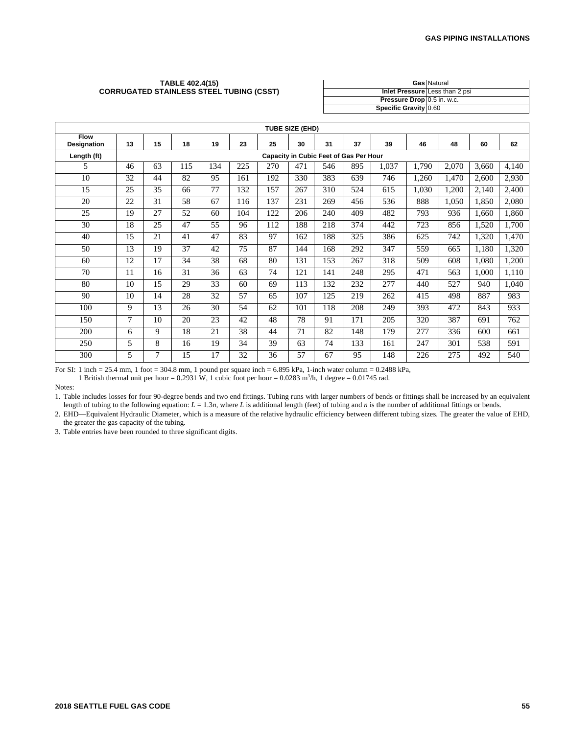#### **TABLE 402.4(15) CORRUGATED STAINLESS STEEL TUBING (CSST)**

|                            | <b>Gas Natural</b>             |
|----------------------------|--------------------------------|
|                            | Inlet Pressure Less than 2 psi |
| Pressure Drop 0.5 in. w.c. |                                |
| Specific Gravity 0.60      |                                |

|                                   |    |                |     |     |     |     | <b>TUBE SIZE (EHD)</b> |                                               |     |       |       |       |       |       |
|-----------------------------------|----|----------------|-----|-----|-----|-----|------------------------|-----------------------------------------------|-----|-------|-------|-------|-------|-------|
| <b>Flow</b><br><b>Designation</b> | 13 | 15             | 18  | 19  | 23  | 25  | 30                     | 31                                            | 37  | 39    | 46    | 48    | 60    | 62    |
| Length (ft)                       |    |                |     |     |     |     |                        | <b>Capacity in Cubic Feet of Gas Per Hour</b> |     |       |       |       |       |       |
| 5.                                | 46 | 63             | 115 | 134 | 225 | 270 | 471                    | 546                                           | 895 | 1,037 | 1,790 | 2,070 | 3,660 | 4,140 |
| 10                                | 32 | 44             | 82  | 95  | 161 | 192 | 330                    | 383                                           | 639 | 746   | 1,260 | 1,470 | 2,600 | 2,930 |
| 15                                | 25 | 35             | 66  | 77  | 132 | 157 | 267                    | 310                                           | 524 | 615   | 1,030 | 1,200 | 2,140 | 2,400 |
| 20                                | 22 | 31             | 58  | 67  | 116 | 137 | 231                    | 269                                           | 456 | 536   | 888   | 1,050 | 1,850 | 2,080 |
| 25                                | 19 | 27             | 52  | 60  | 104 | 122 | 206                    | 240                                           | 409 | 482   | 793   | 936   | 1.660 | 1,860 |
| 30                                | 18 | 25             | 47  | 55  | 96  | 112 | 188                    | 218                                           | 374 | 442   | 723   | 856   | 1,520 | 1,700 |
| 40                                | 15 | 21             | 41  | 47  | 83  | 97  | 162                    | 188                                           | 325 | 386   | 625   | 742   | 1,320 | 1,470 |
| 50                                | 13 | 19             | 37  | 42  | 75  | 87  | 144                    | 168                                           | 292 | 347   | 559   | 665   | 1,180 | 1,320 |
| 60                                | 12 | 17             | 34  | 38  | 68  | 80  | 131                    | 153                                           | 267 | 318   | 509   | 608   | 1,080 | 1,200 |
| 70                                | 11 | 16             | 31  | 36  | 63  | 74  | 121                    | 141                                           | 248 | 295   | 471   | 563   | 1.000 | 1,110 |
| 80                                | 10 | 15             | 29  | 33  | 60  | 69  | 113                    | 132                                           | 232 | 277   | 440   | 527   | 940   | 1,040 |
| 90                                | 10 | 14             | 28  | 32  | 57  | 65  | 107                    | 125                                           | 219 | 262   | 415   | 498   | 887   | 983   |
| 100                               | 9  | 13             | 26  | 30  | 54  | 62  | 101                    | 118                                           | 208 | 249   | 393   | 472   | 843   | 933   |
| 150                               | 7  | 10             | 20  | 23  | 42  | 48  | 78                     | 91                                            | 171 | 205   | 320   | 387   | 691   | 762   |
| 200                               | 6  | 9              | 18  | 21  | 38  | 44  | 71                     | 82                                            | 148 | 179   | 277   | 336   | 600   | 661   |
| 250                               | 5  | 8              | 16  | 19  | 34  | 39  | 63                     | 74                                            | 133 | 161   | 247   | 301   | 538   | 591   |
| 300                               | 5  | $\overline{7}$ | 15  | 17  | 32  | 36  | 57                     | 67                                            | 95  | 148   | 226   | 275   | 492   | 540   |

For SI: 1 inch = 25.4 mm, 1 foot = 304.8 mm, 1 pound per square inch = 6.895 kPa, 1-inch water column = 0.2488 kPa,

1 British thermal unit per hour =  $0.2931$  W, 1 cubic foot per hour =  $0.0283$  m<sup>3</sup>/h, 1 degree =  $0.01745$  rad.

Notes:

1. Table includes losses for four 90-degree bends and two end fittings. Tubing runs with larger numbers of bends or fittings shall be increased by an equivalent length of tubing to the following equation:  $L = 1.3n$ , where *L* is additional length (feet) of tubing and *n* is the number of additional fittings or bends.

2. EHD—Equivalent Hydraulic Diameter, which is a measure of the relative hydraulic efficiency between different tubing sizes. The greater the value of EHD, the greater the gas capacity of the tubing.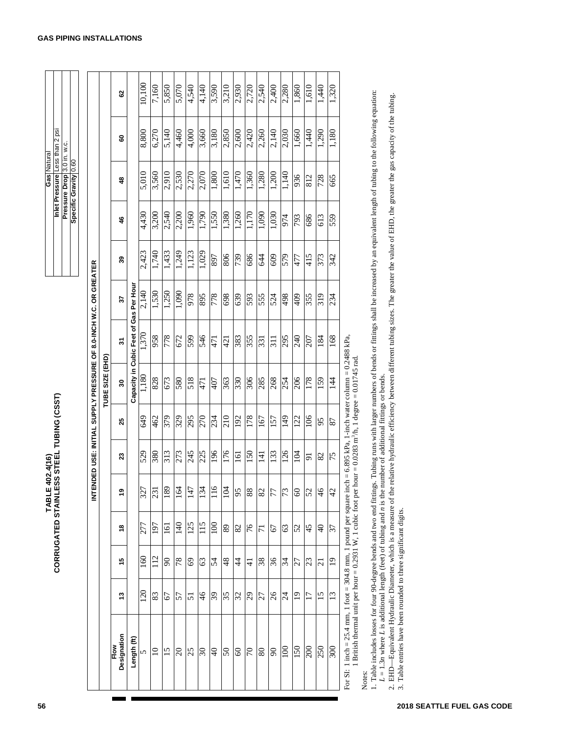|                     | Į<br>THE IN           |
|---------------------|-----------------------|
| 107 A/4 G)<br>LABLI | STEE.<br>ို<br>I<br>₹ |
|                     | 日<br>ì<br>ì           |

| latural<br>Gas | Inlet Pressure Less than 2 | Pressure Drop 3.0 in. w.c. |  |
|----------------|----------------------------|----------------------------|--|
|                | $\overline{50}$            |                            |  |

| 10,100<br>2,720<br>3,210<br>2,540<br>1,610<br>7,160<br>5,850<br>5,070<br>4,140<br>3,590<br>2,930<br>2,400<br>1,860<br>1,440<br>1,320<br>4,540<br>2,280<br>3<br>1. Table includes losses for four 90-degree bends and two end fittings. Tubing runs with larger numbers of bends or fittings shall be increased by an equivalent length of tubing to the following equation:<br>relative hydraulic efficiency between different tubing sizes. The greater the value of EHD, the greater the gas capacity of the tubing.<br>1,440<br>6,270<br>2,850<br>2,600<br>2,420<br>2,260<br>1,660<br>1,290<br>1,180<br>8,800<br>5,140<br>4,460<br>3,660<br>3,180<br>2,140<br>2,030<br>4,000<br>8<br>Inlet Pressure Less than 2<br>Pressure Drop $\vert$ 3.0 in. w.c.<br>Specific Gravity 0.60<br>1,610<br>1,360<br>5,010<br>2,910<br>2,530<br>2,070<br>1,800<br>1,470<br>1,280<br>3,560<br>2,270<br>1,200<br>1,140<br>936<br>872<br>812<br>665<br>48<br>4,430<br>2,540<br>1,550<br>1,380<br>1,170<br>3,200<br>2,200<br>1,960<br>06/1<br>1,260<br>060 <sup>1</sup><br>030<br>974<br>793<br>989<br>613<br>559<br>46<br>2,423<br>1,740<br>1,433<br>1,249<br>1,029<br>1,123<br>806<br>686<br>609<br>579<br>415<br>373<br>739<br>644<br>342<br>768<br>477<br>39<br>INTENDED USE: INITIAL SUPPLY PRESSURE OF 8.0-INCH W.C. OR GREATER<br>Gas Per Hou<br>2,140<br>1,530<br>1,250<br>1,090<br>978<br>778<br>869<br><b>S68</b><br>639<br>593<br>555<br>524<br>867<br>409<br>355<br>319<br>234<br>22<br>Capacity in Cubic Feet of<br>1,370<br>For SI: 1 inch = 25.4 mm, 1 foot = 304.8 mm, 1 pound per square inch = 6.895 kPa, 1-inch water column = 0.2488 kPa, 1 eightish thermal unit per hour = 0.2931 W, 1 cubic foot per hour = 0.0283 m <sup>3</sup> /h, 1 degree = 0.01745 ra<br>958<br>778<br>672<br>546<br>240<br>168<br>665<br>383<br>355<br>295<br>207<br>184<br>421<br>331<br>311<br>471<br>5<br>TUBE SIZE (EHD)<br>number of additional fittings or bends.<br>1,180<br>206<br>518<br>306<br>268<br>178<br>828<br>673<br>580<br>363<br>330<br>285<br>159<br>10+<br>254<br>14<br>471<br>30<br>402.4(16)<br>:SS STEEL TUBING (CSST)<br>270<br>178<br>901<br>649<br>329<br>295<br>210<br>462<br>379<br>234<br>192<br>611<br>122<br>157<br>167<br>95<br>$\boldsymbol{z}$<br>87<br>961<br>273<br>245<br>176<br>150<br>133<br>126<br>529<br>380<br>$\overline{313}$<br>225<br>104<br>$\overline{141}$<br>161<br>82<br>75<br>$\boldsymbol{\mathsf{2}}$<br>$\overline{5}$<br>TABLE<br>CORRUGATED STAINLE<br>327<br>231<br>681<br>$\bar{z}$<br>147<br>134<br>$\frac{5}{11}$<br>$\overline{a}$<br>77<br>73<br>$\infty$<br>$\frac{4}{6}$<br>2. EHD—Equivalent Hydraulic Diameter, which is a measure of the<br>95<br>88<br>52<br>28<br>42<br>$L = 1.3n$ where L is additional length (feet) of tubing and n is the<br>ల్ల<br>3. Table entries have been rounded to three significant digits.<br>115<br>$\frac{1}{4}$<br>125<br>001<br>277<br>197<br>76<br>$\overline{Q}$<br>$\Xi$<br>68<br>45<br>$\frac{8}{5}$<br>82<br>63<br>52<br>67<br>$\overline{7}$<br>57<br>160<br>$\frac{12}{1}$<br>36<br>06<br>84<br>48<br>89<br>55<br>23<br>$\overline{0}$<br>45<br>$69$<br>63<br>54<br>$\overline{4}$<br>27<br>21<br>$\pm$<br>120<br>$\delta$<br>$\frac{4}{6}$<br>35<br>29<br>$\overline{15}$<br>$\ddot{5}$<br>83<br>39<br>32<br>$\overline{24}$<br>$\overline{0}$<br>ഇ<br>57<br>$\overline{51}$<br>27<br>Ξ<br>67<br>Designation<br>Length (ft)<br>Flow<br>007<br>100<br>150<br>250<br><b>00£</b><br>$\overline{0}$<br>$\overline{15}$<br>$\Omega$<br>25<br>$0\epsilon$<br>$\Theta$<br>50<br>$\sqrt{2}$<br>$\rm 80$<br>06<br>$\infty$<br>5<br>Notes: |  |  |  |  |  |  | Gas Natural |     |  |
|-----------------------------------------------------------------------------------------------------------------------------------------------------------------------------------------------------------------------------------------------------------------------------------------------------------------------------------------------------------------------------------------------------------------------------------------------------------------------------------------------------------------------------------------------------------------------------------------------------------------------------------------------------------------------------------------------------------------------------------------------------------------------------------------------------------------------------------------------------------------------------------------------------------------------------------------------------------------------------------------------------------------------------------------------------------------------------------------------------------------------------------------------------------------------------------------------------------------------------------------------------------------------------------------------------------------------------------------------------------------------------------------------------------------------------------------------------------------------------------------------------------------------------------------------------------------------------------------------------------------------------------------------------------------------------------------------------------------------------------------------------------------------------------------------------------------------------------------------------------------------------------------------------------------------------------------------------------------------------------------------------------------------------------------------------------------------------------------------------------------------------------------------------------------------------------------------------------------------------------------------------------------------------------------------------------------------------------------------------------------------------------------------------------------------------------------------------------------------------------------------------------------------------------------------------------------------------------------------------------------------------------------------------------------------------------------------------------------------------------------------------------------------------------------------------------------------------------------------------------------------------------------------------------------------------------------------------------------------------------------------------------------------------------------------------------------------------------------------------------------------------------------------------------------------------------------------------------------------------------------------------------------------------------------------------------------------------------------------------------------------------------------------------------------------------------------------------------------------------------------------------------------------------------------------------------------------------------------------------------------------------|--|--|--|--|--|--|-------------|-----|--|
|                                                                                                                                                                                                                                                                                                                                                                                                                                                                                                                                                                                                                                                                                                                                                                                                                                                                                                                                                                                                                                                                                                                                                                                                                                                                                                                                                                                                                                                                                                                                                                                                                                                                                                                                                                                                                                                                                                                                                                                                                                                                                                                                                                                                                                                                                                                                                                                                                                                                                                                                                                                                                                                                                                                                                                                                                                                                                                                                                                                                                                                                                                                                                                                                                                                                                                                                                                                                                                                                                                                                                                                                                             |  |  |  |  |  |  |             | isd |  |
|                                                                                                                                                                                                                                                                                                                                                                                                                                                                                                                                                                                                                                                                                                                                                                                                                                                                                                                                                                                                                                                                                                                                                                                                                                                                                                                                                                                                                                                                                                                                                                                                                                                                                                                                                                                                                                                                                                                                                                                                                                                                                                                                                                                                                                                                                                                                                                                                                                                                                                                                                                                                                                                                                                                                                                                                                                                                                                                                                                                                                                                                                                                                                                                                                                                                                                                                                                                                                                                                                                                                                                                                                             |  |  |  |  |  |  |             |     |  |
|                                                                                                                                                                                                                                                                                                                                                                                                                                                                                                                                                                                                                                                                                                                                                                                                                                                                                                                                                                                                                                                                                                                                                                                                                                                                                                                                                                                                                                                                                                                                                                                                                                                                                                                                                                                                                                                                                                                                                                                                                                                                                                                                                                                                                                                                                                                                                                                                                                                                                                                                                                                                                                                                                                                                                                                                                                                                                                                                                                                                                                                                                                                                                                                                                                                                                                                                                                                                                                                                                                                                                                                                                             |  |  |  |  |  |  |             |     |  |
|                                                                                                                                                                                                                                                                                                                                                                                                                                                                                                                                                                                                                                                                                                                                                                                                                                                                                                                                                                                                                                                                                                                                                                                                                                                                                                                                                                                                                                                                                                                                                                                                                                                                                                                                                                                                                                                                                                                                                                                                                                                                                                                                                                                                                                                                                                                                                                                                                                                                                                                                                                                                                                                                                                                                                                                                                                                                                                                                                                                                                                                                                                                                                                                                                                                                                                                                                                                                                                                                                                                                                                                                                             |  |  |  |  |  |  |             |     |  |
|                                                                                                                                                                                                                                                                                                                                                                                                                                                                                                                                                                                                                                                                                                                                                                                                                                                                                                                                                                                                                                                                                                                                                                                                                                                                                                                                                                                                                                                                                                                                                                                                                                                                                                                                                                                                                                                                                                                                                                                                                                                                                                                                                                                                                                                                                                                                                                                                                                                                                                                                                                                                                                                                                                                                                                                                                                                                                                                                                                                                                                                                                                                                                                                                                                                                                                                                                                                                                                                                                                                                                                                                                             |  |  |  |  |  |  |             |     |  |
|                                                                                                                                                                                                                                                                                                                                                                                                                                                                                                                                                                                                                                                                                                                                                                                                                                                                                                                                                                                                                                                                                                                                                                                                                                                                                                                                                                                                                                                                                                                                                                                                                                                                                                                                                                                                                                                                                                                                                                                                                                                                                                                                                                                                                                                                                                                                                                                                                                                                                                                                                                                                                                                                                                                                                                                                                                                                                                                                                                                                                                                                                                                                                                                                                                                                                                                                                                                                                                                                                                                                                                                                                             |  |  |  |  |  |  |             |     |  |
|                                                                                                                                                                                                                                                                                                                                                                                                                                                                                                                                                                                                                                                                                                                                                                                                                                                                                                                                                                                                                                                                                                                                                                                                                                                                                                                                                                                                                                                                                                                                                                                                                                                                                                                                                                                                                                                                                                                                                                                                                                                                                                                                                                                                                                                                                                                                                                                                                                                                                                                                                                                                                                                                                                                                                                                                                                                                                                                                                                                                                                                                                                                                                                                                                                                                                                                                                                                                                                                                                                                                                                                                                             |  |  |  |  |  |  |             |     |  |
|                                                                                                                                                                                                                                                                                                                                                                                                                                                                                                                                                                                                                                                                                                                                                                                                                                                                                                                                                                                                                                                                                                                                                                                                                                                                                                                                                                                                                                                                                                                                                                                                                                                                                                                                                                                                                                                                                                                                                                                                                                                                                                                                                                                                                                                                                                                                                                                                                                                                                                                                                                                                                                                                                                                                                                                                                                                                                                                                                                                                                                                                                                                                                                                                                                                                                                                                                                                                                                                                                                                                                                                                                             |  |  |  |  |  |  |             |     |  |
|                                                                                                                                                                                                                                                                                                                                                                                                                                                                                                                                                                                                                                                                                                                                                                                                                                                                                                                                                                                                                                                                                                                                                                                                                                                                                                                                                                                                                                                                                                                                                                                                                                                                                                                                                                                                                                                                                                                                                                                                                                                                                                                                                                                                                                                                                                                                                                                                                                                                                                                                                                                                                                                                                                                                                                                                                                                                                                                                                                                                                                                                                                                                                                                                                                                                                                                                                                                                                                                                                                                                                                                                                             |  |  |  |  |  |  |             |     |  |
|                                                                                                                                                                                                                                                                                                                                                                                                                                                                                                                                                                                                                                                                                                                                                                                                                                                                                                                                                                                                                                                                                                                                                                                                                                                                                                                                                                                                                                                                                                                                                                                                                                                                                                                                                                                                                                                                                                                                                                                                                                                                                                                                                                                                                                                                                                                                                                                                                                                                                                                                                                                                                                                                                                                                                                                                                                                                                                                                                                                                                                                                                                                                                                                                                                                                                                                                                                                                                                                                                                                                                                                                                             |  |  |  |  |  |  |             |     |  |
|                                                                                                                                                                                                                                                                                                                                                                                                                                                                                                                                                                                                                                                                                                                                                                                                                                                                                                                                                                                                                                                                                                                                                                                                                                                                                                                                                                                                                                                                                                                                                                                                                                                                                                                                                                                                                                                                                                                                                                                                                                                                                                                                                                                                                                                                                                                                                                                                                                                                                                                                                                                                                                                                                                                                                                                                                                                                                                                                                                                                                                                                                                                                                                                                                                                                                                                                                                                                                                                                                                                                                                                                                             |  |  |  |  |  |  |             |     |  |
|                                                                                                                                                                                                                                                                                                                                                                                                                                                                                                                                                                                                                                                                                                                                                                                                                                                                                                                                                                                                                                                                                                                                                                                                                                                                                                                                                                                                                                                                                                                                                                                                                                                                                                                                                                                                                                                                                                                                                                                                                                                                                                                                                                                                                                                                                                                                                                                                                                                                                                                                                                                                                                                                                                                                                                                                                                                                                                                                                                                                                                                                                                                                                                                                                                                                                                                                                                                                                                                                                                                                                                                                                             |  |  |  |  |  |  |             |     |  |
|                                                                                                                                                                                                                                                                                                                                                                                                                                                                                                                                                                                                                                                                                                                                                                                                                                                                                                                                                                                                                                                                                                                                                                                                                                                                                                                                                                                                                                                                                                                                                                                                                                                                                                                                                                                                                                                                                                                                                                                                                                                                                                                                                                                                                                                                                                                                                                                                                                                                                                                                                                                                                                                                                                                                                                                                                                                                                                                                                                                                                                                                                                                                                                                                                                                                                                                                                                                                                                                                                                                                                                                                                             |  |  |  |  |  |  |             |     |  |
|                                                                                                                                                                                                                                                                                                                                                                                                                                                                                                                                                                                                                                                                                                                                                                                                                                                                                                                                                                                                                                                                                                                                                                                                                                                                                                                                                                                                                                                                                                                                                                                                                                                                                                                                                                                                                                                                                                                                                                                                                                                                                                                                                                                                                                                                                                                                                                                                                                                                                                                                                                                                                                                                                                                                                                                                                                                                                                                                                                                                                                                                                                                                                                                                                                                                                                                                                                                                                                                                                                                                                                                                                             |  |  |  |  |  |  |             |     |  |
|                                                                                                                                                                                                                                                                                                                                                                                                                                                                                                                                                                                                                                                                                                                                                                                                                                                                                                                                                                                                                                                                                                                                                                                                                                                                                                                                                                                                                                                                                                                                                                                                                                                                                                                                                                                                                                                                                                                                                                                                                                                                                                                                                                                                                                                                                                                                                                                                                                                                                                                                                                                                                                                                                                                                                                                                                                                                                                                                                                                                                                                                                                                                                                                                                                                                                                                                                                                                                                                                                                                                                                                                                             |  |  |  |  |  |  |             |     |  |
|                                                                                                                                                                                                                                                                                                                                                                                                                                                                                                                                                                                                                                                                                                                                                                                                                                                                                                                                                                                                                                                                                                                                                                                                                                                                                                                                                                                                                                                                                                                                                                                                                                                                                                                                                                                                                                                                                                                                                                                                                                                                                                                                                                                                                                                                                                                                                                                                                                                                                                                                                                                                                                                                                                                                                                                                                                                                                                                                                                                                                                                                                                                                                                                                                                                                                                                                                                                                                                                                                                                                                                                                                             |  |  |  |  |  |  |             |     |  |
|                                                                                                                                                                                                                                                                                                                                                                                                                                                                                                                                                                                                                                                                                                                                                                                                                                                                                                                                                                                                                                                                                                                                                                                                                                                                                                                                                                                                                                                                                                                                                                                                                                                                                                                                                                                                                                                                                                                                                                                                                                                                                                                                                                                                                                                                                                                                                                                                                                                                                                                                                                                                                                                                                                                                                                                                                                                                                                                                                                                                                                                                                                                                                                                                                                                                                                                                                                                                                                                                                                                                                                                                                             |  |  |  |  |  |  |             |     |  |
|                                                                                                                                                                                                                                                                                                                                                                                                                                                                                                                                                                                                                                                                                                                                                                                                                                                                                                                                                                                                                                                                                                                                                                                                                                                                                                                                                                                                                                                                                                                                                                                                                                                                                                                                                                                                                                                                                                                                                                                                                                                                                                                                                                                                                                                                                                                                                                                                                                                                                                                                                                                                                                                                                                                                                                                                                                                                                                                                                                                                                                                                                                                                                                                                                                                                                                                                                                                                                                                                                                                                                                                                                             |  |  |  |  |  |  |             |     |  |
|                                                                                                                                                                                                                                                                                                                                                                                                                                                                                                                                                                                                                                                                                                                                                                                                                                                                                                                                                                                                                                                                                                                                                                                                                                                                                                                                                                                                                                                                                                                                                                                                                                                                                                                                                                                                                                                                                                                                                                                                                                                                                                                                                                                                                                                                                                                                                                                                                                                                                                                                                                                                                                                                                                                                                                                                                                                                                                                                                                                                                                                                                                                                                                                                                                                                                                                                                                                                                                                                                                                                                                                                                             |  |  |  |  |  |  |             |     |  |
|                                                                                                                                                                                                                                                                                                                                                                                                                                                                                                                                                                                                                                                                                                                                                                                                                                                                                                                                                                                                                                                                                                                                                                                                                                                                                                                                                                                                                                                                                                                                                                                                                                                                                                                                                                                                                                                                                                                                                                                                                                                                                                                                                                                                                                                                                                                                                                                                                                                                                                                                                                                                                                                                                                                                                                                                                                                                                                                                                                                                                                                                                                                                                                                                                                                                                                                                                                                                                                                                                                                                                                                                                             |  |  |  |  |  |  |             |     |  |
|                                                                                                                                                                                                                                                                                                                                                                                                                                                                                                                                                                                                                                                                                                                                                                                                                                                                                                                                                                                                                                                                                                                                                                                                                                                                                                                                                                                                                                                                                                                                                                                                                                                                                                                                                                                                                                                                                                                                                                                                                                                                                                                                                                                                                                                                                                                                                                                                                                                                                                                                                                                                                                                                                                                                                                                                                                                                                                                                                                                                                                                                                                                                                                                                                                                                                                                                                                                                                                                                                                                                                                                                                             |  |  |  |  |  |  |             |     |  |
|                                                                                                                                                                                                                                                                                                                                                                                                                                                                                                                                                                                                                                                                                                                                                                                                                                                                                                                                                                                                                                                                                                                                                                                                                                                                                                                                                                                                                                                                                                                                                                                                                                                                                                                                                                                                                                                                                                                                                                                                                                                                                                                                                                                                                                                                                                                                                                                                                                                                                                                                                                                                                                                                                                                                                                                                                                                                                                                                                                                                                                                                                                                                                                                                                                                                                                                                                                                                                                                                                                                                                                                                                             |  |  |  |  |  |  |             |     |  |
|                                                                                                                                                                                                                                                                                                                                                                                                                                                                                                                                                                                                                                                                                                                                                                                                                                                                                                                                                                                                                                                                                                                                                                                                                                                                                                                                                                                                                                                                                                                                                                                                                                                                                                                                                                                                                                                                                                                                                                                                                                                                                                                                                                                                                                                                                                                                                                                                                                                                                                                                                                                                                                                                                                                                                                                                                                                                                                                                                                                                                                                                                                                                                                                                                                                                                                                                                                                                                                                                                                                                                                                                                             |  |  |  |  |  |  |             |     |  |
|                                                                                                                                                                                                                                                                                                                                                                                                                                                                                                                                                                                                                                                                                                                                                                                                                                                                                                                                                                                                                                                                                                                                                                                                                                                                                                                                                                                                                                                                                                                                                                                                                                                                                                                                                                                                                                                                                                                                                                                                                                                                                                                                                                                                                                                                                                                                                                                                                                                                                                                                                                                                                                                                                                                                                                                                                                                                                                                                                                                                                                                                                                                                                                                                                                                                                                                                                                                                                                                                                                                                                                                                                             |  |  |  |  |  |  |             |     |  |
|                                                                                                                                                                                                                                                                                                                                                                                                                                                                                                                                                                                                                                                                                                                                                                                                                                                                                                                                                                                                                                                                                                                                                                                                                                                                                                                                                                                                                                                                                                                                                                                                                                                                                                                                                                                                                                                                                                                                                                                                                                                                                                                                                                                                                                                                                                                                                                                                                                                                                                                                                                                                                                                                                                                                                                                                                                                                                                                                                                                                                                                                                                                                                                                                                                                                                                                                                                                                                                                                                                                                                                                                                             |  |  |  |  |  |  |             |     |  |
|                                                                                                                                                                                                                                                                                                                                                                                                                                                                                                                                                                                                                                                                                                                                                                                                                                                                                                                                                                                                                                                                                                                                                                                                                                                                                                                                                                                                                                                                                                                                                                                                                                                                                                                                                                                                                                                                                                                                                                                                                                                                                                                                                                                                                                                                                                                                                                                                                                                                                                                                                                                                                                                                                                                                                                                                                                                                                                                                                                                                                                                                                                                                                                                                                                                                                                                                                                                                                                                                                                                                                                                                                             |  |  |  |  |  |  |             |     |  |
|                                                                                                                                                                                                                                                                                                                                                                                                                                                                                                                                                                                                                                                                                                                                                                                                                                                                                                                                                                                                                                                                                                                                                                                                                                                                                                                                                                                                                                                                                                                                                                                                                                                                                                                                                                                                                                                                                                                                                                                                                                                                                                                                                                                                                                                                                                                                                                                                                                                                                                                                                                                                                                                                                                                                                                                                                                                                                                                                                                                                                                                                                                                                                                                                                                                                                                                                                                                                                                                                                                                                                                                                                             |  |  |  |  |  |  |             |     |  |
|                                                                                                                                                                                                                                                                                                                                                                                                                                                                                                                                                                                                                                                                                                                                                                                                                                                                                                                                                                                                                                                                                                                                                                                                                                                                                                                                                                                                                                                                                                                                                                                                                                                                                                                                                                                                                                                                                                                                                                                                                                                                                                                                                                                                                                                                                                                                                                                                                                                                                                                                                                                                                                                                                                                                                                                                                                                                                                                                                                                                                                                                                                                                                                                                                                                                                                                                                                                                                                                                                                                                                                                                                             |  |  |  |  |  |  |             |     |  |
|                                                                                                                                                                                                                                                                                                                                                                                                                                                                                                                                                                                                                                                                                                                                                                                                                                                                                                                                                                                                                                                                                                                                                                                                                                                                                                                                                                                                                                                                                                                                                                                                                                                                                                                                                                                                                                                                                                                                                                                                                                                                                                                                                                                                                                                                                                                                                                                                                                                                                                                                                                                                                                                                                                                                                                                                                                                                                                                                                                                                                                                                                                                                                                                                                                                                                                                                                                                                                                                                                                                                                                                                                             |  |  |  |  |  |  |             |     |  |
|                                                                                                                                                                                                                                                                                                                                                                                                                                                                                                                                                                                                                                                                                                                                                                                                                                                                                                                                                                                                                                                                                                                                                                                                                                                                                                                                                                                                                                                                                                                                                                                                                                                                                                                                                                                                                                                                                                                                                                                                                                                                                                                                                                                                                                                                                                                                                                                                                                                                                                                                                                                                                                                                                                                                                                                                                                                                                                                                                                                                                                                                                                                                                                                                                                                                                                                                                                                                                                                                                                                                                                                                                             |  |  |  |  |  |  |             |     |  |
|                                                                                                                                                                                                                                                                                                                                                                                                                                                                                                                                                                                                                                                                                                                                                                                                                                                                                                                                                                                                                                                                                                                                                                                                                                                                                                                                                                                                                                                                                                                                                                                                                                                                                                                                                                                                                                                                                                                                                                                                                                                                                                                                                                                                                                                                                                                                                                                                                                                                                                                                                                                                                                                                                                                                                                                                                                                                                                                                                                                                                                                                                                                                                                                                                                                                                                                                                                                                                                                                                                                                                                                                                             |  |  |  |  |  |  |             |     |  |
|                                                                                                                                                                                                                                                                                                                                                                                                                                                                                                                                                                                                                                                                                                                                                                                                                                                                                                                                                                                                                                                                                                                                                                                                                                                                                                                                                                                                                                                                                                                                                                                                                                                                                                                                                                                                                                                                                                                                                                                                                                                                                                                                                                                                                                                                                                                                                                                                                                                                                                                                                                                                                                                                                                                                                                                                                                                                                                                                                                                                                                                                                                                                                                                                                                                                                                                                                                                                                                                                                                                                                                                                                             |  |  |  |  |  |  |             |     |  |
|                                                                                                                                                                                                                                                                                                                                                                                                                                                                                                                                                                                                                                                                                                                                                                                                                                                                                                                                                                                                                                                                                                                                                                                                                                                                                                                                                                                                                                                                                                                                                                                                                                                                                                                                                                                                                                                                                                                                                                                                                                                                                                                                                                                                                                                                                                                                                                                                                                                                                                                                                                                                                                                                                                                                                                                                                                                                                                                                                                                                                                                                                                                                                                                                                                                                                                                                                                                                                                                                                                                                                                                                                             |  |  |  |  |  |  |             |     |  |
|                                                                                                                                                                                                                                                                                                                                                                                                                                                                                                                                                                                                                                                                                                                                                                                                                                                                                                                                                                                                                                                                                                                                                                                                                                                                                                                                                                                                                                                                                                                                                                                                                                                                                                                                                                                                                                                                                                                                                                                                                                                                                                                                                                                                                                                                                                                                                                                                                                                                                                                                                                                                                                                                                                                                                                                                                                                                                                                                                                                                                                                                                                                                                                                                                                                                                                                                                                                                                                                                                                                                                                                                                             |  |  |  |  |  |  |             |     |  |
|                                                                                                                                                                                                                                                                                                                                                                                                                                                                                                                                                                                                                                                                                                                                                                                                                                                                                                                                                                                                                                                                                                                                                                                                                                                                                                                                                                                                                                                                                                                                                                                                                                                                                                                                                                                                                                                                                                                                                                                                                                                                                                                                                                                                                                                                                                                                                                                                                                                                                                                                                                                                                                                                                                                                                                                                                                                                                                                                                                                                                                                                                                                                                                                                                                                                                                                                                                                                                                                                                                                                                                                                                             |  |  |  |  |  |  |             |     |  |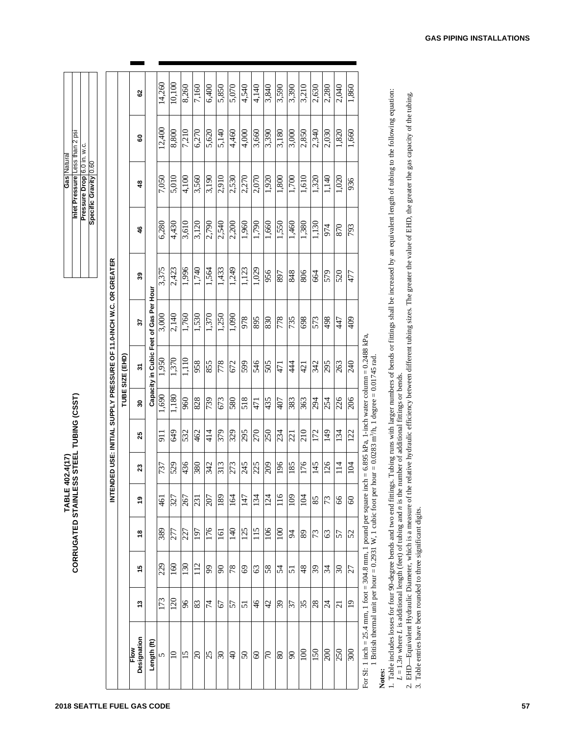| Gas   Natura | Inlet Pressure Less than 2 psi |                            |                  |
|--------------|--------------------------------|----------------------------|------------------|
|              |                                | Pressure Drop 6.0 in. w.c. | Specific Gravity |

| 7,050<br>5,010<br>4,100<br>3,560<br>3,190<br>\$<br>6,280<br>4,430<br>$3,6\overline{10}$<br>3,120<br>2,790<br>46<br>OR GREATER<br>3,375<br>2,423<br>1,996<br>1,740<br>1,564<br>39<br>Capacity in Cubic Feet of Gas Per Hour<br>NDED USE: INITIAL SUPPLY PRESSURE OF 11.0-INCH W.C.<br>3,000<br>1,530<br>1,370<br>2,140<br>1,760<br>55<br>TUBE SIZE (EHD)<br>1,950<br>1,370<br>1,110<br>856<br>855<br>2<br>1,690<br>08 L, 1<br>960<br>828<br>739<br>ສ<br>414<br>649<br>$\Xi$<br>532<br>462<br>25<br>436<br>380<br>342<br>737<br>529<br>ສ<br>n<br>N<br>207<br>$\overline{6}$<br>327<br>231<br>267<br>ల్లి<br>176<br>389<br>277<br>61<br>227<br>₽<br>229<br>160<br>091<br>112<br>$\mathfrak{g}$<br>ې<br>173<br>120<br>$\delta$<br>74<br>83<br>ఛ<br>Designation<br>Length (ft)<br>Flow<br>25<br>$\Omega$<br>15<br>0 <sup>2</sup><br>5 |        |        |
|----------------------------------------------------------------------------------------------------------------------------------------------------------------------------------------------------------------------------------------------------------------------------------------------------------------------------------------------------------------------------------------------------------------------------------------------------------------------------------------------------------------------------------------------------------------------------------------------------------------------------------------------------------------------------------------------------------------------------------------------------------------------------------------------------------------------------------|--------|--------|
|                                                                                                                                                                                                                                                                                                                                                                                                                                                                                                                                                                                                                                                                                                                                                                                                                                  |        |        |
|                                                                                                                                                                                                                                                                                                                                                                                                                                                                                                                                                                                                                                                                                                                                                                                                                                  |        |        |
|                                                                                                                                                                                                                                                                                                                                                                                                                                                                                                                                                                                                                                                                                                                                                                                                                                  |        |        |
|                                                                                                                                                                                                                                                                                                                                                                                                                                                                                                                                                                                                                                                                                                                                                                                                                                  | 80     |        |
|                                                                                                                                                                                                                                                                                                                                                                                                                                                                                                                                                                                                                                                                                                                                                                                                                                  |        |        |
|                                                                                                                                                                                                                                                                                                                                                                                                                                                                                                                                                                                                                                                                                                                                                                                                                                  | 12,400 | 14,260 |
|                                                                                                                                                                                                                                                                                                                                                                                                                                                                                                                                                                                                                                                                                                                                                                                                                                  | 8,800  | 10,100 |
|                                                                                                                                                                                                                                                                                                                                                                                                                                                                                                                                                                                                                                                                                                                                                                                                                                  | 7,210  | 8,260  |
|                                                                                                                                                                                                                                                                                                                                                                                                                                                                                                                                                                                                                                                                                                                                                                                                                                  | 6,270  | 7,160  |
|                                                                                                                                                                                                                                                                                                                                                                                                                                                                                                                                                                                                                                                                                                                                                                                                                                  | 5,620  | 6,400  |
| 2,910<br>2,540<br>1,433<br>1,250<br>778<br>673<br>379<br>313<br>189<br>$\overline{161}$<br>06<br>67<br>$\infty$                                                                                                                                                                                                                                                                                                                                                                                                                                                                                                                                                                                                                                                                                                                  | 2,140  | 5,850  |
| 2,530<br>2,200<br>1,249<br>1,090<br>672<br>580<br>329<br>273<br>164<br>140<br>78<br>57<br>$\overline{Q}$                                                                                                                                                                                                                                                                                                                                                                                                                                                                                                                                                                                                                                                                                                                         | 4.460  | 5,070  |
| 2,270<br>1,960<br>1,123<br>846<br>665<br>815<br>295<br>245<br>147<br>125<br>$\mathcal{S}$<br>51<br>05                                                                                                                                                                                                                                                                                                                                                                                                                                                                                                                                                                                                                                                                                                                            | 4,000  | 4,540  |
| 2,070<br>1,790<br>1,029<br>895<br>546<br>471<br>270<br>225<br>134<br>115<br>63<br>$\frac{4}{6}$<br>60                                                                                                                                                                                                                                                                                                                                                                                                                                                                                                                                                                                                                                                                                                                            | 3,660  | 4,140  |
| 1,920<br>1,660<br>956<br>830<br>505<br>435<br>250<br>209<br>124<br>901<br>89<br>75<br>$\sqrt{2}$                                                                                                                                                                                                                                                                                                                                                                                                                                                                                                                                                                                                                                                                                                                                 | 3,390  | 3,840  |
| 1,800<br>1,550<br>897<br>778<br>471<br>407<br>234<br>196<br>116<br>$\overline{100}$<br>54<br>39<br>80                                                                                                                                                                                                                                                                                                                                                                                                                                                                                                                                                                                                                                                                                                                            | 3,180  | 3,590  |
| 1,700<br>1,460<br>848<br>735<br>44<br>383<br>221<br>185<br>109<br>54<br>51<br>57<br>$\infty$                                                                                                                                                                                                                                                                                                                                                                                                                                                                                                                                                                                                                                                                                                                                     | 3,000  | 3,390  |
| 1,610<br>1,380<br>806<br>698<br>421<br>363<br>210<br>176<br>104<br>89<br>48<br>35<br>001                                                                                                                                                                                                                                                                                                                                                                                                                                                                                                                                                                                                                                                                                                                                         | 2,850  | 3,210  |
| 1320<br>1,130<br>664<br>573<br>342<br>294<br>172<br>145<br>85<br>73<br>65<br>87<br>051                                                                                                                                                                                                                                                                                                                                                                                                                                                                                                                                                                                                                                                                                                                                           | 2,340  | 2,630  |
| 1,140<br>974<br>579<br>867<br>295<br>254<br>149<br>126<br>73<br>63<br>34<br>$\overline{24}$<br>200                                                                                                                                                                                                                                                                                                                                                                                                                                                                                                                                                                                                                                                                                                                               | 2,030  | 2,280  |
| 1,020<br>870<br>520<br>447<br>263<br>226<br>134<br>$\frac{14}{1}$<br>66<br>57<br>30<br>$\overline{21}$<br>250                                                                                                                                                                                                                                                                                                                                                                                                                                                                                                                                                                                                                                                                                                                    | 1,820  | 2,040  |
| 936<br>793<br>477<br>409<br>240<br>206<br>122<br>104<br>60<br>52<br>$\overline{27}$<br>$\overline{0}$<br>300                                                                                                                                                                                                                                                                                                                                                                                                                                                                                                                                                                                                                                                                                                                     | 1,660  | 1,860  |
| For SI: 1 inch = 25.4 mm, 1 foot = 304.8 mm, 1 pound per square inch = 6.895 kPa, 1-inch water column = 0.2488 kPa,<br>1 British thermal unit per hour = 0.2931 W, 1 cubic foot per hour = 0.0283 m <sup>3</sup> /h, 1 degree = 0.01745 rad.                                                                                                                                                                                                                                                                                                                                                                                                                                                                                                                                                                                     |        |        |
| 1. Table includes losses for four 90-degree bends and two end fittings. Tubing runs with larger numbers of bends or fittings shall be increased by an equivalent length of tubing to the following equation:<br>number of additional fittings or bends.<br>Notes:                                                                                                                                                                                                                                                                                                                                                                                                                                                                                                                                                                |        |        |
| relative hydraulic efficiency between different tubing sizes. The greater the value of EHD, the greater the gas capacity of the tubing.<br>2. EHD—Equivalent Hydraulic Diameter, which is a measure of the 3. Table entries have been recurred to the $\frac{1}{2}$ .<br>$L = 1.3n$ where L is additional length (feet) of tubing and <i>n</i> is the                                                                                                                                                                                                                                                                                                                                                                                                                                                                            |        |        |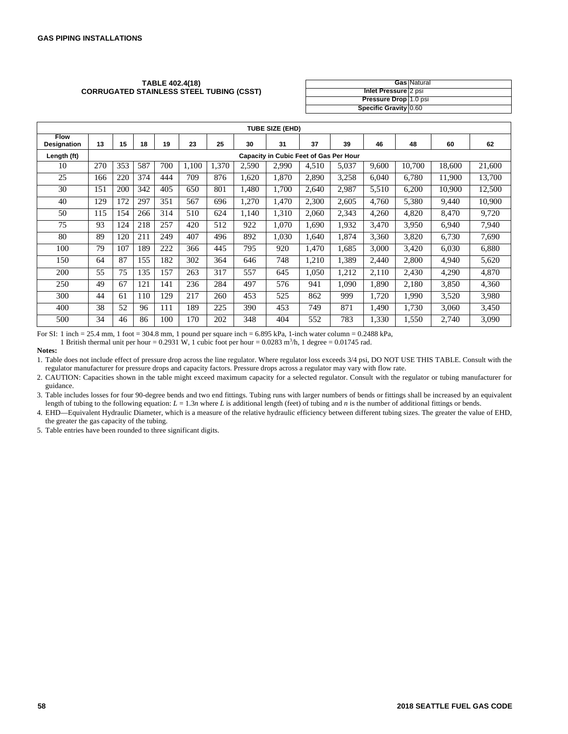#### **TABLE 402.4(18) CORRUGATED STAINLESS STEEL TUBING (CSST)**

|                       | <b>Gas Natural</b> |
|-----------------------|--------------------|
| Inlet Pressure 2 psi  |                    |
| Pressure Drop 1.0 psi |                    |
| Specific Gravity 0.60 |                    |

| <b>TUBE SIZE (EHD)</b>            |     |                                        |     |     |       |       |       |       |       |       |       |        |        |        |
|-----------------------------------|-----|----------------------------------------|-----|-----|-------|-------|-------|-------|-------|-------|-------|--------|--------|--------|
| <b>Flow</b><br><b>Designation</b> | 13  | 15                                     | 18  | 19  | 23    | 25    | 30    | 31    | 37    | 39    | 46    | 48     | 60     | 62     |
| Length (ft)                       |     | Capacity in Cubic Feet of Gas Per Hour |     |     |       |       |       |       |       |       |       |        |        |        |
| 10                                | 270 | 353                                    | 587 | 700 | 1.100 | 1.370 | 2,590 | 2,990 | 4,510 | 5,037 | 9.600 | 10.700 | 18.600 | 21,600 |
| 25                                | 166 | 220                                    | 374 | 444 | 709   | 876   | 1.620 | 1,870 | 2.890 | 3,258 | 6.040 | 6.780  | 11,900 | 13,700 |
| 30                                | 151 | 200                                    | 342 | 405 | 650   | 801   | 1.480 | 1,700 | 2,640 | 2,987 | 5,510 | 6,200  | 10.900 | 12,500 |
| 40                                | 129 | 172                                    | 297 | 351 | 567   | 696   | 1,270 | 1,470 | 2,300 | 2,605 | 4,760 | 5,380  | 9,440  | 10,900 |
| 50                                | 115 | 154                                    | 266 | 314 | 510   | 624   | 1.140 | 1,310 | 2.060 | 2,343 | 4,260 | 4,820  | 8,470  | 9,720  |
| 75                                | 93  | 124                                    | 218 | 257 | 420   | 512   | 922   | 1,070 | 1,690 | 1,932 | 3,470 | 3,950  | 6,940  | 7,940  |
| 80                                | 89  | 120                                    | 211 | 249 | 407   | 496   | 892   | 1,030 | 1.640 | 1,874 | 3,360 | 3,820  | 6,730  | 7,690  |
| 100                               | 79  | 107                                    | 189 | 222 | 366   | 445   | 795   | 920   | 1,470 | 1,685 | 3,000 | 3,420  | 6,030  | 6,880  |
| 150                               | 64  | 87                                     | 155 | 182 | 302   | 364   | 646   | 748   | 1,210 | 1,389 | 2.440 | 2.800  | 4,940  | 5,620  |
| 200                               | 55  | 75                                     | 135 | 157 | 263   | 317   | 557   | 645   | 1.050 | .212  | 2.110 | 2,430  | 4,290  | 4,870  |
| 250                               | 49  | 67                                     | 121 | 141 | 236   | 284   | 497   | 576   | 941   | 1,090 | 1.890 | 2,180  | 3,850  | 4,360  |
| 300                               | 44  | 61                                     | 110 | 129 | 217   | 260   | 453   | 525   | 862   | 999   | 1.720 | 1,990  | 3,520  | 3,980  |
| 400                               | 38  | 52                                     | 96  | 111 | 189   | 225   | 390   | 453   | 749   | 871   | 1.490 | 1.730  | 3,060  | 3,450  |
| 500                               | 34  | 46                                     | 86  | 100 | 170   | 202   | 348   | 404   | 552   | 783   | 1,330 | 1,550  | 2,740  | 3,090  |

For SI: 1 inch = 25.4 mm, 1 foot = 304.8 mm, 1 pound per square inch = 6.895 kPa, 1-inch water column = 0.2488 kPa,

1 British thermal unit per hour = 0.2931 W, 1 cubic foot per hour = 0.0283 m<sup>3</sup>/h, 1 degree = 0.01745 rad.

**Notes:**

1. Table does not include effect of pressure drop across the line regulator. Where regulator loss exceeds 3/4 psi, DO NOT USE THIS TABLE. Consult with the regulator manufacturer for pressure drops and capacity factors. Pressure drops across a regulator may vary with flow rate.

2. CAUTION: Capacities shown in the table might exceed maximum capacity for a selected regulator. Consult with the regulator or tubing manufacturer for guidance.

3. Table includes losses for four 90-degree bends and two end fittings. Tubing runs with larger numbers of bends or fittings shall be increased by an equivalent length of tubing to the following equation:  $L = 1.3n$  where *L* is additional length (feet) of tubing and *n* is the number of additional fittings or bends.

4. EHD—Equivalent Hydraulic Diameter, which is a measure of the relative hydraulic efficiency between different tubing sizes. The greater the value of EHD, the greater the gas capacity of the tubing.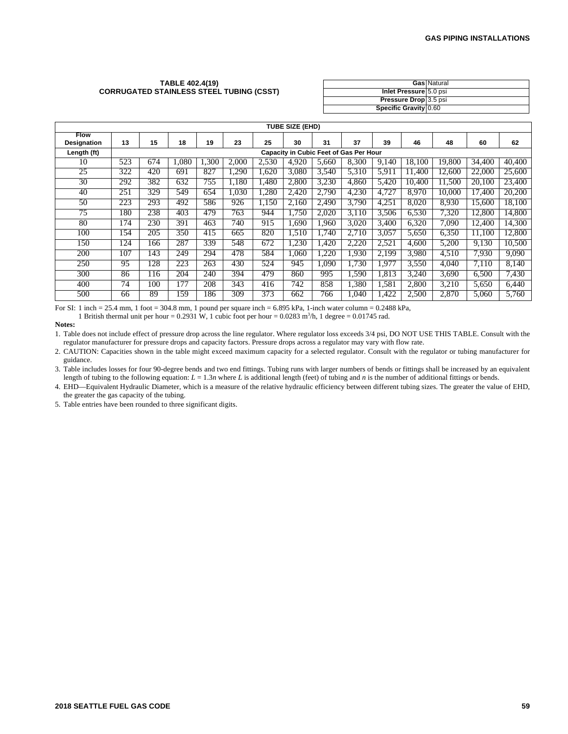#### **TABLE 402.4(19) CORRUGATED STAINLESS STEEL TUBING (CSST)**

|                        | <b>Gas Natural</b> |
|------------------------|--------------------|
| Inlet Pressure 5.0 psi |                    |
| Pressure Drop 3.5 psi  |                    |
| Specific Gravity 0.60  |                    |

| TUBE SIZE (EHD)                   |     |                                        |       |      |       |       |       |       |       |       |        |        |        |        |
|-----------------------------------|-----|----------------------------------------|-------|------|-------|-------|-------|-------|-------|-------|--------|--------|--------|--------|
| <b>Flow</b><br><b>Designation</b> | 13  | 15                                     | 18    | 19   | 23    | 25    | 30    | 31    | 37    | 39    | 46     | 48     | 60     | 62     |
| Length (ft)                       |     | Capacity in Cubic Feet of Gas Per Hour |       |      |       |       |       |       |       |       |        |        |        |        |
| 10                                | 523 | 674                                    | 1,080 | .300 | 2.000 | 2.530 | 4.920 | 5.660 | 8.300 | 9,140 | 18.100 | 19.800 | 34.400 | 40.400 |
| 25                                | 322 | 420                                    | 691   | 827  | ,290  | 1.620 | 3.080 | 3,540 | 5.310 | 5,911 | 11.400 | 12.600 | 22.000 | 25,600 |
| 30                                | 292 | 382                                    | 632   | 755  | 1,180 | 1.480 | 2,800 | 3,230 | 4.860 | 5.420 | 10.400 | 1.500  | 20.100 | 23,400 |
| 40                                | 251 | 329                                    | 549   | 654  | 1.030 | 1.280 | 2.420 | 2.790 | 4.230 | 4.727 | 8.970  | 10.000 | 17.400 | 20,200 |
| 50                                | 223 | 293                                    | 492   | 586  | 926   | 1.150 | 2.160 | 2,490 | 3.790 | 4,251 | 8,020  | 8.930  | 15.600 | 18.100 |
| $7\overline{5}$                   | 180 | 238                                    | 403   | 479  | 763   | 944   | 1,750 | 2.020 | 3.110 | 3,506 | 6,530  | 7,320  | 12,800 | 14,800 |
| 80                                | 174 | 230                                    | 391   | 463  | 740   | 915   | 1.690 | .960  | 3,020 | 3.400 | 6,320  | 7.090  | 12.400 | 14,300 |
| 100                               | 154 | 205                                    | 350   | 415  | 665   | 820   | 1.510 | .740  | 2.710 | 3.057 | 5,650  | 6,350  | 11.100 | 12,800 |
| 150                               | 124 | 166                                    | 287   | 339  | 548   | 672   | 1.230 | .420  | 2.220 | 2,521 | 4.600  | 5.200  | 9.130  | 10,500 |
| 200                               | 107 | 143                                    | 249   | 294  | 478   | 584   | 1.060 | ,220  | 1.930 | 2.199 | 3,980  | 4,510  | 7.930  | 9.090  |
| 250                               | 95  | 128                                    | 223   | 263  | 430   | 524   | 945   | .090  | 1.730 | 1.977 | 3,550  | 4.040  | 7.110  | 8.140  |
| 300                               | 86  | 116                                    | 204   | 240  | 394   | 479   | 860   | 995   | 1.590 | 1.813 | 3,240  | 3.690  | 6,500  | 7.430  |
| 400                               | 74  | 100                                    | 177   | 208  | 343   | 416   | 742   | 858   | 1,380 | 1,581 | 2,800  | 3,210  | 5,650  | 6.440  |
| 500                               | 66  | 89                                     | 159   | 186  | 309   | 373   | 662   | 766   | 1.040 | 1.422 | 2,500  | 2.870  | 5.060  | 5.760  |

For SI: 1 inch = 25.4 mm, 1 foot = 304.8 mm, 1 pound per square inch =  $6.895$  kPa, 1-inch water column =  $0.2488$  kPa,

1 British thermal unit per hour =  $0.2931$  W, 1 cubic foot per hour =  $0.0283$  m<sup>3</sup>/h, 1 degree =  $0.01745$  rad.

**Notes:**

1. Table does not include effect of pressure drop across the line regulator. Where regulator loss exceeds 3/4 psi, DO NOT USE THIS TABLE. Consult with the regulator manufacturer for pressure drops and capacity factors. Pressure drops across a regulator may vary with flow rate.

2. CAUTION: Capacities shown in the table might exceed maximum capacity for a selected regulator. Consult with the regulator or tubing manufacturer for guidance.

3. Table includes losses for four 90-degree bends and two end fittings. Tubing runs with larger numbers of bends or fittings shall be increased by an equivalent length of tubing to the following equation:  $L = 1.3n$  where L is additional length (feet) of tubing and *n* is the number of additional fittings or bends.

4. EHD—Equivalent Hydraulic Diameter, which is a measure of the relative hydraulic efficiency between different tubing sizes. The greater the value of EHD, the greater the gas capacity of the tubing.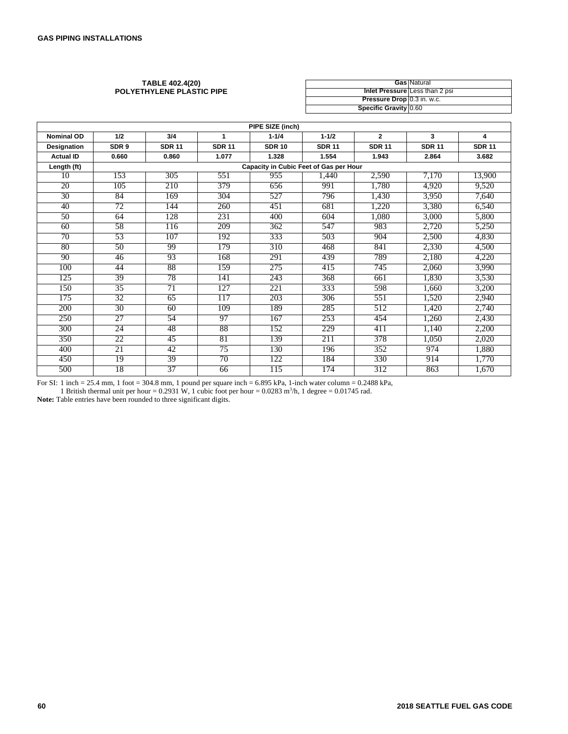#### **TABLE 402.4(20) POLYETHYLENE PLASTIC PIPE**

|                            | <b>Gas Natural</b>             |
|----------------------------|--------------------------------|
|                            | Inlet Pressure Less than 2 psi |
| Pressure Drop 0.3 in. w.c. |                                |
| Specific Gravity 0.60      |                                |

| PIPE SIZE (inch)   |                  |               |               |               |                                        |                |               |               |  |  |
|--------------------|------------------|---------------|---------------|---------------|----------------------------------------|----------------|---------------|---------------|--|--|
| <b>Nominal OD</b>  | 1/2              | 3/4           | 1             | $1 - 1/4$     | $1 - 1/2$                              | $\overline{2}$ | 3             | 4             |  |  |
| <b>Designation</b> | SDR <sub>9</sub> | <b>SDR 11</b> | <b>SDR 11</b> | <b>SDR 10</b> | <b>SDR 11</b>                          | <b>SDR 11</b>  | <b>SDR 11</b> | <b>SDR 11</b> |  |  |
| <b>Actual ID</b>   | 0.660            | 0.860         | 1.077         | 1.328         | 1.554                                  | 1.943          | 2.864         | 3.682         |  |  |
| Length (ft)        |                  |               |               |               | Capacity in Cubic Feet of Gas per Hour |                |               |               |  |  |
| 10                 | 153              | 305           | 551           | 955           | 1,440                                  | 2,590          | 7,170         | 13,900        |  |  |
| 20                 | 105              | 210           | 379           | 656           | 991                                    | 1,780          | 4,920         | 9,520         |  |  |
| 30                 | 84               | 169           | 304           | 527           | 796                                    | 1,430          | 3,950         | 7,640         |  |  |
| 40                 | 72               | 144           | 260           | 451           | 681                                    | 1,220          | 3,380         | 6,540         |  |  |
| $\overline{50}$    | 64               | 128           | 231           | 400           | 604                                    | 1,080          | 3,000         | 5,800         |  |  |
| 60                 | 58               | 116           | 209           | 362           | 547                                    | 983            | 2,720         | 5,250         |  |  |
| 70                 | 53               | 107           | 192           | 333           | 503                                    | 904            | 2,500         | 4,830         |  |  |
| 80                 | $\overline{50}$  | 99            | 179           | 310           | 468                                    | 841            | 2,330         | 4,500         |  |  |
| 90                 | 46               | 93            | 168           | 291           | 439                                    | 789            | 2,180         | 4,220         |  |  |
| 100                | 44               | 88            | 159           | 275           | 415                                    | 745            | 2,060         | 3,990         |  |  |
| 125                | 39               | 78            | 141           | 243           | 368                                    | 661            | 1,830         | 3,530         |  |  |
| 150                | 35               | 71            | 127           | 221           | 333                                    | 598            | 1,660         | 3,200         |  |  |
| 175                | 32               | 65            | 117           | 203           | 306                                    | 551            | 1,520         | 2,940         |  |  |
| 200                | 30               | 60            | 109           | 189           | 285                                    | 512            | 1,420         | 2,740         |  |  |
| 250                | 27               | 54            | 97            | 167           | 253                                    | 454            | 1,260         | 2,430         |  |  |
| 300                | 24               | 48            | 88            | 152           | 229                                    | 411            | 1,140         | 2,200         |  |  |
| 350                | 22               | 45            | 81            | 139           | 211                                    | 378            | 1,050         | 2,020         |  |  |
| 400                | 21               | 42            | 75            | 130           | 196                                    | 352            | 974           | 1,880         |  |  |
| 450                | 19               | 39            | 70            | 122           | 184                                    | 330            | 914           | 1,770         |  |  |
| 500                | 18               | 37            | 66            | 115           | 174                                    | 312            | 863           | 1,670         |  |  |

For SI: 1 inch = 25.4 mm, 1 foot = 304.8 mm, 1 pound per square inch = 6.895 kPa, 1-inch water column = 0.2488 kPa,

1 British thermal unit per hour = 0.2931 W, 1 cubic foot per hour =  $0.0283$  m<sup>3</sup>/h, 1 degree = 0.01745 rad.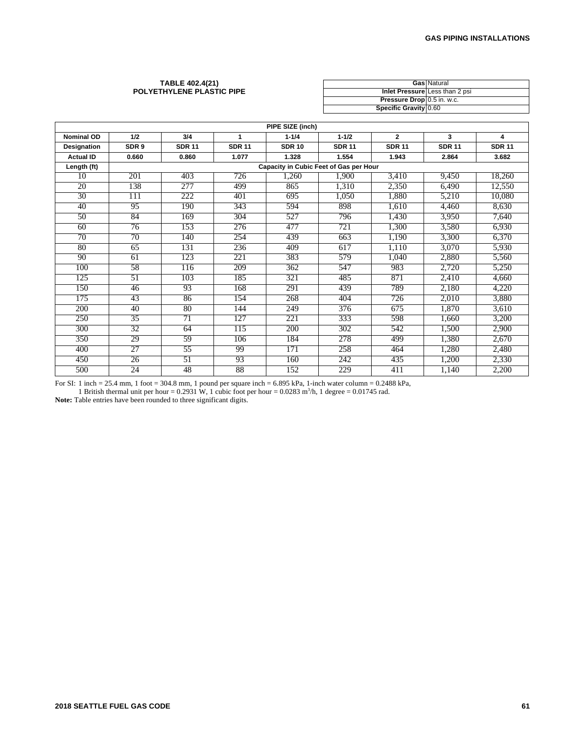#### **TABLE 402.4(21) POLYETHYLENE PLASTIC PIPE**

|                            | <b>Gas Natural</b>             |
|----------------------------|--------------------------------|
|                            | Inlet Pressure Less than 2 psi |
| Pressure Drop 0.5 in. w.c. |                                |
| Specific Gravity 0.60      |                                |

| PIPE SIZE (inch)   |                 |               |               |                                               |               |                |               |               |  |  |
|--------------------|-----------------|---------------|---------------|-----------------------------------------------|---------------|----------------|---------------|---------------|--|--|
| <b>Nominal OD</b>  | 1/2             | 3/4           | 1             | $1 - 1/4$                                     | $1 - 1/2$     | $\overline{2}$ | 3             | 4             |  |  |
| <b>Designation</b> | SDR 9           | <b>SDR 11</b> | <b>SDR 11</b> | <b>SDR 10</b>                                 | <b>SDR 11</b> | <b>SDR 11</b>  | <b>SDR 11</b> | <b>SDR 11</b> |  |  |
| <b>Actual ID</b>   | 0.660           | 0.860         | 1.077         | 1.328                                         | 1.554         | 1.943          | 2.864         | 3.682         |  |  |
| Length (ft)        |                 |               |               | <b>Capacity in Cubic Feet of Gas per Hour</b> |               |                |               |               |  |  |
| 10                 | 201             | 403           | 726           | 1,260                                         | 1,900         | 3,410          | 9,450         | 18,260        |  |  |
| 20                 | 138             | 277           | 499           | 865                                           | 1,310         | 2,350          | 6,490         | 12,550        |  |  |
| $\overline{30}$    | 111             | 222           | 401           | 695                                           | 1,050         | 1,880          | 5,210         | 10,080        |  |  |
| 40                 | 95              | 190           | 343           | 594                                           | 898           | 1,610          | 4,460         | 8,630         |  |  |
| $\overline{50}$    | 84              | 169           | 304           | 527                                           | 796           | 1,430          | 3,950         | 7,640         |  |  |
| 60                 | 76              | 153           | 276           | 477                                           | 721           | 1,300          | 3,580         | 6,930         |  |  |
| 70                 | 70              | 140           | 254           | 439                                           | 663           | 1,190          | 3,300         | 6,370         |  |  |
| 80                 | 65              | 131           | 236           | 409                                           | 617           | 1,110          | 3,070         | 5,930         |  |  |
| 90                 | 61              | 123           | 221           | 383                                           | 579           | 1,040          | 2,880         | 5,560         |  |  |
| 100                | 58              | 116           | 209           | 362                                           | 547           | 983            | 2,720         | 5,250         |  |  |
| 125                | $\overline{51}$ | 103           | 185           | 321                                           | 485           | 871            | 2,410         | 4,660         |  |  |
| 150                | 46              | 93            | 168           | 291                                           | 439           | 789            | 2,180         | 4,220         |  |  |
| 175                | 43              | 86            | 154           | 268                                           | 404           | 726            | 2,010         | 3,880         |  |  |
| 200                | 40              | 80            | 144           | 249                                           | 376           | 675            | 1,870         | 3,610         |  |  |
| 250                | $\overline{35}$ | 71            | 127           | 221                                           | 333           | 598            | 1,660         | 3,200         |  |  |
| 300                | 32              | 64            | 115           | 200                                           | 302           | 542            | 1,500         | 2,900         |  |  |
| 350                | 29              | 59            | 106           | 184                                           | 278           | 499            | 1.380         | 2,670         |  |  |
| 400                | 27              | 55            | 99            | 171                                           | 258           | 464            | 1,280         | 2,480         |  |  |
| 450                | 26              | 51            | 93            | 160                                           | 242           | 435            | 1,200         | 2,330         |  |  |
| 500                | 24              | 48            | 88            | 152                                           | 229           | 411            | 1,140         | 2,200         |  |  |

For SI: 1 inch = 25.4 mm, 1 foot = 304.8 mm, 1 pound per square inch =  $6.895$  kPa, 1-inch water column =  $0.2488$  kPa,

1 British thermal unit per hour =  $0.2931$  W, 1 cubic foot per hour =  $0.0283$  m<sup>3</sup>/h, 1 degree =  $0.01745$  rad.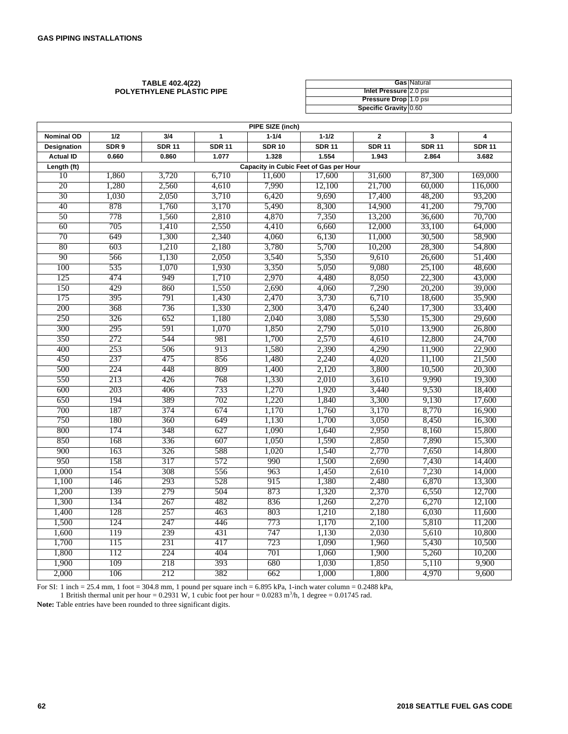#### **TABLE 402.4(22) POLYETHYLENE PLASTIC PIPE**

|                        | <b>Gas Natural</b> |
|------------------------|--------------------|
| Inlet Pressure 2.0 psi |                    |
| Pressure Drop 1.0 psi  |                    |
| Specific Gravity 0.60  |                    |

| PIPE SIZE (inch)   |                  |               |               |                                        |               |                |               |                         |  |
|--------------------|------------------|---------------|---------------|----------------------------------------|---------------|----------------|---------------|-------------------------|--|
| <b>Nominal OD</b>  | 1/2              | 3/4           | 1             | $1 - 1/4$                              | $1 - 1/2$     | $\overline{2}$ | 3             | $\overline{\mathbf{4}}$ |  |
| <b>Designation</b> | SDR <sub>9</sub> | <b>SDR 11</b> | <b>SDR 11</b> | <b>SDR 10</b>                          | <b>SDR 11</b> | <b>SDR 11</b>  | <b>SDR 11</b> | <b>SDR 11</b>           |  |
| <b>Actual ID</b>   | 0.660            | 0.860         | 1.077         | 1.328                                  | 1.554         | 1.943          | 2.864         | 3.682                   |  |
| Length (ft)        |                  |               |               | Capacity in Cubic Feet of Gas per Hour |               |                |               |                         |  |
| 10                 | 1,860            | 3,720         | 6,710         | 11.600                                 | 17,600        | 31,600         | 87,300        | 169,000                 |  |
| 20                 | 1,280            | 2,560         | 4,610         | 7,990                                  | 12,100        | 21,700         | 60,000        | 116,000                 |  |
| 30                 | 1,030            | 2,050         | 3,710         | 6,420                                  | 9,690         | 17,400         | 48,200        | 93,200                  |  |
| 40                 | 878              | 1,760         | 3,170         | 5,490                                  | 8,300         | 14,900         | 41,200        | 79,700                  |  |
| 50                 | 778              | 1,560         | 2,810         | 4,870                                  | 7,350         | 13,200         | 36,600        | 70,700                  |  |
| 60                 | 705              | 1,410         | 2,550         | 4,410                                  | 6,660         | 12,000         | 33,100        | 64,000                  |  |
| 70                 | 649              | 1,300         | 2,340         | 4,060                                  | 6,130         | 11,000         | 30,500        | 58,900                  |  |
| 80                 | 603              | 1,210         | 2,180         | 3,780                                  | 5,700         | 10,200         | 28,300        | 54,800                  |  |
| 90                 | 566              | 1,130         | 2,050         | 3,540                                  | 5,350         | 9,610          | 26,600        | 51,400                  |  |
| 100                | 535              | 1,070         | 1,930         | 3,350                                  | 5,050         | 9,080          | 25,100        | 48,600                  |  |
| 125                | 474              | 949           | 1,710         | 2,970                                  | 4,480         | 8,050          | 22,300        | 43,000                  |  |
| 150                | 429              | 860           | 1,550         | 2,690                                  | 4,060         | 7,290          | 20,200        | 39,000                  |  |
| 175                | 395              | 791           | 1,430         | 2,470                                  | 3,730         | 6,710          | 18,600        | 35,900                  |  |
| 200                | 368              | 736           | 1,330         | 2,300                                  | 3,470         | 6,240          | 17,300        | 33,400                  |  |
| 250                | 326              | 652           | 1,180         | 2,040                                  | 3,080         | 5,530          | 15,300        | 29,600                  |  |
| 300                | 295              | 591           | 1,070         | 1,850                                  | 2,790         | 5,010          | 13,900        | 26,800                  |  |
| 350                | 272              | 544           | 981           | 1,700                                  | 2,570         | 4,610          | 12,800        | 24,700                  |  |
| 400                | 253              | 506           | 913           | 1,580                                  | 2,390         | 4,290          | 11,900        | 22,900                  |  |
| 450                | 237              | 475           | 856           | 1,480                                  | 2,240         | 4,020          | 11,100        | 21,500                  |  |
| 500                | 224              | 448           | 809           | 1,400                                  | 2,120         | 3,800          | 10,500        | 20,300                  |  |
| 550                | 213              | 426           | 768           | 1,330                                  | 2,010         | 3,610          | 9,990         | 19,300                  |  |
| 600                | 203              | 406           | 733           | 1,270                                  | 1,920         | 3,440          | 9,530         | 18,400                  |  |
| 650                | 194              | 389           | 702           | 1,220                                  | 1,840         | 3,300          | 9,130         | 17,600                  |  |
| 700                | 187              | 374           | 674           | 1,170                                  | 1,760         | 3,170          | 8,770         | 16,900                  |  |
| 750                | 180              | 360           | 649           | 1,130                                  | 1,700         | 3,050          | 8,450         | 16,300                  |  |
| 800                | 174              | 348           | 627           | 1,090                                  | 1,640         | 2,950          | 8,160         | 15,800                  |  |
| 850                | 168              | 336           | 607           | 1,050                                  | 1,590         | 2,850          | 7,890         | 15,300                  |  |
| 900                | 163              | 326           | 588           | 1,020                                  | 1,540         | 2,770          | 7,650         | 14,800                  |  |
| 950                | 158              | 317           | 572           | 990                                    | 1,500         | 2,690          | 7,430         | 14,400                  |  |
| 1,000              | 154              | 308           | 556           | 963                                    | 1,450         | 2,610          | 7,230         | 14,000                  |  |
| 1,100              | 146              | 293           | 528           | 915                                    | 1,380         | 2,480          | 6,870         | 13,300                  |  |
| 1,200              | 139              | 279           | 504           | 873                                    | 1,320         | 2,370          | 6,550         | 12,700                  |  |
| 1,300              | 134              | 267           | 482           | 836                                    | 1,260         | 2,270          | 6,270         | 12,100                  |  |
| 1,400              | 128              | 257           | 463           | 803                                    | 1,210         | 2,180          | 6,030         | 11,600                  |  |
| 1,500              | 124              | 247           | 446           | 773                                    | 1,170         | 2,100          | 5,810         | 11,200                  |  |
| 1,600              | 119              | 239           | 431           | 747                                    | 1,130         | 2,030          | 5,610         | 10,800                  |  |
| 1,700              | 115              | 231           | 417           | 723                                    | 1,090         | 1,960          | 5,430         | 10,500                  |  |
| 1,800              | 112              | 224           | 404           | 701                                    | 1,060         | 1,900          | 5,260         | 10,200                  |  |
| 1,900              | 109              | 218           | 393           | 680                                    | 1,030         | 1,850          | 5,110         | 9,900                   |  |
| 2,000              | 106              | 212           | 382           | 662                                    | 1,000         | 1,800          | 4,970         | 9,600                   |  |

For SI: 1 inch = 25.4 mm, 1 foot = 304.8 mm, 1 pound per square inch = 6.895 kPa, 1-inch water column = 0.2488 kPa,

1 British thermal unit per hour = 0.2931 W, 1 cubic foot per hour = 0.0283 m<sup>3</sup>/h, 1 degree = 0.01745 rad.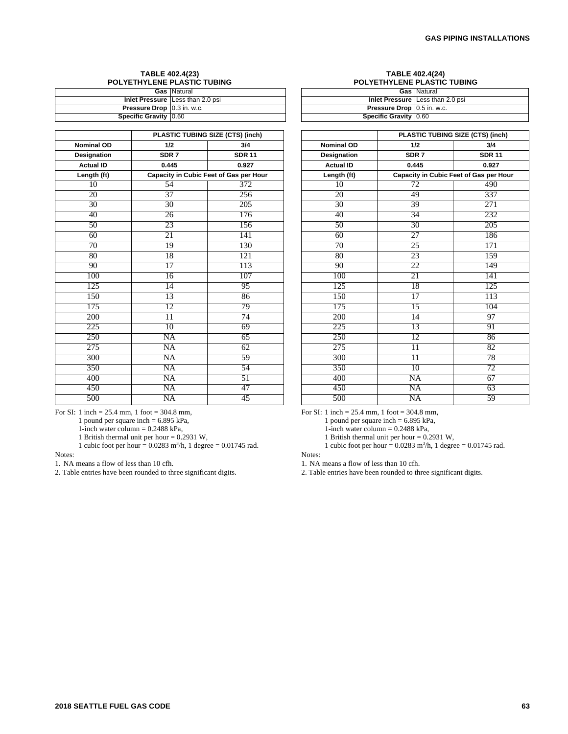#### **TABLE 402.4(23) POLYETHYLENE PLASTIC TUBING**

|                                     | <b>Gas</b> Natural                      |
|-------------------------------------|-----------------------------------------|
|                                     | <b>Inlet Pressure</b> Less than 2.0 psi |
| <b>Pressure Drop   0.3 in. w.c.</b> |                                         |
| Specific Gravity 0.60               |                                         |

|                    | PLASTIC TUBING SIZE (CTS) (inch) |                                        |  |  |  |  |
|--------------------|----------------------------------|----------------------------------------|--|--|--|--|
| <b>Nominal OD</b>  | 1/2                              | 3/4                                    |  |  |  |  |
| <b>Designation</b> | SDR <sub>7</sub>                 | <b>SDR 11</b>                          |  |  |  |  |
| <b>Actual ID</b>   | 0.445                            | 0.927                                  |  |  |  |  |
| Length (ft)        |                                  | Capacity in Cubic Feet of Gas per Hour |  |  |  |  |
| 10                 | 54                               | 372                                    |  |  |  |  |
| 20                 | 37                               | 256                                    |  |  |  |  |
| $\overline{30}$    | 30                               | 205                                    |  |  |  |  |
| 40                 | 26                               | 176                                    |  |  |  |  |
| $\overline{50}$    | 23                               | 156                                    |  |  |  |  |
| 60                 | 21                               | 141                                    |  |  |  |  |
| 70                 | 19                               | 130                                    |  |  |  |  |
| 80                 | 18                               | 121                                    |  |  |  |  |
| $\overline{90}$    | 17                               | 113                                    |  |  |  |  |
| 100                | 16                               | 107                                    |  |  |  |  |
| 125                | 14                               | 95                                     |  |  |  |  |
| 150                | 13                               | 86                                     |  |  |  |  |
| 175                | 12                               | 79                                     |  |  |  |  |
| 200                | $\overline{11}$                  | 74                                     |  |  |  |  |
| 225                | 10                               | 69                                     |  |  |  |  |
| 250                | NA                               | 65                                     |  |  |  |  |
| 275                | NA                               | 62                                     |  |  |  |  |
| 300                | NA                               | 59                                     |  |  |  |  |
| 350                | NA                               | 54                                     |  |  |  |  |
| 400                | NA                               | 51                                     |  |  |  |  |
| 450                | $\overline{\text{NA}}$           | 47                                     |  |  |  |  |
| 500                | NA                               | 45                                     |  |  |  |  |

For SI: 1 inch = 25.4 mm, 1 foot = 304.8 mm,

1 pound per square inch  $= 6.895$  kPa,

1-inch water column =  $0.2488$  kPa,

1 British thermal unit per hour  $= 0.2931$  W,

1 cubic foot per hour =  $0.0283$  m<sup>3</sup>/h, 1 degree =  $0.01745$  rad.

#### Notes:

1. NA means a flow of less than 10 cfh.

2. Table entries have been rounded to three significant digits.

#### **TABLE 402.4(24) POLYETHYLENE PLASTIC TUBING**

|                              | <b>Gas</b> Natural                      |
|------------------------------|-----------------------------------------|
|                              | <b>Inlet Pressure Less than 2.0 psi</b> |
| Pressure Drop   0.5 in. w.c. |                                         |
| Specific Gravity 0.60        |                                         |

|                   | PLASTIC TUBING SIZE (CTS) (inch) |                                        |  |  |  |  |
|-------------------|----------------------------------|----------------------------------------|--|--|--|--|
| <b>Nominal OD</b> | 1/2                              | 3/4                                    |  |  |  |  |
| Designation       | SDR <sub>7</sub>                 | <b>SDR 11</b>                          |  |  |  |  |
| <b>Actual ID</b>  | 0.445                            | 0.927                                  |  |  |  |  |
| Length (ft)       |                                  | Capacity in Cubic Feet of Gas per Hour |  |  |  |  |
| 10                | 72                               | 490                                    |  |  |  |  |
| 20                | 49                               | 337                                    |  |  |  |  |
| $\overline{30}$   | 39                               | 271                                    |  |  |  |  |
| 40                | 34                               | 232                                    |  |  |  |  |
| 50                | 30                               | 205                                    |  |  |  |  |
| 60                | 27                               | 186                                    |  |  |  |  |
| 70                | 25                               | 171                                    |  |  |  |  |
| 80                | 23                               | 159                                    |  |  |  |  |
| 90                | 22                               | 149                                    |  |  |  |  |
| 100               | 21                               | 141                                    |  |  |  |  |
| 125               | 18                               | 125                                    |  |  |  |  |
| 150               | 17                               | 113                                    |  |  |  |  |
| 175               | 15                               | 104                                    |  |  |  |  |
| 200               | 14                               | 97                                     |  |  |  |  |
| 225               | 13                               | 91                                     |  |  |  |  |
| 250               | 12                               | 86                                     |  |  |  |  |
| 275               | $\overline{11}$                  | 82                                     |  |  |  |  |
| 300               | $\overline{11}$                  | 78                                     |  |  |  |  |
| 350               | 10                               | 72                                     |  |  |  |  |
| 400               | NA                               | 67                                     |  |  |  |  |
| 450               | NA                               | 63                                     |  |  |  |  |
| 500               | NA                               | 59                                     |  |  |  |  |

For SI: 1 inch = 25.4 mm, 1 foot = 304.8 mm,

1 pound per square inch = 6.895 kPa,

1-inch water column =  $0.2488$  kPa,

1 British thermal unit per hour  $= 0.2931$  W,

1 cubic foot per hour =  $0.0283$  m<sup>3</sup>/h, 1 degree =  $0.01745$  rad.

Notes:

<sup>1.</sup> NA means a flow of less than 10 cfh.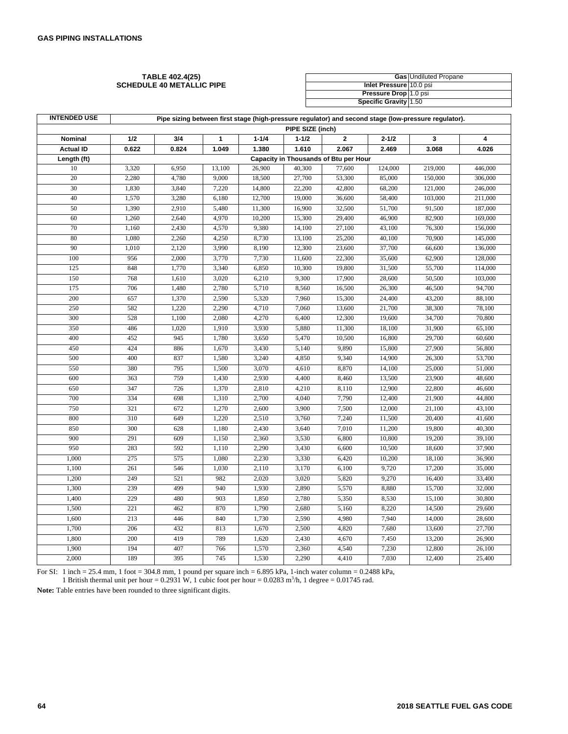#### **TABLE 402.4(25) SCHEDULE 40 METALLIC PIPE**

|                         | <b>Gas</b> Undiluted Propane |
|-------------------------|------------------------------|
| Inlet Pressure 10.0 psi |                              |
| Pressure Drop 1.0 psi   |                              |
| Specific Gravity 1.50   |                              |

| <b>INTENDED USE</b> | Pipe sizing between first stage (high-pressure regulator) and second stage (low-pressure regulator). |       |        |           |           |          |           |         |         |  |
|---------------------|------------------------------------------------------------------------------------------------------|-------|--------|-----------|-----------|----------|-----------|---------|---------|--|
|                     | PIPE SIZE (inch)                                                                                     |       |        |           |           |          |           |         |         |  |
| Nominal             | 1/2                                                                                                  | 3/4   | 1      | $1 - 1/4$ | $1 - 1/2$ | $\bf{2}$ | $2 - 1/2$ | 3       | 4       |  |
| <b>Actual ID</b>    | 0.622                                                                                                | 0.824 | 1.049  | 1.380     | 1.610     | 2.067    | 2.469     | 3.068   | 4.026   |  |
| Length (ft)         | Capacity in Thousands of Btu per Hour                                                                |       |        |           |           |          |           |         |         |  |
| 10                  | 3,320                                                                                                | 6,950 | 13,100 | 26,900    | 40,300    | 77,600   | 124,000   | 219,000 | 446,000 |  |
| 20                  | 2,280                                                                                                | 4,780 | 9,000  | 18,500    | 27,700    | 53,300   | 85,000    | 150,000 | 306,000 |  |
| 30                  | 1,830                                                                                                | 3,840 | 7,220  | 14,800    | 22,200    | 42,800   | 68,200    | 121,000 | 246,000 |  |
| 40                  | 1,570                                                                                                | 3,280 | 6,180  | 12,700    | 19,000    | 36,600   | 58,400    | 103,000 | 211,000 |  |
| 50                  | 1,390                                                                                                | 2,910 | 5,480  | 11,300    | 16,900    | 32,500   | 51,700    | 91,500  | 187,000 |  |
| 60                  | 1,260                                                                                                | 2,640 | 4,970  | 10,200    | 15,300    | 29,400   | 46,900    | 82,900  | 169,000 |  |
| 70                  | 1,160                                                                                                | 2,430 | 4,570  | 9,380     | 14,100    | 27,100   | 43,100    | 76,300  | 156,000 |  |
| 80                  | 1,080                                                                                                | 2,260 | 4,250  | 8,730     | 13,100    | 25,200   | 40,100    | 70,900  | 145,000 |  |
| 90                  | 1,010                                                                                                | 2,120 | 3,990  | 8,190     | 12,300    | 23,600   | 37,700    | 66,600  | 136,000 |  |
| 100                 | 956                                                                                                  | 2,000 | 3,770  | 7,730     | 11,600    | 22,300   | 35,600    | 62,900  | 128,000 |  |
| 125                 | 848                                                                                                  | 1,770 | 3,340  | 6,850     | 10,300    | 19,800   | 31,500    | 55,700  | 114,000 |  |
| 150                 | 768                                                                                                  | 1,610 | 3,020  | 6,210     | 9,300     | 17,900   | 28,600    | 50,500  | 103,000 |  |
| 175                 | 706                                                                                                  | 1,480 | 2,780  | 5,710     | 8,560     | 16,500   | 26,300    | 46,500  | 94,700  |  |
| 200                 | 657                                                                                                  | 1,370 | 2,590  | 5,320     | 7,960     | 15,300   | 24,400    | 43,200  | 88,100  |  |
| 250                 | 582                                                                                                  | 1,220 | 2,290  | 4,710     | 7,060     | 13,600   | 21,700    | 38,300  | 78,100  |  |
| 300                 | 528                                                                                                  | 1,100 | 2,080  | 4,270     | 6,400     | 12,300   | 19,600    | 34,700  | 70,800  |  |
| 350                 | 486                                                                                                  | 1,020 | 1,910  | 3,930     | 5,880     | 11,300   | 18,100    | 31,900  | 65,100  |  |
| 400                 | 452                                                                                                  | 945   | 1,780  | 3,650     | 5,470     | 10,500   | 16,800    | 29,700  | 60,600  |  |
| 450                 | 424                                                                                                  | 886   | 1,670  | 3,430     | 5,140     | 9,890    | 15,800    | 27,900  | 56,800  |  |
| 500                 | 400                                                                                                  | 837   | 1,580  | 3,240     | 4,850     | 9,340    | 14,900    | 26,300  | 53,700  |  |
| 550                 | 380                                                                                                  | 795   | 1,500  | 3,070     | 4,610     | 8,870    | 14,100    | 25,000  | 51,000  |  |
| 600                 | 363                                                                                                  | 759   | 1,430  | 2,930     | 4,400     | 8,460    | 13,500    | 23,900  | 48,600  |  |
| 650                 | 347                                                                                                  | 726   | 1,370  | 2,810     | 4,210     | 8,110    | 12,900    | 22,800  | 46,600  |  |
| 700                 | 334                                                                                                  | 698   | 1,310  | 2,700     | 4,040     | 7,790    | 12,400    | 21,900  | 44,800  |  |
| 750                 | 321                                                                                                  | 672   | 1,270  | 2,600     | 3,900     | 7,500    | 12,000    | 21,100  | 43,100  |  |
| 800                 | 310                                                                                                  | 649   | 1,220  | 2,510     | 3,760     | 7,240    | 11,500    | 20,400  | 41,600  |  |
| 850                 | 300                                                                                                  | 628   | 1,180  | 2,430     | 3,640     | 7,010    | 11,200    | 19,800  | 40,300  |  |
| 900                 | 291                                                                                                  | 609   | 1,150  | 2,360     | 3,530     | 6,800    | 10,800    | 19,200  | 39,100  |  |
| 950                 | 283                                                                                                  | 592   | 1,110  | 2,290     | 3,430     | 6,600    | 10,500    | 18,600  | 37,900  |  |
| 1,000               | 275                                                                                                  | 575   | 1,080  | 2,230     | 3,330     | 6,420    | 10,200    | 18,100  | 36,900  |  |
| 1,100               | 261                                                                                                  | 546   | 1,030  | 2,110     | 3,170     | 6,100    | 9,720     | 17,200  | 35,000  |  |
| 1,200               | 249                                                                                                  | 521   | 982    | 2,020     | 3,020     | 5,820    | 9,270     | 16,400  | 33,400  |  |
| 1,300               | 239                                                                                                  | 499   | 940    | 1,930     | 2,890     | 5,570    | 8,880     | 15,700  | 32,000  |  |
| 1,400               | 229                                                                                                  | 480   | 903    | 1,850     | 2,780     | 5,350    | 8,530     | 15,100  | 30,800  |  |
| 1,500               | 221                                                                                                  | 462   | 870    | 1,790     | 2,680     | 5,160    | 8,220     | 14,500  | 29,600  |  |
| 1,600               | 213                                                                                                  | 446   | 840    | 1,730     | 2,590     | 4,980    | 7,940     | 14,000  | 28,600  |  |
| 1,700               | 206                                                                                                  | 432   | 813    | 1,670     | 2,500     | 4,820    | 7,680     | 13,600  | 27,700  |  |
| 1,800               | 200                                                                                                  | 419   | 789    | 1,620     | 2,430     | 4,670    | 7,450     | 13,200  | 26,900  |  |
| 1,900               | 194                                                                                                  | 407   | 766    | 1,570     | 2,360     | 4,540    | 7,230     | 12,800  | 26,100  |  |
| 2,000               | 189                                                                                                  | 395   | 745    | 1,530     | 2,290     | 4,410    | 7,030     | 12,400  | 25,400  |  |

For SI: 1 inch = 25.4 mm, 1 foot = 304.8 mm, 1 pound per square inch = 6.895 kPa, 1-inch water column = 0.2488 kPa, 1 British thermal unit per hour =  $0.2931$  W, 1 cubic foot per hour =  $0.0283$  m<sup>3</sup>/h, 1 degree =  $0.01745$  rad.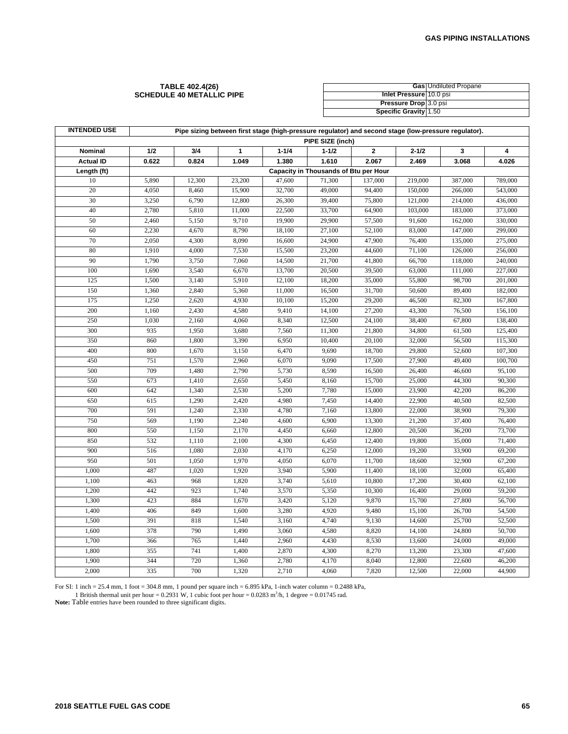#### **TABLE 402.4(26) SCHEDULE 40 METALLIC PIPE**

|                         | <b>Gas</b> Undiluted Propane |
|-------------------------|------------------------------|
| Inlet Pressure 10.0 psi |                              |
| Pressure Drop 3.0 psi   |                              |
| Specific Gravity 1.50   |                              |

| <b>INTENDED USE</b> |       | Pipe sizing between first stage (high-pressure regulator) and second stage (low-pressure regulator). |        |           |                                       |              |           |         |         |  |  |  |  |
|---------------------|-------|------------------------------------------------------------------------------------------------------|--------|-----------|---------------------------------------|--------------|-----------|---------|---------|--|--|--|--|
|                     |       | PIPE SIZE (inch)                                                                                     |        |           |                                       |              |           |         |         |  |  |  |  |
| Nominal             | 1/2   | 3/4                                                                                                  | 1      | $1 - 1/4$ | $1 - 1/2$                             | $\mathbf{2}$ | $2 - 1/2$ | 3       | 4       |  |  |  |  |
| <b>Actual ID</b>    | 0.622 | 0.824                                                                                                | 1.049  | 1.380     | 1.610                                 | 2.067        | 2.469     | 3.068   | 4.026   |  |  |  |  |
| Length (ft)         |       |                                                                                                      |        |           | Capacity in Thousands of Btu per Hour |              |           |         |         |  |  |  |  |
| 10                  | 5,890 | 12,300                                                                                               | 23,200 | 47,600    | 71,300                                | 137,000      | 219,000   | 387,000 | 789,000 |  |  |  |  |
| 20                  | 4,050 | 8,460                                                                                                | 15,900 | 32,700    | 49,000                                | 94,400       | 150,000   | 266,000 | 543,000 |  |  |  |  |
| 30                  | 3,250 | 6,790                                                                                                | 12,800 | 26,300    | 39,400                                | 75,800       | 121,000   | 214,000 | 436,000 |  |  |  |  |
| 40                  | 2,780 | 5,810                                                                                                | 11,000 | 22,500    | 33,700                                | 64,900       | 103,000   | 183,000 | 373,000 |  |  |  |  |
| 50                  | 2,460 | 5,150                                                                                                | 9,710  | 19,900    | 29,900                                | 57,500       | 91,600    | 162,000 | 330,000 |  |  |  |  |
| 60                  | 2,230 | 4,670                                                                                                | 8,790  | 18,100    | 27,100                                | 52,100       | 83,000    | 147,000 | 299,000 |  |  |  |  |
| 70                  | 2,050 | 4,300                                                                                                | 8,090  | 16,600    | 24,900                                | 47,900       | 76,400    | 135,000 | 275,000 |  |  |  |  |
| 80                  | 1,910 | 4,000                                                                                                | 7,530  | 15,500    | 23,200                                | 44,600       | 71,100    | 126,000 | 256,000 |  |  |  |  |
| 90                  | 1,790 | 3,750                                                                                                | 7,060  | 14,500    | 21,700                                | 41,800       | 66,700    | 118,000 | 240,000 |  |  |  |  |
| 100                 | 1,690 | 3,540                                                                                                | 6,670  | 13,700    | 20,500                                | 39,500       | 63,000    | 111,000 | 227,000 |  |  |  |  |
| 125                 | 1,500 | 3,140                                                                                                | 5,910  | 12,100    | 18,200                                | 35,000       | 55,800    | 98,700  | 201,000 |  |  |  |  |
| 150                 | 1,360 | 2,840                                                                                                | 5,360  | 11,000    | 16,500                                | 31,700       | 50,600    | 89,400  | 182,000 |  |  |  |  |
| 175                 | 1,250 | 2,620                                                                                                | 4,930  | 10,100    | 15,200                                | 29,200       | 46,500    | 82,300  | 167,800 |  |  |  |  |
| 200                 | 1,160 | 2,430                                                                                                | 4,580  | 9,410     | 14,100                                | 27,200       | 43,300    | 76,500  | 156,100 |  |  |  |  |
| 250                 | 1,030 | 2,160                                                                                                | 4,060  | 8,340     | 12,500                                | 24,100       | 38,400    | 67,800  | 138,400 |  |  |  |  |
| 300                 | 935   | 1,950                                                                                                | 3,680  | 7,560     | 11,300                                | 21,800       | 34,800    | 61,500  | 125,400 |  |  |  |  |
| 350                 | 860   | 1,800                                                                                                | 3,390  | 6,950     | 10,400                                | 20,100       | 32,000    | 56,500  | 115,300 |  |  |  |  |
| 400                 | 800   | 1,670                                                                                                | 3,150  | 6,470     | 9,690                                 | 18,700       | 29,800    | 52,600  | 107,300 |  |  |  |  |
| 450                 | 751   | 1,570                                                                                                | 2,960  | 6,070     | 9,090                                 | 17,500       | 27,900    | 49,400  | 100,700 |  |  |  |  |
| 500                 | 709   | 1,480                                                                                                | 2,790  | 5,730     | 8,590                                 | 16,500       | 26,400    | 46,600  | 95,100  |  |  |  |  |
| 550                 | 673   | 1,410                                                                                                | 2,650  | 5,450     | 8,160                                 | 15,700       | 25,000    | 44,300  | 90,300  |  |  |  |  |
| 600                 | 642   | 1,340                                                                                                | 2,530  | 5,200     | 7,780                                 | 15,000       | 23,900    | 42,200  | 86,200  |  |  |  |  |
| 650                 | 615   | 1,290                                                                                                | 2,420  | 4,980     | 7,450                                 | 14,400       | 22,900    | 40,500  | 82,500  |  |  |  |  |
| 700                 | 591   | 1,240                                                                                                | 2,330  | 4,780     | 7,160                                 | 13,800       | 22,000    | 38,900  | 79,300  |  |  |  |  |
| 750                 | 569   | 1,190                                                                                                | 2,240  | 4,600     | 6,900                                 | 13,300       | 21,200    | 37,400  | 76,400  |  |  |  |  |
| 800                 | 550   | 1,150                                                                                                | 2,170  | 4,450     | 6,660                                 | 12,800       | 20,500    | 36,200  | 73,700  |  |  |  |  |
| 850                 | 532   | 1,110                                                                                                | 2,100  | 4,300     | 6,450                                 | 12,400       | 19,800    | 35,000  | 71,400  |  |  |  |  |
| 900                 | 516   | 1,080                                                                                                | 2,030  | 4,170     | 6,250                                 | 12,000       | 19,200    | 33,900  | 69,200  |  |  |  |  |
| 950                 | 501   | 1,050                                                                                                | 1,970  | 4,050     | 6,070                                 | 11,700       | 18,600    | 32,900  | 67,200  |  |  |  |  |
| 1,000               | 487   | 1,020                                                                                                | 1,920  | 3,940     | 5,900                                 | 11,400       | 18,100    | 32,000  | 65,400  |  |  |  |  |
| 1,100               | 463   | 968                                                                                                  | 1,820  | 3,740     | 5,610                                 | 10,800       | 17,200    | 30,400  | 62,100  |  |  |  |  |
| 1,200               | 442   | 923                                                                                                  | 1,740  | 3,570     | 5,350                                 | 10,300       | 16,400    | 29,000  | 59,200  |  |  |  |  |
| 1,300               | 423   | 884                                                                                                  | 1,670  | 3,420     | 5,120                                 | 9,870        | 15,700    | 27,800  | 56,700  |  |  |  |  |
| 1,400               | 406   | 849                                                                                                  | 1,600  | 3,280     | 4,920                                 | 9,480        | 15,100    | 26,700  | 54,500  |  |  |  |  |
| 1,500               | 391   | 818                                                                                                  | 1,540  | 3,160     | 4,740                                 | 9,130        | 14,600    | 25,700  | 52,500  |  |  |  |  |
| 1,600               | 378   | 790                                                                                                  | 1,490  | 3,060     | 4,580                                 | 8,820        | 14,100    | 24,800  | 50,700  |  |  |  |  |
| 1,700               | 366   | 765                                                                                                  | 1,440  | 2,960     | 4,430                                 | 8,530        | 13,600    | 24,000  | 49,000  |  |  |  |  |
| 1,800               | 355   | 741                                                                                                  | 1,400  | 2,870     | 4,300                                 | 8,270        | 13,200    | 23,300  | 47,600  |  |  |  |  |
| 1,900               | 344   | 720                                                                                                  | 1,360  | 2,780     | 4,170                                 | 8,040        | 12,800    | 22,600  | 46,200  |  |  |  |  |
| 2,000               | 335   | 700                                                                                                  | 1,320  | 2,710     | 4,060                                 | 7,820        | 12,500    | 22,000  | 44,900  |  |  |  |  |

For SI: 1 inch = 25.4 mm, 1 foot = 304.8 mm, 1 pound per square inch =  $6.895$  kPa, 1-inch water column =  $0.2488$  kPa,

1 British thermal unit per hour = 0.2931 W, 1 cubic foot per hour = 0.0283 m<sup>3</sup>/h, 1 degree = 0.01745 rad.<br>**Note:** Table entries have been rounded to three significant digits.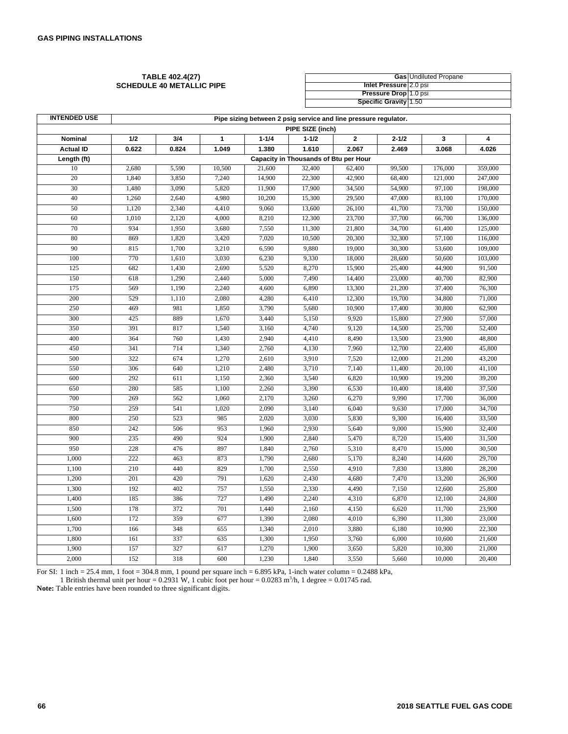#### **TABLE 402.4(27) SCHEDULE 40 METALLIC PIPE**

|                        | <b>Gas Undiluted Propane</b> |
|------------------------|------------------------------|
| Inlet Pressure 2.0 psi |                              |
| Pressure Drop 1.0 psi  |                              |
| Specific Gravity 1.50  |                              |

| <b>INTENDED USE</b> | Pipe sizing between 2 psig service and line pressure regulator. |                    |        |           |                                       |             |           |         |         |  |  |
|---------------------|-----------------------------------------------------------------|--------------------|--------|-----------|---------------------------------------|-------------|-----------|---------|---------|--|--|
|                     |                                                                 | PIPE SIZE (inch)   |        |           |                                       |             |           |         |         |  |  |
| Nominal             | 1/2                                                             | 3/4                | 1      | $1 - 1/4$ | $1 - 1/2$                             | $\mathbf 2$ | $2 - 1/2$ | 3       | 4       |  |  |
| <b>Actual ID</b>    | 0.622                                                           | 0.824              | 1.049  | 1.380     | 1.610                                 | 2.067       | 2.469     | 3.068   | 4.026   |  |  |
| Length (ft)         |                                                                 |                    |        |           | Capacity in Thousands of Btu per Hour |             |           |         |         |  |  |
| 10                  | 2,680                                                           | $\overline{5,590}$ | 10,500 | 21,600    | 32,400                                | 62,400      | 99,500    | 176,000 | 359,000 |  |  |
| 20                  | 1,840                                                           | 3,850              | 7,240  | 14,900    | 22,300                                | 42,900      | 68,400    | 121,000 | 247,000 |  |  |
| 30                  | 1,480                                                           | 3,090              | 5,820  | 11,900    | 17,900                                | 34,500      | 54,900    | 97,100  | 198,000 |  |  |
| 40                  | 1,260                                                           | 2,640              | 4,980  | 10,200    | 15,300                                | 29,500      | 47,000    | 83,100  | 170,000 |  |  |
| 50                  | 1,120                                                           | 2,340              | 4,410  | 9,060     | 13,600                                | 26,100      | 41,700    | 73,700  | 150,000 |  |  |
| 60                  | 1,010                                                           | 2,120              | 4,000  | 8,210     | 12,300                                | 23,700      | 37,700    | 66,700  | 136,000 |  |  |
| 70                  | 934                                                             | 1,950              | 3,680  | 7,550     | 11,300                                | 21,800      | 34,700    | 61,400  | 125,000 |  |  |
| 80                  | 869                                                             | 1,820              | 3,420  | 7,020     | 10,500                                | 20,300      | 32,300    | 57,100  | 116,000 |  |  |
| 90                  | 815                                                             | 1,700              | 3,210  | 6,590     | 9,880                                 | 19,000      | 30,300    | 53,600  | 109,000 |  |  |
| 100                 | 770                                                             | 1,610              | 3,030  | 6,230     | 9,330                                 | 18,000      | 28,600    | 50,600  | 103,000 |  |  |
| 125                 | 682                                                             | 1,430              | 2,690  | 5,520     | 8,270                                 | 15,900      | 25,400    | 44,900  | 91,500  |  |  |
| 150                 | 618                                                             | 1,290              | 2,440  | 5,000     | 7,490                                 | 14,400      | 23,000    | 40,700  | 82,900  |  |  |
| 175                 | 569                                                             | 1,190              | 2,240  | 4,600     | 6,890                                 | 13,300      | 21,200    | 37,400  | 76,300  |  |  |
| 200                 | 529                                                             | 1,110              | 2,080  | 4,280     | 6,410                                 | 12,300      | 19,700    | 34,800  | 71,000  |  |  |
| 250                 | 469                                                             | 981                | 1,850  | 3,790     | 5,680                                 | 10,900      | 17,400    | 30,800  | 62,900  |  |  |
| 300                 | 425                                                             | 889                | 1,670  | 3,440     | 5,150                                 | 9,920       | 15,800    | 27,900  | 57,000  |  |  |
| 350                 | 391                                                             | 817                | 1,540  | 3,160     | 4,740                                 | 9,120       | 14,500    | 25,700  | 52,400  |  |  |
| 400                 | 364                                                             | 760                | 1,430  | 2,940     | 4,410                                 | 8,490       | 13,500    | 23,900  | 48,800  |  |  |
| 450                 | 341                                                             | 714                | 1,340  | 2,760     | 4,130                                 | 7,960       | 12,700    | 22,400  | 45,800  |  |  |
| 500                 | 322                                                             | 674                | 1,270  | 2,610     | 3,910                                 | 7,520       | 12,000    | 21,200  | 43,200  |  |  |
| 550                 | 306                                                             | 640                | 1,210  | 2,480     | 3,710                                 | 7,140       | 11,400    | 20,100  | 41,100  |  |  |
| 600                 | 292                                                             | 611                | 1,150  | 2,360     | 3,540                                 | 6,820       | 10,900    | 19,200  | 39,200  |  |  |
| 650                 | 280                                                             | 585                | 1,100  | 2,260     | 3,390                                 | 6,530       | 10,400    | 18,400  | 37,500  |  |  |
| 700                 | 269                                                             | 562                | 1,060  | 2,170     | 3,260                                 | 6,270       | 9,990     | 17,700  | 36,000  |  |  |
| 750                 | 259                                                             | 541                | 1,020  | 2,090     | 3,140                                 | 6,040       | 9,630     | 17,000  | 34,700  |  |  |
| 800                 | 250                                                             | 523                | 985    | 2,020     | 3,030                                 | 5,830       | 9,300     | 16,400  | 33,500  |  |  |
| 850                 | 242                                                             | 506                | 953    | 1,960     | 2,930                                 | 5,640       | 9,000     | 15,900  | 32,400  |  |  |
| 900                 | 235                                                             | 490                | 924    | 1,900     | 2,840                                 | 5,470       | 8,720     | 15,400  | 31,500  |  |  |
| 950                 | 228                                                             | 476                | 897    | 1,840     | 2,760                                 | 5,310       | 8,470     | 15,000  | 30,500  |  |  |
| 1,000               | 222                                                             | 463                | 873    | 1,790     | 2,680                                 | 5,170       | 8,240     | 14,600  | 29,700  |  |  |
| 1,100               | 210                                                             | 440                | 829    | 1,700     | 2,550                                 | 4,910       | 7,830     | 13,800  | 28,200  |  |  |
| 1,200               | 201                                                             | 420                | 791    | 1,620     | 2,430                                 | 4,680       | 7,470     | 13,200  | 26,900  |  |  |
| 1,300               | 192                                                             | 402                | 757    | 1,550     | 2,330                                 | 4,490       | 7,150     | 12,600  | 25,800  |  |  |
| 1,400               | 185                                                             | 386                | 727    | 1,490     | 2,240                                 | 4,310       | 6,870     | 12,100  | 24,800  |  |  |
| 1,500               | 178                                                             | 372                | 701    | 1,440     | 2,160                                 | 4,150       | 6,620     | 11,700  | 23,900  |  |  |
| 1,600               | 172                                                             | 359                | 677    | 1,390     | 2,080                                 | 4,010       | 6,390     | 11,300  | 23,000  |  |  |
| 1,700               | 166                                                             | 348                | 655    | 1,340     | 2,010                                 | 3,880       | 6,180     | 10,900  | 22,300  |  |  |
| 1,800               | 161                                                             | 337                | 635    | 1,300     | 1,950                                 | 3,760       | 6,000     | 10,600  | 21,600  |  |  |
| 1,900               | 157                                                             | 327                | 617    | 1,270     | 1,900                                 | 3,650       | 5,820     | 10,300  | 21,000  |  |  |
| 2,000               | 152                                                             | 318                | 600    | 1,230     | 1,840                                 | 3,550       | 5,660     | 10,000  | 20,400  |  |  |

For SI: 1 inch = 25.4 mm, 1 foot = 304.8 mm, 1 pound per square inch =  $6.895$  kPa, 1-inch water column =  $0.2488$  kPa,

1 British thermal unit per hour =  $0.2931$  W, 1 cubic foot per hour =  $0.0283$  m<sup>3</sup>/h, 1 degree =  $0.01745$  rad.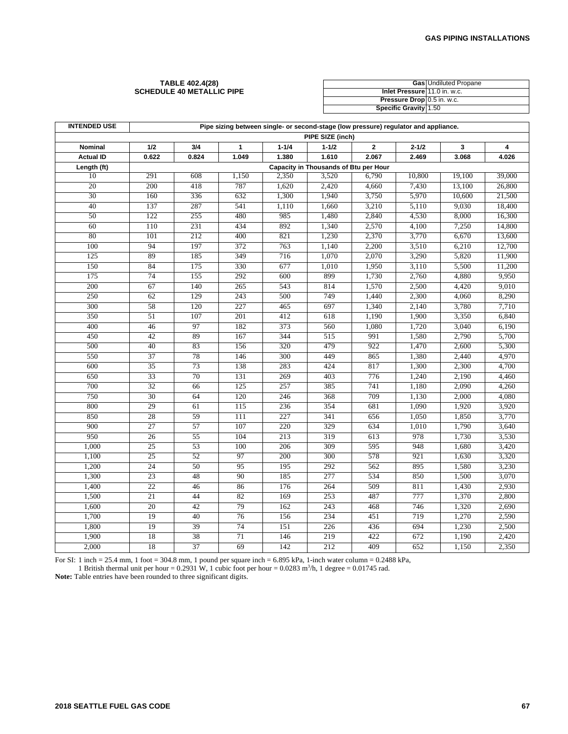#### **TABLE 402.4(28) SCHEDULE 40 METALLIC PIPE**

|                              | <b>Gas</b> Undiluted Propane |
|------------------------------|------------------------------|
| Inlet Pressure 11.0 in. w.c. |                              |
| Pressure Drop 0.5 in. w.c.   |                              |
| Specific Gravity 1.50        |                              |

| <b>INTENDED USE</b> | Pipe sizing between single- or second-stage (low pressure) regulator and appliance. |       |                  |           |           |             |           |        |        |  |
|---------------------|-------------------------------------------------------------------------------------|-------|------------------|-----------|-----------|-------------|-----------|--------|--------|--|
|                     | PIPE SIZE (inch)                                                                    |       |                  |           |           |             |           |        |        |  |
| Nominal             | 1/2                                                                                 | 3/4   | $\mathbf{1}$     | $1 - 1/4$ | $1 - 1/2$ | $\mathbf 2$ | $2 - 1/2$ | 3      | 4      |  |
| <b>Actual ID</b>    | 0.622                                                                               | 0.824 | 1.049            | 1.380     | 1.610     | 2.067       | 2.469     | 3.068  | 4.026  |  |
| Length (ft)         | Capacity in Thousands of Btu per Hour                                               |       |                  |           |           |             |           |        |        |  |
| 10                  | 291                                                                                 | 608   | 1,150            | 2,350     | 3,520     | 6,790       | 10,800    | 19,100 | 39,000 |  |
| 20                  | 200                                                                                 | 418   | 787              | 1,620     | 2,420     | 4,660       | 7,430     | 13,100 | 26,800 |  |
| 30                  | 160                                                                                 | 336   | 632              | 1,300     | 1,940     | 3,750       | 5,970     | 10,600 | 21,500 |  |
| 40                  | 137                                                                                 | 287   | 541              | 1,110     | 1,660     | 3,210       | 5,110     | 9,030  | 18,400 |  |
| 50                  | 122                                                                                 | 255   | 480              | 985       | 1,480     | 2,840       | 4,530     | 8,000  | 16,300 |  |
| 60                  | 110                                                                                 | 231   | 434              | 892       | 1,340     | 2,570       | 4,100     | 7,250  | 14,800 |  |
| 80                  | 101                                                                                 | 212   | 400              | 821       | 1,230     | 2,370       | 3,770     | 6,670  | 13,600 |  |
| 100                 | 94                                                                                  | 197   | 372              | 763       | 1,140     | 2,200       | 3,510     | 6,210  | 12,700 |  |
| 125                 | 89                                                                                  | 185   | 349              | 716       | 1,070     | 2,070       | 3,290     | 5,820  | 11,900 |  |
| 150                 | 84                                                                                  | 175   | 330              | 677       | 1,010     | 1,950       | 3,110     | 5,500  | 11,200 |  |
| 175                 | 74                                                                                  | 155   | 292              | 600       | 899       | 1,730       | 2,760     | 4,880  | 9,950  |  |
| 200                 | 67                                                                                  | 140   | 265              | 543       | 814       | 1,570       | 2,500     | 4,420  | 9,010  |  |
| 250                 | 62                                                                                  | 129   | 243              | 500       | 749       | 1,440       | 2,300     | 4,060  | 8,290  |  |
| 300                 | 58                                                                                  | 120   | 227              | 465       | 697       | 1,340       | 2,140     | 3,780  | 7,710  |  |
| 350                 | 51                                                                                  | 107   | 201              | 412       | 618       | 1,190       | 1,900     | 3,350  | 6,840  |  |
| 400                 | 46                                                                                  | 97    | 182              | 373       | 560       | 1,080       | 1,720     | 3,040  | 6,190  |  |
| 450                 | 42                                                                                  | 89    | 167              | 344       | 515       | 991         | 1,580     | 2,790  | 5,700  |  |
| 500                 | 40                                                                                  | 83    | 156              | 320       | 479       | 922         | 1,470     | 2,600  | 5,300  |  |
| 550                 | 37                                                                                  | 78    | 146              | 300       | 449       | 865         | 1,380     | 2,440  | 4,970  |  |
| 600                 | 35                                                                                  | 73    | 138              | 283       | 424       | 817         | 1,300     | 2,300  | 4,700  |  |
| 650                 | 33                                                                                  | 70    | 131              | 269       | 403       | 776         | 1,240     | 2,190  | 4,460  |  |
| 700                 | $\overline{32}$                                                                     | 66    | 125              | 257       | 385       | 741         | 1,180     | 2,090  | 4,260  |  |
| 750                 | 30                                                                                  | 64    | 120              | 246       | 368       | 709         | 1,130     | 2,000  | 4,080  |  |
| 800                 | 29                                                                                  | 61    | $\overline{115}$ | 236       | 354       | 681         | 1,090     | 1,920  | 3,920  |  |
| 850                 | 28                                                                                  | 59    | 111              | 227       | 341       | 656         | 1,050     | 1,850  | 3,770  |  |
| 900                 | 27                                                                                  | 57    | 107              | 220       | 329       | 634         | 1,010     | 1,790  | 3,640  |  |
| 950                 | 26                                                                                  | 55    | 104              | 213       | 319       | 613         | 978       | 1,730  | 3,530  |  |
| 1,000               | 25                                                                                  | 53    | 100              | 206       | 309       | 595         | 948       | 1,680  | 3,420  |  |
| 1,100               | 25                                                                                  | 52    | 97               | 200       | 300       | 578         | 921       | 1,630  | 3,320  |  |
| 1,200               | 24                                                                                  | 50    | 95               | 195       | 292       | 562         | 895       | 1,580  | 3,230  |  |
| 1,300               | 23                                                                                  | 48    | 90               | 185       | 277       | 534         | 850       | 1,500  | 3,070  |  |
| 1,400               | 22                                                                                  | 46    | 86               | 176       | 264       | 509         | 811       | 1,430  | 2,930  |  |
| 1,500               | 21                                                                                  | 44    | 82               | 169       | 253       | 487         | 777       | 1,370  | 2,800  |  |
| 1,600               | 20                                                                                  | 42    | 79               | 162       | 243       | 468         | 746       | 1,320  | 2,690  |  |
| 1,700               | 19                                                                                  | 40    | 76               | 156       | 234       | 451         | 719       | 1,270  | 2,590  |  |
| 1,800               | 19                                                                                  | 39    | 74               | 151       | 226       | 436         | 694       | 1,230  | 2,500  |  |
| 1,900               | 18                                                                                  | 38    | 71               | 146       | 219       | 422         | 672       | 1,190  | 2,420  |  |
| 2,000               | 18                                                                                  | 37    | 69               | 142       | 212       | 409         | 652       | 1,150  | 2,350  |  |

For SI: 1 inch = 25.4 mm, 1 foot = 304.8 mm, 1 pound per square inch =  $6.895$  kPa, 1-inch water column =  $0.2488$  kPa,

1 British thermal unit per hour =  $0.2931$  W, 1 cubic foot per hour =  $0.0283$  m<sup>3</sup>/h, 1 degree =  $0.01745$  rad.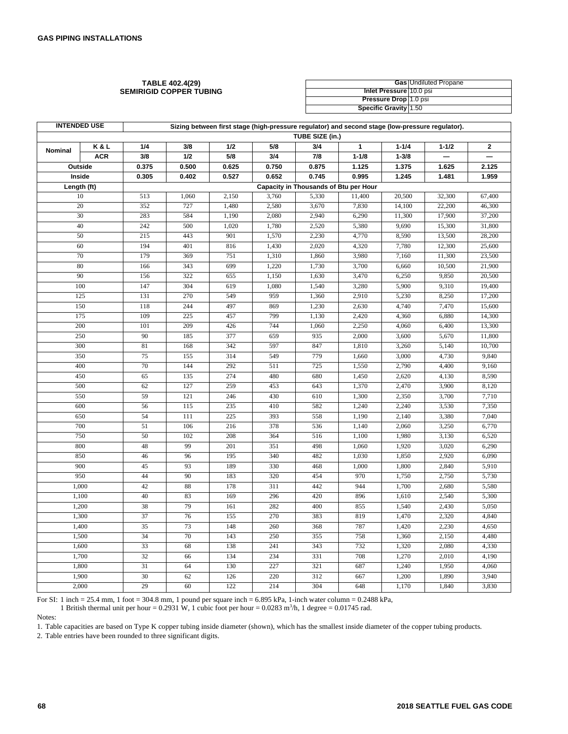#### **TABLE 402.4(29) SEMIRIGID COPPER TUBING**

|                              | <b>Gas</b> Undiluted Propane |
|------------------------------|------------------------------|
| Inlet Pressure 10.0 psi      |                              |
| Pressure Drop 1.0 psi        |                              |
| <b>Specific Gravity 1.50</b> |                              |

| <b>INTENDED USE</b><br>Sizing between first stage (high-pressure regulator) and second stage (low-pressure regulator). |            |       |       |       |       |                                       |              |           |           |                |
|------------------------------------------------------------------------------------------------------------------------|------------|-------|-------|-------|-------|---------------------------------------|--------------|-----------|-----------|----------------|
|                                                                                                                        |            |       |       |       |       | TUBE SIZE (in.)                       |              |           |           |                |
| Nominal                                                                                                                | K&L        | 1/4   | 3/8   | 1/2   | 5/8   | 3/4                                   | $\mathbf{1}$ | $1 - 1/4$ | $1 - 1/2$ | $\overline{2}$ |
|                                                                                                                        | <b>ACR</b> | 3/8   | 1/2   | 5/8   | 3/4   | 7/8                                   | $1 - 1/8$    | $1 - 3/8$ |           |                |
| Outside                                                                                                                |            | 0.375 | 0.500 | 0.625 | 0.750 | 0.875                                 | 1.125        | 1.375     | 1.625     | 2.125          |
| Inside                                                                                                                 |            | 0.305 | 0.402 | 0.527 | 0.652 | 0.745                                 | 0.995        | 1.245     | 1.481     | 1.959          |
| Length (ft)                                                                                                            |            |       |       |       |       | Capacity in Thousands of Btu per Hour |              |           |           |                |
| 10                                                                                                                     |            | 513   | 1,060 | 2,150 | 3,760 | 5,330                                 | 11,400       | 20,500    | 32,300    | 67,400         |
| 20                                                                                                                     |            | 352   | 727   | 1,480 | 2,580 | 3,670                                 | 7,830        | 14,100    | 22,200    | 46,300         |
| 30                                                                                                                     |            | 283   | 584   | 1,190 | 2,080 | 2,940                                 | 6,290        | 11,300    | 17,900    | 37,200         |
| 40                                                                                                                     |            | 242   | 500   | 1,020 | 1,780 | 2,520                                 | 5,380        | 9,690     | 15,300    | 31,800         |
| 50                                                                                                                     |            | 215   | 443   | 901   | 1,570 | 2,230                                 | 4,770        | 8,590     | 13,500    | 28,200         |
| 60                                                                                                                     |            | 194   | 401   | 816   | 1,430 | 2,020                                 | 4,320        | 7,780     | 12,300    | 25,600         |
| 70                                                                                                                     |            | 179   | 369   | 751   | 1,310 | 1,860                                 | 3,980        | 7,160     | 11,300    | 23,500         |
| 80                                                                                                                     |            | 166   | 343   | 699   | 1,220 | 1,730                                 | 3,700        | 6,660     | 10,500    | 21,900         |
| 90                                                                                                                     |            | 156   | 322   | 655   | 1,150 | 1,630                                 | 3,470        | 6,250     | 9,850     | 20,500         |
| 100                                                                                                                    |            | 147   | 304   | 619   | 1,080 | 1,540                                 | 3,280        | 5,900     | 9,310     | 19,400         |
| 125                                                                                                                    |            | 131   | 270   | 549   | 959   | 1,360                                 | 2,910        | 5,230     | 8,250     | 17,200         |
| 150                                                                                                                    |            | 118   | 244   | 497   | 869   | 1,230                                 | 2,630        | 4,740     | 7,470     | 15,600         |
| 175                                                                                                                    |            | 109   | 225   | 457   | 799   | 1,130                                 | 2,420        | 4,360     | 6,880     | 14,300         |
| 200                                                                                                                    |            | 101   | 209   | 426   | 744   | 1,060                                 | 2,250        | 4,060     | 6,400     | 13,300         |
| 250                                                                                                                    |            | 90    | 185   | 377   | 659   | 935                                   | 2,000        | 3,600     | 5,670     | 11,800         |
| 300                                                                                                                    |            | 81    | 168   | 342   | 597   | 847                                   | 1,810        | 3,260     | 5,140     | 10,700         |
| 350                                                                                                                    |            | 75    | 155   | 314   | 549   | 779                                   | 1,660        | 3,000     | 4,730     | 9,840          |
| 400                                                                                                                    |            | 70    | 144   | 292   | 511   | 725                                   | 1,550        | 2,790     | 4,400     | 9,160          |
| 450                                                                                                                    |            | 65    | 135   | 274   | 480   | 680                                   | 1,450        | 2,620     | 4,130     | 8,590          |
| 500                                                                                                                    |            | 62    | 127   | 259   | 453   | 643                                   | 1,370        | 2,470     | 3,900     | 8,120          |
| 550                                                                                                                    |            | 59    | 121   | 246   | 430   | 610                                   | 1,300        | 2,350     | 3,700     | 7,710          |
| 600                                                                                                                    |            | 56    | 115   | 235   | 410   | 582                                   | 1,240        | 2,240     | 3,530     | 7,350          |
| 650                                                                                                                    |            | 54    | 111   | 225   | 393   | 558                                   | 1,190        | 2,140     | 3,380     | 7,040          |
| 700                                                                                                                    |            | 51    | 106   | 216   | 378   | 536                                   | 1,140        | 2,060     | 3,250     | 6,770          |
| 750                                                                                                                    |            | 50    | 102   | 208   | 364   | 516                                   | 1,100        | 1,980     | 3,130     | 6,520          |
| 800                                                                                                                    |            | 48    | 99    | 201   | 351   | 498                                   | 1,060        | 1,920     | 3,020     | 6,290          |
| 850                                                                                                                    |            | 46    | 96    | 195   | 340   | 482                                   | 1,030        | 1,850     | 2,920     | 6,090          |
| 900                                                                                                                    |            | 45    | 93    | 189   | 330   | 468                                   | 1,000        | 1,800     | 2,840     | 5,910          |
| 950                                                                                                                    |            | 44    | 90    | 183   | 320   | 454                                   | 970          | 1,750     | 2,750     | 5,730          |
| 1,000                                                                                                                  |            | 42    | 88    | 178   | 311   | 442                                   | 944          | 1,700     | 2,680     | 5,580          |
| 1,100                                                                                                                  |            | 40    | 83    | 169   | 296   | 420                                   | 896          | 1,610     | 2,540     | 5,300          |
| 1,200                                                                                                                  |            | 38    | 79    | 161   | 282   | 400                                   | 855          | 1,540     | 2,430     | 5,050          |
| 1,300                                                                                                                  |            | 37    | 76    | 155   | 270   | 383                                   | 819          | 1,470     | 2,320     | 4,840          |
| 1,400                                                                                                                  |            | 35    | 73    | 148   | 260   | 368                                   | 787          | 1,420     | 2,230     | 4,650          |
| 1,500                                                                                                                  |            | 34    | 70    | 143   | 250   | 355                                   | 758          | 1,360     | 2,150     | 4,480          |
| 1,600                                                                                                                  |            | 33    | 68    | 138   | 241   | 343                                   | 732          | 1,320     | 2,080     | 4,330          |
| 1,700                                                                                                                  |            | 32    | 66    | 134   | 234   | 331                                   | 708          | 1,270     | 2,010     | 4,190          |
| 1,800                                                                                                                  |            | 31    | 64    | 130   | 227   | 321                                   | 687          | 1,240     | 1,950     | 4,060          |
| 1,900                                                                                                                  |            | 30    | 62    | 126   | 220   | 312                                   | 667          | 1,200     | 1,890     | 3,940          |
| 2,000                                                                                                                  |            | 29    | 60    | 122   | 214   | 304                                   | 648          | 1,170     | 1,840     | 3,830          |

For SI: 1 inch = 25.4 mm, 1 foot = 304.8 mm, 1 pound per square inch = 6.895 kPa, 1-inch water column = 0.2488 kPa,

1 British thermal unit per hour = 0.2931 W, 1 cubic foot per hour =  $0.0283$  m<sup>3</sup>/h, 1 degree = 0.01745 rad.

Notes:

1. Table capacities are based on Type K copper tubing inside diameter (shown), which has the smallest inside diameter of the copper tubing products.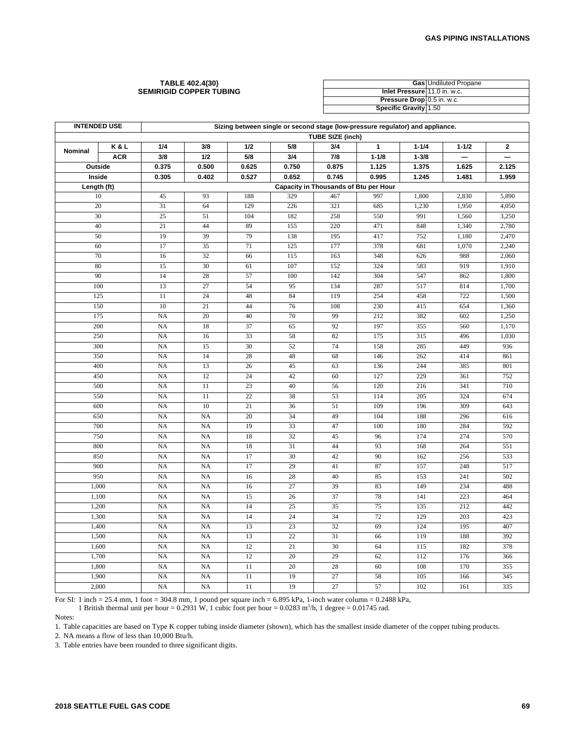#### **TABLE 402.4(30) SEMIRIGID COPPER TUBING**

|                              | <b>Gas Undiluted Propane</b> |
|------------------------------|------------------------------|
| Inlet Pressure 11.0 in. w.c. |                              |
| Pressure Drop 0.5 in. w.c.   |                              |
| <b>Specific Gravity 1.50</b> |                              |

|             | <b>INTENDED USE</b><br>Sizing between single or second stage (low-pressure regulator) and appliance. |                 |                                       |                 |                 |                         |              |           |           |                          |  |  |  |
|-------------|------------------------------------------------------------------------------------------------------|-----------------|---------------------------------------|-----------------|-----------------|-------------------------|--------------|-----------|-----------|--------------------------|--|--|--|
|             |                                                                                                      |                 |                                       |                 |                 | <b>TUBE SIZE (inch)</b> |              |           |           |                          |  |  |  |
| Nominal     | K&L                                                                                                  | 1/4             | 3/8                                   | 1/2             | 5/8             | 3/4                     | $\mathbf{1}$ | $1 - 1/4$ | $1 - 1/2$ | $\mathbf{2}$             |  |  |  |
|             | <b>ACR</b>                                                                                           | 3/8             | 1/2                                   | 5/8             | 3/4             | 7/8                     | $1 - 1/8$    | $1 - 3/8$ |           | $\overline{\phantom{0}}$ |  |  |  |
| Outside     |                                                                                                      | 0.375           | 0.500                                 | 0.625           | 0.750           | 0.875                   | 1.125        | 1.375     | 1.625     | 2.125                    |  |  |  |
| Inside      |                                                                                                      | 0.305           | 0.402                                 | 0.527           | 0.652           | 0.745                   | 0.995        | 1.245     | 1.481     | 1.959                    |  |  |  |
| Length (ft) |                                                                                                      |                 | Capacity in Thousands of Btu per Hour |                 |                 |                         |              |           |           |                          |  |  |  |
| $10\,$      |                                                                                                      | 45              | 93                                    | 188             | 329             | 467                     | 997          | 1,800     | 2,830     | 5,890                    |  |  |  |
| 20          |                                                                                                      | 31              | 64                                    | 129             | 226             | 321                     | 685          | 1,230     | 1,950     | 4,050                    |  |  |  |
| 30          |                                                                                                      | 25              | 51                                    | 104             | 182             | 258                     | 550          | 991       | 1,560     | 3,250                    |  |  |  |
| 40          |                                                                                                      | 21              | 44                                    | 89              | 155             | 220                     | 471          | 848       | 1,340     | 2,780                    |  |  |  |
| 50          |                                                                                                      | 19              | 39                                    | 79              | 138             | 195                     | 417          | 752       | 1,180     | 2,470                    |  |  |  |
| 60          |                                                                                                      | 17              | $\overline{35}$                       | 71              | 125             | 177                     | 378          | 681       | 1,070     | 2,240                    |  |  |  |
| 70          |                                                                                                      | 16              | 32                                    | 66              | 115             | 163                     | 348          | 626       | 988       | 2,060                    |  |  |  |
| 80          |                                                                                                      | 15              | 30                                    | 61              | 107             | 152                     | 324          | 583       | 919       | 1,910                    |  |  |  |
| 90          |                                                                                                      | 14              | 28                                    | 57              | 100             | 142                     | 304          | 547       | 862       | 1,800                    |  |  |  |
| 100         |                                                                                                      | 13              | $\overline{27}$                       | 54              | 95              | 134                     | 287          | 517       | 814       | 1,700                    |  |  |  |
| 125         |                                                                                                      | 11              | 24                                    | 48              | 84              | 119                     | 254          | 458       | 722       | 1,500                    |  |  |  |
| 150         |                                                                                                      | 10              | $\overline{21}$                       | 44              | 76              | 108                     | 230          | 415       | 654       | 1,360                    |  |  |  |
| 175         |                                                                                                      | <b>NA</b>       | 20                                    | 40              | 70              | 99                      | 212          | 382       | 602       | 1,250                    |  |  |  |
|             | 200                                                                                                  |                 | 18                                    | 37              | 65              | 92                      | 197          | 355       | 560       | 1,170                    |  |  |  |
|             | 250                                                                                                  |                 | 16                                    | 33              | 58              | 82                      | 175          | 315       | 496       | 1,030                    |  |  |  |
| 300         |                                                                                                      | NA              | 15                                    | 30              | 52              | 74                      | 158          | 285       | 449       | 936                      |  |  |  |
| 350         |                                                                                                      | <b>NA</b>       | 14                                    | 28              | 48              | 68                      | 146          | 262       | 414       | 861                      |  |  |  |
| 400         |                                                                                                      | NA              | 13                                    | 26              | 45              | 63                      | 136          | 244       | 385       | 801                      |  |  |  |
|             | 450                                                                                                  |                 | 12                                    | 24              | 42              | 60                      | 127          | 229       | 361       | 752                      |  |  |  |
| 500         |                                                                                                      | <b>NA</b>       | 11                                    | 23              | 40              | 56                      | 120          | 216       | 341       | 710                      |  |  |  |
| 550         |                                                                                                      | NA              | 11                                    | 22              | 38              | 53                      | 114          | 205       | 324       | 674                      |  |  |  |
| 600         |                                                                                                      | NA              | 10                                    | 21              | 36              | 51                      | 109          | 196       | 309       | 643                      |  |  |  |
| 650         |                                                                                                      | <b>NA</b>       | <b>NA</b>                             | 20              | 34              | 49                      | 104          | 188       | 296       | 616                      |  |  |  |
| 700         |                                                                                                      | <b>NA</b>       | NA                                    | 19              | 33              | 47                      | 100          | 180       | 284       | 592                      |  |  |  |
| 750         |                                                                                                      | NA              | NA                                    | 18              | 32              | 45                      | 96           | 174       | 274       | 570                      |  |  |  |
| 800         |                                                                                                      | NA              | NA                                    | 18              | 31              | 44                      | 93           | 168       | 264       | 551                      |  |  |  |
| 850         |                                                                                                      | NA              | NA                                    | 17              | 30              | 42                      | 90           | 162       | 256       | 533                      |  |  |  |
| 900         |                                                                                                      | <b>NA</b>       | <b>NA</b>                             | 17              | 29              | 41                      | 87           | 157       | 248       | 517                      |  |  |  |
| 950         |                                                                                                      | <b>NA</b>       | NA                                    | 16              | 28              | 40                      | 85           | 153       | 241       | 502                      |  |  |  |
| 1,000       |                                                                                                      | NA              | NA                                    | 16              | 27              | 39                      | 83           | 149       | 234       | 488                      |  |  |  |
| 1,100       |                                                                                                      | NA              | NA                                    | 15              | 26              | 37                      | 78           | 141       | 223       | 464                      |  |  |  |
| 1,200       |                                                                                                      | NA              | NA                                    | 14              | $\overline{25}$ | 35                      | 75           | 135       | 212       | 442                      |  |  |  |
| 1,300       |                                                                                                      | NA<br><b>NA</b> | <b>NA</b>                             | 14              | 24              | 34                      | 72           | 129       | 203       | 423                      |  |  |  |
|             | 1,400                                                                                                |                 | NA                                    | 13              | 23              | 32                      | 69           | 124       | 195       | 407                      |  |  |  |
| 1,500       |                                                                                                      | NA              | NA                                    | 13              | 22              | 31                      | 66           | 119       | 188       | 392                      |  |  |  |
| 1,600       |                                                                                                      | <b>NA</b>       | <b>NA</b>                             | 12              | 21              | 30                      | 64           | 115       | 182       | 378                      |  |  |  |
| 1,700       |                                                                                                      | NA              | NA                                    | 12              | 20              | 29                      | 62           | 112       | 176       | 366                      |  |  |  |
| 1,800       |                                                                                                      | NA              | NA                                    | 11              | 20              | 28                      | 60           | 108       | 170       | 355                      |  |  |  |
| 1,900       |                                                                                                      | <b>NA</b>       | <b>NA</b>                             | 11              | 19              | 27                      | 58           | 105       | 166       | 345                      |  |  |  |
| 2,000       |                                                                                                      | NA              | NA                                    | $\overline{11}$ | 19              | $\overline{27}$         | 57           | 102       | 161       | 335                      |  |  |  |

For SI: 1 inch = 25.4 mm, 1 foot = 304.8 mm, 1 pound per square inch = 6.895 kPa, 1-inch water column = 0.2488 kPa,

1 British thermal unit per hour =  $0.2931$  W, 1 cubic foot per hour =  $0.0283$  m<sup>3</sup>/h, 1 degree =  $0.01745$  rad.

Notes:

1. Table capacities are based on Type K copper tubing inside diameter (shown), which has the smallest inside diameter of the copper tubing products.

2. NA means a flow of less than 10,000 Btu/h.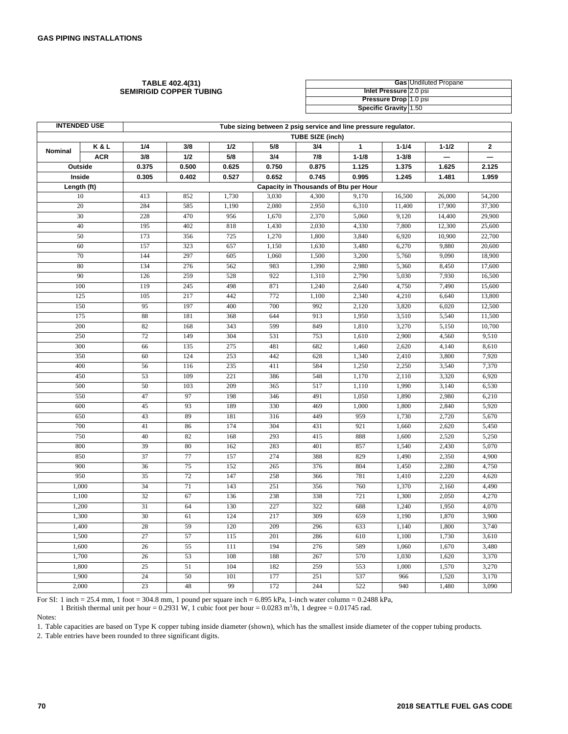#### **TABLE 402.4(31) SEMIRIGID COPPER TUBING**

|                        | <b>Gas Undiluted Propane</b> |
|------------------------|------------------------------|
| Inlet Pressure 2.0 psi |                              |
| Pressure Drop 1.0 psi  |                              |
| Specific Gravity 1.50  |                              |

| <b>INTENDED USE</b><br>Tube sizing between 2 psig service and line pressure regulator. |            |       |                                       |       |       |                         |              |           |           |              |  |
|----------------------------------------------------------------------------------------|------------|-------|---------------------------------------|-------|-------|-------------------------|--------------|-----------|-----------|--------------|--|
|                                                                                        |            |       |                                       |       |       | <b>TUBE SIZE (inch)</b> |              |           |           |              |  |
| Nominal                                                                                | K&L        | 1/4   | 3/8                                   | 1/2   | 5/8   | 3/4                     | $\mathbf{1}$ | $1 - 1/4$ | $1 - 1/2$ | $\mathbf{2}$ |  |
|                                                                                        | <b>ACR</b> | 3/8   | 1/2                                   | 5/8   | 3/4   | 7/8                     | $1 - 1/8$    | $1 - 3/8$ |           |              |  |
| Outside                                                                                |            | 0.375 | 0.500                                 | 0.625 | 0.750 | 0.875                   | 1.125        | 1.375     | 1.625     | 2.125        |  |
| Inside                                                                                 |            | 0.305 | 0.402                                 | 0.527 | 0.652 | 0.745                   | 0.995        | 1.245     | 1.481     | 1.959        |  |
| Length (ft)                                                                            |            |       | Capacity in Thousands of Btu per Hour |       |       |                         |              |           |           |              |  |
| 10                                                                                     |            | 413   | 852                                   | 1,730 | 3,030 | 4,300                   | 9,170        | 16,500    | 26,000    | 54,200       |  |
| 20                                                                                     |            | 284   | 585                                   | 1,190 | 2,080 | 2,950                   | 6,310        | 11,400    | 17,900    | 37,300       |  |
| 30                                                                                     |            | 228   | 470                                   | 956   | 1,670 | 2,370                   | 5,060        | 9,120     | 14,400    | 29,900       |  |
| 40                                                                                     |            | 195   | 402                                   | 818   | 1,430 | 2,030                   | 4,330        | 7,800     | 12,300    | 25,600       |  |
| 50                                                                                     |            | 173   | 356                                   | 725   | 1,270 | 1,800                   | 3,840        | 6,920     | 10,900    | 22,700       |  |
| 60                                                                                     |            | 157   | 323                                   | 657   | 1,150 | 1,630                   | 3,480        | 6,270     | 9,880     | 20,600       |  |
| 70                                                                                     |            | 144   | 297                                   | 605   | 1,060 | 1,500                   | 3,200        | 5,760     | 9,090     | 18,900       |  |
| 80                                                                                     |            | 134   | 276                                   | 562   | 983   | 1,390                   | 2,980        | 5,360     | 8,450     | 17,600       |  |
| 90                                                                                     |            | 126   | 259                                   | 528   | 922   | 1,310                   | 2,790        | 5,030     | 7,930     | 16,500       |  |
| 100                                                                                    |            | 119   | 245                                   | 498   | 871   | 1,240                   | 2,640        | 4,750     | 7,490     | 15,600       |  |
| 125                                                                                    |            | 105   | 217                                   | 442   | 772   | 1,100                   | 2,340        | 4,210     | 6,640     | 13,800       |  |
| 150                                                                                    |            | 95    | 197                                   | 400   | 700   | 992                     | 2,120        | 3,820     | 6,020     | 12,500       |  |
| 175                                                                                    |            | 88    | 181                                   | 368   | 644   | 913                     | 1,950        | 3,510     | 5,540     | 11,500       |  |
| 200                                                                                    |            | 82    | 168                                   | 343   | 599   | 849                     | 1,810        | 3,270     | 5,150     | 10,700       |  |
| 250                                                                                    |            | 72    | 149                                   | 304   | 531   | 753                     | 1,610        | 2,900     | 4,560     | 9,510        |  |
| 300                                                                                    |            | 66    | 135                                   | 275   | 481   | 682                     | 1,460        | 2,620     | 4,140     | 8,610        |  |
| 350                                                                                    |            | 60    | 124                                   | 253   | 442   | 628                     | 1,340        | 2,410     | 3,800     | 7,920        |  |
| 400                                                                                    |            | 56    | 116                                   | 235   | 411   | 584                     | 1,250        | 2,250     | 3,540     | 7,370        |  |
| 450                                                                                    |            | 53    | 109                                   | 221   | 386   | 548                     | 1,170        | 2,110     | 3,320     | 6,920        |  |
| 500                                                                                    |            | 50    | 103                                   | 209   | 365   | 517                     | 1,110        | 1,990     | 3,140     | 6,530        |  |
| 550                                                                                    |            | 47    | 97                                    | 198   | 346   | 491                     | 1,050        | 1,890     | 2,980     | 6,210        |  |
| 600                                                                                    |            | 45    | 93                                    | 189   | 330   | 469                     | 1,000        | 1,800     | 2,840     | 5,920        |  |
| 650                                                                                    |            | 43    | 89                                    | 181   | 316   | 449                     | 959          | 1,730     | 2,720     | 5,670        |  |
| 700                                                                                    |            | 41    | 86                                    | 174   | 304   | 431                     | 921          | 1,660     | 2,620     | 5,450        |  |
| 750                                                                                    |            | 40    | 82                                    | 168   | 293   | 415                     | 888          | 1,600     | 2,520     | 5,250        |  |
| 800                                                                                    |            | 39    | 80                                    | 162   | 283   | 401                     | 857          | 1,540     | 2,430     | 5,070        |  |
| 850                                                                                    |            | 37    | 77                                    | 157   | 274   | 388                     | 829          | 1,490     | 2,350     | 4,900        |  |
| 900                                                                                    |            | 36    | 75                                    | 152   | 265   | 376                     | 804          | 1,450     | 2,280     | 4,750        |  |
| 950                                                                                    |            | 35    | 72                                    | 147   | 258   | 366                     | 781          | 1,410     | 2,220     | 4,620        |  |
| 1,000                                                                                  |            | 34    | 71                                    | 143   | 251   | 356                     | 760          | 1,370     | 2,160     | 4,490        |  |
| 1,100                                                                                  |            | 32    | 67                                    | 136   | 238   | 338                     | 721          | 1,300     | 2,050     | 4,270        |  |
| 1,200                                                                                  |            | 31    | 64                                    | 130   | 227   | 322                     | 688          | 1,240     | 1,950     | 4,070        |  |
| 1,300                                                                                  |            | 30    | 61                                    | 124   | 217   | 309                     | 659          | 1,190     | 1,870     | 3,900        |  |
| 1,400                                                                                  |            | 28    | 59                                    | 120   | 209   | 296                     | 633          | 1,140     | 1,800     | 3,740        |  |
| 1,500                                                                                  |            | 27    | 57                                    | 115   | 201   | 286                     | 610          | 1,100     | 1,730     | 3,610        |  |
| 1,600                                                                                  |            | 26    | 55                                    | 111   | 194   | 276                     | 589          | 1,060     | 1,670     | 3,480        |  |
| 1,700                                                                                  |            | 26    | 53                                    | 108   | 188   | 267                     | 570          | 1,030     | 1,620     | 3,370        |  |
| 1,800                                                                                  |            | 25    | 51                                    | 104   | 182   | 259                     | 553          | 1,000     | 1,570     | 3,270        |  |
| 1,900                                                                                  |            | 24    | 50                                    | 101   | 177   | 251                     | 537          | 966       | 1,520     | 3,170        |  |
| 2,000                                                                                  |            | 23    | 48                                    | 99    | 172   | 244                     | 522          | 940       | 1,480     | 3,090        |  |

For SI: 1 inch = 25.4 mm, 1 foot = 304.8 mm, 1 pound per square inch = 6.895 kPa, 1-inch water column = 0.2488 kPa,

1 British thermal unit per hour =  $0.2931$  W, 1 cubic foot per hour =  $0.0283$  m<sup>3</sup>/h, 1 degree =  $0.01745$  rad.

Notes:

1. Table capacities are based on Type K copper tubing inside diameter (shown), which has the smallest inside diameter of the copper tubing products.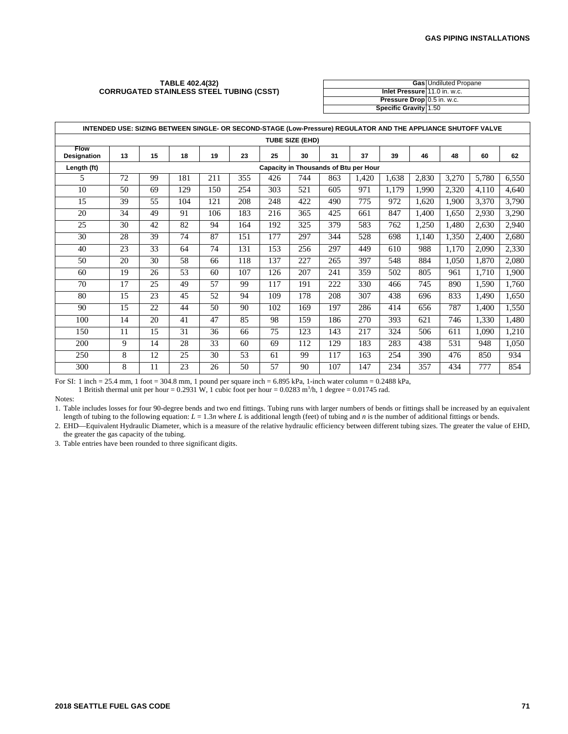#### **TABLE 402.4(32) CORRUGATED STAINLESS STEEL TUBING (CSST)**

|                              | <b>Gas Undiluted Propane</b> |
|------------------------------|------------------------------|
| Inlet Pressure 11.0 in. w.c. |                              |
| Pressure Drop 0.5 in. w.c.   |                              |
| Specific Gravity 1.50        |                              |

|                            | INTENDED USE: SIZING BETWEEN SINGLE- OR SECOND-STAGE (Low-Pressure) REGULATOR AND THE APPLIANCE SHUTOFF VALVE |    |     |     |     |     |     |     |                                       |       |       |       |       |       |
|----------------------------|---------------------------------------------------------------------------------------------------------------|----|-----|-----|-----|-----|-----|-----|---------------------------------------|-------|-------|-------|-------|-------|
|                            | <b>TUBE SIZE (EHD)</b>                                                                                        |    |     |     |     |     |     |     |                                       |       |       |       |       |       |
| <b>Flow</b><br>Designation | 13                                                                                                            | 15 | 18  | 19  | 23  | 25  | 30  | 31  | 37                                    | 39    | 46    | 48    | 60    | 62    |
| Length (ft)                |                                                                                                               |    |     |     |     |     |     |     | Capacity in Thousands of Btu per Hour |       |       |       |       |       |
| 5                          | 72                                                                                                            | 99 | 181 | 211 | 355 | 426 | 744 | 863 | 1,420                                 | 1,638 | 2,830 | 3,270 | 5,780 | 6,550 |
| 10                         | 50                                                                                                            | 69 | 129 | 150 | 254 | 303 | 521 | 605 | 971                                   | 1,179 | 1,990 | 2,320 | 4,110 | 4,640 |
| 15                         | 39                                                                                                            | 55 | 104 | 121 | 208 | 248 | 422 | 490 | 775                                   | 972   | 1,620 | 1,900 | 3,370 | 3,790 |
| 20                         | 34                                                                                                            | 49 | 91  | 106 | 183 | 216 | 365 | 425 | 661                                   | 847   | 1,400 | 1,650 | 2,930 | 3,290 |
| 25                         | 30                                                                                                            | 42 | 82  | 94  | 164 | 192 | 325 | 379 | 583                                   | 762   | 1,250 | 1,480 | 2,630 | 2,940 |
| 30                         | 28                                                                                                            | 39 | 74  | 87  | 151 | 177 | 297 | 344 | 528                                   | 698   | 1,140 | 1,350 | 2,400 | 2,680 |
| 40                         | 23                                                                                                            | 33 | 64  | 74  | 131 | 153 | 256 | 297 | 449                                   | 610   | 988   | 1,170 | 2,090 | 2,330 |
| 50                         | 20                                                                                                            | 30 | 58  | 66  | 118 | 137 | 227 | 265 | 397                                   | 548   | 884   | 1,050 | 1,870 | 2,080 |
| 60                         | 19                                                                                                            | 26 | 53  | 60  | 107 | 126 | 207 | 241 | 359                                   | 502   | 805   | 961   | 1,710 | 1,900 |
| 70                         | 17                                                                                                            | 25 | 49  | 57  | 99  | 117 | 191 | 222 | 330                                   | 466   | 745   | 890   | 1,590 | 1,760 |
| 80                         | 15                                                                                                            | 23 | 45  | 52  | 94  | 109 | 178 | 208 | 307                                   | 438   | 696   | 833   | 1,490 | 1,650 |
| 90                         | 15                                                                                                            | 22 | 44  | 50  | 90  | 102 | 169 | 197 | 286                                   | 414   | 656   | 787   | 1,400 | 1,550 |
| 100                        | 14                                                                                                            | 20 | 41  | 47  | 85  | 98  | 159 | 186 | 270                                   | 393   | 621   | 746   | 1,330 | 1,480 |
| 150                        | 11                                                                                                            | 15 | 31  | 36  | 66  | 75  | 123 | 143 | 217                                   | 324   | 506   | 611   | 1,090 | 1,210 |
| 200                        | 9                                                                                                             | 14 | 28  | 33  | 60  | 69  | 112 | 129 | 183                                   | 283   | 438   | 531   | 948   | 1,050 |
| 250                        | 8                                                                                                             | 12 | 25  | 30  | 53  | 61  | 99  | 117 | 163                                   | 254   | 390   | 476   | 850   | 934   |
| 300                        | 8                                                                                                             | 11 | 23  | 26  | 50  | 57  | 90  | 107 | 147                                   | 234   | 357   | 434   | 777   | 854   |

For SI: 1 inch = 25.4 mm, 1 foot = 304.8 mm, 1 pound per square inch = 6.895 kPa, 1-inch water column = 0.2488 kPa,

1 British thermal unit per hour =  $0.2931$  W, 1 cubic foot per hour =  $0.0283$  m<sup>3</sup>/h, 1 degree =  $0.01745$  rad.

Notes:

1. Table includes losses for four 90-degree bends and two end fittings. Tubing runs with larger numbers of bends or fittings shall be increased by an equivalent length of tubing to the following equation:  $L = 1.3n$  where *L* is additional length (feet) of tubing and *n* is the number of additional fittings or bends.

2. EHD—Equivalent Hydraulic Diameter, which is a measure of the relative hydraulic efficiency between different tubing sizes. The greater the value of EHD, the greater the gas capacity of the tubing.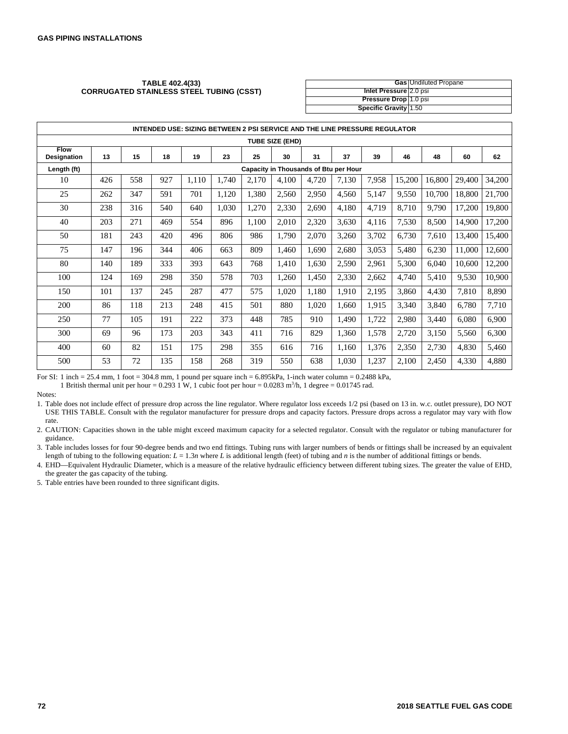#### **TABLE 402.4(33) CORRUGATED STAINLESS STEEL TUBING (CSST)**

|                              | <b>Gas Undiluted Propane</b> |
|------------------------------|------------------------------|
| Inlet Pressure 2.0 psi       |                              |
| <b>Pressure Drop</b> 1.0 psi |                              |
| <b>Specific Gravity 1.50</b> |                              |

|                                   | INTENDED USE: SIZING BETWEEN 2 PSI SERVICE AND THE LINE PRESSURE REGULATOR |     |     |       |       |                                              |       |       |       |       |        |        |        |        |
|-----------------------------------|----------------------------------------------------------------------------|-----|-----|-------|-------|----------------------------------------------|-------|-------|-------|-------|--------|--------|--------|--------|
| TUBE SIZE (EHD)                   |                                                                            |     |     |       |       |                                              |       |       |       |       |        |        |        |        |
| <b>Flow</b><br><b>Designation</b> | 13                                                                         | 15  | 18  | 19    | 23    | 25                                           | 30    | 31    | 37    | 39    | 46     | 48     | 60     | 62     |
| Length (ft)                       |                                                                            |     |     |       |       | <b>Capacity in Thousands of Btu per Hour</b> |       |       |       |       |        |        |        |        |
| 10                                | 426                                                                        | 558 | 927 | 1,110 | 1.740 | 2,170                                        | 4,100 | 4,720 | 7,130 | 7,958 | 15,200 | 16,800 | 29,400 | 34,200 |
| 25                                | 262                                                                        | 347 | 591 | 701   | 1,120 | 1,380                                        | 2,560 | 2,950 | 4,560 | 5,147 | 9,550  | 10,700 | 18,800 | 21,700 |
| 30                                | 238                                                                        | 316 | 540 | 640   | 1,030 | 1,270                                        | 2,330 | 2,690 | 4,180 | 4,719 | 8,710  | 9,790  | 17,200 | 19,800 |
| 40                                | 203                                                                        | 271 | 469 | 554   | 896   | 1,100                                        | 2,010 | 2,320 | 3,630 | 4,116 | 7,530  | 8,500  | 14,900 | 17,200 |
| 50                                | 181                                                                        | 243 | 420 | 496   | 806   | 986                                          | 1,790 | 2,070 | 3,260 | 3,702 | 6,730  | 7,610  | 13,400 | 15,400 |
| 75                                | 147                                                                        | 196 | 344 | 406   | 663   | 809                                          | 1,460 | 1,690 | 2,680 | 3,053 | 5,480  | 6,230  | 11,000 | 12,600 |
| 80                                | 140                                                                        | 189 | 333 | 393   | 643   | 768                                          | 1,410 | 1,630 | 2,590 | 2,961 | 5,300  | 6,040  | 10.600 | 12,200 |
| 100                               | 124                                                                        | 169 | 298 | 350   | 578   | 703                                          | 1,260 | 1,450 | 2,330 | 2,662 | 4,740  | 5,410  | 9,530  | 10,900 |
| 150                               | 101                                                                        | 137 | 245 | 287   | 477   | 575                                          | 1,020 | 1,180 | 1,910 | 2,195 | 3,860  | 4,430  | 7,810  | 8,890  |
| 200                               | 86                                                                         | 118 | 213 | 248   | 415   | 501                                          | 880   | 1,020 | 1,660 | 1.915 | 3,340  | 3,840  | 6,780  | 7,710  |
| 250                               | 77                                                                         | 105 | 191 | 222   | 373   | 448                                          | 785   | 910   | 1,490 | 1,722 | 2,980  | 3,440  | 6,080  | 6,900  |
| 300                               | 69                                                                         | 96  | 173 | 203   | 343   | 411                                          | 716   | 829   | 1,360 | 1,578 | 2,720  | 3,150  | 5,560  | 6,300  |
| 400                               | 60                                                                         | 82  | 151 | 175   | 298   | 355                                          | 616   | 716   | 1,160 | 1,376 | 2,350  | 2,730  | 4,830  | 5,460  |
| 500                               | 53                                                                         | 72  | 135 | 158   | 268   | 319                                          | 550   | 638   | 1,030 | 1,237 | 2,100  | 2,450  | 4,330  | 4,880  |

For SI: 1 inch = 25.4 mm, 1 foot = 304.8 mm, 1 pound per square inch = 6.895kPa, 1-inch water column = 0.2488 kPa,

1 British thermal unit per hour = 0.293 1 W, 1 cubic foot per hour = 0.0283 m<sup>3</sup>/h, 1 degree = 0.01745 rad.

Notes:

1. Table does not include effect of pressure drop across the line regulator. Where regulator loss exceeds 1/2 psi (based on 13 in. w.c. outlet pressure), DO NOT USE THIS TABLE. Consult with the regulator manufacturer for pressure drops and capacity factors. Pressure drops across a regulator may vary with flow rate.

2. CAUTION: Capacities shown in the table might exceed maximum capacity for a selected regulator. Consult with the regulator or tubing manufacturer for guidance.

3. Table includes losses for four 90-degree bends and two end fittings. Tubing runs with larger numbers of bends or fittings shall be increased by an equivalent length of tubing to the following equation:  $L = 1.3n$  where  $L$  is additional length (feet) of tubing and  $n$  is the number of additional fittings or bends.

4. EHD—Equivalent Hydraulic Diameter, which is a measure of the relative hydraulic efficiency between different tubing sizes. The greater the value of EHD, the greater the gas capacity of the tubing.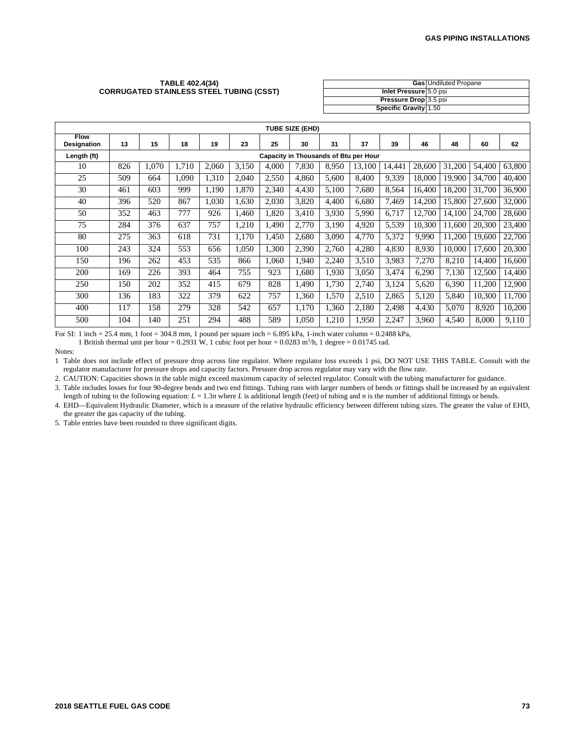#### **TABLE 402.4(34) CORRUGATED STAINLESS STEEL TUBING (CSST)**

|                              | <b>Gas</b> Undiluted Propane |
|------------------------------|------------------------------|
| Inlet Pressure 5.0 psi       |                              |
| <b>Pressure Drop</b> 3.5 psi |                              |
| <b>Specific Gravity 1.50</b> |                              |

| <b>TUBE SIZE (EHD)</b>     |     |                                       |       |       |       |       |       |       |        |        |        |        |        |        |
|----------------------------|-----|---------------------------------------|-------|-------|-------|-------|-------|-------|--------|--------|--------|--------|--------|--------|
| <b>Flow</b><br>Designation | 13  | 15                                    | 18    | 19    | 23    | 25    | 30    | 31    | 37     | 39     | 46     | 48     | 60     | 62     |
| Length (ft)                |     | Capacity in Thousands of Btu per Hour |       |       |       |       |       |       |        |        |        |        |        |        |
| 10                         | 826 | 1,070                                 | 1,710 | 2,060 | 3,150 | 4,000 | 7,830 | 8,950 | 13,100 | 14,441 | 28,600 | 31,200 | 54,400 | 63,800 |
| 25                         | 509 | 664                                   | 1.090 | 1,310 | 2,040 | 2,550 | 4,860 | 5.600 | 8,400  | 9,339  | 18.000 | 19,900 | 34,700 | 40,400 |
| 30                         | 461 | 603                                   | 999   | 1,190 | 1,870 | 2,340 | 4,430 | 5,100 | 7,680  | 8,564  | 16,400 | 18,200 | 31,700 | 36,900 |
| 40                         | 396 | 520                                   | 867   | 1,030 | 1,630 | 2,030 | 3,820 | 4.400 | 6,680  | 7.469  | 14,200 | 15,800 | 27,600 | 32,000 |
| 50                         | 352 | 463                                   | 777   | 926   | 1,460 | 1,820 | 3,410 | 3,930 | 5,990  | 6.717  | 12.700 | 14.100 | 24,700 | 28,600 |
| 75                         | 284 | 376                                   | 637   | 757   | 1,210 | 1,490 | 2,770 | 3,190 | 4,920  | 5,539  | 10,300 | 11,600 | 20,300 | 23,400 |
| 80                         | 275 | 363                                   | 618   | 731   | 1,170 | 1,450 | 2,680 | 3.090 | 4,770  | 5,372  | 9.990  | 11,200 | 19.600 | 22,700 |
| 100                        | 243 | 324                                   | 553   | 656   | 1,050 | 1,300 | 2,390 | 2.760 | 4,280  | 4,830  | 8.930  | 10,000 | 17.600 | 20,300 |
| 150                        | 196 | 262                                   | 453   | 535   | 866   | 1.060 | 1.940 | 2,240 | 3,510  | 3.983  | 7,270  | 8,210  | 14.400 | 16,600 |
| 200                        | 169 | 226                                   | 393   | 464   | 755   | 923   | 1.680 | 1,930 | 3,050  | 3,474  | 6,290  | 7,130  | 12,500 | 14,400 |
| 250                        | 150 | 202                                   | 352   | 415   | 679   | 828   | 1,490 | 1,730 | 2,740  | 3,124  | 5,620  | 6,390  | 11,200 | 12,900 |
| 300                        | 136 | 183                                   | 322   | 379   | 622   | 757   | 1,360 | 1,570 | 2,510  | 2,865  | 5,120  | 5,840  | 10,300 | 11,700 |
| 400                        | 117 | 158                                   | 279   | 328   | 542   | 657   | 1,170 | 1,360 | 2,180  | 2,498  | 4,430  | 5,070  | 8,920  | 10,200 |
| 500                        | 104 | 140                                   | 251   | 294   | 488   | 589   | 1.050 | 1,210 | 1,950  | 2,247  | 3,960  | 4,540  | 8,000  | 9,110  |

For SI: 1 inch = 25.4 mm, 1 foot = 304.8 mm, 1 pound per square inch = 6.895 kPa, 1-inch water column = 0.2488 kPa,

1 British thermal unit per hour =  $0.2931$  W, 1 cubic foot per hour =  $0.0283$  m<sup>3</sup>/h, 1 degree =  $0.01745$  rad.

Notes:

1 Table does not include effect of pressure drop across line regulator. Where regulator loss exceeds 1 psi, DO NOT USE THIS TABLE. Consult with the regulator manufacturer for pressure drops and capacity factors. Pressure drop across regulator may vary with the flow rate.

2. CAUTION: Capacities shown in the table might exceed maximum capacity of selected regulator. Consult with the tubing manufacturer for guidance.

3. Table includes losses for four 90-degree bends and two end fittings. Tubing runs with larger numbers of bends or fittings shall be increased by an equivalent length of tubing to the following equation:  $L = 1.3n$  where *L* is additional length (feet) of tubing and *n* is the number of additional fittings or bends.

4. EHD—Equivalent Hydraulic Diameter, which is a measure of the relative hydraulic efficiency between different tubing sizes. The greater the value of EHD, the greater the gas capacity of the tubing.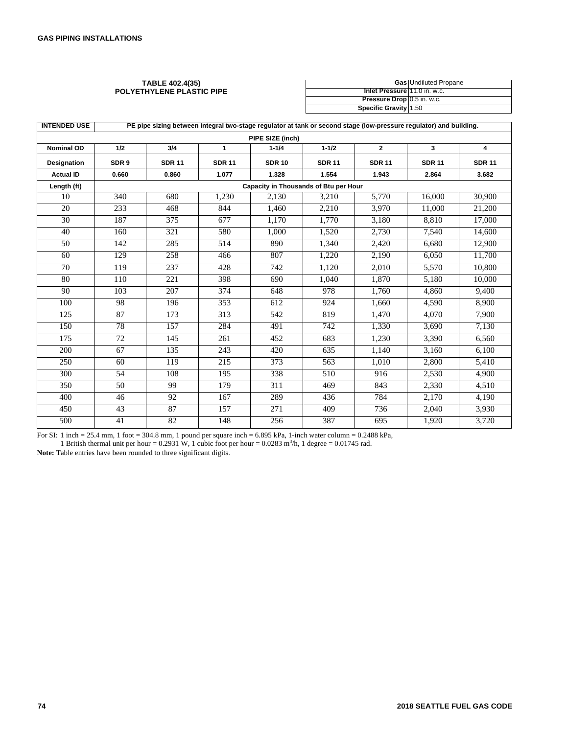#### **TABLE 402.4(35) POLYETHYLENE PLASTIC PIPE**

|                              | <b>Gas</b> Undiluted Propane |
|------------------------------|------------------------------|
| Inlet Pressure 11.0 in. w.c. |                              |
| Pressure Drop 0.5 in. w.c.   |                              |
| Specific Gravity 1.50        |                              |

| <b>INTENDED USE</b> | PE pipe sizing between integral two-stage regulator at tank or second stage (low-pressure regulator) and building. |               |               |                                       |               |                |               |               |  |  |  |
|---------------------|--------------------------------------------------------------------------------------------------------------------|---------------|---------------|---------------------------------------|---------------|----------------|---------------|---------------|--|--|--|
|                     |                                                                                                                    |               |               | PIPE SIZE (inch)                      |               |                |               |               |  |  |  |
| <b>Nominal OD</b>   | 1/2                                                                                                                | 3/4           | 1             | $1 - 1/4$                             | $1 - 1/2$     | $\overline{2}$ | 3             | 4             |  |  |  |
| <b>Designation</b>  | SDR <sub>9</sub>                                                                                                   | <b>SDR 11</b> | <b>SDR 11</b> | <b>SDR 10</b>                         | <b>SDR 11</b> | <b>SDR 11</b>  | <b>SDR 11</b> | <b>SDR 11</b> |  |  |  |
| <b>Actual ID</b>    | 0.660                                                                                                              | 0.860         | 1.077         | 1.328                                 | 1.554         | 1.943          | 2.864         | 3.682         |  |  |  |
| Length (ft)         |                                                                                                                    |               |               | Capacity in Thousands of Btu per Hour |               |                |               |               |  |  |  |
| 10                  | 340                                                                                                                | 680           | 1,230         | 2,130                                 | 3,210         | 5,770          | 16,000        | 30,900        |  |  |  |
| 20                  | 233                                                                                                                | 468           | 844           | 1,460                                 | 2,210         | 3,970          | 11,000        | 21,200        |  |  |  |
| 30                  | 187                                                                                                                | 375           | 677           | 1.170                                 | 1.770         | 3.180          | 8.810         | 17,000        |  |  |  |
| 40                  | 160                                                                                                                | 321           | 580           | 1,000                                 | 1,520         | 2,730          | 7,540         | 14,600        |  |  |  |
| 50                  | 142                                                                                                                | 285           | 514           | 890                                   | 1,340         | 2,420          | 6,680         | 12,900        |  |  |  |
| 60                  | 129                                                                                                                | 258           | 466           | 807                                   | 1,220         | 2,190          | 6.050         | 11,700        |  |  |  |
| 70                  | 119                                                                                                                | 237           | 428           | 742                                   | 1,120         | 2,010          | 5,570         | 10,800        |  |  |  |
| 80                  | 110                                                                                                                | 221           | 398           | 690                                   | 1,040         | 1,870          | 5,180         | 10,000        |  |  |  |
| 90                  | 103                                                                                                                | 207           | 374           | 648                                   | 978           | 1.760          | 4.860         | 9,400         |  |  |  |
| 100                 | 98                                                                                                                 | 196           | 353           | 612                                   | 924           | 1,660          | 4,590         | 8,900         |  |  |  |
| 125                 | 87                                                                                                                 | 173           | 313           | 542                                   | 819           | 1,470          | 4,070         | 7,900         |  |  |  |
| 150                 | 78                                                                                                                 | 157           | 284           | 491                                   | 742           | 1,330          | 3.690         | 7,130         |  |  |  |
| 175                 | 72                                                                                                                 | 145           | 261           | 452                                   | 683           | 1,230          | 3,390         | 6,560         |  |  |  |
| 200                 | 67                                                                                                                 | 135           | 243           | 420                                   | 635           | 1,140          | 3,160         | 6,100         |  |  |  |
| 250                 | 60                                                                                                                 | 119           | 215           | 373                                   | 563           | 1.010          | 2,800         | 5,410         |  |  |  |
| 300                 | 54                                                                                                                 | 108           | 195           | 338                                   | 510           | 916            | 2,530         | 4,900         |  |  |  |
| 350                 | 50                                                                                                                 | 99            | 179           | 311                                   | 469           | 843            | 2,330         | 4,510         |  |  |  |
| 400                 | 46                                                                                                                 | 92            | 167           | 289                                   | 436           | 784            | 2,170         | 4,190         |  |  |  |
| 450                 | 43                                                                                                                 | 87            | 157           | $\overline{271}$                      | 409           | 736            | 2.040         | 3,930         |  |  |  |
| 500                 | 41                                                                                                                 | 82            | 148           | 256                                   | 387           | 695            | 1,920         | 3,720         |  |  |  |

For SI: 1 inch = 25.4 mm, 1 foot = 304.8 mm, 1 pound per square inch =  $6.895$  kPa, 1-inch water column =  $0.2488$  kPa,

1 British thermal unit per hour =  $0.2931$  W, 1 cubic foot per hour =  $0.0283$  m<sup>3</sup>/h, 1 degree =  $0.01745$  rad.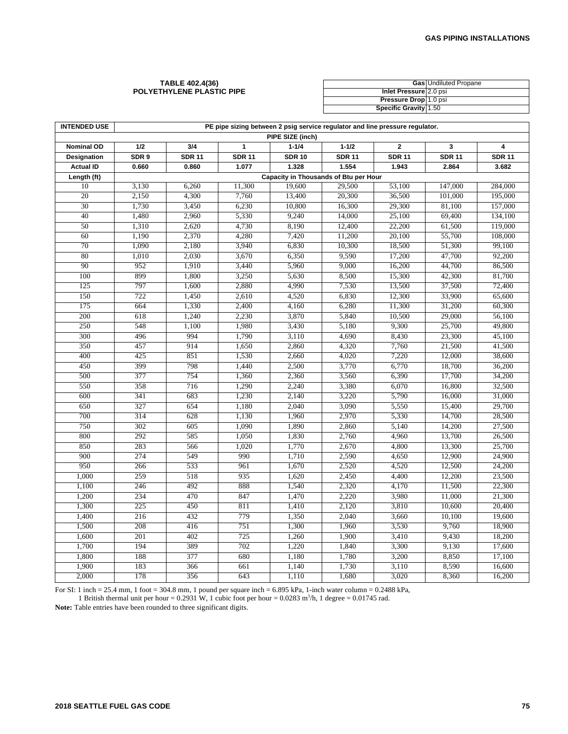#### **TABLE 402.4(36) POLYETHYLENE PLASTIC PIPE**

|                        | <b>Gas</b> Undiluted Propane |
|------------------------|------------------------------|
| Inlet Pressure 2.0 psi |                              |
| Pressure Drop 1.0 psi  |                              |
| Specific Gravity 1.50  |                              |

| <b>INTENDED USE</b> | PE pipe sizing between 2 psig service regulator and line pressure regulator. |               |               |               |                                       |               |               |               |
|---------------------|------------------------------------------------------------------------------|---------------|---------------|---------------|---------------------------------------|---------------|---------------|---------------|
| PIPE SIZE (inch)    |                                                                              |               |               |               |                                       |               |               |               |
| <b>Nominal OD</b>   | 1/2                                                                          | 3/4           | 1             | $1 - 1/4$     | $1 - 1/2$                             | $\mathbf{2}$  | 3             | 4             |
| Designation         | SDR 9                                                                        | <b>SDR 11</b> | <b>SDR 11</b> | <b>SDR 10</b> | <b>SDR 11</b>                         | <b>SDR 11</b> | <b>SDR 11</b> | <b>SDR 11</b> |
| <b>Actual ID</b>    | 0.660                                                                        | 0.860         | 1.077         | 1.328         | 1.554                                 | 1.943         | 2.864         | 3.682         |
| Length (ft)         |                                                                              |               |               |               | Capacity in Thousands of Btu per Hour |               |               |               |
| 10                  | 3,130                                                                        | 6,260         | 11,300        | 19,600        | 29,500                                | 53,100        | 147,000       | 284,000       |
| 20                  | 2,150                                                                        | 4,300         | 7,760         | 13,400        | 20,300                                | 36,500        | 101,000       | 195,000       |
| 30                  | 1,730                                                                        | 3,450         | 6,230         | 10,800        | 16,300                                | 29,300        | 81,100        | 157,000       |
| 40                  | 1,480                                                                        | 2,960         | 5,330         | 9,240         | 14,000                                | 25,100        | 69,400        | 134,100       |
| 50                  | 1,310                                                                        | 2,620         | 4,730         | 8,190         | 12,400                                | 22,200        | 61,500        | 119,000       |
| 60                  | 1,190                                                                        | 2,370         | 4,280         | 7,420         | 11,200                                | 20,100        | 55,700        | 108,000       |
| 70                  | 1,090                                                                        | 2,180         | 3,940         | 6,830         | 10,300                                | 18,500        | 51,300        | 99,100        |
| 80                  | 1,010                                                                        | 2,030         | 3,670         | 6,350         | 9,590                                 | 17,200        | 47,700        | 92,200        |
| 90                  | 952                                                                          | 1,910         | 3,440         | 5,960         | 9,000                                 | 16,200        | 44,700        | 86,500        |
| 100                 | 899                                                                          | 1,800         | 3,250         | 5,630         | 8,500                                 | 15,300        | 42,300        | 81,700        |
| 125                 | 797                                                                          | 1,600         | 2,880         | 4,990         | 7,530                                 | 13,500        | 37,500        | 72,400        |
| 150                 | 722                                                                          | 1,450         | 2,610         | 4,520         | 6,830                                 | 12,300        | 33,900        | 65,600        |
| 175                 | 664                                                                          | 1,330         | 2,400         | 4,160         | 6,280                                 | 11,300        | 31,200        | 60,300        |
| 200                 | 618                                                                          | 1,240         | 2,230         | 3,870         | 5,840                                 | 10,500        | 29,000        | 56,100        |
| 250                 | 548                                                                          | 1,100         | 1,980         | 3,430         | 5,180                                 | 9,300         | 25,700        | 49,800        |
| 300                 | 496                                                                          | 994           | 1,790         | 3,110         | 4,690                                 | 8,430         | 23,300        | 45,100        |
| 350                 | 457                                                                          | 914           | 1,650         | 2,860         | 4,320                                 | 7,760         | 21,500        | 41,500        |
| 400                 | 425                                                                          | 851           | 1,530         | 2,660         | 4,020                                 | 7,220         | 12,000        | 38,600        |
| 450                 | 399                                                                          | 798           | 1,440         | 2,500         | 3,770                                 | 6,770         | 18,700        | 36,200        |
| 500                 | 377                                                                          | 754           | 1,360         | 2,360         | 3,560                                 | 6,390         | 17,700        | 34,200        |
| 550                 | 358                                                                          | 716           | 1,290         | 2,240         | 3,380                                 | 6,070         | 16,800        | 32,500        |
| 600                 | 341                                                                          | 683           | 1,230         | 2,140         | 3,220                                 | 5,790         | 16,000        | 31,000        |
| 650                 | 327                                                                          | 654           | 1,180         | 2,040         | 3,090                                 | 5,550         | 15,400        | 29,700        |
| 700                 | 314                                                                          | 628           | 1,130         | 1,960         | 2,970                                 | 5,330         | 14,700        | 28,500        |
| 750                 | 302                                                                          | 605           | 1,090         | 1,890         | 2,860                                 | 5,140         | 14,200        | 27,500        |
| 800                 | 292                                                                          | 585           | 1,050         | 1,830         | 2,760                                 | 4,960         | 13,700        | 26,500        |
| 850                 | 283                                                                          | 566           | 1,020         | 1,770         | 2,670                                 | 4,800         | 13,300        | 25,700        |
| 900                 | 274                                                                          | 549           | 990           | 1,710         | 2,590                                 | 4,650         | 12,900        | 24,900        |
| 950                 | 266                                                                          | 533           | 961           | 1,670         | 2,520                                 | 4,520         | 12,500        | 24,200        |
| 1,000               | 259                                                                          | 518           | 935           | 1,620         | 2,450                                 | 4,400         | 12,200        | 23,500        |
| 1,100               | 246                                                                          | 492           | 888           | 1,540         | 2,320                                 | 4,170         | 11,500        | 22,300        |
| 1,200               | 234                                                                          | 470           | 847           | 1,470         | 2,220                                 | 3,980         | 11,000        | 21,300        |
| 1,300               | 225                                                                          | 450           | 811           | 1,410         | 2,120                                 | 3,810         | 10,600        | 20,400        |
| 1,400               | 216                                                                          | 432           | 779           | 1,350         | 2,040                                 | 3,660         | 10,100        | 19,600        |
| 1,500               | 208                                                                          | 416           | 751           | 1,300         | 1,960                                 | 3,530         | 9,760         | 18,900        |
| 1,600               | 201                                                                          | 402           | 725           | 1,260         | 1,900                                 | 3,410         | 9,430         | 18,200        |
| 1,700               | 194                                                                          | 389           | 702           | 1,220         | 1,840                                 | 3,300         | 9,130         | 17,600        |
| 1,800               | 188                                                                          | 377           | 680           | 1,180         | 1,780                                 | 3,200         | 8,850         | 17,100        |
| 1,900               | 183                                                                          | 366           | 661           | 1,140         | 1,730                                 | 3,110         | 8,590         | 16,600        |
| 2,000               | 178                                                                          | 356           | 643           | 1,110         | 1,680                                 | 3,020         | 8,360         | 16,200        |

For SI: 1 inch = 25.4 mm, 1 foot = 304.8 mm, 1 pound per square inch = 6.895 kPa, 1-inch water column = 0.2488 kPa,

1 British thermal unit per hour = 0.2931 W, 1 cubic foot per hour = 0.0283 m<sup>3</sup>/h, 1 degree = 0.01745 rad.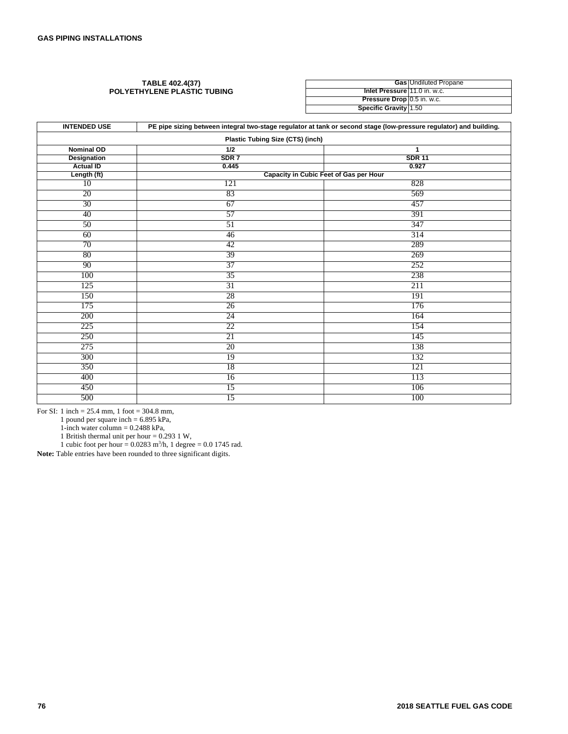#### **TABLE 402.4(37) POLYETHYLENE PLASTIC TUBING**

|                              | <b>Gas Undiluted Propane</b> |
|------------------------------|------------------------------|
| Inlet Pressure 11.0 in. w.c. |                              |
| Pressure Drop 0.5 in. w.c.   |                              |
| Specific Gravity 1.50        |                              |

| <b>INTENDED USE</b><br>PE pipe sizing between integral two-stage regulator at tank or second stage (low-pressure regulator) and building. |                  |                                        |  |  |
|-------------------------------------------------------------------------------------------------------------------------------------------|------------------|----------------------------------------|--|--|
| <b>Plastic Tubing Size (CTS) (inch)</b>                                                                                                   |                  |                                        |  |  |
| <b>Nominal OD</b>                                                                                                                         | 1/2              | 1                                      |  |  |
| <b>Designation</b>                                                                                                                        | SDR <sub>7</sub> | <b>SDR 11</b>                          |  |  |
| <b>Actual ID</b>                                                                                                                          | 0.445            | 0.927                                  |  |  |
| Length (ft)                                                                                                                               |                  | Capacity in Cubic Feet of Gas per Hour |  |  |
| 10                                                                                                                                        | 121              | 828                                    |  |  |
| 20                                                                                                                                        | 83               | 569                                    |  |  |
| 30                                                                                                                                        | 67               | 457                                    |  |  |
| 40                                                                                                                                        | 57               | 391                                    |  |  |
| 50                                                                                                                                        | 51               | 347                                    |  |  |
| 60                                                                                                                                        | 46               | 314                                    |  |  |
| 70                                                                                                                                        | 42               | 289                                    |  |  |
| 80                                                                                                                                        | 39               | 269                                    |  |  |
| 90                                                                                                                                        | 37               | 252                                    |  |  |
| 100                                                                                                                                       | 35               | 238                                    |  |  |
| 125                                                                                                                                       | 31               | 211                                    |  |  |
| 150                                                                                                                                       | 28               | 191                                    |  |  |
| 175                                                                                                                                       | 26               | 176                                    |  |  |
| 200                                                                                                                                       | 24               | 164                                    |  |  |
| 225                                                                                                                                       | 22               | 154                                    |  |  |
| 250                                                                                                                                       | 21               | 145                                    |  |  |
| 275                                                                                                                                       | 20               | 138                                    |  |  |
| 300                                                                                                                                       | 19               | 132                                    |  |  |
| 350                                                                                                                                       | 18               | 121                                    |  |  |
| 400                                                                                                                                       | 16               | 113                                    |  |  |
| 450                                                                                                                                       | 15               | 106                                    |  |  |
| 500                                                                                                                                       | 15               | 100                                    |  |  |

For SI: 1 inch = 25.4 mm, 1 foot = 304.8 mm,

1 pound per square inch = 6.895 kPa,

1-inch water column = 0.2488 kPa,

1 British thermal unit per hour = 0.293 1 W,

1 cubic foot per hour =  $0.0283$  m<sup>3</sup>/h, 1 degree = 0.0 1745 rad.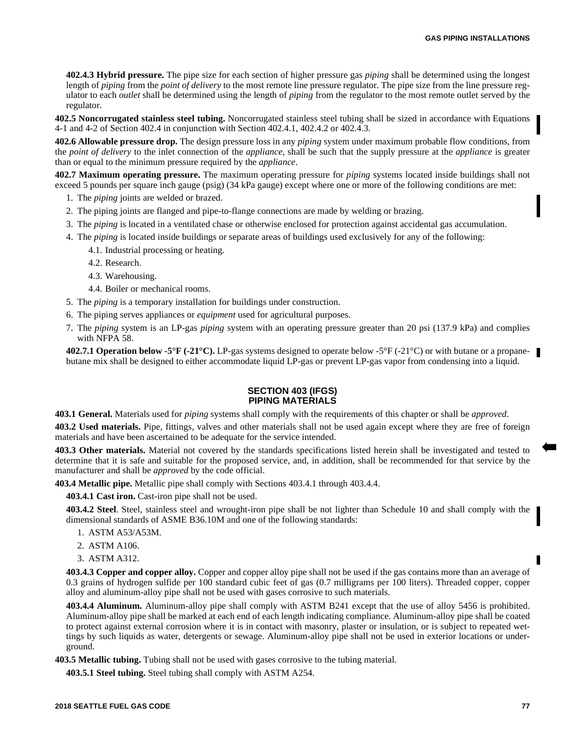**402.4.3 Hybrid pressure.** The pipe size for each section of higher pressure gas *piping* shall be determined using the longest length of *piping* from the *point of delivery* to the most remote line pressure regulator. The pipe size from the line pressure regulator to each *outlet* shall be determined using the length of *piping* from the regulator to the most remote outlet served by the regulator.

**402.5 Noncorrugated stainless steel tubing.** Noncorrugated stainless steel tubing shall be sized in accordance with Equations 4-1 and 4-2 of Section 402.4 in conjunction with Section 402.4.1, 402.4.2 or 402.4.3.

**402.6 Allowable pressure drop.** The design pressure loss in any *piping* system under maximum probable flow conditions, from the *point of delivery* to the inlet connection of the *appliance*, shall be such that the supply pressure at the *appliance* is greater than or equal to the minimum pressure required by the *appliance*.

**402.7 Maximum operating pressure.** The maximum operating pressure for *piping* systems located inside buildings shall not exceed 5 pounds per square inch gauge (psig) (34 kPa gauge) except where one or more of the following conditions are met:

- 1. The *piping* joints are welded or brazed.
- 2. The piping joints are flanged and pipe-to-flange connections are made by welding or brazing.
- 3. The *piping* is located in a ventilated chase or otherwise enclosed for protection against accidental gas accumulation.
- 4. The *piping* is located inside buildings or separate areas of buildings used exclusively for any of the following:
	- 4.1. Industrial processing or heating.
	- 4.2. Research.
	- 4.3. Warehousing.
	- 4.4. Boiler or mechanical rooms.
- 5. The *piping* is a temporary installation for buildings under construction.
- 6. The piping serves appliances or *equipment* used for agricultural purposes.
- 7. The *piping* system is an LP-gas *piping* system with an operating pressure greater than 20 psi (137.9 kPa) and complies with NFPA 58.

**402.7.1 Operation below -5°F (-21°C).** LP-gas systems designed to operate below -5°F (-21°C) or with butane or a propanebutane mix shall be designed to either accommodate liquid LP-gas or prevent LP-gas vapor from condensing into a liquid.

## **SECTION 403 (IFGS) PIPING MATERIALS**

**403.1 General.** Materials used for *piping* systems shall comply with the requirements of this chapter or shall be *approved*.

**403.2 Used materials.** Pipe, fittings, valves and other materials shall not be used again except where they are free of foreign materials and have been ascertained to be adequate for the service intended.

**403.3 Other materials.** Material not covered by the standards specifications listed herein shall be investigated and tested to determine that it is safe and suitable for the proposed service, and, in addition, shall be recommended for that service by the manufacturer and shall be *approved* by the code official.

**403.4 Metallic pipe.** Metallic pipe shall comply with Sections 403.4.1 through 403.4.4.

**403.4.1 Cast iron.** Cast-iron pipe shall not be used.

**403.4.2 Steel**. Steel, stainless steel and wrought-iron pipe shall be not lighter than Schedule 10 and shall comply with the dimensional standards of ASME B36.10M and one of the following standards:

- 1. ASTM A53/A53M.
- 2. ASTM A106.
- 3. ASTM A312.

**403.4.3 Copper and copper alloy.** Copper and copper alloy pipe shall not be used if the gas contains more than an average of 0.3 grains of hydrogen sulfide per 100 standard cubic feet of gas (0.7 milligrams per 100 liters). Threaded copper, copper alloy and aluminum-alloy pipe shall not be used with gases corrosive to such materials.

**403.4.4 Aluminum.** Aluminum-alloy pipe shall comply with ASTM B241 except that the use of alloy 5456 is prohibited. Aluminum-alloy pipe shall be marked at each end of each length indicating compliance. Aluminum-alloy pipe shall be coated to protect against external corrosion where it is in contact with masonry, plaster or insulation, or is subject to repeated wettings by such liquids as water, detergents or sewage. Aluminum-alloy pipe shall not be used in exterior locations or underground.

**403.5 Metallic tubing.** Tubing shall not be used with gases corrosive to the tubing material.

**403.5.1 Steel tubing.** Steel tubing shall comply with ASTM A254.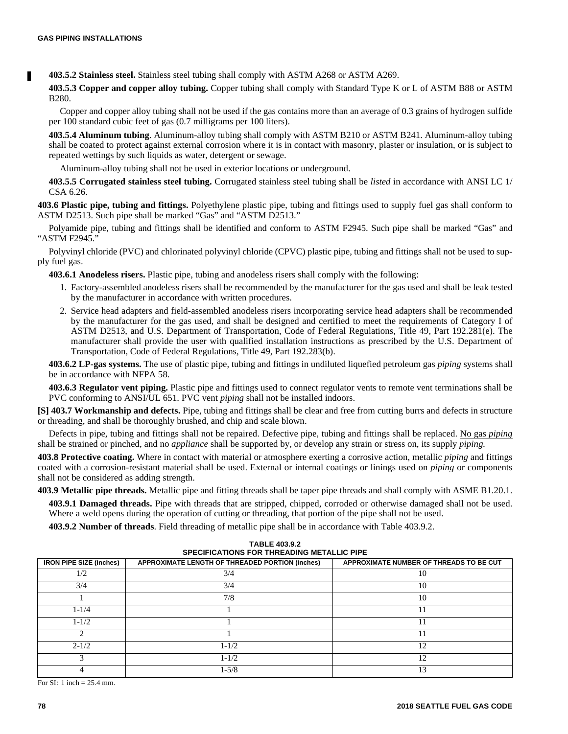**403.5.2 Stainless steel.** Stainless steel tubing shall comply with ASTM A268 or ASTM A269.

**403.5.3 Copper and copper alloy tubing.** Copper tubing shall comply with Standard Type K or L of ASTM B88 or ASTM B280.

Copper and copper alloy tubing shall not be used if the gas contains more than an average of 0.3 grains of hydrogen sulfide per 100 standard cubic feet of gas (0.7 milligrams per 100 liters).

**403.5.4 Aluminum tubing**. Aluminum-alloy tubing shall comply with ASTM B210 or ASTM B241. Aluminum-alloy tubing shall be coated to protect against external corrosion where it is in contact with masonry, plaster or insulation, or is subject to repeated wettings by such liquids as water, detergent or sewage.

Aluminum-alloy tubing shall not be used in exterior locations or underground.

**403.5.5 Corrugated stainless steel tubing.** Corrugated stainless steel tubing shall be *listed* in accordance with ANSI LC 1/ CSA 6.26.

**403.6 Plastic pipe, tubing and fittings.** Polyethylene plastic pipe, tubing and fittings used to supply fuel gas shall conform to ASTM D2513. Such pipe shall be marked "Gas" and "ASTM D2513."

Polyamide pipe, tubing and fittings shall be identified and conform to ASTM F2945. Such pipe shall be marked "Gas" and "ASTM F2945."

Polyvinyl chloride (PVC) and chlorinated polyvinyl chloride (CPVC) plastic pipe, tubing and fittings shall not be used to supply fuel gas.

**403.6.1 Anodeless risers.** Plastic pipe, tubing and anodeless risers shall comply with the following:

- 1. Factory-assembled anodeless risers shall be recommended by the manufacturer for the gas used and shall be leak tested by the manufacturer in accordance with written procedures.
- 2. Service head adapters and field-assembled anodeless risers incorporating service head adapters shall be recommended by the manufacturer for the gas used, and shall be designed and certified to meet the requirements of Category I of ASTM D2513, and U.S. Department of Transportation, Code of Federal Regulations, Title 49, Part 192.281(e). The manufacturer shall provide the user with qualified installation instructions as prescribed by the U.S. Department of Transportation, Code of Federal Regulations, Title 49, Part 192.283(b).

**403.6.2 LP-gas systems.** The use of plastic pipe, tubing and fittings in undiluted liquefied petroleum gas *piping* systems shall be in accordance with NFPA 58.

**403.6.3 Regulator vent piping.** Plastic pipe and fittings used to connect regulator vents to remote vent terminations shall be PVC conforming to ANSI/UL 651. PVC vent *piping* shall not be installed indoors.

**[S] 403.7 Workmanship and defects.** Pipe, tubing and fittings shall be clear and free from cutting burrs and defects in structure or threading, and shall be thoroughly brushed, and chip and scale blown.

Defects in pipe, tubing and fittings shall not be repaired. Defective pipe, tubing and fittings shall be replaced. No gas *piping* shall be strained or pinched, and no *appliance* shall be supported by, or develop any strain or stress on, its supply *piping.*

**403.8 Protective coating.** Where in contact with material or atmosphere exerting a corrosive action, metallic *piping* and fittings coated with a corrosion-resistant material shall be used. External or internal coatings or linings used on *piping* or components shall not be considered as adding strength.

**403.9 Metallic pipe threads.** Metallic pipe and fitting threads shall be taper pipe threads and shall comply with ASME B1.20.1.

**403.9.1 Damaged threads.** Pipe with threads that are stripped, chipped, corroded or otherwise damaged shall not be used. Where a weld opens during the operation of cutting or threading, that portion of the pipe shall not be used.

**403.9.2 Number of threads**. Field threading of metallic pipe shall be in accordance with Table 403.9.2.

| 1 ADLL 400.3.4<br><b>SPECIFICATIONS FOR THREADING METALLIC PIPE</b> |                                                 |                                         |  |  |
|---------------------------------------------------------------------|-------------------------------------------------|-----------------------------------------|--|--|
| <b>IRON PIPE SIZE (inches)</b>                                      | APPROXIMATE LENGTH OF THREADED PORTION (inches) | APPROXIMATE NUMBER OF THREADS TO BE CUT |  |  |
| 1/2                                                                 | 3/4                                             | 10                                      |  |  |
| 3/4                                                                 | 3/4                                             | 10                                      |  |  |
|                                                                     | 7/8                                             | 10                                      |  |  |
| $1 - 1/4$                                                           |                                                 | 11                                      |  |  |
| $1 - 1/2$                                                           |                                                 | 11                                      |  |  |
|                                                                     |                                                 |                                         |  |  |
| $2 - 1/2$                                                           | $1 - 1/2$                                       | 12                                      |  |  |
|                                                                     | $1 - 1/2$                                       | 12                                      |  |  |
|                                                                     | $1 - 5/8$                                       | 13                                      |  |  |

**TABLE 403.9.2**

For SI: 1 inch = 25.4 mm.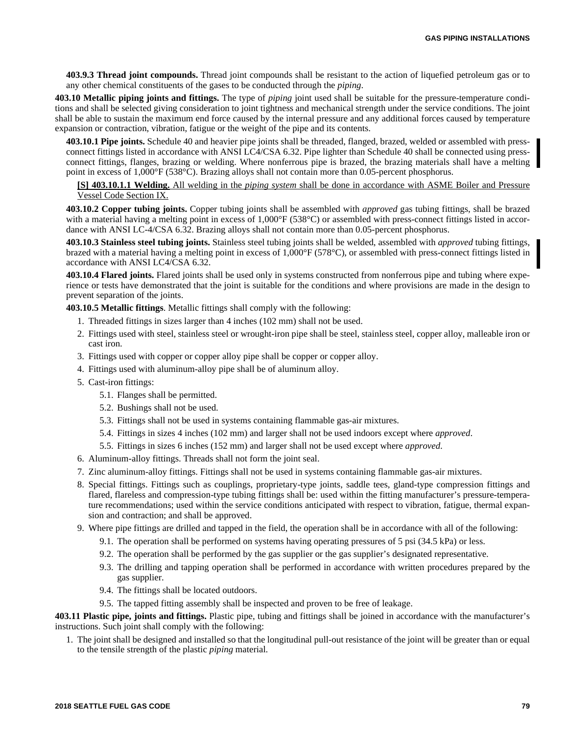**403.9.3 Thread joint compounds.** Thread joint compounds shall be resistant to the action of liquefied petroleum gas or to any other chemical constituents of the gases to be conducted through the *piping*.

**403.10 Metallic piping joints and fittings.** The type of *piping* joint used shall be suitable for the pressure-temperature conditions and shall be selected giving consideration to joint tightness and mechanical strength under the service conditions. The joint shall be able to sustain the maximum end force caused by the internal pressure and any additional forces caused by temperature expansion or contraction, vibration, fatigue or the weight of the pipe and its contents.

**403.10.1 Pipe joints.** Schedule 40 and heavier pipe joints shall be threaded, flanged, brazed, welded or assembled with pressconnect fittings listed in accordance with ANSI LC4/CSA 6.32. Pipe lighter than Schedule 40 shall be connected using pressconnect fittings, flanges, brazing or welding. Where nonferrous pipe is brazed, the brazing materials shall have a melting point in excess of 1,000°F (538°C). Brazing alloys shall not contain more than 0.05-percent phosphorus.

## **[S] 403.10.1.1 Welding.** All welding in the *piping system* shall be done in accordance with ASME Boiler and Pressure Vessel Code Section IX.

**403.10.2 Copper tubing joints.** Copper tubing joints shall be assembled with *approved* gas tubing fittings, shall be brazed with a material having a melting point in excess of 1,000°F (538°C) or assembled with press-connect fittings listed in accordance with ANSI LC-4/CSA 6.32. Brazing alloys shall not contain more than 0.05-percent phosphorus.

**403.10.3 Stainless steel tubing joints.** Stainless steel tubing joints shall be welded, assembled with *approved* tubing fittings, brazed with a material having a melting point in excess of 1,000°F (578°C), or assembled with press-connect fittings listed in accordance with ANSI LC4/CSA 6.32.

**403.10.4 Flared joints.** Flared joints shall be used only in systems constructed from nonferrous pipe and tubing where experience or tests have demonstrated that the joint is suitable for the conditions and where provisions are made in the design to prevent separation of the joints.

**403.10.5 Metallic fittings**. Metallic fittings shall comply with the following:

- 1. Threaded fittings in sizes larger than 4 inches (102 mm) shall not be used.
- 2. Fittings used with steel, stainless steel or wrought-iron pipe shall be steel, stainless steel, copper alloy, malleable iron or cast iron.
- 3. Fittings used with copper or copper alloy pipe shall be copper or copper alloy.
- 4. Fittings used with aluminum-alloy pipe shall be of aluminum alloy.
- 5. Cast-iron fittings:
	- 5.1. Flanges shall be permitted.
	- 5.2. Bushings shall not be used.
	- 5.3. Fittings shall not be used in systems containing flammable gas-air mixtures.
	- 5.4. Fittings in sizes 4 inches (102 mm) and larger shall not be used indoors except where *approved*.
	- 5.5. Fittings in sizes 6 inches (152 mm) and larger shall not be used except where *approved*.
- 6. Aluminum-alloy fittings. Threads shall not form the joint seal.
- 7. Zinc aluminum-alloy fittings. Fittings shall not be used in systems containing flammable gas-air mixtures.
- 8. Special fittings. Fittings such as couplings, proprietary-type joints, saddle tees, gland-type compression fittings and flared, flareless and compression-type tubing fittings shall be: used within the fitting manufacturer's pressure-temperature recommendations; used within the service conditions anticipated with respect to vibration, fatigue, thermal expansion and contraction; and shall be approved.
- 9. Where pipe fittings are drilled and tapped in the field, the operation shall be in accordance with all of the following:
	- 9.1. The operation shall be performed on systems having operating pressures of 5 psi (34.5 kPa) or less.
	- 9.2. The operation shall be performed by the gas supplier or the gas supplier's designated representative.
	- 9.3. The drilling and tapping operation shall be performed in accordance with written procedures prepared by the gas supplier.
	- 9.4. The fittings shall be located outdoors.
	- 9.5. The tapped fitting assembly shall be inspected and proven to be free of leakage.

**403.11 Plastic pipe, joints and fittings.** Plastic pipe, tubing and fittings shall be joined in accordance with the manufacturer's instructions. Such joint shall comply with the following:

1. The joint shall be designed and installed so that the longitudinal pull-out resistance of the joint will be greater than or equal to the tensile strength of the plastic *piping* material.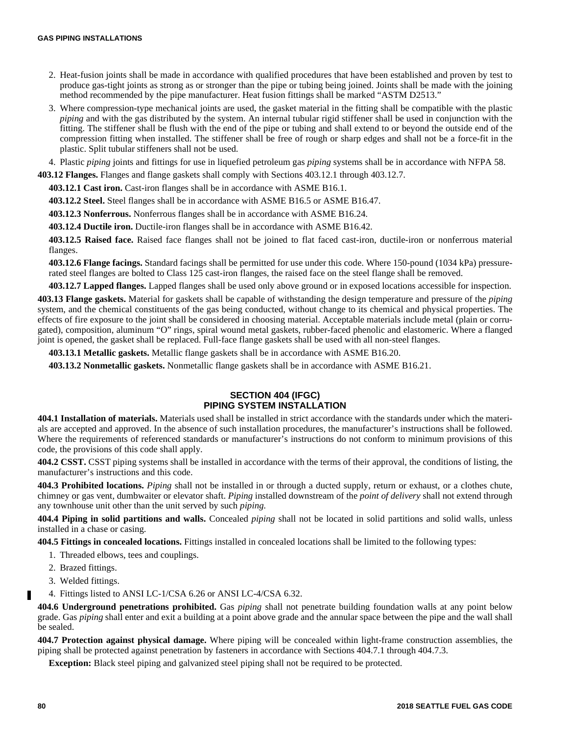- 2. Heat-fusion joints shall be made in accordance with qualified procedures that have been established and proven by test to produce gas-tight joints as strong as or stronger than the pipe or tubing being joined. Joints shall be made with the joining method recommended by the pipe manufacturer. Heat fusion fittings shall be marked "ASTM D2513."
- 3. Where compression-type mechanical joints are used, the gasket material in the fitting shall be compatible with the plastic *piping* and with the gas distributed by the system. An internal tubular rigid stiffener shall be used in conjunction with the fitting. The stiffener shall be flush with the end of the pipe or tubing and shall extend to or beyond the outside end of the compression fitting when installed. The stiffener shall be free of rough or sharp edges and shall not be a force-fit in the plastic. Split tubular stiffeners shall not be used.
- 4. Plastic *piping* joints and fittings for use in liquefied petroleum gas *piping* systems shall be in accordance with NFPA 58.

**403.12 Flanges.** Flanges and flange gaskets shall comply with Sections 403.12.1 through 403.12.7.

**403.12.1 Cast iron.** Cast-iron flanges shall be in accordance with ASME B16.1.

**403.12.2 Steel.** Steel flanges shall be in accordance with ASME B16.5 or ASME B16.47.

**403.12.3 Nonferrous.** Nonferrous flanges shall be in accordance with ASME B16.24.

**403.12.4 Ductile iron.** Ductile-iron flanges shall be in accordance with ASME B16.42.

**403.12.5 Raised face.** Raised face flanges shall not be joined to flat faced cast-iron, ductile-iron or nonferrous material flanges.

**403.12.6 Flange facings.** Standard facings shall be permitted for use under this code. Where 150-pound (1034 kPa) pressurerated steel flanges are bolted to Class 125 cast-iron flanges, the raised face on the steel flange shall be removed.

**403.12.7 Lapped flanges.** Lapped flanges shall be used only above ground or in exposed locations accessible for inspection.

**403.13 Flange gaskets.** Material for gaskets shall be capable of withstanding the design temperature and pressure of the *piping* system, and the chemical constituents of the gas being conducted, without change to its chemical and physical properties. The effects of fire exposure to the joint shall be considered in choosing material. Acceptable materials include metal (plain or corrugated), composition, aluminum "O" rings, spiral wound metal gaskets, rubber-faced phenolic and elastomeric. Where a flanged joint is opened, the gasket shall be replaced. Full-face flange gaskets shall be used with all non-steel flanges.

**403.13.1 Metallic gaskets.** Metallic flange gaskets shall be in accordance with ASME B16.20.

**403.13.2 Nonmetallic gaskets.** Nonmetallic flange gaskets shall be in accordance with ASME B16.21.

# **SECTION 404 (IFGC) PIPING SYSTEM INSTALLATION**

**404.1 Installation of materials.** Materials used shall be installed in strict accordance with the standards under which the materials are accepted and approved. In the absence of such installation procedures, the manufacturer's instructions shall be followed. Where the requirements of referenced standards or manufacturer's instructions do not conform to minimum provisions of this code, the provisions of this code shall apply.

**404.2 CSST.** CSST piping systems shall be installed in accordance with the terms of their approval, the conditions of listing, the manufacturer's instructions and this code.

**404.3 Prohibited locations.** *Piping* shall not be installed in or through a ducted supply, return or exhaust, or a clothes chute, chimney or gas vent, dumbwaiter or elevator shaft. *Piping* installed downstream of the *point of delivery* shall not extend through any townhouse unit other than the unit served by such *piping*.

**404.4 Piping in solid partitions and walls.** Concealed *piping* shall not be located in solid partitions and solid walls, unless installed in a chase or casing.

**404.5 Fittings in concealed locations.** Fittings installed in concealed locations shall be limited to the following types:

- 1. Threaded elbows, tees and couplings.
- 2. Brazed fittings.
- 3. Welded fittings.
- 4. Fittings listed to ANSI LC-1/CSA 6.26 or ANSI LC-4/CSA 6.32.

**404.6 Underground penetrations prohibited.** Gas *piping* shall not penetrate building foundation walls at any point below grade. Gas *piping* shall enter and exit a building at a point above grade and the annular space between the pipe and the wall shall be sealed.

**404.7 Protection against physical damage.** Where piping will be concealed within light-frame construction assemblies, the piping shall be protected against penetration by fasteners in accordance with Sections 404.7.1 through 404.7.3.

**Exception:** Black steel piping and galvanized steel piping shall not be required to be protected.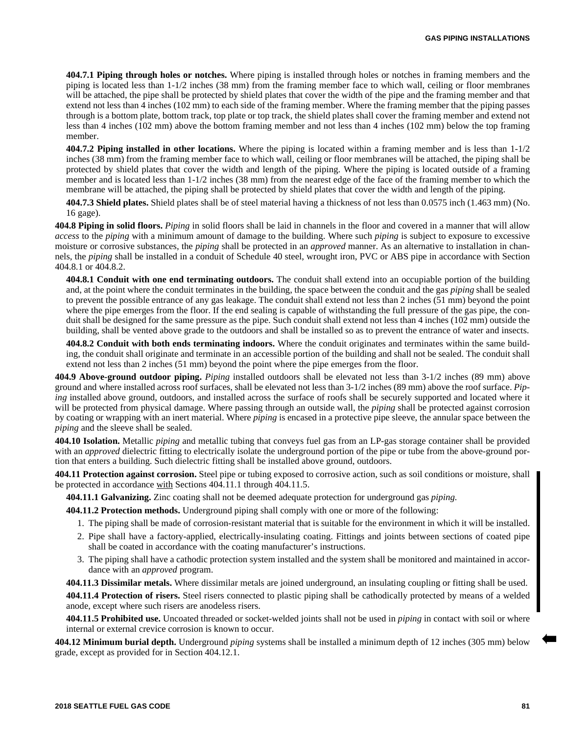**404.7.1 Piping through holes or notches.** Where piping is installed through holes or notches in framing members and the piping is located less than 1-1/2 inches (38 mm) from the framing member face to which wall, ceiling or floor membranes will be attached, the pipe shall be protected by shield plates that cover the width of the pipe and the framing member and that extend not less than 4 inches (102 mm) to each side of the framing member. Where the framing member that the piping passes through is a bottom plate, bottom track, top plate or top track, the shield plates shall cover the framing member and extend not less than 4 inches (102 mm) above the bottom framing member and not less than 4 inches (102 mm) below the top framing member.

**404.7.2 Piping installed in other locations.** Where the piping is located within a framing member and is less than 1-1/2 inches (38 mm) from the framing member face to which wall, ceiling or floor membranes will be attached, the piping shall be protected by shield plates that cover the width and length of the piping. Where the piping is located outside of a framing member and is located less than  $1-1/2$  inches (38 mm) from the nearest edge of the face of the framing member to which the membrane will be attached, the piping shall be protected by shield plates that cover the width and length of the piping.

**404.7.3 Shield plates.** Shield plates shall be of steel material having a thickness of not less than 0.0575 inch (1.463 mm) (No. 16 gage).

**404.8 Piping in solid floors.** *Piping* in solid floors shall be laid in channels in the floor and covered in a manner that will allow *access* to the *piping* with a minimum amount of damage to the building. Where such *piping* is subject to exposure to excessive moisture or corrosive substances, the *piping* shall be protected in an *approved* manner. As an alternative to installation in channels, the *piping* shall be installed in a conduit of Schedule 40 steel, wrought iron, PVC or ABS pipe in accordance with Section 404.8.1 or 404.8.2.

**404.8.1 Conduit with one end terminating outdoors.** The conduit shall extend into an occupiable portion of the building and, at the point where the conduit terminates in the building, the space between the conduit and the gas *piping* shall be sealed to prevent the possible entrance of any gas leakage. The conduit shall extend not less than 2 inches (51 mm) beyond the point where the pipe emerges from the floor. If the end sealing is capable of withstanding the full pressure of the gas pipe, the conduit shall be designed for the same pressure as the pipe. Such conduit shall extend not less than 4 inches (102 mm) outside the building, shall be vented above grade to the outdoors and shall be installed so as to prevent the entrance of water and insects.

**404.8.2 Conduit with both ends terminating indoors.** Where the conduit originates and terminates within the same building, the conduit shall originate and terminate in an accessible portion of the building and shall not be sealed. The conduit shall extend not less than 2 inches (51 mm) beyond the point where the pipe emerges from the floor.

**404.9 Above-ground outdoor piping.** *Piping* installed outdoors shall be elevated not less than 3-1/2 inches (89 mm) above ground and where installed across roof surfaces, shall be elevated not less than 3-1/2 inches (89 mm) above the roof surface. *Piping* installed above ground, outdoors, and installed across the surface of roofs shall be securely supported and located where it will be protected from physical damage. Where passing through an outside wall, the *piping* shall be protected against corrosion by coating or wrapping with an inert material. Where *piping* is encased in a protective pipe sleeve, the annular space between the *piping* and the sleeve shall be sealed.

**404.10 Isolation.** Metallic *piping* and metallic tubing that conveys fuel gas from an LP-gas storage container shall be provided with an *approved* dielectric fitting to electrically isolate the underground portion of the pipe or tube from the above-ground portion that enters a building. Such dielectric fitting shall be installed above ground, outdoors.

**404.11 Protection against corrosion.** Steel pipe or tubing exposed to corrosive action, such as soil conditions or moisture, shall be protected in accordance with Sections 404.11.1 through 404.11.5.

**404.11.1 Galvanizing.** Zinc coating shall not be deemed adequate protection for underground gas *piping.*

**404.11.2 Protection methods.** Underground piping shall comply with one or more of the following:

- 1. The piping shall be made of corrosion-resistant material that is suitable for the environment in which it will be installed.
- 2. Pipe shall have a factory-applied, electrically-insulating coating. Fittings and joints between sections of coated pipe shall be coated in accordance with the coating manufacturer's instructions.
- 3. The piping shall have a cathodic protection system installed and the system shall be monitored and maintained in accordance with an *approved* program.

**404.11.3 Dissimilar metals.** Where dissimilar metals are joined underground, an insulating coupling or fitting shall be used. **404.11.4 Protection of risers.** Steel risers connected to plastic piping shall be cathodically protected by means of a welded anode, except where such risers are anodeless risers.

**404.11.5 Prohibited use.** Uncoated threaded or socket-welded joints shall not be used in *piping* in contact with soil or where internal or external crevice corrosion is known to occur.

**404.12 Minimum burial depth.** Underground *piping* systems shall be installed a minimum depth of 12 inches (305 mm) below grade, except as provided for in Section 404.12.1.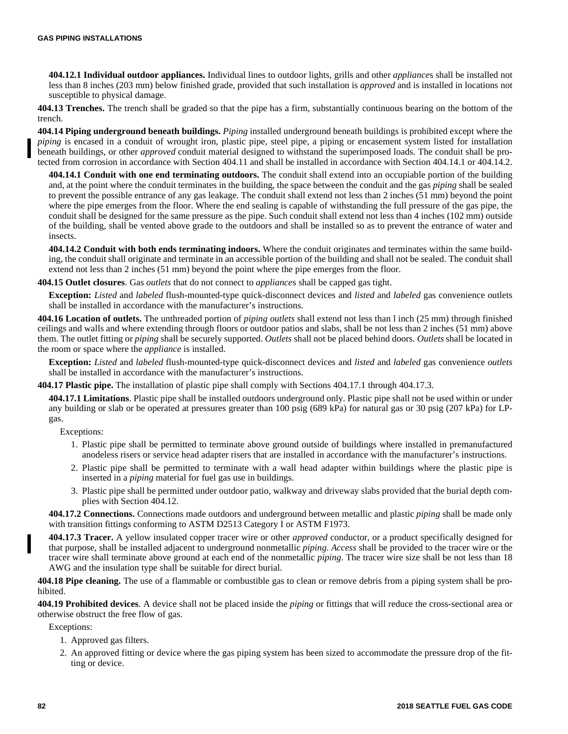**404.12.1 Individual outdoor appliances.** Individual lines to outdoor lights, grills and other *appliance*s shall be installed not less than 8 inches (203 mm) below finished grade, provided that such installation is *approved* and is installed in locations not susceptible to physical damage.

**404.13 Trenches.** The trench shall be graded so that the pipe has a firm, substantially continuous bearing on the bottom of the trench.

**404.14 Piping underground beneath buildings.** *Piping* installed underground beneath buildings is prohibited except where the *piping* is encased in a conduit of wrought iron, plastic pipe, steel pipe, a piping or encasement system listed for installation beneath buildings, or other *approved* conduit material designed to withstand the superimposed loads. The conduit shall be protected from corrosion in accordance with Section 404.11 and shall be installed in accordance with Section 404.14.1 or 404.14.2.

**404.14.1 Conduit with one end terminating outdoors.** The conduit shall extend into an occupiable portion of the building and, at the point where the conduit terminates in the building, the space between the conduit and the gas *piping* shall be sealed to prevent the possible entrance of any gas leakage. The conduit shall extend not less than 2 inches (51 mm) beyond the point where the pipe emerges from the floor. Where the end sealing is capable of withstanding the full pressure of the gas pipe, the conduit shall be designed for the same pressure as the pipe. Such conduit shall extend not less than 4 inches (102 mm) outside of the building, shall be vented above grade to the outdoors and shall be installed so as to prevent the entrance of water and insects.

**404.14.2 Conduit with both ends terminating indoors.** Where the conduit originates and terminates within the same building, the conduit shall originate and terminate in an accessible portion of the building and shall not be sealed. The conduit shall extend not less than 2 inches (51 mm) beyond the point where the pipe emerges from the floor.

**404.15 Outlet closures**. Gas *outlets* that do not connect to *appliance*s shall be capped gas tight.

**Exception:** *Listed* and *labeled* flush-mounted-type quick-disconnect devices and *listed* and *labeled* gas convenience outlets shall be installed in accordance with the manufacturer's instructions.

**404.16 Location of outlets.** The unthreaded portion of *piping outlets* shall extend not less than l inch (25 mm) through finished ceilings and walls and where extending through floors or outdoor patios and slabs, shall be not less than 2 inches (51 mm) above them. The outlet fitting or *piping* shall be securely supported. *Outlets* shall not be placed behind doors. *Outlets* shall be located in the room or space where the *appliance* is installed.

**Exception:** *Listed* and *labeled* flush-mounted-type quick-disconnect devices and *listed* and *labeled* gas convenience *outlets* shall be installed in accordance with the manufacturer's instructions.

**404.17 Plastic pipe.** The installation of plastic pipe shall comply with Sections 404.17.1 through 404.17.3.

**404.17.1 Limitations**. Plastic pipe shall be installed outdoors underground only. Plastic pipe shall not be used within or under any building or slab or be operated at pressures greater than 100 psig (689 kPa) for natural gas or 30 psig (207 kPa) for LPgas.

Exceptions:

- 1. Plastic pipe shall be permitted to terminate above ground outside of buildings where installed in premanufactured anodeless risers or service head adapter risers that are installed in accordance with the manufacturer's instructions.
- 2. Plastic pipe shall be permitted to terminate with a wall head adapter within buildings where the plastic pipe is inserted in a *piping* material for fuel gas use in buildings.
- 3. Plastic pipe shall be permitted under outdoor patio, walkway and driveway slabs provided that the burial depth complies with Section 404.12.

**404.17.2 Connections.** Connections made outdoors and underground between metallic and plastic *piping* shall be made only with transition fittings conforming to ASTM D2513 Category I or ASTM F1973.

**404.17.3 Tracer.** A yellow insulated copper tracer wire or other *approved* conductor, or a product specifically designed for that purpose, shall be installed adjacent to underground nonmetallic *piping*. *Access* shall be provided to the tracer wire or the tracer wire shall terminate above ground at each end of the nonmetallic *piping*. The tracer wire size shall be not less than 18 AWG and the insulation type shall be suitable for direct burial.

**404.18 Pipe cleaning.** The use of a flammable or combustible gas to clean or remove debris from a piping system shall be prohibited.

**404.19 Prohibited devices**. A device shall not be placed inside the *piping* or fittings that will reduce the cross-sectional area or otherwise obstruct the free flow of gas.

Exceptions:

- 1. Approved gas filters.
- 2. An approved fitting or device where the gas piping system has been sized to accommodate the pressure drop of the fitting or device.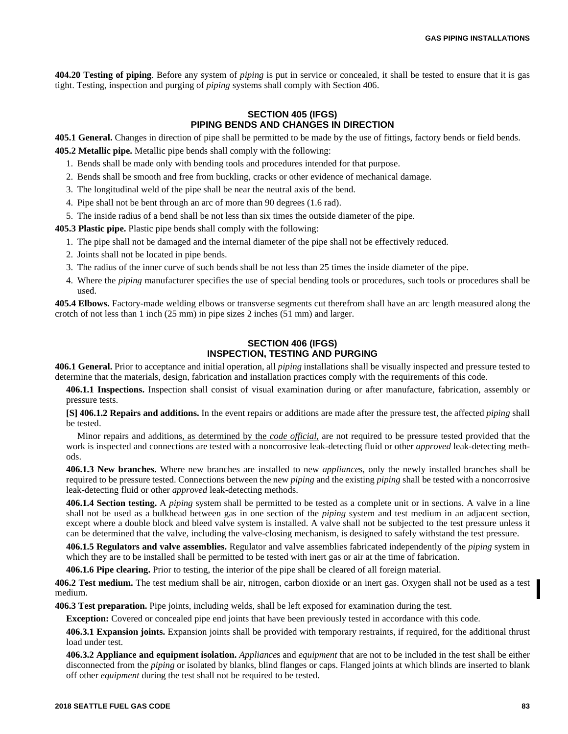**404.20 Testing of piping**. Before any system of *piping* is put in service or concealed, it shall be tested to ensure that it is gas tight. Testing, inspection and purging of *piping* systems shall comply with Section 406.

# **SECTION 405 (IFGS) PIPING BENDS AND CHANGES IN DIRECTION**

**405.1 General.** Changes in direction of pipe shall be permitted to be made by the use of fittings, factory bends or field bends. **405.2 Metallic pipe.** Metallic pipe bends shall comply with the following:

- 1. Bends shall be made only with bending tools and procedures intended for that purpose.
- 2. Bends shall be smooth and free from buckling, cracks or other evidence of mechanical damage.
- 3. The longitudinal weld of the pipe shall be near the neutral axis of the bend.
- 4. Pipe shall not be bent through an arc of more than 90 degrees (1.6 rad).
- 5. The inside radius of a bend shall be not less than six times the outside diameter of the pipe.

**405.3 Plastic pipe.** Plastic pipe bends shall comply with the following:

- 1. The pipe shall not be damaged and the internal diameter of the pipe shall not be effectively reduced.
- 2. Joints shall not be located in pipe bends.
- 3. The radius of the inner curve of such bends shall be not less than 25 times the inside diameter of the pipe.
- 4. Where the *piping* manufacturer specifies the use of special bending tools or procedures, such tools or procedures shall be used.

**405.4 Elbows.** Factory-made welding elbows or transverse segments cut therefrom shall have an arc length measured along the crotch of not less than 1 inch (25 mm) in pipe sizes 2 inches (51 mm) and larger.

### **SECTION 406 (IFGS) INSPECTION, TESTING AND PURGING**

**406.1 General.** Prior to acceptance and initial operation, all *piping* installations shall be visually inspected and pressure tested to determine that the materials, design, fabrication and installation practices comply with the requirements of this code.

**406.1.1 Inspections.** Inspection shall consist of visual examination during or after manufacture, fabrication, assembly or pressure tests.

**[S] 406.1.2 Repairs and additions.** In the event repairs or additions are made after the pressure test, the affected *piping* shall be tested.

Minor repairs and additions, as determined by the *code official*, are not required to be pressure tested provided that the work is inspected and connections are tested with a noncorrosive leak-detecting fluid or other *approved* leak-detecting methods.

**406.1.3 New branches.** Where new branches are installed to new *appliance*s, only the newly installed branches shall be required to be pressure tested. Connections between the new *piping* and the existing *piping* shall be tested with a noncorrosive leak-detecting fluid or other *approved* leak-detecting methods.

**406.1.4 Section testing.** A *piping* system shall be permitted to be tested as a complete unit or in sections. A valve in a line shall not be used as a bulkhead between gas in one section of the *piping* system and test medium in an adjacent section, except where a double block and bleed valve system is installed. A valve shall not be subjected to the test pressure unless it can be determined that the valve, including the valve-closing mechanism, is designed to safely withstand the test pressure.

**406.1.5 Regulators and valve assemblies.** Regulator and valve assemblies fabricated independently of the *piping* system in which they are to be installed shall be permitted to be tested with inert gas or air at the time of fabrication.

**406.1.6 Pipe clearing.** Prior to testing, the interior of the pipe shall be cleared of all foreign material.

**406.2 Test medium.** The test medium shall be air, nitrogen, carbon dioxide or an inert gas. Oxygen shall not be used as a test medium.

**406.3 Test preparation.** Pipe joints, including welds, shall be left exposed for examination during the test.

**Exception:** Covered or concealed pipe end joints that have been previously tested in accordance with this code.

**406.3.1 Expansion joints.** Expansion joints shall be provided with temporary restraints, if required, for the additional thrust load under test.

**406.3.2 Appliance and equipment isolation.** *Appliance*s and *equipment* that are not to be included in the test shall be either disconnected from the *piping* or isolated by blanks, blind flanges or caps. Flanged joints at which blinds are inserted to blank off other *equipment* during the test shall not be required to be tested.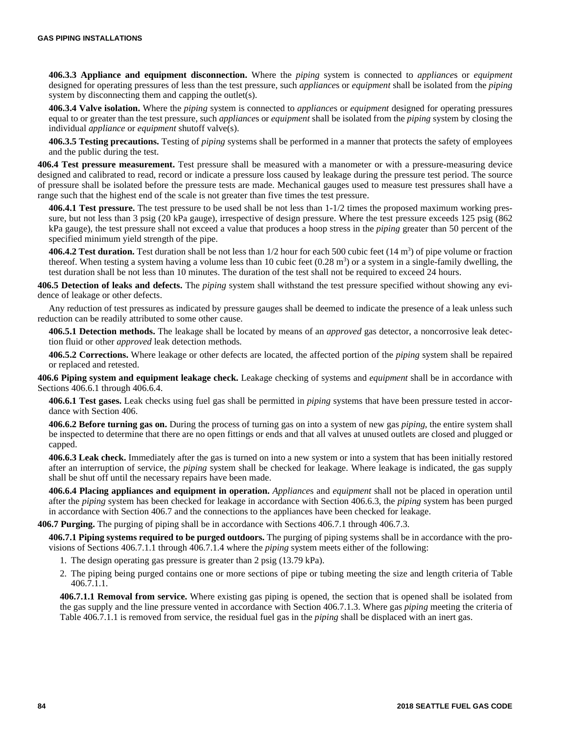**406.3.3 Appliance and equipment disconnection.** Where the *piping* system is connected to *appliance*s or *equipment* designed for operating pressures of less than the test pressure, such *appliance*s or *equipment* shall be isolated from the *piping* system by disconnecting them and capping the outlet(s).

**406.3.4 Valve isolation.** Where the *piping* system is connected to *appliance*s or *equipment* designed for operating pressures equal to or greater than the test pressure, such *appliance*s or *equipment* shall be isolated from the *piping* system by closing the individual *appliance* or *equipment* shutoff valve(s).

**406.3.5 Testing precautions.** Testing of *piping* systems shall be performed in a manner that protects the safety of employees and the public during the test.

**406.4 Test pressure measurement.** Test pressure shall be measured with a manometer or with a pressure-measuring device designed and calibrated to read, record or indicate a pressure loss caused by leakage during the pressure test period. The source of pressure shall be isolated before the pressure tests are made. Mechanical gauges used to measure test pressures shall have a range such that the highest end of the scale is not greater than five times the test pressure.

**406.4.1 Test pressure.** The test pressure to be used shall be not less than 1-1/2 times the proposed maximum working pressure, but not less than 3 psig (20 kPa gauge), irrespective of design pressure. Where the test pressure exceeds 125 psig (862 kPa gauge), the test pressure shall not exceed a value that produces a hoop stress in the *piping* greater than 50 percent of the specified minimum yield strength of the pipe.

406.4.2 Test duration. Test duration shall be not less than 1/2 hour for each 500 cubic feet (14 m<sup>3</sup>) of pipe volume or fraction thereof. When testing a system having a volume less than 10 cubic feet  $(0.28 \text{ m}^3)$  or a system in a single-family dwelling, the test duration shall be not less than 10 minutes. The duration of the test shall not be required to exceed 24 hours.

**406.5 Detection of leaks and defects.** The *piping* system shall withstand the test pressure specified without showing any evidence of leakage or other defects.

Any reduction of test pressures as indicated by pressure gauges shall be deemed to indicate the presence of a leak unless such reduction can be readily attributed to some other cause.

**406.5.1 Detection methods.** The leakage shall be located by means of an *approved* gas detector, a noncorrosive leak detection fluid or other *approved* leak detection methods.

**406.5.2 Corrections.** Where leakage or other defects are located, the affected portion of the *piping* system shall be repaired or replaced and retested.

**406.6 Piping system and equipment leakage check.** Leakage checking of systems and *equipment* shall be in accordance with Sections 406.6.1 through 406.6.4.

**406.6.1 Test gases.** Leak checks using fuel gas shall be permitted in *piping* systems that have been pressure tested in accordance with Section 406.

**406.6.2 Before turning gas on.** During the process of turning gas on into a system of new gas *piping*, the entire system shall be inspected to determine that there are no open fittings or ends and that all valves at unused outlets are closed and plugged or capped.

**406.6.3 Leak check.** Immediately after the gas is turned on into a new system or into a system that has been initially restored after an interruption of service, the *piping* system shall be checked for leakage. Where leakage is indicated, the gas supply shall be shut off until the necessary repairs have been made.

**406.6.4 Placing appliances and equipment in operation.** *Appliance*s and *equipment* shall not be placed in operation until after the *piping* system has been checked for leakage in accordance with Section 406.6.3, the *piping* system has been purged in accordance with Section 406.7 and the connections to the appliances have been checked for leakage.

**406.7 Purging.** The purging of piping shall be in accordance with Sections 406.7.1 through 406.7.3.

**406.7.1 Piping systems required to be purged outdoors.** The purging of piping systems shall be in accordance with the provisions of Sections 406.7.1.1 through 406.7.1.4 where the *piping* system meets either of the following:

- 1. The design operating gas pressure is greater than 2 psig (13.79 kPa).
- 2. The piping being purged contains one or more sections of pipe or tubing meeting the size and length criteria of Table 406.7.1.1.

**406.7.1.1 Removal from service.** Where existing gas piping is opened, the section that is opened shall be isolated from the gas supply and the line pressure vented in accordance with Section 406.7.1.3. Where gas *piping* meeting the criteria of Table 406.7.1.1 is removed from service, the residual fuel gas in the *piping* shall be displaced with an inert gas.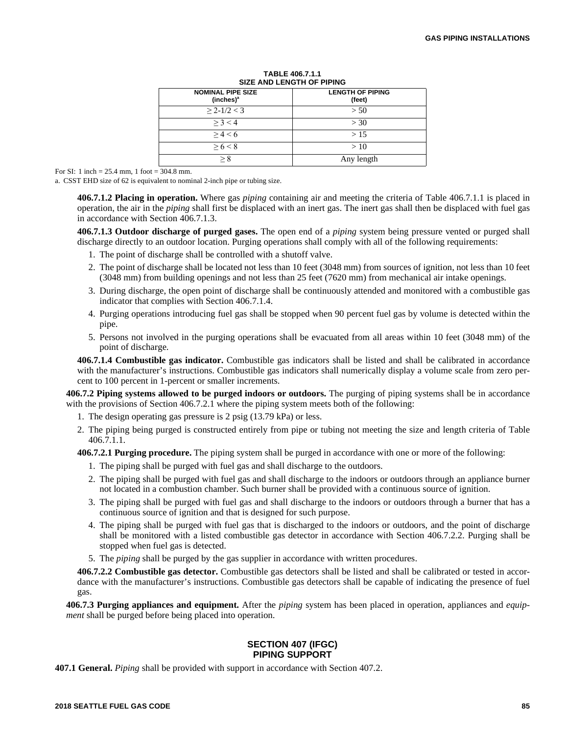| 922 AND LENGTH OF THING                           |                                   |  |  |  |
|---------------------------------------------------|-----------------------------------|--|--|--|
| <b>NOMINAL PIPE SIZE</b><br>(inches) <sup>a</sup> | <b>LENGTH OF PIPING</b><br>(feet) |  |  |  |
| $\geq$ 2-1/2 < 3                                  | > 50                              |  |  |  |
| > 3 < 4                                           | >30                               |  |  |  |
| > 4 < 6                                           | >15                               |  |  |  |
| > 6 < 8                                           | >10                               |  |  |  |
|                                                   | Any length                        |  |  |  |

#### **TABLE 406.7.1.1 SIZE AND LENGTH OF PIPING**

For SI: 1 inch = 25.4 mm, 1 foot = 304.8 mm.

a. CSST EHD size of 62 is equivalent to nominal 2-inch pipe or tubing size.

**406.7.1.2 Placing in operation.** Where gas *piping* containing air and meeting the criteria of Table 406.7.1.1 is placed in operation, the air in the *piping* shall first be displaced with an inert gas. The inert gas shall then be displaced with fuel gas in accordance with Section 406.7.1.3.

**406.7.1.3 Outdoor discharge of purged gases.** The open end of a *piping* system being pressure vented or purged shall discharge directly to an outdoor location. Purging operations shall comply with all of the following requirements:

- 1. The point of discharge shall be controlled with a shutoff valve.
- 2. The point of discharge shall be located not less than 10 feet (3048 mm) from sources of ignition, not less than 10 feet (3048 mm) from building openings and not less than 25 feet (7620 mm) from mechanical air intake openings.
- 3. During discharge, the open point of discharge shall be continuously attended and monitored with a combustible gas indicator that complies with Section 406.7.1.4.
- 4. Purging operations introducing fuel gas shall be stopped when 90 percent fuel gas by volume is detected within the pipe.
- 5. Persons not involved in the purging operations shall be evacuated from all areas within 10 feet (3048 mm) of the point of discharge.

**406.7.1.4 Combustible gas indicator.** Combustible gas indicators shall be listed and shall be calibrated in accordance with the manufacturer's instructions. Combustible gas indicators shall numerically display a volume scale from zero percent to 100 percent in 1-percent or smaller increments.

**406.7.2 Piping systems allowed to be purged indoors or outdoors.** The purging of piping systems shall be in accordance with the provisions of Section 406.7.2.1 where the piping system meets both of the following:

- 1. The design operating gas pressure is 2 psig (13.79 kPa) or less.
- 2. The piping being purged is constructed entirely from pipe or tubing not meeting the size and length criteria of Table 406.7.1.1.

**406.7.2.1 Purging procedure.** The piping system shall be purged in accordance with one or more of the following:

- 1. The piping shall be purged with fuel gas and shall discharge to the outdoors.
- 2. The piping shall be purged with fuel gas and shall discharge to the indoors or outdoors through an appliance burner not located in a combustion chamber. Such burner shall be provided with a continuous source of ignition.
- 3. The piping shall be purged with fuel gas and shall discharge to the indoors or outdoors through a burner that has a continuous source of ignition and that is designed for such purpose.
- 4. The piping shall be purged with fuel gas that is discharged to the indoors or outdoors, and the point of discharge shall be monitored with a listed combustible gas detector in accordance with Section 406.7.2.2. Purging shall be stopped when fuel gas is detected.
- 5. The *piping* shall be purged by the gas supplier in accordance with written procedures.

**406.7.2.2 Combustible gas detector.** Combustible gas detectors shall be listed and shall be calibrated or tested in accordance with the manufacturer's instructions. Combustible gas detectors shall be capable of indicating the presence of fuel gas.

**406.7.3 Purging appliances and equipment.** After the *piping* system has been placed in operation, appliances and *equipment* shall be purged before being placed into operation.

# **SECTION 407 (IFGC) PIPING SUPPORT**

**407.1 General.** *Piping* shall be provided with support in accordance with Section 407.2.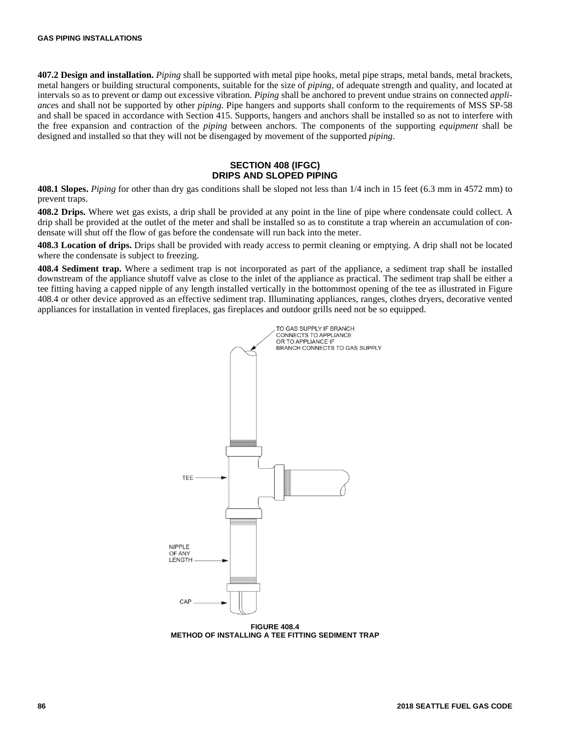**407.2 Design and installation.** *Piping* shall be supported with metal pipe hooks, metal pipe straps, metal bands, metal brackets, metal hangers or building structural components, suitable for the size of *piping*, of adequate strength and quality, and located at intervals so as to prevent or damp out excessive vibration. *Piping* shall be anchored to prevent undue strains on connected *appliance*s and shall not be supported by other *piping*. Pipe hangers and supports shall conform to the requirements of MSS SP-58 and shall be spaced in accordance with Section 415. Supports, hangers and anchors shall be installed so as not to interfere with the free expansion and contraction of the *piping* between anchors. The components of the supporting *equipment* shall be designed and installed so that they will not be disengaged by movement of the supported *piping*.

## **SECTION 408 (IFGC) DRIPS AND SLOPED PIPING**

**408.1 Slopes.** *Piping* for other than dry gas conditions shall be sloped not less than 1/4 inch in 15 feet (6.3 mm in 4572 mm) to prevent traps.

**408.2 Drips.** Where wet gas exists, a drip shall be provided at any point in the line of pipe where condensate could collect. A drip shall be provided at the outlet of the meter and shall be installed so as to constitute a trap wherein an accumulation of condensate will shut off the flow of gas before the condensate will run back into the meter.

**408.3 Location of drips.** Drips shall be provided with ready access to permit cleaning or emptying. A drip shall not be located where the condensate is subject to freezing.

**408.4 Sediment trap.** Where a sediment trap is not incorporated as part of the appliance, a sediment trap shall be installed downstream of the appliance shutoff valve as close to the inlet of the appliance as practical. The sediment trap shall be either a tee fitting having a capped nipple of any length installed vertically in the bottommost opening of the tee as illustrated in Figure 408.4 or other device approved as an effective sediment trap. Illuminating appliances, ranges, clothes dryers, decorative vented appliances for installation in vented fireplaces, gas fireplaces and outdoor grills need not be so equipped.



**FIGURE 408.4 METHOD OF INSTALLING A TEE FITTING SEDIMENT TRAP**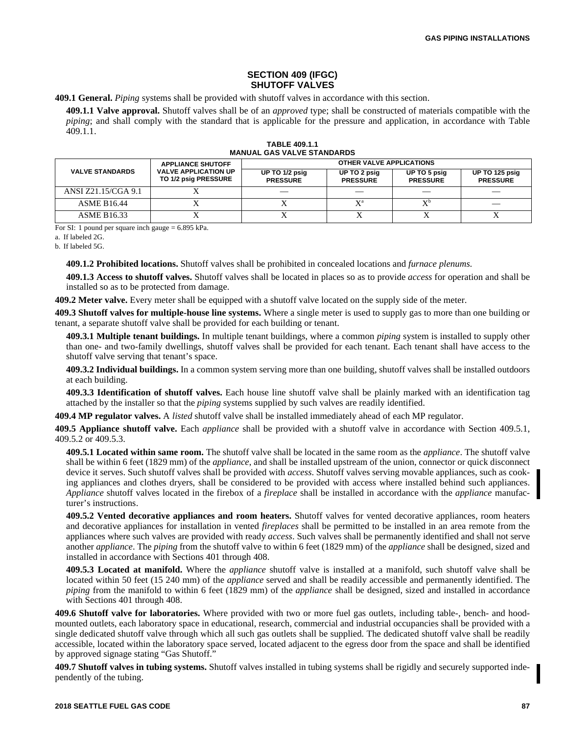### **SECTION 409 (IFGC) SHUTOFF VALVES**

**409.1 General.** *Piping* systems shall be provided with shutoff valves in accordance with this section.

**409.1.1 Valve approval.** Shutoff valves shall be of an *approved* type; shall be constructed of materials compatible with the *piping*; and shall comply with the standard that is applicable for the pressure and application, in accordance with Table 409.1.1.

|                        | <b>APPLIANCE SHUTOFF</b>                            | <b>OTHER VALVE APPLICATIONS</b>   |                                 |                                 |                                   |  |
|------------------------|-----------------------------------------------------|-----------------------------------|---------------------------------|---------------------------------|-----------------------------------|--|
| <b>VALVE STANDARDS</b> | <b>VALVE APPLICATION UP</b><br>TO 1/2 psig PRESSURE | UP TO 1/2 psig<br><b>PRESSURE</b> | UP TO 2 psig<br><b>PRESSURE</b> | UP TO 5 psig<br><b>PRESSURE</b> | UP TO 125 psig<br><b>PRESSURE</b> |  |
| ANSI Z21.15/CGA 9.1    |                                                     |                                   |                                 |                                 |                                   |  |
| <b>ASME B16.44</b>     |                                                     |                                   |                                 | $\mathbf{v}^{\mathsf{b}}$       |                                   |  |
| <b>ASME B16.33</b>     |                                                     |                                   |                                 |                                 |                                   |  |

**TABLE 409.1.1 MANUAL GAS VALVE STANDARDS** 

For SI: 1 pound per square inch gauge = 6.895 kPa.

a. If labeled 2G.

b. If labeled 5G.

**409.1.2 Prohibited locations.** Shutoff valves shall be prohibited in concealed locations and *furnace plenums*.

**409.1.3 Access to shutoff valves.** Shutoff valves shall be located in places so as to provide *access* for operation and shall be installed so as to be protected from damage.

**409.2 Meter valve.** Every meter shall be equipped with a shutoff valve located on the supply side of the meter.

**409.3 Shutoff valves for multiple-house line systems.** Where a single meter is used to supply gas to more than one building or tenant, a separate shutoff valve shall be provided for each building or tenant.

**409.3.1 Multiple tenant buildings.** In multiple tenant buildings, where a common *piping* system is installed to supply other than one- and two-family dwellings, shutoff valves shall be provided for each tenant. Each tenant shall have access to the shutoff valve serving that tenant's space.

**409.3.2 Individual buildings.** In a common system serving more than one building, shutoff valves shall be installed outdoors at each building.

**409.3.3 Identification of shutoff valves.** Each house line shutoff valve shall be plainly marked with an identification tag attached by the installer so that the *piping* systems supplied by such valves are readily identified.

**409.4 MP regulator valves.** A *listed* shutoff valve shall be installed immediately ahead of each MP regulator.

**409.5 Appliance shutoff valve.** Each *appliance* shall be provided with a shutoff valve in accordance with Section 409.5.1, 409.5.2 or 409.5.3.

**409.5.1 Located within same room.** The shutoff valve shall be located in the same room as the *appliance*. The shutoff valve shall be within 6 feet (1829 mm) of the *appliance*, and shall be installed upstream of the union, connector or quick disconnect device it serves. Such shutoff valves shall be provided with *access*. Shutoff valves serving movable appliances, such as cooking appliances and clothes dryers, shall be considered to be provided with access where installed behind such appliances. *Appliance* shutoff valves located in the firebox of a *fireplace* shall be installed in accordance with the *appliance* manufacturer's instructions.

**409.5.2 Vented decorative appliances and room heaters.** Shutoff valves for vented decorative appliances, room heaters and decorative appliances for installation in vented *fireplaces* shall be permitted to be installed in an area remote from the appliances where such valves are provided with ready *access*. Such valves shall be permanently identified and shall not serve another *appliance*. The *piping* from the shutoff valve to within 6 feet (1829 mm) of the *appliance* shall be designed, sized and installed in accordance with Sections 401 through 408.

**409.5.3 Located at manifold.** Where the *appliance* shutoff valve is installed at a manifold, such shutoff valve shall be located within 50 feet (15 240 mm) of the *appliance* served and shall be readily accessible and permanently identified. The *piping* from the manifold to within 6 feet (1829 mm) of the *appliance* shall be designed, sized and installed in accordance with Sections 401 through 408.

**409.6 Shutoff valve for laboratories.** Where provided with two or more fuel gas outlets, including table-, bench- and hoodmounted outlets, each laboratory space in educational, research, commercial and industrial occupancies shall be provided with a single dedicated shutoff valve through which all such gas outlets shall be supplied. The dedicated shutoff valve shall be readily accessible, located within the laboratory space served, located adjacent to the egress door from the space and shall be identified by approved signage stating "Gas Shutoff."

**409.7 Shutoff valves in tubing systems.** Shutoff valves installed in tubing systems shall be rigidly and securely supported independently of the tubing.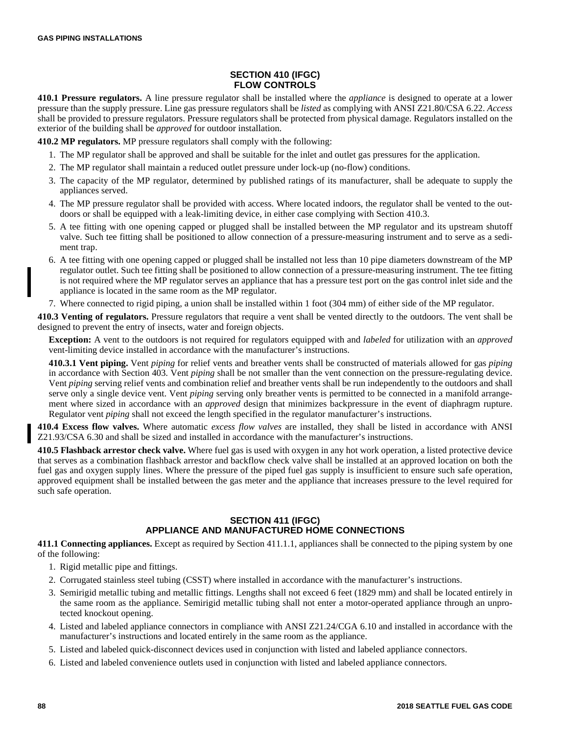# **SECTION 410 (IFGC) FLOW CONTROLS**

**410.1 Pressure regulators.** A line pressure regulator shall be installed where the *appliance* is designed to operate at a lower pressure than the supply pressure. Line gas pressure regulators shall be *listed* as complying with ANSI Z21.80/CSA 6.22. *Access* shall be provided to pressure regulators. Pressure regulators shall be protected from physical damage. Regulators installed on the exterior of the building shall be *approved* for outdoor installation.

**410.2 MP regulators.** MP pressure regulators shall comply with the following:

- 1. The MP regulator shall be approved and shall be suitable for the inlet and outlet gas pressures for the application.
- 2. The MP regulator shall maintain a reduced outlet pressure under lock-up (no-flow) conditions.
- 3. The capacity of the MP regulator, determined by published ratings of its manufacturer, shall be adequate to supply the appliances served.
- 4. The MP pressure regulator shall be provided with access. Where located indoors, the regulator shall be vented to the outdoors or shall be equipped with a leak-limiting device, in either case complying with Section 410.3.
- 5. A tee fitting with one opening capped or plugged shall be installed between the MP regulator and its upstream shutoff valve. Such tee fitting shall be positioned to allow connection of a pressure-measuring instrument and to serve as a sediment trap.
- 6. A tee fitting with one opening capped or plugged shall be installed not less than 10 pipe diameters downstream of the MP regulator outlet. Such tee fitting shall be positioned to allow connection of a pressure-measuring instrument. The tee fitting is not required where the MP regulator serves an appliance that has a pressure test port on the gas control inlet side and the appliance is located in the same room as the MP regulator.
- 7. Where connected to rigid piping, a union shall be installed within 1 foot (304 mm) of either side of the MP regulator.

**410.3 Venting of regulators.** Pressure regulators that require a vent shall be vented directly to the outdoors. The vent shall be designed to prevent the entry of insects, water and foreign objects.

**Exception:** A vent to the outdoors is not required for regulators equipped with and *labeled* for utilization with an *approved* vent-limiting device installed in accordance with the manufacturer's instructions.

**410.3.1 Vent piping.** Vent *piping* for relief vents and breather vents shall be constructed of materials allowed for gas *piping* in accordance with Section 403. Vent *piping* shall be not smaller than the vent connection on the pressure-regulating device. Vent *piping* serving relief vents and combination relief and breather vents shall be run independently to the outdoors and shall serve only a single device vent. Vent *piping* serving only breather vents is permitted to be connected in a manifold arrangement where sized in accordance with an *approved* design that minimizes backpressure in the event of diaphragm rupture. Regulator vent *piping* shall not exceed the length specified in the regulator manufacturer's instructions.

**410.4 Excess flow valves.** Where automatic *excess flow valves* are installed, they shall be listed in accordance with ANSI Z21.93/CSA 6.30 and shall be sized and installed in accordance with the manufacturer's instructions.

**410.5 Flashback arrestor check valve.** Where fuel gas is used with oxygen in any hot work operation, a listed protective device that serves as a combination flashback arrestor and backflow check valve shall be installed at an approved location on both the fuel gas and oxygen supply lines. Where the pressure of the piped fuel gas supply is insufficient to ensure such safe operation, approved equipment shall be installed between the gas meter and the appliance that increases pressure to the level required for such safe operation.

# **SECTION 411 (IFGC) APPLIANCE AND MANUFACTURED HOME CONNECTIONS**

**411.1 Connecting appliances.** Except as required by Section 411.1.1, appliances shall be connected to the piping system by one of the following:

- 1. Rigid metallic pipe and fittings.
- 2. Corrugated stainless steel tubing (CSST) where installed in accordance with the manufacturer's instructions.
- 3. Semirigid metallic tubing and metallic fittings. Lengths shall not exceed 6 feet (1829 mm) and shall be located entirely in the same room as the appliance. Semirigid metallic tubing shall not enter a motor-operated appliance through an unprotected knockout opening.
- 4. Listed and labeled appliance connectors in compliance with ANSI Z21.24/CGA 6.10 and installed in accordance with the manufacturer's instructions and located entirely in the same room as the appliance.
- 5. Listed and labeled quick-disconnect devices used in conjunction with listed and labeled appliance connectors.
- 6. Listed and labeled convenience outlets used in conjunction with listed and labeled appliance connectors.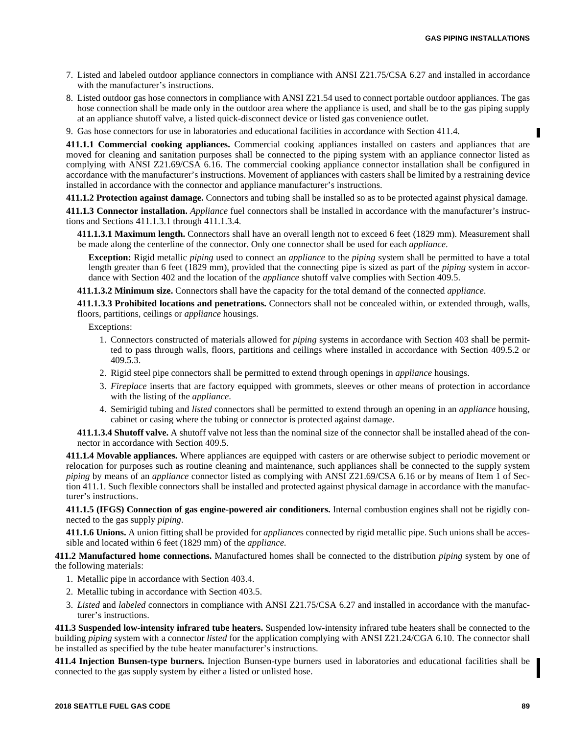- 7. Listed and labeled outdoor appliance connectors in compliance with ANSI Z21.75/CSA 6.27 and installed in accordance with the manufacturer's instructions.
- 8. Listed outdoor gas hose connectors in compliance with ANSI Z21.54 used to connect portable outdoor appliances. The gas hose connection shall be made only in the outdoor area where the appliance is used, and shall be to the gas piping supply at an appliance shutoff valve, a listed quick-disconnect device or listed gas convenience outlet.
- 9. Gas hose connectors for use in laboratories and educational facilities in accordance with Section 411.4.

**411.1.1 Commercial cooking appliances.** Commercial cooking appliances installed on casters and appliances that are moved for cleaning and sanitation purposes shall be connected to the piping system with an appliance connector listed as complying with ANSI Z21.69/CSA 6.16. The commercial cooking appliance connector installation shall be configured in accordance with the manufacturer's instructions. Movement of appliances with casters shall be limited by a restraining device installed in accordance with the connector and appliance manufacturer's instructions.

**411.1.2 Protection against damage.** Connectors and tubing shall be installed so as to be protected against physical damage.

**411.1.3 Connector installation.** *Appliance* fuel connectors shall be installed in accordance with the manufacturer's instructions and Sections 411.1.3.1 through 411.1.3.4.

**411.1.3.1 Maximum length.** Connectors shall have an overall length not to exceed 6 feet (1829 mm). Measurement shall be made along the centerline of the connector. Only one connector shall be used for each *appliance*.

**Exception:** Rigid metallic *piping* used to connect an *appliance* to the *piping* system shall be permitted to have a total length greater than 6 feet (1829 mm), provided that the connecting pipe is sized as part of the *piping* system in accordance with Section 402 and the location of the *appliance* shutoff valve complies with Section 409.5.

**411.1.3.2 Minimum size.** Connectors shall have the capacity for the total demand of the connected *appliance*.

**411.1.3.3 Prohibited locations and penetrations.** Connectors shall not be concealed within, or extended through, walls, floors, partitions, ceilings or *appliance* housings.

Exceptions:

- 1. Connectors constructed of materials allowed for *piping* systems in accordance with Section 403 shall be permitted to pass through walls, floors, partitions and ceilings where installed in accordance with Section 409.5.2 or 409.5.3.
- 2. Rigid steel pipe connectors shall be permitted to extend through openings in *appliance* housings.
- 3. *Fireplace* inserts that are factory equipped with grommets, sleeves or other means of protection in accordance with the listing of the *appliance*.
- 4. Semirigid tubing and *listed* connectors shall be permitted to extend through an opening in an *appliance* housing, cabinet or casing where the tubing or connector is protected against damage.

**411.1.3.4 Shutoff valve.** A shutoff valve not less than the nominal size of the connector shall be installed ahead of the connector in accordance with Section 409.5.

**411.1.4 Movable appliances.** Where appliances are equipped with casters or are otherwise subject to periodic movement or relocation for purposes such as routine cleaning and maintenance, such appliances shall be connected to the supply system *piping* by means of an *appliance* connector listed as complying with ANSI Z21.69/CSA 6.16 or by means of Item 1 of Section 411.1. Such flexible connectors shall be installed and protected against physical damage in accordance with the manufacturer's instructions.

**411.1.5 (IFGS) Connection of gas engine-powered air conditioners.** Internal combustion engines shall not be rigidly connected to the gas supply *piping*.

**411.1.6 Unions.** A union fitting shall be provided for *appliance*s connected by rigid metallic pipe. Such unions shall be accessible and located within 6 feet (1829 mm) of the *appliance*.

**411.2 Manufactured home connections.** Manufactured homes shall be connected to the distribution *piping* system by one of the following materials:

- 1. Metallic pipe in accordance with Section 403.4.
- 2. Metallic tubing in accordance with Section 403.5.
- 3. *Listed* and *labeled* connectors in compliance with ANSI Z21.75/CSA 6.27 and installed in accordance with the manufacturer's instructions.

**411.3 Suspended low-intensity infrared tube heaters.** Suspended low-intensity infrared tube heaters shall be connected to the building *piping* system with a connector *listed* for the application complying with ANSI Z21.24/CGA 6.10. The connector shall be installed as specified by the tube heater manufacturer's instructions.

**411.4 Injection Bunsen-type burners.** Injection Bunsen-type burners used in laboratories and educational facilities shall be connected to the gas supply system by either a listed or unlisted hose.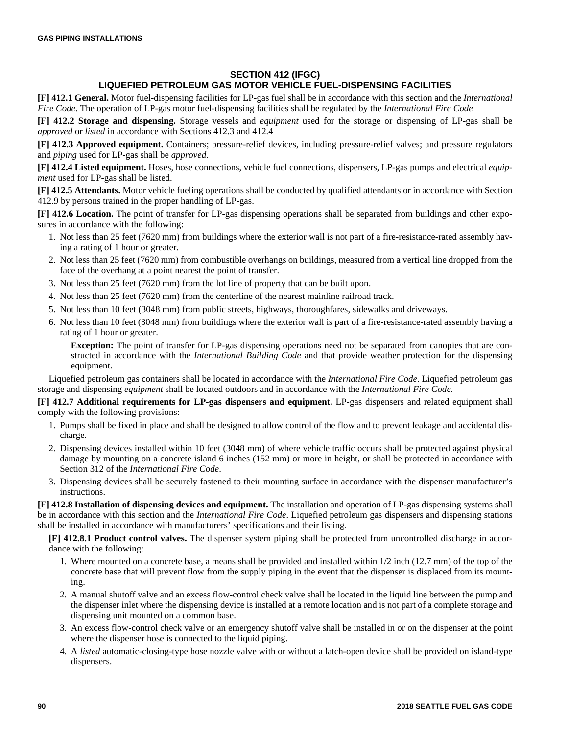# **SECTION 412 (IFGC) LIQUEFIED PETROLEUM GAS MOTOR VEHICLE FUEL-DISPENSING FACILITIES**

**[F] 412.1 General.** Motor fuel-dispensing facilities for LP-gas fuel shall be in accordance with this section and the *International Fire Code*. The operation of LP-gas motor fuel-dispensing facilities shall be regulated by the *International Fire Code*

**[F] 412.2 Storage and dispensing.** Storage vessels and *equipment* used for the storage or dispensing of LP-gas shall be *approved* or *listed* in accordance with Sections 412.3 and 412.4

**[F] 412.3 Approved equipment.** Containers; pressure-relief devices, including pressure-relief valves; and pressure regulators and *piping* used for LP-gas shall be *approved*.

**[F] 412.4 Listed equipment.** Hoses, hose connections, vehicle fuel connections, dispensers, LP-gas pumps and electrical *equipment* used for LP-gas shall be listed.

**[F] 412.5 Attendants.** Motor vehicle fueling operations shall be conducted by qualified attendants or in accordance with Section 412.9 by persons trained in the proper handling of LP-gas.

**[F] 412.6 Location.** The point of transfer for LP-gas dispensing operations shall be separated from buildings and other exposures in accordance with the following:

- 1. Not less than 25 feet (7620 mm) from buildings where the exterior wall is not part of a fire-resistance-rated assembly having a rating of 1 hour or greater.
- 2. Not less than 25 feet (7620 mm) from combustible overhangs on buildings, measured from a vertical line dropped from the face of the overhang at a point nearest the point of transfer.
- 3. Not less than 25 feet (7620 mm) from the lot line of property that can be built upon.
- 4. Not less than 25 feet (7620 mm) from the centerline of the nearest mainline railroad track.
- 5. Not less than 10 feet (3048 mm) from public streets, highways, thoroughfares, sidewalks and driveways.
- 6. Not less than 10 feet (3048 mm) from buildings where the exterior wall is part of a fire-resistance-rated assembly having a rating of 1 hour or greater.

**Exception:** The point of transfer for LP-gas dispensing operations need not be separated from canopies that are constructed in accordance with the *International Building Code* and that provide weather protection for the dispensing equipment.

Liquefied petroleum gas containers shall be located in accordance with the *International Fire Code*. Liquefied petroleum gas storage and dispensing *equipment* shall be located outdoors and in accordance with the *International Fire Code*.

**[F] 412.7 Additional requirements for LP-gas dispensers and equipment.** LP-gas dispensers and related equipment shall comply with the following provisions:

- 1. Pumps shall be fixed in place and shall be designed to allow control of the flow and to prevent leakage and accidental discharge.
- 2. Dispensing devices installed within 10 feet (3048 mm) of where vehicle traffic occurs shall be protected against physical damage by mounting on a concrete island 6 inches (152 mm) or more in height, or shall be protected in accordance with Section 312 of the *International Fire Code*.
- 3. Dispensing devices shall be securely fastened to their mounting surface in accordance with the dispenser manufacturer's instructions.

**[F] 412.8 Installation of dispensing devices and equipment.** The installation and operation of LP-gas dispensing systems shall be in accordance with this section and the *International Fire Code*. Liquefied petroleum gas dispensers and dispensing stations shall be installed in accordance with manufacturers' specifications and their listing.

**[F] 412.8.1 Product control valves.** The dispenser system piping shall be protected from uncontrolled discharge in accordance with the following:

- 1. Where mounted on a concrete base, a means shall be provided and installed within 1/2 inch (12.7 mm) of the top of the concrete base that will prevent flow from the supply piping in the event that the dispenser is displaced from its mounting.
- 2. A manual shutoff valve and an excess flow-control check valve shall be located in the liquid line between the pump and the dispenser inlet where the dispensing device is installed at a remote location and is not part of a complete storage and dispensing unit mounted on a common base.
- 3. An excess flow-control check valve or an emergency shutoff valve shall be installed in or on the dispenser at the point where the dispenser hose is connected to the liquid piping.
- 4. A *listed* automatic-closing-type hose nozzle valve with or without a latch-open device shall be provided on island-type dispensers.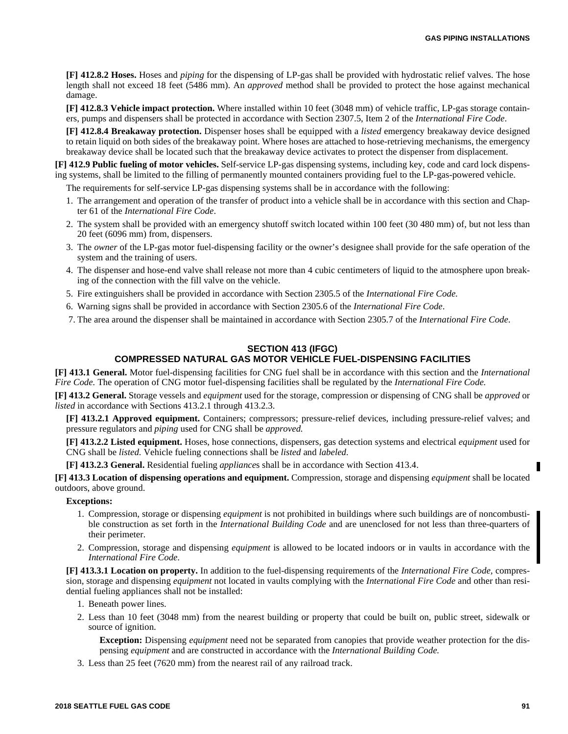**[F] 412.8.2 Hoses.** Hoses and *piping* for the dispensing of LP-gas shall be provided with hydrostatic relief valves. The hose length shall not exceed 18 feet (5486 mm). An *approved* method shall be provided to protect the hose against mechanical damage.

**[F] 412.8.3 Vehicle impact protection.** Where installed within 10 feet (3048 mm) of vehicle traffic, LP-gas storage containers, pumps and dispensers shall be protected in accordance with Section 2307.5, Item 2 of the *International Fire Code*.

**[F] 412.8.4 Breakaway protection.** Dispenser hoses shall be equipped with a *listed* emergency breakaway device designed to retain liquid on both sides of the breakaway point. Where hoses are attached to hose-retrieving mechanisms, the emergency breakaway device shall be located such that the breakaway device activates to protect the dispenser from displacement.

**[F] 412.9 Public fueling of motor vehicles.** Self-service LP-gas dispensing systems, including key, code and card lock dispensing systems, shall be limited to the filling of permanently mounted containers providing fuel to the LP-gas-powered vehicle.

The requirements for self-service LP-gas dispensing systems shall be in accordance with the following:

- 1. The arrangement and operation of the transfer of product into a vehicle shall be in accordance with this section and Chapter 61 of the *International Fire Code*.
- 2. The system shall be provided with an emergency shutoff switch located within 100 feet (30 480 mm) of, but not less than 20 feet (6096 mm) from, dispensers.
- 3. The *owner* of the LP-gas motor fuel-dispensing facility or the owner's designee shall provide for the safe operation of the system and the training of users.
- 4. The dispenser and hose-end valve shall release not more than 4 cubic centimeters of liquid to the atmosphere upon breaking of the connection with the fill valve on the vehicle.
- 5. Fire extinguishers shall be provided in accordance with Section 2305.5 of the *International Fire Code*.
- 6. Warning signs shall be provided in accordance with Section 2305.6 of the *International Fire Code*.
- 7. The area around the dispenser shall be maintained in accordance with Section 2305.7 of the *International Fire Code*.

# **SECTION 413 (IFGC)**

# **COMPRESSED NATURAL GAS MOTOR VEHICLE FUEL-DISPENSING FACILITIES**

**[F] 413.1 General.** Motor fuel-dispensing facilities for CNG fuel shall be in accordance with this section and the *International Fire Code.* The operation of CNG motor fuel-dispensing facilities shall be regulated by the *International Fire Code.*

**[F] 413.2 General.** Storage vessels and *equipment* used for the storage, compression or dispensing of CNG shall be *approved* or *listed* in accordance with Sections 413.2.1 through 413.2.3.

**[F] 413.2.1 Approved equipment.** Containers; compressors; pressure-relief devices, including pressure-relief valves; and pressure regulators and *piping* used for CNG shall be *approved.*

**[F] 413.2.2 Listed equipment.** Hoses, hose connections, dispensers, gas detection systems and electrical *equipment* used for CNG shall be *listed.* Vehicle fueling connections shall be *listed* and *labeled.*

**[F] 413.2.3 General.** Residential fueling *appliance*s shall be in accordance with Section 413.4.

**[F] 413.3 Location of dispensing operations and equipment.** Compression, storage and dispensing *equipment* shall be located outdoors, above ground.

## **Exceptions:**

- 1. Compression, storage or dispensing *equipment* is not prohibited in buildings where such buildings are of noncombustible construction as set forth in the *International Building Code* and are unenclosed for not less than three-quarters of their perimeter.
- 2. Compression, storage and dispensing *equipment* is allowed to be located indoors or in vaults in accordance with the *International Fire Code*.

**[F] 413.3.1 Location on property.** In addition to the fuel-dispensing requirements of the *International Fire Code,* compression, storage and dispensing *equipment* not located in vaults complying with the *International Fire Code* and other than residential fueling appliances shall not be installed:

- 1. Beneath power lines.
- 2. Less than 10 feet (3048 mm) from the nearest building or property that could be built on, public street, sidewalk or source of ignition.

**Exception:** Dispensing *equipment* need not be separated from canopies that provide weather protection for the dispensing *equipment* and are constructed in accordance with the *International Building Code.*

3. Less than 25 feet (7620 mm) from the nearest rail of any railroad track.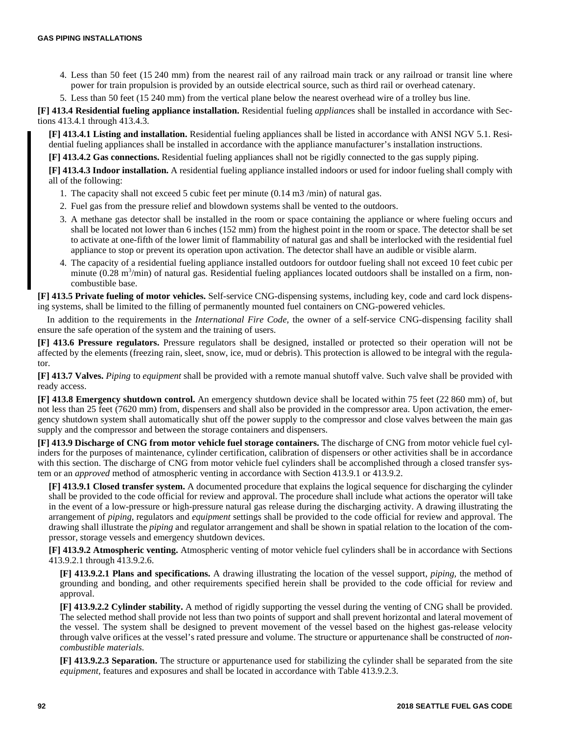- 4. Less than 50 feet (15 240 mm) from the nearest rail of any railroad main track or any railroad or transit line where power for train propulsion is provided by an outside electrical source, such as third rail or overhead catenary.
- 5. Less than 50 feet (15 240 mm) from the vertical plane below the nearest overhead wire of a trolley bus line.

**[F] 413.4 Residential fueling appliance installation.** Residential fueling *appliance*s shall be installed in accordance with Sections 413.4.1 through 413.4.3.

**[F] 413.4.1 Listing and installation.** Residential fueling appliances shall be listed in accordance with ANSI NGV 5.1. Residential fueling appliances shall be installed in accordance with the appliance manufacturer's installation instructions.

**[F] 413.4.2 Gas connections.** Residential fueling appliances shall not be rigidly connected to the gas supply piping.

**[F] 413.4.3 Indoor installation.** A residential fueling appliance installed indoors or used for indoor fueling shall comply with all of the following:

- 1. The capacity shall not exceed 5 cubic feet per minute (0.14 m3 /min) of natural gas.
- 2. Fuel gas from the pressure relief and blowdown systems shall be vented to the outdoors.
- 3. A methane gas detector shall be installed in the room or space containing the appliance or where fueling occurs and shall be located not lower than 6 inches (152 mm) from the highest point in the room or space. The detector shall be set to activate at one-fifth of the lower limit of flammability of natural gas and shall be interlocked with the residential fuel appliance to stop or prevent its operation upon activation. The detector shall have an audible or visible alarm.
- 4. The capacity of a residential fueling appliance installed outdoors for outdoor fueling shall not exceed 10 feet cubic per minute  $(0.28 \text{ m}^3/\text{min})$  of natural gas. Residential fueling appliances located outdoors shall be installed on a firm, noncombustible base.

**[F] 413.5 Private fueling of motor vehicles.** Self-service CNG-dispensing systems, including key, code and card lock dispensing systems, shall be limited to the filling of permanently mounted fuel containers on CNG-powered vehicles.

In addition to the requirements in the *International Fire Code,* the owner of a self-service CNG-dispensing facility shall ensure the safe operation of the system and the training of users.

**[F] 413.6 Pressure regulators.** Pressure regulators shall be designed, installed or protected so their operation will not be affected by the elements (freezing rain, sleet, snow, ice, mud or debris). This protection is allowed to be integral with the regulator.

**[F] 413.7 Valves.** *Piping* to *equipment* shall be provided with a remote manual shutoff valve. Such valve shall be provided with ready access.

**[F] 413.8 Emergency shutdown control.** An emergency shutdown device shall be located within 75 feet (22 860 mm) of, but not less than 25 feet (7620 mm) from, dispensers and shall also be provided in the compressor area. Upon activation, the emergency shutdown system shall automatically shut off the power supply to the compressor and close valves between the main gas supply and the compressor and between the storage containers and dispensers.

**[F] 413.9 Discharge of CNG from motor vehicle fuel storage containers.** The discharge of CNG from motor vehicle fuel cylinders for the purposes of maintenance, cylinder certification, calibration of dispensers or other activities shall be in accordance with this section. The discharge of CNG from motor vehicle fuel cylinders shall be accomplished through a closed transfer system or an *approved* method of atmospheric venting in accordance with Section 413.9.1 or 413.9.2.

**[F] 413.9.1 Closed transfer system.** A documented procedure that explains the logical sequence for discharging the cylinder shall be provided to the code official for review and approval. The procedure shall include what actions the operator will take in the event of a low-pressure or high-pressure natural gas release during the discharging activity. A drawing illustrating the arrangement of *piping,* regulators and *equipment* settings shall be provided to the code official for review and approval. The drawing shall illustrate the *piping* and regulator arrangement and shall be shown in spatial relation to the location of the compressor, storage vessels and emergency shutdown devices.

**[F] 413.9.2 Atmospheric venting.** Atmospheric venting of motor vehicle fuel cylinders shall be in accordance with Sections 413.9.2.1 through 413.9.2.6.

**[F] 413.9.2.1 Plans and specifications.** A drawing illustrating the location of the vessel support, *piping,* the method of grounding and bonding, and other requirements specified herein shall be provided to the code official for review and approval.

**[F] 413.9.2.2 Cylinder stability.** A method of rigidly supporting the vessel during the venting of CNG shall be provided. The selected method shall provide not less than two points of support and shall prevent horizontal and lateral movement of the vessel. The system shall be designed to prevent movement of the vessel based on the highest gas-release velocity through valve orifices at the vessel's rated pressure and volume. The structure or appurtenance shall be constructed of *noncombustible materials.*

**[F] 413.9.2.3 Separation.** The structure or appurtenance used for stabilizing the cylinder shall be separated from the site *equipment,* features and exposures and shall be located in accordance with Table 413.9.2.3.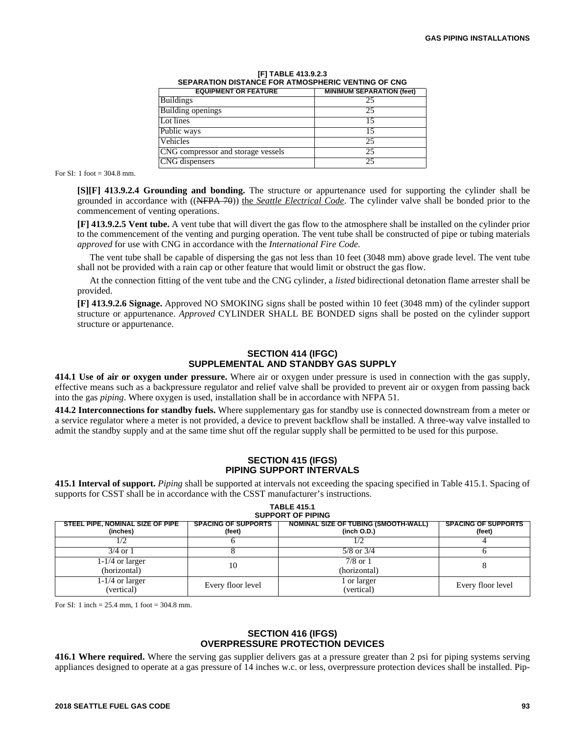| <b>EQUIPMENT OR FEATURE</b>        | <b>MINIMUM SEPARATION (feet)</b> |
|------------------------------------|----------------------------------|
| <b>Buildings</b>                   | 25                               |
| Building openings                  | つう                               |
| Lot lines                          |                                  |
| Public ways                        |                                  |
| Vehicles                           | 25                               |
| CNG compressor and storage vessels | 25                               |
| CNG dispensers                     | 25                               |

| [F] TABLE 413.9.2.3                                |  |  |  |
|----------------------------------------------------|--|--|--|
| SEPARATION DISTANCE FOR ATMOSPHERIC VENTING OF CNG |  |  |  |

For SI: 1 foot = 304.8 mm.

**[S][F] 413.9.2.4 Grounding and bonding.** The structure or appurtenance used for supporting the cylinder shall be grounded in accordance with ((NFPA 70)) the *Seattle Electrical Code*. The cylinder valve shall be bonded prior to the commencement of venting operations.

**[F] 413.9.2.5 Vent tube.** A vent tube that will divert the gas flow to the atmosphere shall be installed on the cylinder prior to the commencement of the venting and purging operation. The vent tube shall be constructed of pipe or tubing materials *approved* for use with CNG in accordance with the *International Fire Code.*

The vent tube shall be capable of dispersing the gas not less than 10 feet (3048 mm) above grade level. The vent tube shall not be provided with a rain cap or other feature that would limit or obstruct the gas flow.

At the connection fitting of the vent tube and the CNG cylinder, a *listed* bidirectional detonation flame arrester shall be provided.

**[F] 413.9.2.6 Signage.** Approved NO SMOKING signs shall be posted within 10 feet (3048 mm) of the cylinder support structure or appurtenance. *Approved* CYLINDER SHALL BE BONDED signs shall be posted on the cylinder support structure or appurtenance.

# **SECTION 414 (IFGC) SUPPLEMENTAL AND STANDBY GAS SUPPLY**

**414.1 Use of air or oxygen under pressure.** Where air or oxygen under pressure is used in connection with the gas supply, effective means such as a backpressure regulator and relief valve shall be provided to prevent air or oxygen from passing back into the gas *piping*. Where oxygen is used, installation shall be in accordance with NFPA 51.

**414.2 Interconnections for standby fuels.** Where supplementary gas for standby use is connected downstream from a meter or a service regulator where a meter is not provided, a device to prevent backflow shall be installed. A three-way valve installed to admit the standby supply and at the same time shut off the regular supply shall be permitted to be used for this purpose.

# **SECTION 415 (IFGS) PIPING SUPPORT INTERVALS**

**415.1 Interval of support.** *Piping* shall be supported at intervals not exceeding the spacing specified in Table 415.1. Spacing of supports for CSST shall be in accordance with the CSST manufacturer's instructions. **TABLE 415.1**

| <b>SUPPORT OF PIPING</b>                     |                                      |                                                            |                                      |  |
|----------------------------------------------|--------------------------------------|------------------------------------------------------------|--------------------------------------|--|
| STEEL PIPE, NOMINAL SIZE OF PIPE<br>(inches) | <b>SPACING OF SUPPORTS</b><br>(feet) | <b>NOMINAL SIZE OF TUBING (SMOOTH-WALL)</b><br>(inch O.D.) | <b>SPACING OF SUPPORTS</b><br>(feet) |  |
|                                              |                                      |                                                            |                                      |  |
| $3/4$ or 1                                   |                                      | $5/8$ or $3/4$                                             |                                      |  |
| 1-1/4 or larger<br>(horizontal)              | 10                                   | 7/8 or 1<br>(horizontal)                                   |                                      |  |
| 1-1/4 or larger<br>(vertical)                | Every floor level                    | or larger<br>(vertical)                                    | Every floor level                    |  |

For SI: 1 inch =  $25.4$  mm, 1 foot =  $304.8$  mm.

### **SECTION 416 (IFGS) OVERPRESSURE PROTECTION DEVICES**

**416.1 Where required.** Where the serving gas supplier delivers gas at a pressure greater than 2 psi for piping systems serving appliances designed to operate at a gas pressure of 14 inches w.c. or less, overpressure protection devices shall be installed. Pip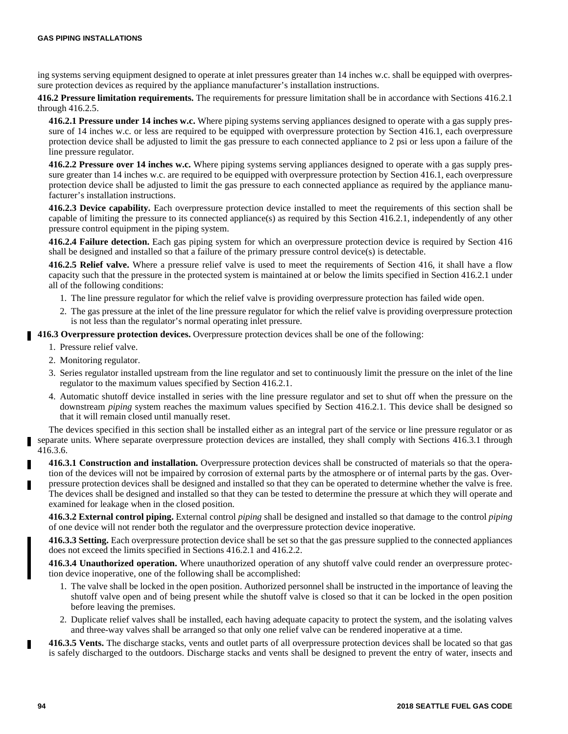ing systems serving equipment designed to operate at inlet pressures greater than 14 inches w.c. shall be equipped with overpressure protection devices as required by the appliance manufacturer's installation instructions.

**416.2 Pressure limitation requirements.** The requirements for pressure limitation shall be in accordance with Sections 416.2.1 through 416.2.5.

**416.2.1 Pressure under 14 inches w.c.** Where piping systems serving appliances designed to operate with a gas supply pressure of 14 inches w.c. or less are required to be equipped with overpressure protection by Section 416.1, each overpressure protection device shall be adjusted to limit the gas pressure to each connected appliance to 2 psi or less upon a failure of the line pressure regulator.

**416.2.2 Pressure over 14 inches w.c.** Where piping systems serving appliances designed to operate with a gas supply pressure greater than 14 inches w.c. are required to be equipped with overpressure protection by Section 416.1, each overpressure protection device shall be adjusted to limit the gas pressure to each connected appliance as required by the appliance manufacturer's installation instructions.

**416.2.3 Device capability.** Each overpressure protection device installed to meet the requirements of this section shall be capable of limiting the pressure to its connected appliance(s) as required by this Section 416.2.1, independently of any other pressure control equipment in the piping system.

**416.2.4 Failure detection.** Each gas piping system for which an overpressure protection device is required by Section 416 shall be designed and installed so that a failure of the primary pressure control device(s) is detectable.

**416.2.5 Relief valve.** Where a pressure relief valve is used to meet the requirements of Section 416, it shall have a flow capacity such that the pressure in the protected system is maintained at or below the limits specified in Section 416.2.1 under all of the following conditions:

- 1. The line pressure regulator for which the relief valve is providing overpressure protection has failed wide open.
- 2. The gas pressure at the inlet of the line pressure regulator for which the relief valve is providing overpressure protection is not less than the regulator's normal operating inlet pressure.
- **416.3 Overpressure protection devices.** Overpressure protection devices shall be one of the following:
	- 1. Pressure relief valve.
	- 2. Monitoring regulator.
	- 3. Series regulator installed upstream from the line regulator and set to continuously limit the pressure on the inlet of the line regulator to the maximum values specified by Section 416.2.1.
	- 4. Automatic shutoff device installed in series with the line pressure regulator and set to shut off when the pressure on the downstream *piping* system reaches the maximum values specified by Section 416.2.1. This device shall be designed so that it will remain closed until manually reset.

The devices specified in this section shall be installed either as an integral part of the service or line pressure regulator or as separate units. Where separate overpressure protection devices are installed, they shall comply with Sections 416.3.1 through 416.3.6.

**416.3.1 Construction and installation.** Overpressure protection devices shall be constructed of materials so that the operation of the devices will not be impaired by corrosion of external parts by the atmosphere or of internal parts by the gas. Overpressure protection devices shall be designed and installed so that they can be operated to determine whether the valve is free. The devices shall be designed and installed so that they can be tested to determine the pressure at which they will operate and examined for leakage when in the closed position.

**416.3.2 External control piping.** External control *piping* shall be designed and installed so that damage to the control *piping* of one device will not render both the regulator and the overpressure protection device inoperative.

**416.3.3 Setting.** Each overpressure protection device shall be set so that the gas pressure supplied to the connected appliances does not exceed the limits specified in Sections 416.2.1 and 416.2.2.

**416.3.4 Unauthorized operation.** Where unauthorized operation of any shutoff valve could render an overpressure protection device inoperative, one of the following shall be accomplished:

- 1. The valve shall be locked in the open position. Authorized personnel shall be instructed in the importance of leaving the shutoff valve open and of being present while the shutoff valve is closed so that it can be locked in the open position before leaving the premises.
- 2. Duplicate relief valves shall be installed, each having adequate capacity to protect the system, and the isolating valves and three-way valves shall be arranged so that only one relief valve can be rendered inoperative at a time.
- **416.3.5 Vents.** The discharge stacks, vents and outlet parts of all overpressure protection devices shall be located so that gas is safely discharged to the outdoors. Discharge stacks and vents shall be designed to prevent the entry of water, insects and